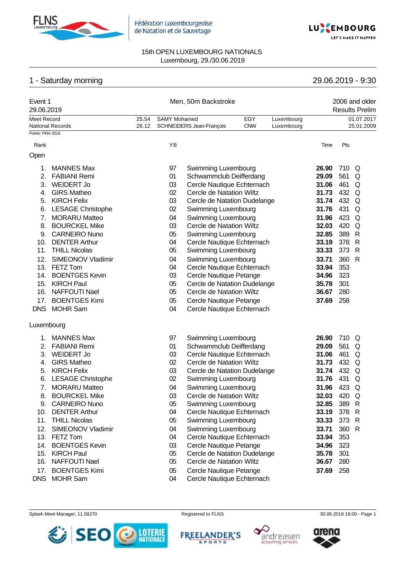



# 1 - Saturday morning 29.06.2019 - 9:30

| Event 1<br>29.06.2019 |                                              |       | Men, 50m Backstroke |                                                          | 2006 and older<br><b>Results Prelim</b> |            |                |            |                              |
|-----------------------|----------------------------------------------|-------|---------------------|----------------------------------------------------------|-----------------------------------------|------------|----------------|------------|------------------------------|
| Meet Record           |                                              | 25.54 | <b>SAMY Mohamed</b> |                                                          | EGY                                     | Luxembourg |                |            | 01.07.2017                   |
| Points: FINA 2019     | <b>National Records</b>                      | 26.12 |                     | SCHNEIDERS Jean-François                                 | <b>CNW</b>                              | Luxembourg |                |            | 25.01.2009                   |
|                       |                                              |       |                     |                                                          |                                         |            |                |            |                              |
| Rank                  |                                              |       | YB                  |                                                          |                                         |            | Time           | Pts        |                              |
| Open                  |                                              |       |                     |                                                          |                                         |            |                |            |                              |
| 1.                    | <b>MANNES Max</b>                            |       | 97                  | Swimming Luxembourg                                      |                                         |            | 26.90          | 710 Q      |                              |
| 2.                    | <b>FABIANI Remi</b>                          |       | 01                  | Schwammclub Deifferdang                                  |                                         |            | 29.09          | 561        | Q                            |
|                       | 3. WEIDERT Jo                                |       | 03                  | Cercle Nautique Echternach                               |                                         |            | 31.06          | 461        | Q                            |
|                       | 4. GIRS Matheo                               |       | 02                  | Cercle de Natation Wiltz                                 |                                         |            | 31.73          | 432        | Q                            |
|                       | 5. KIRCH Felix                               |       | 03                  | Cercle de Natation Dudelange                             |                                         |            | 31.74          | 432        | Q                            |
| 6.                    | <b>LESAGE Christophe</b>                     |       | 02                  | Swimming Luxembourg                                      |                                         |            | 31.76          | 431        | Q                            |
| 7.                    | <b>MORARU Matteo</b>                         |       | 04                  | Swimming Luxembourg                                      |                                         |            | 31.96          | 423        | Q                            |
| 8.                    | <b>BOURCKEL Mike</b>                         |       | 03                  | Cercle de Natation Wiltz                                 |                                         |            | 32.03          | 420        | Q                            |
| 9.<br>10.             | <b>CARNEIRO Nuno</b><br><b>DENTER Arthur</b> |       | 05<br>04            | Swimming Luxembourg                                      |                                         |            | 32.85<br>33.19 | 389<br>378 | $\mathsf{R}$<br>$\mathsf{R}$ |
| 11.                   | <b>THILL Nicolas</b>                         |       | 05                  | Cercle Nautique Echternach<br>Swimming Luxembourg        |                                         |            | 33.33          | 373        | $\mathsf{R}$                 |
| 12.                   | SIMEONOV Vladimir                            |       | 04                  | Swimming Luxembourg                                      |                                         |            | 33.71          | 360        | $\mathsf{R}$                 |
| 13.                   | FETZ Tom                                     |       | 04                  | Cercle Nautique Echternach                               |                                         |            | 33.94          | 353        |                              |
| 14.                   | <b>BOENTGES Kevin</b>                        |       | 03                  | Cercle Nautique Petange                                  |                                         |            | 34.96          | 323        |                              |
| 15.                   | <b>KIRCH Paul</b>                            |       | 05                  | Cercle de Natation Dudelange                             |                                         |            | 35.78          | 301        |                              |
| 16.                   | <b>NAFFOUTI Nael</b>                         |       | 05                  | Cercle de Natation Wiltz                                 |                                         |            | 36.67          | 280        |                              |
| 17.                   | <b>BOENTGES Kimi</b>                         |       | 05                  | Cercle Nautique Petange                                  |                                         |            | 37.69          | 258        |                              |
|                       | DNS MOHR Sam                                 |       | 04                  | Cercle Nautique Echternach                               |                                         |            |                |            |                              |
| Luxembourg            |                                              |       |                     |                                                          |                                         |            |                |            |                              |
| 1.                    | <b>MANNES Max</b>                            |       | 97                  |                                                          |                                         |            | 26.90          | 710 Q      |                              |
| 2.                    | <b>FABIANI Remi</b>                          |       | 01                  | Swimming Luxembourg<br>Schwammclub Deifferdang           |                                         |            | 29.09          | 561        | Q                            |
| 3.                    | <b>WEIDERT Jo</b>                            |       | 03                  | Cercle Nautique Echternach                               |                                         |            | 31.06          | 461        | Q                            |
| 4.                    | <b>GIRS Matheo</b>                           |       | 02                  | Cercle de Natation Wiltz                                 |                                         |            | 31.73          | 432        | Q                            |
| 5.                    | <b>KIRCH Felix</b>                           |       | 03                  | Cercle de Natation Dudelange                             |                                         |            | 31.74          | 432 Q      |                              |
| 6.                    | <b>LESAGE Christophe</b>                     |       | 02                  | Swimming Luxembourg                                      |                                         |            | 31.76          | 431        | Q                            |
| 7.                    | <b>MORARU Matteo</b>                         |       | 04                  | Swimming Luxembourg                                      |                                         |            | 31.96          | 423        | Q                            |
| 8.                    | <b>BOURCKEL Mike</b>                         |       | 03                  | Cercle de Natation Wiltz                                 |                                         |            | 32.03          | 420 Q      |                              |
|                       | 9. CARNEIRO Nuno                             |       | 05                  | Swimming Luxembourg                                      |                                         |            | 32.85          | 389 R      |                              |
|                       | 10. DENTER Arthur                            |       | 04                  | Cercle Nautique Echternach                               |                                         |            | 33.19          | 378 R      |                              |
|                       | 11. THILL Nicolas                            |       | 05                  | Swimming Luxembourg                                      |                                         |            | 33.33          | 373 R      |                              |
| 12.                   | SIMEONOV Vladimir                            |       | 04                  | Swimming Luxembourg                                      |                                         |            | 33.71          | 360 R      |                              |
|                       | 13. FETZ Tom                                 |       | 04                  | Cercle Nautique Echternach                               |                                         |            | 33.94          | 353        |                              |
|                       | 14. BOENTGES Kevin                           |       | 03                  | Cercle Nautique Petange                                  |                                         |            | 34.96          | 323        |                              |
|                       | 15. KIRCH Paul<br>16. NAFFOUTI Nael          |       | 05<br>05            | Cercle de Natation Dudelange<br>Cercle de Natation Wiltz |                                         |            | 35.78<br>36.67 | 301<br>280 |                              |
| 17.                   | <b>BOENTGES Kimi</b>                         |       | 05                  | Cercle Nautique Petange                                  |                                         |            | 37.69          | 258        |                              |
|                       |                                              |       |                     |                                                          |                                         |            |                |            |                              |

DNS MOHR Sam 04 Cercle Nautique Echternach

Splash Meet Manager, 11.59270 **Registered to FLNS** Registered to FLNS 30.06.2019 18:00 - Page 1



**FREELANDER'S** 

SPORTS





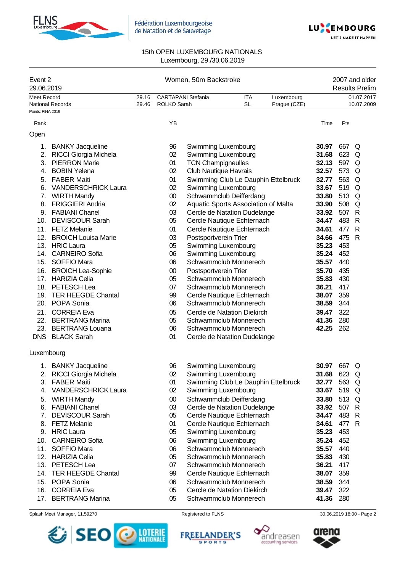



| Event 2<br>29.06.2019   |                                                                                                                                                                                                                                                                                                                                                                                                                                                                                                                                                                                                                                                                                                                                                                                               |        | 2007 and older<br><b>Results Prelim</b>                                                                                                                                                                    |                                          |                                                                                                                                                                                                                                                                                                                                                                                                       |                                                                                                                                                                                                                                                                                                                                                                                                                                                                                                                                                                                                                                                                                                                                                                                                                              |                                                                                                                                                                                                                                                                            |                                                                                                                                                                                                                                                                                                                          |
|-------------------------|-----------------------------------------------------------------------------------------------------------------------------------------------------------------------------------------------------------------------------------------------------------------------------------------------------------------------------------------------------------------------------------------------------------------------------------------------------------------------------------------------------------------------------------------------------------------------------------------------------------------------------------------------------------------------------------------------------------------------------------------------------------------------------------------------|--------|------------------------------------------------------------------------------------------------------------------------------------------------------------------------------------------------------------|------------------------------------------|-------------------------------------------------------------------------------------------------------------------------------------------------------------------------------------------------------------------------------------------------------------------------------------------------------------------------------------------------------------------------------------------------------|------------------------------------------------------------------------------------------------------------------------------------------------------------------------------------------------------------------------------------------------------------------------------------------------------------------------------------------------------------------------------------------------------------------------------------------------------------------------------------------------------------------------------------------------------------------------------------------------------------------------------------------------------------------------------------------------------------------------------------------------------------------------------------------------------------------------------|----------------------------------------------------------------------------------------------------------------------------------------------------------------------------------------------------------------------------------------------------------------------------|--------------------------------------------------------------------------------------------------------------------------------------------------------------------------------------------------------------------------------------------------------------------------------------------------------------------------|
| Meet Record             | 29.16                                                                                                                                                                                                                                                                                                                                                                                                                                                                                                                                                                                                                                                                                                                                                                                         |        |                                                                                                                                                                                                            | <b>ITA</b>                               | Luxembourg                                                                                                                                                                                                                                                                                                                                                                                            |                                                                                                                                                                                                                                                                                                                                                                                                                                                                                                                                                                                                                                                                                                                                                                                                                              |                                                                                                                                                                                                                                                                            | 01.07.2017<br>10.07.2009                                                                                                                                                                                                                                                                                                 |
| Points: FINA 2019       |                                                                                                                                                                                                                                                                                                                                                                                                                                                                                                                                                                                                                                                                                                                                                                                               |        |                                                                                                                                                                                                            |                                          |                                                                                                                                                                                                                                                                                                                                                                                                       |                                                                                                                                                                                                                                                                                                                                                                                                                                                                                                                                                                                                                                                                                                                                                                                                                              |                                                                                                                                                                                                                                                                            |                                                                                                                                                                                                                                                                                                                          |
|                         |                                                                                                                                                                                                                                                                                                                                                                                                                                                                                                                                                                                                                                                                                                                                                                                               | YB     |                                                                                                                                                                                                            |                                          |                                                                                                                                                                                                                                                                                                                                                                                                       | Time                                                                                                                                                                                                                                                                                                                                                                                                                                                                                                                                                                                                                                                                                                                                                                                                                         | Pts                                                                                                                                                                                                                                                                        |                                                                                                                                                                                                                                                                                                                          |
|                         |                                                                                                                                                                                                                                                                                                                                                                                                                                                                                                                                                                                                                                                                                                                                                                                               |        |                                                                                                                                                                                                            |                                          |                                                                                                                                                                                                                                                                                                                                                                                                       |                                                                                                                                                                                                                                                                                                                                                                                                                                                                                                                                                                                                                                                                                                                                                                                                                              |                                                                                                                                                                                                                                                                            |                                                                                                                                                                                                                                                                                                                          |
| <b>BANKY Jacqueline</b> |                                                                                                                                                                                                                                                                                                                                                                                                                                                                                                                                                                                                                                                                                                                                                                                               | 96     |                                                                                                                                                                                                            |                                          |                                                                                                                                                                                                                                                                                                                                                                                                       | 30.97                                                                                                                                                                                                                                                                                                                                                                                                                                                                                                                                                                                                                                                                                                                                                                                                                        |                                                                                                                                                                                                                                                                            |                                                                                                                                                                                                                                                                                                                          |
| RICCI Giorgia Michela   |                                                                                                                                                                                                                                                                                                                                                                                                                                                                                                                                                                                                                                                                                                                                                                                               | 02     |                                                                                                                                                                                                            |                                          |                                                                                                                                                                                                                                                                                                                                                                                                       | 31.68                                                                                                                                                                                                                                                                                                                                                                                                                                                                                                                                                                                                                                                                                                                                                                                                                        | 623                                                                                                                                                                                                                                                                        | Q                                                                                                                                                                                                                                                                                                                        |
|                         |                                                                                                                                                                                                                                                                                                                                                                                                                                                                                                                                                                                                                                                                                                                                                                                               | 01     |                                                                                                                                                                                                            |                                          |                                                                                                                                                                                                                                                                                                                                                                                                       | 32.13                                                                                                                                                                                                                                                                                                                                                                                                                                                                                                                                                                                                                                                                                                                                                                                                                        |                                                                                                                                                                                                                                                                            |                                                                                                                                                                                                                                                                                                                          |
|                         |                                                                                                                                                                                                                                                                                                                                                                                                                                                                                                                                                                                                                                                                                                                                                                                               |        |                                                                                                                                                                                                            |                                          |                                                                                                                                                                                                                                                                                                                                                                                                       |                                                                                                                                                                                                                                                                                                                                                                                                                                                                                                                                                                                                                                                                                                                                                                                                                              |                                                                                                                                                                                                                                                                            | Q                                                                                                                                                                                                                                                                                                                        |
|                         |                                                                                                                                                                                                                                                                                                                                                                                                                                                                                                                                                                                                                                                                                                                                                                                               |        |                                                                                                                                                                                                            |                                          |                                                                                                                                                                                                                                                                                                                                                                                                       | 32.77                                                                                                                                                                                                                                                                                                                                                                                                                                                                                                                                                                                                                                                                                                                                                                                                                        |                                                                                                                                                                                                                                                                            | Q                                                                                                                                                                                                                                                                                                                        |
|                         |                                                                                                                                                                                                                                                                                                                                                                                                                                                                                                                                                                                                                                                                                                                                                                                               |        |                                                                                                                                                                                                            |                                          |                                                                                                                                                                                                                                                                                                                                                                                                       |                                                                                                                                                                                                                                                                                                                                                                                                                                                                                                                                                                                                                                                                                                                                                                                                                              |                                                                                                                                                                                                                                                                            | Q                                                                                                                                                                                                                                                                                                                        |
|                         |                                                                                                                                                                                                                                                                                                                                                                                                                                                                                                                                                                                                                                                                                                                                                                                               |        |                                                                                                                                                                                                            |                                          |                                                                                                                                                                                                                                                                                                                                                                                                       |                                                                                                                                                                                                                                                                                                                                                                                                                                                                                                                                                                                                                                                                                                                                                                                                                              |                                                                                                                                                                                                                                                                            |                                                                                                                                                                                                                                                                                                                          |
| 8.                      |                                                                                                                                                                                                                                                                                                                                                                                                                                                                                                                                                                                                                                                                                                                                                                                               |        |                                                                                                                                                                                                            |                                          |                                                                                                                                                                                                                                                                                                                                                                                                       |                                                                                                                                                                                                                                                                                                                                                                                                                                                                                                                                                                                                                                                                                                                                                                                                                              |                                                                                                                                                                                                                                                                            | Q                                                                                                                                                                                                                                                                                                                        |
|                         |                                                                                                                                                                                                                                                                                                                                                                                                                                                                                                                                                                                                                                                                                                                                                                                               |        |                                                                                                                                                                                                            |                                          |                                                                                                                                                                                                                                                                                                                                                                                                       |                                                                                                                                                                                                                                                                                                                                                                                                                                                                                                                                                                                                                                                                                                                                                                                                                              |                                                                                                                                                                                                                                                                            |                                                                                                                                                                                                                                                                                                                          |
|                         |                                                                                                                                                                                                                                                                                                                                                                                                                                                                                                                                                                                                                                                                                                                                                                                               |        |                                                                                                                                                                                                            |                                          |                                                                                                                                                                                                                                                                                                                                                                                                       |                                                                                                                                                                                                                                                                                                                                                                                                                                                                                                                                                                                                                                                                                                                                                                                                                              |                                                                                                                                                                                                                                                                            | $\mathsf{R}$                                                                                                                                                                                                                                                                                                             |
|                         |                                                                                                                                                                                                                                                                                                                                                                                                                                                                                                                                                                                                                                                                                                                                                                                               |        |                                                                                                                                                                                                            |                                          |                                                                                                                                                                                                                                                                                                                                                                                                       |                                                                                                                                                                                                                                                                                                                                                                                                                                                                                                                                                                                                                                                                                                                                                                                                                              |                                                                                                                                                                                                                                                                            | $\mathsf{R}$                                                                                                                                                                                                                                                                                                             |
|                         |                                                                                                                                                                                                                                                                                                                                                                                                                                                                                                                                                                                                                                                                                                                                                                                               |        |                                                                                                                                                                                                            |                                          |                                                                                                                                                                                                                                                                                                                                                                                                       |                                                                                                                                                                                                                                                                                                                                                                                                                                                                                                                                                                                                                                                                                                                                                                                                                              |                                                                                                                                                                                                                                                                            | $\mathsf{R}$                                                                                                                                                                                                                                                                                                             |
|                         |                                                                                                                                                                                                                                                                                                                                                                                                                                                                                                                                                                                                                                                                                                                                                                                               |        |                                                                                                                                                                                                            |                                          |                                                                                                                                                                                                                                                                                                                                                                                                       |                                                                                                                                                                                                                                                                                                                                                                                                                                                                                                                                                                                                                                                                                                                                                                                                                              |                                                                                                                                                                                                                                                                            |                                                                                                                                                                                                                                                                                                                          |
|                         |                                                                                                                                                                                                                                                                                                                                                                                                                                                                                                                                                                                                                                                                                                                                                                                               |        |                                                                                                                                                                                                            |                                          |                                                                                                                                                                                                                                                                                                                                                                                                       |                                                                                                                                                                                                                                                                                                                                                                                                                                                                                                                                                                                                                                                                                                                                                                                                                              |                                                                                                                                                                                                                                                                            |                                                                                                                                                                                                                                                                                                                          |
|                         |                                                                                                                                                                                                                                                                                                                                                                                                                                                                                                                                                                                                                                                                                                                                                                                               |        |                                                                                                                                                                                                            |                                          |                                                                                                                                                                                                                                                                                                                                                                                                       |                                                                                                                                                                                                                                                                                                                                                                                                                                                                                                                                                                                                                                                                                                                                                                                                                              |                                                                                                                                                                                                                                                                            |                                                                                                                                                                                                                                                                                                                          |
|                         |                                                                                                                                                                                                                                                                                                                                                                                                                                                                                                                                                                                                                                                                                                                                                                                               |        |                                                                                                                                                                                                            |                                          |                                                                                                                                                                                                                                                                                                                                                                                                       |                                                                                                                                                                                                                                                                                                                                                                                                                                                                                                                                                                                                                                                                                                                                                                                                                              |                                                                                                                                                                                                                                                                            |                                                                                                                                                                                                                                                                                                                          |
|                         |                                                                                                                                                                                                                                                                                                                                                                                                                                                                                                                                                                                                                                                                                                                                                                                               |        |                                                                                                                                                                                                            |                                          |                                                                                                                                                                                                                                                                                                                                                                                                       |                                                                                                                                                                                                                                                                                                                                                                                                                                                                                                                                                                                                                                                                                                                                                                                                                              |                                                                                                                                                                                                                                                                            |                                                                                                                                                                                                                                                                                                                          |
|                         |                                                                                                                                                                                                                                                                                                                                                                                                                                                                                                                                                                                                                                                                                                                                                                                               |        |                                                                                                                                                                                                            |                                          |                                                                                                                                                                                                                                                                                                                                                                                                       |                                                                                                                                                                                                                                                                                                                                                                                                                                                                                                                                                                                                                                                                                                                                                                                                                              |                                                                                                                                                                                                                                                                            |                                                                                                                                                                                                                                                                                                                          |
|                         |                                                                                                                                                                                                                                                                                                                                                                                                                                                                                                                                                                                                                                                                                                                                                                                               |        |                                                                                                                                                                                                            |                                          |                                                                                                                                                                                                                                                                                                                                                                                                       |                                                                                                                                                                                                                                                                                                                                                                                                                                                                                                                                                                                                                                                                                                                                                                                                                              |                                                                                                                                                                                                                                                                            |                                                                                                                                                                                                                                                                                                                          |
| 21.                     |                                                                                                                                                                                                                                                                                                                                                                                                                                                                                                                                                                                                                                                                                                                                                                                               |        |                                                                                                                                                                                                            |                                          |                                                                                                                                                                                                                                                                                                                                                                                                       |                                                                                                                                                                                                                                                                                                                                                                                                                                                                                                                                                                                                                                                                                                                                                                                                                              |                                                                                                                                                                                                                                                                            |                                                                                                                                                                                                                                                                                                                          |
|                         |                                                                                                                                                                                                                                                                                                                                                                                                                                                                                                                                                                                                                                                                                                                                                                                               |        |                                                                                                                                                                                                            |                                          |                                                                                                                                                                                                                                                                                                                                                                                                       |                                                                                                                                                                                                                                                                                                                                                                                                                                                                                                                                                                                                                                                                                                                                                                                                                              |                                                                                                                                                                                                                                                                            |                                                                                                                                                                                                                                                                                                                          |
|                         |                                                                                                                                                                                                                                                                                                                                                                                                                                                                                                                                                                                                                                                                                                                                                                                               |        |                                                                                                                                                                                                            |                                          |                                                                                                                                                                                                                                                                                                                                                                                                       |                                                                                                                                                                                                                                                                                                                                                                                                                                                                                                                                                                                                                                                                                                                                                                                                                              |                                                                                                                                                                                                                                                                            |                                                                                                                                                                                                                                                                                                                          |
| DNS BLACK Sarah         |                                                                                                                                                                                                                                                                                                                                                                                                                                                                                                                                                                                                                                                                                                                                                                                               | 01     |                                                                                                                                                                                                            |                                          |                                                                                                                                                                                                                                                                                                                                                                                                       |                                                                                                                                                                                                                                                                                                                                                                                                                                                                                                                                                                                                                                                                                                                                                                                                                              |                                                                                                                                                                                                                                                                            |                                                                                                                                                                                                                                                                                                                          |
| Luxembourg              |                                                                                                                                                                                                                                                                                                                                                                                                                                                                                                                                                                                                                                                                                                                                                                                               |        |                                                                                                                                                                                                            |                                          |                                                                                                                                                                                                                                                                                                                                                                                                       |                                                                                                                                                                                                                                                                                                                                                                                                                                                                                                                                                                                                                                                                                                                                                                                                                              |                                                                                                                                                                                                                                                                            |                                                                                                                                                                                                                                                                                                                          |
| 1. BANKY Jacqueline     |                                                                                                                                                                                                                                                                                                                                                                                                                                                                                                                                                                                                                                                                                                                                                                                               | 96     |                                                                                                                                                                                                            |                                          |                                                                                                                                                                                                                                                                                                                                                                                                       | 30.97                                                                                                                                                                                                                                                                                                                                                                                                                                                                                                                                                                                                                                                                                                                                                                                                                        | 667                                                                                                                                                                                                                                                                        | Q                                                                                                                                                                                                                                                                                                                        |
| RICCI Giorgia Michela   |                                                                                                                                                                                                                                                                                                                                                                                                                                                                                                                                                                                                                                                                                                                                                                                               | 02     |                                                                                                                                                                                                            |                                          |                                                                                                                                                                                                                                                                                                                                                                                                       |                                                                                                                                                                                                                                                                                                                                                                                                                                                                                                                                                                                                                                                                                                                                                                                                                              |                                                                                                                                                                                                                                                                            | Q                                                                                                                                                                                                                                                                                                                        |
| 3. FABER Maiti          |                                                                                                                                                                                                                                                                                                                                                                                                                                                                                                                                                                                                                                                                                                                                                                                               | 01     |                                                                                                                                                                                                            |                                          |                                                                                                                                                                                                                                                                                                                                                                                                       |                                                                                                                                                                                                                                                                                                                                                                                                                                                                                                                                                                                                                                                                                                                                                                                                                              |                                                                                                                                                                                                                                                                            |                                                                                                                                                                                                                                                                                                                          |
|                         |                                                                                                                                                                                                                                                                                                                                                                                                                                                                                                                                                                                                                                                                                                                                                                                               |        |                                                                                                                                                                                                            |                                          |                                                                                                                                                                                                                                                                                                                                                                                                       |                                                                                                                                                                                                                                                                                                                                                                                                                                                                                                                                                                                                                                                                                                                                                                                                                              |                                                                                                                                                                                                                                                                            |                                                                                                                                                                                                                                                                                                                          |
| 5. WIRTH Mandy          |                                                                                                                                                                                                                                                                                                                                                                                                                                                                                                                                                                                                                                                                                                                                                                                               | $00\,$ |                                                                                                                                                                                                            |                                          |                                                                                                                                                                                                                                                                                                                                                                                                       | 33.80                                                                                                                                                                                                                                                                                                                                                                                                                                                                                                                                                                                                                                                                                                                                                                                                                        |                                                                                                                                                                                                                                                                            |                                                                                                                                                                                                                                                                                                                          |
|                         |                                                                                                                                                                                                                                                                                                                                                                                                                                                                                                                                                                                                                                                                                                                                                                                               |        |                                                                                                                                                                                                            |                                          |                                                                                                                                                                                                                                                                                                                                                                                                       |                                                                                                                                                                                                                                                                                                                                                                                                                                                                                                                                                                                                                                                                                                                                                                                                                              |                                                                                                                                                                                                                                                                            |                                                                                                                                                                                                                                                                                                                          |
| 7.                      |                                                                                                                                                                                                                                                                                                                                                                                                                                                                                                                                                                                                                                                                                                                                                                                               |        |                                                                                                                                                                                                            |                                          |                                                                                                                                                                                                                                                                                                                                                                                                       |                                                                                                                                                                                                                                                                                                                                                                                                                                                                                                                                                                                                                                                                                                                                                                                                                              |                                                                                                                                                                                                                                                                            |                                                                                                                                                                                                                                                                                                                          |
|                         |                                                                                                                                                                                                                                                                                                                                                                                                                                                                                                                                                                                                                                                                                                                                                                                               |        |                                                                                                                                                                                                            |                                          |                                                                                                                                                                                                                                                                                                                                                                                                       |                                                                                                                                                                                                                                                                                                                                                                                                                                                                                                                                                                                                                                                                                                                                                                                                                              |                                                                                                                                                                                                                                                                            |                                                                                                                                                                                                                                                                                                                          |
|                         |                                                                                                                                                                                                                                                                                                                                                                                                                                                                                                                                                                                                                                                                                                                                                                                               |        |                                                                                                                                                                                                            |                                          |                                                                                                                                                                                                                                                                                                                                                                                                       |                                                                                                                                                                                                                                                                                                                                                                                                                                                                                                                                                                                                                                                                                                                                                                                                                              |                                                                                                                                                                                                                                                                            |                                                                                                                                                                                                                                                                                                                          |
|                         |                                                                                                                                                                                                                                                                                                                                                                                                                                                                                                                                                                                                                                                                                                                                                                                               |        |                                                                                                                                                                                                            |                                          |                                                                                                                                                                                                                                                                                                                                                                                                       |                                                                                                                                                                                                                                                                                                                                                                                                                                                                                                                                                                                                                                                                                                                                                                                                                              |                                                                                                                                                                                                                                                                            |                                                                                                                                                                                                                                                                                                                          |
|                         |                                                                                                                                                                                                                                                                                                                                                                                                                                                                                                                                                                                                                                                                                                                                                                                               |        |                                                                                                                                                                                                            |                                          |                                                                                                                                                                                                                                                                                                                                                                                                       |                                                                                                                                                                                                                                                                                                                                                                                                                                                                                                                                                                                                                                                                                                                                                                                                                              |                                                                                                                                                                                                                                                                            |                                                                                                                                                                                                                                                                                                                          |
|                         |                                                                                                                                                                                                                                                                                                                                                                                                                                                                                                                                                                                                                                                                                                                                                                                               |        |                                                                                                                                                                                                            |                                          |                                                                                                                                                                                                                                                                                                                                                                                                       |                                                                                                                                                                                                                                                                                                                                                                                                                                                                                                                                                                                                                                                                                                                                                                                                                              |                                                                                                                                                                                                                                                                            |                                                                                                                                                                                                                                                                                                                          |
|                         |                                                                                                                                                                                                                                                                                                                                                                                                                                                                                                                                                                                                                                                                                                                                                                                               |        |                                                                                                                                                                                                            |                                          |                                                                                                                                                                                                                                                                                                                                                                                                       |                                                                                                                                                                                                                                                                                                                                                                                                                                                                                                                                                                                                                                                                                                                                                                                                                              |                                                                                                                                                                                                                                                                            |                                                                                                                                                                                                                                                                                                                          |
|                         |                                                                                                                                                                                                                                                                                                                                                                                                                                                                                                                                                                                                                                                                                                                                                                                               |        |                                                                                                                                                                                                            |                                          |                                                                                                                                                                                                                                                                                                                                                                                                       |                                                                                                                                                                                                                                                                                                                                                                                                                                                                                                                                                                                                                                                                                                                                                                                                                              |                                                                                                                                                                                                                                                                            |                                                                                                                                                                                                                                                                                                                          |
|                         |                                                                                                                                                                                                                                                                                                                                                                                                                                                                                                                                                                                                                                                                                                                                                                                               |        |                                                                                                                                                                                                            |                                          |                                                                                                                                                                                                                                                                                                                                                                                                       |                                                                                                                                                                                                                                                                                                                                                                                                                                                                                                                                                                                                                                                                                                                                                                                                                              |                                                                                                                                                                                                                                                                            |                                                                                                                                                                                                                                                                                                                          |
|                         |                                                                                                                                                                                                                                                                                                                                                                                                                                                                                                                                                                                                                                                                                                                                                                                               |        |                                                                                                                                                                                                            |                                          |                                                                                                                                                                                                                                                                                                                                                                                                       |                                                                                                                                                                                                                                                                                                                                                                                                                                                                                                                                                                                                                                                                                                                                                                                                                              |                                                                                                                                                                                                                                                                            |                                                                                                                                                                                                                                                                                                                          |
|                         |                                                                                                                                                                                                                                                                                                                                                                                                                                                                                                                                                                                                                                                                                                                                                                                               |        |                                                                                                                                                                                                            |                                          |                                                                                                                                                                                                                                                                                                                                                                                                       |                                                                                                                                                                                                                                                                                                                                                                                                                                                                                                                                                                                                                                                                                                                                                                                                                              |                                                                                                                                                                                                                                                                            |                                                                                                                                                                                                                                                                                                                          |
|                         | National Records<br><b>PIERRON Marie</b><br><b>BOBIN Yelena</b><br><b>FABER Maiti</b><br>6. VANDERSCHRICK Laura<br>7. WIRTH Mandy<br><b>FRIGGIERI Andria</b><br>9. FABIANI Chanel<br>10. DEVISCOUR Sarah<br>11. FETZ Melanie<br>12. BROICH Louisa Marie<br>13. HRIC Laura<br>14. CARNEIRO Sofia<br>15. SOFFIO Mara<br><b>BROICH Lea-Sophie</b><br>17. HARIZIA Celia<br>18. PETESCH Lea<br>19. TER HEEGDE Chantal<br>20. POPA Sonia<br><b>CORREIA Eva</b><br><b>BERTRANG Marina</b><br>23. BERTRANG Louana<br>4. VANDERSCHRICK Laura<br>6. FABIANI Chanel<br><b>DEVISCOUR Sarah</b><br>8. FETZ Melanie<br>9. HRIC Laura<br>10. CARNEIRO Sofia<br>11. SOFFIO Mara<br>12. HARIZIA Celia<br>13. PETESCH Lea<br>14. TER HEEGDE Chantal<br>15. POPA Sonia<br>16. CORREIA Eva<br>17. BERTRANG Marina | 29.46  | 02<br>01<br>02<br>$00\,$<br>02<br>03<br>05<br>01<br>03<br>05<br>06<br>06<br>$00\,$<br>05<br>07<br>99<br>06<br>05<br>05<br>06<br>02<br>03<br>05<br>01<br>05<br>06<br>06<br>05<br>07<br>99<br>06<br>05<br>05 | <b>CARTAPANI Stefania</b><br>ROLKO Sarah | Women, 50m Backstroke<br><b>SL</b><br><b>Swimming Luxembourg</b><br>Swimming Luxembourg<br><b>TCN Champigneulles</b><br><b>Club Nautique Havrais</b><br>Swimming Luxembourg<br>Postsportverein Trier<br><b>Swimming Luxembourg</b><br>Swimming Luxembourg<br>Postsportverein Trier<br>Swimming Luxembourg<br>Swimming Luxembourg<br>Swimming Luxembourg<br>Swimming Luxembourg<br>Swimming Luxembourg | Prague (CZE)<br>Swimming Club Le Dauphin Ettelbruck<br>Schwammclub Deifferdang<br>Aquatic Sports Association of Malta<br>Cercle de Natation Dudelange<br>Cercle Nautique Echternach<br>Cercle Nautique Echternach<br>Schwammclub Monnerech<br>Schwammclub Monnerech<br>Schwammclub Monnerech<br>Cercle Nautique Echternach<br>Schwammclub Monnerech<br>Cercle de Natation Diekirch<br>Schwammclub Monnerech<br>Schwammclub Monnerech<br>Cercle de Natation Dudelange<br>Swimming Club Le Dauphin Ettelbruck<br>Schwammclub Deifferdang<br>Cercle de Natation Dudelange<br>Cercle Nautique Echternach<br>Cercle Nautique Echternach<br>Schwammclub Monnerech<br>Schwammclub Monnerech<br>Schwammclub Monnerech<br>Cercle Nautique Echternach<br>Schwammclub Monnerech<br>Cercle de Natation Diekirch<br>Schwammclub Monnerech | 32.57<br>33.67<br>33.80<br>33.90<br>33.92<br>34.47<br>34.61<br>34.66<br>35.23<br>35.24<br>35.57<br>35.70<br>35.83<br>36.21<br>38.07<br>38.59<br>39.47<br>41.36<br>42.25<br>33.67<br>33.92<br>34.47<br>34.61<br>35.23<br>35.24<br>35.83<br>36.21<br>38.07<br>38.59<br>41.36 | 667 Q<br>597 Q<br>573<br>563<br>519<br>513 Q<br>508<br>507 R<br>483<br>477<br>475<br>453<br>452<br>440<br>435<br>430<br>417<br>359<br>344<br>322<br>280<br>262<br>31.68 623<br>32.77 563 Q<br>519 Q<br>513 Q<br>507 R<br>483 R<br>477 R<br>453<br>452<br>35.57<br>440<br>430<br>417<br>359<br>344<br>322<br>39.47<br>280 |







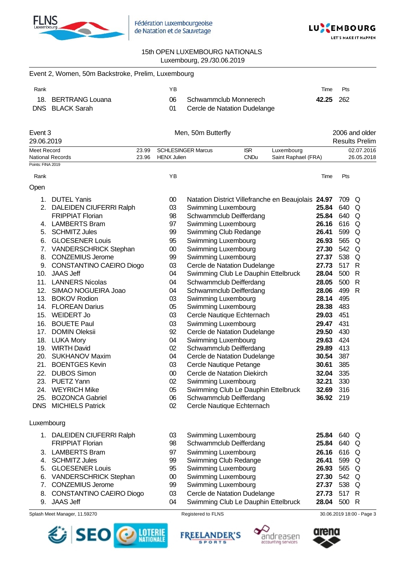



|                    | Event 2, Women, 50m Backstroke, Prelim, Luxembourg |       |                    |                           |                                                    |                     |           |       |                       |
|--------------------|----------------------------------------------------|-------|--------------------|---------------------------|----------------------------------------------------|---------------------|-----------|-------|-----------------------|
| Rank               |                                                    |       | YB                 |                           |                                                    |                     | Time      | Pts   |                       |
|                    | 18. BERTRANG Louana                                |       | 06                 |                           | Schwammclub Monnerech                              |                     | 42.25     | 262   |                       |
|                    | DNS BLACK Sarah                                    |       | 01                 |                           | Cercle de Natation Dudelange                       |                     |           |       |                       |
| Event 3            |                                                    |       |                    | Men, 50m Butterfly        |                                                    |                     |           |       | 2006 and older        |
| 29.06.2019         |                                                    |       |                    |                           |                                                    |                     |           |       | <b>Results Prelim</b> |
| <b>Meet Record</b> |                                                    | 23.99 |                    | <b>SCHLESINGER Marcus</b> | <b>ISR</b>                                         | Luxembourg          |           |       | 02.07.2016            |
|                    | <b>National Records</b>                            | 23.96 | <b>HENX Julien</b> |                           | <b>CNDu</b>                                        | Saint Raphael (FRA) |           |       | 26.05.2018            |
| Points: FINA 2019  |                                                    |       |                    |                           |                                                    |                     |           |       |                       |
| Rank               |                                                    |       | ΥB                 |                           |                                                    |                     | Time      | Pts   |                       |
| Open               |                                                    |       |                    |                           |                                                    |                     |           |       |                       |
| 1.                 | <b>DUTEL Yanis</b>                                 |       | $00\,$             |                           | Natation District Villefranche en Beaujolais 24.97 |                     |           | 709   | Q                     |
|                    | 2. DALEIDEN CIUFERRI Ralph                         |       | 03                 |                           | Swimming Luxembourg                                |                     | 25.84     | 640   | Q                     |
|                    | <b>FRIPPIAT Florian</b>                            |       | 98                 |                           | Schwammclub Deifferdang                            |                     | 25.84     | 640   | Q                     |
|                    | 4. LAMBERTS Bram                                   |       | 97                 |                           | Swimming Luxembourg                                |                     | 26.16     | 616   | Q                     |
| 5.                 | <b>SCHMITZ Jules</b>                               |       | 99                 |                           | Swimming Club Redange                              |                     | 26.41     | 599   | Q                     |
| 6.                 | <b>GLOESENER Louis</b>                             |       | 95                 |                           | Swimming Luxembourg                                |                     | 26.93     | 565   | Q                     |
|                    | 7. VANDERSCHRICK Stephan                           |       | $00\,$             |                           | Swimming Luxembourg                                |                     | 27.30     | 542   | Q                     |
|                    | 8. CONZEMIUS Jerome                                |       | 99                 |                           | Swimming Luxembourg                                |                     | 27.37     | 538   | Q                     |
|                    | 9. CONSTANTINO CAEIRO Diogo                        |       | 03                 |                           | Cercle de Natation Dudelange                       |                     | 27.73     | 517   | R                     |
|                    | 10. JAAS Jeff                                      |       | 04                 |                           | Swimming Club Le Dauphin Ettelbruck                |                     | 28.04     | 500   | R                     |
|                    | 11. LANNERS Nicolas                                |       | 04                 |                           | Schwammclub Deifferdang                            |                     | 28.05     | 500   | R                     |
|                    | 12. SIMAO NOGUEIRA Joao                            |       | 04                 |                           | Schwammclub Deifferdang                            |                     | 28.06     | 499   | R                     |
|                    | 13. BOKOV Rodion                                   |       | 03                 |                           | Swimming Luxembourg                                |                     | 28.14     | 495   |                       |
|                    | 14. FLOREAN Darius                                 |       | 05                 |                           | Swimming Luxembourg                                |                     | 28.38     | 483   |                       |
|                    | 15. WEIDERT Jo                                     |       | 03                 |                           | Cercle Nautique Echternach                         |                     | 29.03     | 451   |                       |
|                    | 16. BOUETE Paul                                    |       | 03                 |                           | Swimming Luxembourg                                |                     | 29.47     | 431   |                       |
|                    | 17. DOMIN Oleksii                                  |       | 92                 |                           | Cercle de Natation Dudelange                       |                     | 29.50     | 430   |                       |
|                    | 18. LUKA Mory                                      |       | 04                 |                           | Swimming Luxembourg                                |                     | 29.63     | 424   |                       |
|                    | 19. WIRTH David                                    |       | 02                 |                           | Schwammclub Deifferdang                            |                     | 29.89     | 413   |                       |
|                    | 20. SUKHANOV Maxim                                 |       | 04                 |                           | Cercle de Natation Dudelange                       |                     | 30.54     | 387   |                       |
|                    | 21. BOENTGES Kevin                                 |       | 03                 |                           | Cercle Nautique Petange                            |                     | 30.61     | 385   |                       |
|                    | 22. DUBOS Simon                                    |       | $00\,$             |                           | Cercle de Natation Diekirch                        |                     | 32.04     | 335   |                       |
|                    | 23. PUETZ Yann                                     |       | 02                 |                           | Swimming Luxembourg                                |                     | 32.21     | 330   |                       |
|                    | 24. WEYRICH Mike                                   |       | 05                 |                           | Swimming Club Le Dauphin Ettelbruck                |                     | 32.69     | 316   |                       |
|                    | 25. BOZONCA Gabriel                                |       | 06                 |                           | Schwammclub Deifferdang                            |                     | 36.92 219 |       |                       |
|                    | <b>DNS</b> MICHIELS Patrick                        |       | 02                 |                           | Cercle Nautique Echternach                         |                     |           |       |                       |
| Luxembourg         |                                                    |       |                    |                           |                                                    |                     |           |       |                       |
|                    | 1. DALEIDEN CIUFERRI Ralph                         |       | 03                 |                           | Swimming Luxembourg                                |                     | 25.84     | 640 Q |                       |
|                    | <b>FRIPPIAT Florian</b>                            |       | 98                 |                           | Schwammclub Deifferdang                            |                     | 25.84     | 640 Q |                       |
|                    | 3. LAMBERTS Bram                                   |       | 97                 |                           | Swimming Luxembourg                                |                     | 26.16     | 616 Q |                       |
|                    | 4. SCHMITZ Jules                                   |       | 99                 |                           | Swimming Club Redange                              |                     | 26.41     | 599   | Q                     |
|                    | 5. GLOESENER Louis                                 |       | 95                 |                           | Swimming Luxembourg                                |                     | 26.93     | 565   | Q                     |
|                    | 6. VANDERSCHRICK Stephan                           |       | 00                 |                           | Swimming Luxembourg                                |                     | 27.30     | 542 Q |                       |
|                    | 7. CONZEMIUS Jerome                                |       | 99                 |                           | Swimming Luxembourg                                |                     | 27.37     | 538   | Q                     |
|                    | 8. CONSTANTINO CAEIRO Diogo                        |       | 03                 |                           | Cercle de Natation Dudelange                       |                     | 27.73     | 517 R |                       |
|                    | 9. JAAS Jeff                                       |       | 04                 |                           | Swimming Club Le Dauphin Ettelbruck                |                     | 28.04     | 500 R |                       |









Splash Meet Manager, 11.59270 **Registered to FLNS** 80.06.2019 18:00 - Page 3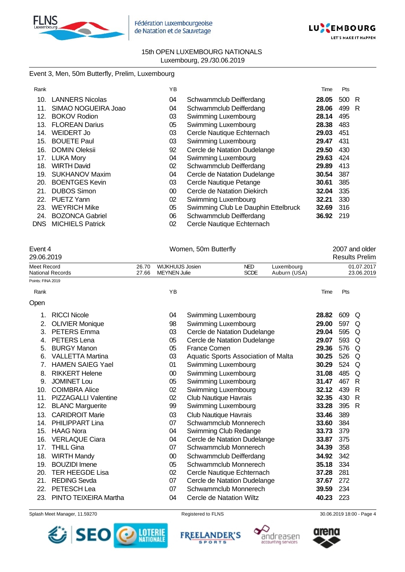



# Event 3, Men, 50m Butterfly, Prelim, Luxembourg

| Rank |                         | ΥB              |                                     | Time  | Pts   |   |
|------|-------------------------|-----------------|-------------------------------------|-------|-------|---|
| 10.  | <b>LANNERS Nicolas</b>  | 04              | Schwammclub Deifferdang             | 28.05 | 500 R |   |
| 11.  | SIMAO NOGUEIRA Joao     | 04              | Schwammclub Deifferdang             | 28.06 | 499   | R |
| 12.  | <b>BOKOV Rodion</b>     | 03              | Swimming Luxembourg                 | 28.14 | 495   |   |
| 13.  | <b>FLOREAN Darius</b>   | 05              | Swimming Luxembourg                 | 28.38 | 483   |   |
| 14.  | WEIDERT Jo              | 03              | Cercle Nautique Echternach          | 29.03 | 451   |   |
| 15.  | <b>BOUETE Paul</b>      | 03              | Swimming Luxembourg                 | 29.47 | 431   |   |
| 16.  | <b>DOMIN Oleksii</b>    | 92              | Cercle de Natation Dudelange        | 29.50 | 430   |   |
| 17.  | <b>LUKA Mory</b>        | 04              | Swimming Luxembourg                 | 29.63 | 424   |   |
| 18.  | <b>WIRTH David</b>      | 02              | Schwammclub Deifferdang             | 29.89 | 413   |   |
| 19.  | <b>SUKHANOV Maxim</b>   | 04              | Cercle de Natation Dudelange        | 30.54 | 387   |   |
| 20.  | <b>BOENTGES Kevin</b>   | 03              | Cercle Nautique Petange             | 30.61 | 385   |   |
| 21.  | <b>DUBOS Simon</b>      | 00 <sup>°</sup> | Cercle de Natation Diekirch         | 32.04 | 335   |   |
| 22.  | PUETZ Yann              | 02              | Swimming Luxembourg                 | 32.21 | 330   |   |
| 23.  | <b>WEYRICH Mike</b>     | 05              | Swimming Club Le Dauphin Ettelbruck | 32.69 | 316   |   |
| 24.  | <b>BOZONCA Gabriel</b>  | 06              | Schwammclub Deifferdang             | 36.92 | 219   |   |
| DNS. | <b>MICHIELS Patrick</b> | 02              | Cercle Nautique Echternach          |       |       |   |

| Event 4           |                             |                | Women, 50m Butterfly | 2007 and older                                                                              |  |            |       |     |                          |
|-------------------|-----------------------------|----------------|----------------------|---------------------------------------------------------------------------------------------|--|------------|-------|-----|--------------------------|
| 29.06.2019        |                             |                |                      |                                                                                             |  |            |       |     | <b>Results Prelim</b>    |
| Meet Record       | National Records            | 26.70<br>27.66 |                      | <b>WIJKHUIJS Josien</b><br><b>NED</b><br><b>SCDE</b><br><b>MEYNEN Julie</b><br>Auburn (USA) |  | Luxembourg |       |     | 01.07.2017<br>23.06.2019 |
| Points: FINA 2019 |                             |                |                      |                                                                                             |  |            |       |     |                          |
| Rank              |                             |                | YB                   |                                                                                             |  |            | Time  | Pts |                          |
| Open              |                             |                |                      |                                                                                             |  |            |       |     |                          |
| 1.                | <b>RICCI Nicole</b>         |                | 04                   | Swimming Luxembourg                                                                         |  |            | 28.82 | 609 | Q                        |
| 2.                | <b>OLIVIER Monique</b>      |                | 98                   | Swimming Luxembourg                                                                         |  |            | 29.00 | 597 | Q                        |
| 3.                | <b>PETERS</b> Emma          |                | 03                   | Cercle de Natation Dudelange                                                                |  |            | 29.04 | 595 | Q                        |
| 4.                | PETERS Lena                 |                | 05                   | Cercle de Natation Dudelange                                                                |  |            | 29.07 | 593 | Q                        |
| 5.                | <b>BURGY Manon</b>          |                | 05                   | France Comen                                                                                |  |            | 29.36 | 576 | Q                        |
| 6.                | <b>VALLETTA Martina</b>     |                | 03                   | Aquatic Sports Association of Malta                                                         |  |            | 30.25 | 526 | Q                        |
| 7.                | <b>HAMEN SAIEG Yael</b>     |                | 01                   | Swimming Luxembourg                                                                         |  |            | 30.29 | 524 | Q                        |
| 8.                | <b>RIKKERT Helene</b>       |                | $00\,$               | Swimming Luxembourg                                                                         |  |            | 31.08 | 485 | Q                        |
| 9.                | <b>JOMINET Lou</b>          |                | 05                   | Swimming Luxembourg                                                                         |  |            | 31.47 | 467 | R                        |
| 10.               | <b>COIMBRA Alice</b>        |                | 02                   | Swimming Luxembourg                                                                         |  |            | 32.12 | 439 | R                        |
| 11.               | <b>PIZZAGALLI Valentine</b> |                | 02                   | Club Nautique Havrais                                                                       |  |            | 32.35 | 430 | R                        |
| 12.               | <b>BLANC Marguerite</b>     |                | 99                   | Swimming Luxembourg                                                                         |  |            | 33.28 | 395 | R                        |
| 13.               | <b>CARIDROIT Marie</b>      |                | 03                   | <b>Club Nautique Havrais</b>                                                                |  |            | 33.46 | 389 |                          |
| 14.               | PHILIPPART Lina             |                | 07                   | Schwammclub Monnerech                                                                       |  |            | 33.60 | 384 |                          |
| 15.               | <b>HAAG Nora</b>            |                | 04                   | Swimming Club Redange                                                                       |  |            | 33.73 | 379 |                          |
| 16.               | <b>VERLAQUE Ciara</b>       |                | 04                   | Cercle de Natation Dudelange                                                                |  |            | 33.87 | 375 |                          |
| 17.               | <b>THILL Gina</b>           |                | 07                   | Schwammclub Monnerech                                                                       |  |            | 34.39 | 358 |                          |
| 18.               | <b>WIRTH Mandy</b>          |                | 00                   | Schwammclub Deifferdang                                                                     |  |            | 34.92 | 342 |                          |
| 19.               | <b>BOUZIDI</b> Imene        |                | 05                   | Schwammclub Monnerech                                                                       |  |            | 35.18 | 334 |                          |
| 20.               | <b>TER HEEGDE Lisa</b>      |                | 02                   | Cercle Nautique Echternach                                                                  |  |            | 37.28 | 281 |                          |
| 21.               | <b>REDING Sevda</b>         |                | 07                   | Cercle de Natation Dudelange                                                                |  |            | 37.67 | 272 |                          |
| 22.               | PETESCH Lea                 |                | 07                   | Schwammclub Monnerech                                                                       |  |            | 39.59 | 234 |                          |
| 23.               | PINTO TEIXEIRA Martha       |                | 04                   | Cercle de Natation Wiltz                                                                    |  |            | 40.23 | 223 |                          |

Splash Meet Manager, 11.59270 **Registered to FLNS** Registered to FLNS 30.06.2019 18:00 - Page 4

SEO **DESCRIPTIONALE** 







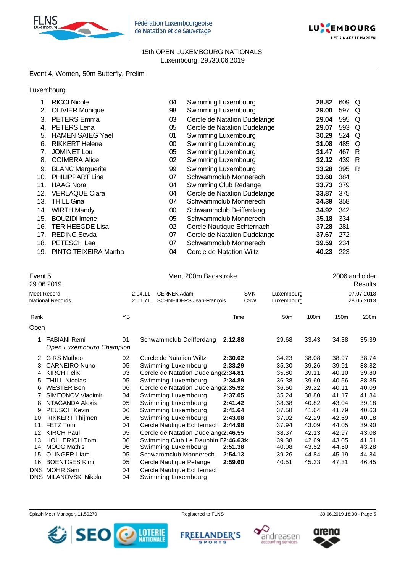



# Event 4, Women, 50m Butterfly, Prelim

## Luxembourg

|     | <b>RICCI Nicole</b>     | 04 | Swimming Luxembourg          | 28.82 | 609 | Q |
|-----|-------------------------|----|------------------------------|-------|-----|---|
| 2.  | <b>OLIVIER Monique</b>  | 98 | Swimming Luxembourg          | 29.00 | 597 | Q |
| 3.  | <b>PETERS Emma</b>      | 03 | Cercle de Natation Dudelange | 29.04 | 595 | Q |
| 4.  | PETERS Lena             | 05 | Cercle de Natation Dudelange | 29.07 | 593 | Q |
| 5.  | <b>HAMEN SAIEG Yael</b> | 01 | Swimming Luxembourg          | 30.29 | 524 | Q |
| 6.  | <b>RIKKERT Helene</b>   | 00 | Swimming Luxembourg          | 31.08 | 485 | Q |
| 7.  | <b>JOMINET Lou</b>      | 05 | Swimming Luxembourg          | 31.47 | 467 | R |
| 8.  | <b>COIMBRA Alice</b>    | 02 | Swimming Luxembourg          | 32.12 | 439 | R |
| 9.  | <b>BLANC Marguerite</b> | 99 | Swimming Luxembourg          | 33.28 | 395 | R |
| 10. | <b>PHILIPPART Lina</b>  | 07 | Schwammclub Monnerech        | 33.60 | 384 |   |
| 11. | <b>HAAG Nora</b>        | 04 | Swimming Club Redange        | 33.73 | 379 |   |
| 12. | <b>VERLAQUE Ciara</b>   | 04 | Cercle de Natation Dudelange | 33.87 | 375 |   |
| 13. | <b>THILL Gina</b>       | 07 | Schwammclub Monnerech        | 34.39 | 358 |   |
| 14. | <b>WIRTH Mandy</b>      | 00 | Schwammclub Deifferdang      | 34.92 | 342 |   |
| 15. | <b>BOUZIDI</b> Imene    | 05 | Schwammclub Monnerech        | 35.18 | 334 |   |
| 16. | <b>TER HEEGDE Lisa</b>  | 02 | Cercle Nautique Echternach   | 37.28 | 281 |   |
| 17. | <b>REDING Sevda</b>     | 07 | Cercle de Natation Dudelange | 37.67 | 272 |   |
| 18. | PETESCH Lea             | 07 | Schwammclub Monnerech        | 39.59 | 234 |   |
| 19. | PINTO TEIXEIRA Martha   | 04 | Cercle de Natation Wiltz     | 40.23 | 223 |   |

Event 5 Event 5 Men, 200m Backstroke 2006 and older 2006 and older 2006 and older 2006 and older

|      | 29.06.2019                                  |          |                                     |                                                   |         |            |                 |       |            | Results    |  |
|------|---------------------------------------------|----------|-------------------------------------|---------------------------------------------------|---------|------------|-----------------|-------|------------|------------|--|
|      | Meet Record                                 |          | 2:04.11                             | <b>CERNEK Adam</b>                                |         | <b>SVK</b> | Luxembourg      |       |            | 07.07.2018 |  |
|      | <b>National Records</b>                     |          | SCHNEIDERS Jean-François<br>2:01.71 |                                                   |         | <b>CNW</b> | Luxembourg      |       | 28.05.2013 |            |  |
| Rank |                                             | YB       |                                     |                                                   | Time    |            | 50 <sub>m</sub> | 100m  | 150m       | 200m       |  |
| Open |                                             |          |                                     |                                                   |         |            |                 |       |            |            |  |
|      | 1. FABIANI Remi<br>Open Luxembourg Champion | 01       |                                     | Schwammclub Deifferdang                           | 2:12.88 |            | 29.68           | 33.43 | 34.38      | 35.39      |  |
|      | 2. GIRS Matheo                              | 02       |                                     | Cercle de Natation Wiltz                          | 2:30.02 |            | 34.23           | 38.08 | 38.97      | 38.74      |  |
|      | 3. CARNEIRO Nuno                            | 05       |                                     | Swimming Luxembourg                               | 2:33.29 |            | 35.30           | 39.26 | 39.91      | 38.82      |  |
|      | 4. KIRCH Felix                              | 03       |                                     | Cercle de Natation Dudelang(2:34.81               |         |            | 35.80           | 39.11 | 40.10      | 39.80      |  |
|      | 5. THILL Nicolas                            | 05       |                                     | Swimming Luxembourg                               | 2:34.89 |            | 36.38           | 39.60 | 40.56      | 38.35      |  |
|      | 6. WESTER Ben                               | 06       |                                     | Cercle de Natation Dudelang (2:35.92              |         |            | 36.50           | 39.22 | 40.11      | 40.09      |  |
|      | 7. SIMEONOV Vladimir                        | 04       |                                     | Swimming Luxembourg                               | 2:37.05 |            | 35.24           | 38.80 | 41.17      | 41.84      |  |
|      | 8. NTAGANDA Alexis                          | 05       |                                     | Swimming Luxembourg                               | 2:41.42 |            | 38.38           | 40.82 | 43.04      | 39.18      |  |
|      | 9. PEUSCH Kevin                             | 06       |                                     | Swimming Luxembourg                               | 2:41.64 |            | 37.58           | 41.64 | 41.79      | 40.63      |  |
|      | 10. RIKKERT Thijmen                         | 06       |                                     | Swimming Luxembourg                               | 2:43.08 |            | 37.92           | 42.29 | 42.69      | 40.18      |  |
|      | 11. FETZ Tom                                | 04       |                                     | Cercle Nautique Echternach                        | 2:44.98 |            | 37.94           | 43.09 | 44.05      | 39.90      |  |
|      | 12. KIRCH Paul                              | 05       |                                     | Cercle de Natation Dudelang (2:46.55              |         |            | 38.37           | 42.13 | 42.97      | 43.08      |  |
|      | 13. HOLLERICH Tom                           | 06       |                                     | Swimming Club Le Dauphin E2:46.63:k               |         |            | 39.38           | 42.69 | 43.05      | 41.51      |  |
|      | 14. MOOG Mathis                             | 06       |                                     | Swimming Luxembourg                               | 2:51.38 |            | 40.08           | 43.52 | 44.50      | 43.28      |  |
|      | 15. OLINGER Liam                            | 05       |                                     | Schwammclub Monnerech                             | 2:54.13 |            | 39.26           | 44.84 | 45.19      | 44.84      |  |
|      | 16. BOENTGES Kimi                           | 05       |                                     | Cercle Nautique Petange                           | 2:59.60 |            | 40.51           | 45.33 | 47.31      | 46.45      |  |
|      | DNS MOHR Sam<br>DNS MILANOVSKI Nikola       | 04<br>04 |                                     | Cercle Nautique Echternach<br>Swimming Luxembourg |         |            |                 |       |            |            |  |

Splash Meet Manager, 11.59270 **Registered to FLNS Registered to FLNS** 30.06.2019 18:00 - Page 5

**FREELANDER'S** 

**SPORTS** 





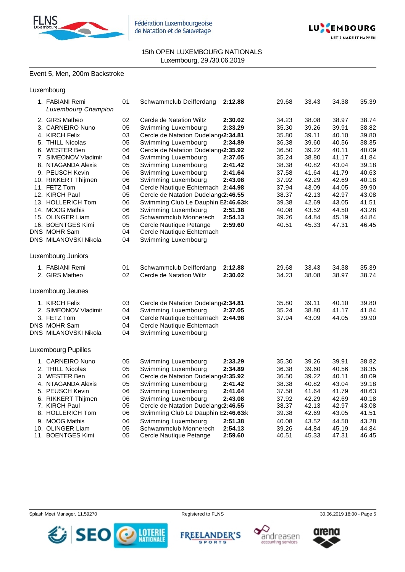



# Event 5, Men, 200m Backstroke

| 1. FABIANI Remi<br>Luxembourg Champion | 01 | Schwammclub Deifferdang              | 2:12.88 | 29.68 | 33.43 | 34.38 | 35.39 |
|----------------------------------------|----|--------------------------------------|---------|-------|-------|-------|-------|
| 2. GIRS Matheo                         | 02 | Cercle de Natation Wiltz             | 2:30.02 | 34.23 | 38.08 | 38.97 | 38.74 |
| 3. CARNEIRO Nuno                       | 05 | Swimming Luxembourg                  | 2:33.29 | 35.30 | 39.26 | 39.91 | 38.82 |
| 4. KIRCH Felix                         | 03 | Cercle de Natation Dudelang(2:34.81  |         | 35.80 | 39.11 | 40.10 | 39.80 |
| 5. THILL Nicolas                       | 05 | Swimming Luxembourg                  | 2:34.89 | 36.38 | 39.60 | 40.56 | 38.35 |
| 6. WESTER Ben                          | 06 | Cercle de Natation Dudelang(2:35.92  |         | 36.50 | 39.22 | 40.11 | 40.09 |
| 7. SIMEONOV Vladimir                   | 04 | Swimming Luxembourg                  | 2:37.05 | 35.24 | 38.80 | 41.17 | 41.84 |
| 8. NTAGANDA Alexis                     | 05 | Swimming Luxembourg                  | 2:41.42 | 38.38 | 40.82 | 43.04 | 39.18 |
| 9. PEUSCH Kevin                        | 06 | Swimming Luxembourg                  | 2:41.64 | 37.58 | 41.64 | 41.79 | 40.63 |
| 10. RIKKERT Thijmen                    | 06 | Swimming Luxembourg                  | 2:43.08 | 37.92 | 42.29 | 42.69 | 40.18 |
| 11. FETZ Tom                           | 04 | Cercle Nautique Echternach 2:44.98   |         | 37.94 | 43.09 | 44.05 | 39.90 |
| 12. KIRCH Paul                         | 05 | Cercle de Natation Dudelange2:46.55  |         | 38.37 | 42.13 | 42.97 | 43.08 |
| 13. HOLLERICH Tom                      | 06 | Swimming Club Le Dauphin E2:46.63:k  |         | 39.38 | 42.69 | 43.05 | 41.51 |
| 14. MOOG Mathis                        | 06 | Swimming Luxembourg                  | 2:51.38 | 40.08 | 43.52 | 44.50 | 43.28 |
| 15. OLINGER Liam                       | 05 | Schwammclub Monnerech                | 2:54.13 | 39.26 | 44.84 | 45.19 | 44.84 |
| 16. BOENTGES Kimi                      | 05 | Cercle Nautique Petange              | 2:59.60 | 40.51 | 45.33 | 47.31 | 46.45 |
| DNS MOHR Sam                           | 04 | Cercle Nautique Echternach           |         |       |       |       |       |
| DNS MILANOVSKI Nikola                  | 04 | Swimming Luxembourg                  |         |       |       |       |       |
| Luxembourg Juniors                     |    |                                      |         |       |       |       |       |
| 1. FABIANI Remi                        | 01 | Schwammclub Deifferdang              | 2:12.88 | 29.68 | 33.43 | 34.38 | 35.39 |
| 2. GIRS Matheo                         | 02 | Cercle de Natation Wiltz             | 2:30.02 | 34.23 | 38.08 | 38.97 | 38.74 |
| Luxembourg Jeunes                      |    |                                      |         |       |       |       |       |
| 1. KIRCH Felix                         | 03 | Cercle de Natation Dudelange2:34.81  |         | 35.80 | 39.11 | 40.10 | 39.80 |
| 2. SIMEONOV Vladimir                   | 04 | Swimming Luxembourg                  | 2:37.05 | 35.24 | 38.80 | 41.17 | 41.84 |
| 3. FETZ Tom                            | 04 | Cercle Nautique Echternach 2:44.98   |         | 37.94 | 43.09 | 44.05 | 39.90 |
| DNS MOHR Sam                           | 04 | Cercle Nautique Echternach           |         |       |       |       |       |
| DNS MILANOVSKI Nikola                  | 04 | Swimming Luxembourg                  |         |       |       |       |       |
| <b>Luxembourg Pupilles</b>             |    |                                      |         |       |       |       |       |
| 1. CARNEIRO Nuno                       | 05 | Swimming Luxembourg                  | 2:33.29 | 35.30 | 39.26 | 39.91 | 38.82 |
| 2. THILL Nicolas                       | 05 | Swimming Luxembourg                  | 2:34.89 | 36.38 | 39.60 | 40.56 | 38.35 |
| 3. WESTER Ben                          | 06 | Cercle de Natation Dudelang (2:35.92 |         | 36.50 | 39.22 | 40.11 | 40.09 |
| 4. NTAGANDA Alexis                     | 05 | Swimming Luxembourg                  | 2:41.42 | 38.38 | 40.82 | 43.04 | 39.18 |
| 5. PEUSCH Kevin                        | 06 | Swimming Luxembourg                  | 2:41.64 | 37.58 | 41.64 | 41.79 | 40.63 |
| 6. RIKKERT Thijmen                     | 06 | Swimming Luxembourg                  | 2:43.08 | 37.92 | 42.29 | 42.69 | 40.18 |
| 7. KIRCH Paul                          | 05 | Cercle de Natation Dudelang (2:46.55 |         | 38.37 | 42.13 | 42.97 | 43.08 |
| 8. HOLLERICH Tom                       | 06 | Swimming Club Le Dauphin E2:46.63:k  |         | 39.38 | 42.69 | 43.05 | 41.51 |
| 9. MOOG Mathis                         | 06 | Swimming Luxembourg                  | 2:51.38 | 40.08 | 43.52 | 44.50 | 43.28 |
| 10. OLINGER Liam                       | 05 | Schwammclub Monnerech                | 2:54.13 | 39.26 | 44.84 | 45.19 | 44.84 |
| 11. BOENTGES Kimi                      | 05 | Cercle Nautique Petange              | 2:59.60 | 40.51 | 45.33 | 47.31 | 46.45 |
|                                        |    |                                      |         |       |       |       |       |



**FREELANDER'S SPORTS** 





# arena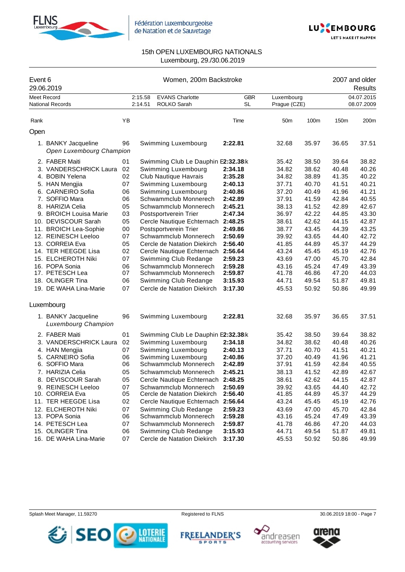



| Event 6 | 29.06.2019                                                                                                                                                                                                                                                                                                                                                                                   |                                                                                                          | 2007 and older<br>Results |                                                                                                                                                                                                                                                                                                                                                                                                                                                                                              |                                                                                                                                                                                         |                                                                                                                                                                |                                                                                                                                                                |                                                                                                                                                                |                                                                                                                                                                |
|---------|----------------------------------------------------------------------------------------------------------------------------------------------------------------------------------------------------------------------------------------------------------------------------------------------------------------------------------------------------------------------------------------------|----------------------------------------------------------------------------------------------------------|---------------------------|----------------------------------------------------------------------------------------------------------------------------------------------------------------------------------------------------------------------------------------------------------------------------------------------------------------------------------------------------------------------------------------------------------------------------------------------------------------------------------------------|-----------------------------------------------------------------------------------------------------------------------------------------------------------------------------------------|----------------------------------------------------------------------------------------------------------------------------------------------------------------|----------------------------------------------------------------------------------------------------------------------------------------------------------------|----------------------------------------------------------------------------------------------------------------------------------------------------------------|----------------------------------------------------------------------------------------------------------------------------------------------------------------|
|         | <b>Meet Record</b><br><b>National Records</b>                                                                                                                                                                                                                                                                                                                                                |                                                                                                          | 2:15.58<br>2:14.51        | <b>EVANS Charlotte</b><br>ROLKO Sarah                                                                                                                                                                                                                                                                                                                                                                                                                                                        | <b>GBR</b><br><b>SL</b>                                                                                                                                                                 | Luxembourg<br>Prague (CZE)                                                                                                                                     |                                                                                                                                                                |                                                                                                                                                                | 04.07.2015<br>08.07.2009                                                                                                                                       |
| Rank    |                                                                                                                                                                                                                                                                                                                                                                                              | YB                                                                                                       |                           |                                                                                                                                                                                                                                                                                                                                                                                                                                                                                              | Time                                                                                                                                                                                    | 50 <sub>m</sub>                                                                                                                                                | 100m                                                                                                                                                           | 150m                                                                                                                                                           | 200m                                                                                                                                                           |
| Open    |                                                                                                                                                                                                                                                                                                                                                                                              |                                                                                                          |                           |                                                                                                                                                                                                                                                                                                                                                                                                                                                                                              |                                                                                                                                                                                         |                                                                                                                                                                |                                                                                                                                                                |                                                                                                                                                                |                                                                                                                                                                |
|         | 1. BANKY Jacqueline<br>Open Luxembourg Champion                                                                                                                                                                                                                                                                                                                                              | 96                                                                                                       |                           | Swimming Luxembourg                                                                                                                                                                                                                                                                                                                                                                                                                                                                          | 2:22.81                                                                                                                                                                                 | 32.68                                                                                                                                                          | 35.97                                                                                                                                                          | 36.65                                                                                                                                                          | 37.51                                                                                                                                                          |
|         | 2. FABER Maiti<br>3. VANDERSCHRICK Laura<br>4. BOBIN Yelena<br>5. HAN Mengjia<br>6. CARNEIRO Sofia<br>7. SOFFIO Mara<br>8. HARIZIA Celia<br>9. BROICH Louisa Marie<br>10. DEVISCOUR Sarah<br>11. BROICH Lea-Sophie<br>12. REINESCH Leeloo<br>13. CORREIA Eva<br>14. TER HEEGDE Lisa<br>15. ELCHEROTH Niki<br>16. POPA Sonia<br>17. PETESCH Lea<br>18. OLINGER Tina<br>19. DE WAHA Lina-Marie | 01<br>02<br>02<br>07<br>06<br>06<br>05<br>03<br>05<br>00<br>07<br>05<br>02<br>07<br>06<br>07<br>06<br>07 |                           | Swimming Club Le Dauphin E2:32.38:k<br>Swimming Luxembourg<br>Club Nautique Havrais<br>Swimming Luxembourg<br>Swimming Luxembourg<br>Schwammclub Monnerech<br>Schwammclub Monnerech<br>Postsportverein Trier<br>Cercle Nautique Echternach<br>Postsportverein Trier<br>Schwammclub Monnerech<br>Cercle de Natation Diekirch<br>Cercle Nautique Echternach<br>Swimming Club Redange<br>Schwammclub Monnerech<br>Schwammclub Monnerech<br>Swimming Club Redange<br>Cercle de Natation Diekirch | 2:34.18<br>2:35.28<br>2:40.13<br>2:40.86<br>2:42.89<br>2:45.21<br>2:47.34<br>2:48.25<br>2:49.86<br>2:50.69<br>2:56.40<br>2:56.64<br>2:59.23<br>2:59.28<br>2:59.87<br>3:15.93<br>3:17.30 | 35.42<br>34.82<br>34.82<br>37.71<br>37.20<br>37.91<br>38.13<br>36.97<br>38.61<br>38.77<br>39.92<br>41.85<br>43.24<br>43.69<br>43.16<br>41.78<br>44.71<br>45.53 | 38.50<br>38.62<br>38.89<br>40.70<br>40.49<br>41.59<br>41.52<br>42.22<br>42.62<br>43.45<br>43.65<br>44.89<br>45.45<br>47.00<br>45.24<br>46.86<br>49.54<br>50.92 | 39.64<br>40.48<br>41.35<br>41.51<br>41.96<br>42.84<br>42.89<br>44.85<br>44.15<br>44.39<br>44.40<br>45.37<br>45.19<br>45.70<br>47.49<br>47.20<br>51.87<br>50.86 | 38.82<br>40.26<br>40.22<br>40.21<br>41.21<br>40.55<br>42.67<br>43.30<br>42.87<br>43.25<br>42.72<br>44.29<br>42.76<br>42.84<br>43.39<br>44.03<br>49.81<br>49.99 |
|         | Luxembourg                                                                                                                                                                                                                                                                                                                                                                                   |                                                                                                          |                           |                                                                                                                                                                                                                                                                                                                                                                                                                                                                                              |                                                                                                                                                                                         |                                                                                                                                                                |                                                                                                                                                                |                                                                                                                                                                |                                                                                                                                                                |
|         | 1. BANKY Jacqueline<br>Luxembourg Champion                                                                                                                                                                                                                                                                                                                                                   | 96                                                                                                       |                           | Swimming Luxembourg                                                                                                                                                                                                                                                                                                                                                                                                                                                                          | 2:22.81                                                                                                                                                                                 | 32.68                                                                                                                                                          | 35.97                                                                                                                                                          | 36.65                                                                                                                                                          | 37.51                                                                                                                                                          |
|         | 2. FABER Maiti<br>3. VANDERSCHRICK Laura<br>4. HAN Mengjia<br>5. CARNEIRO Sofia<br>6. SOFFIO Mara<br>7. HARIZIA Celia<br>8. DEVISCOUR Sarah<br>9. REINESCH Leeloo<br>10. CORREIA Eva<br>11. TER HEEGDE Lisa<br>12. ELCHEROTH Niki<br>13. POPA Sonia<br>14. PETESCH Lea<br>15. OLINGER Tina<br>16. DE WAHA Lina-Marie                                                                         | 01<br>02<br>07<br>06<br>06<br>05<br>05<br>07<br>05<br>02<br>07<br>06<br>07<br>06<br>07                   |                           | Swimming Club Le Dauphin E2:32.38:k<br>Swimming Luxembourg<br>Swimming Luxembourg<br>Swimming Luxembourg<br>Schwammclub Monnerech<br>Schwammclub Monnerech<br>Cercle Nautique Echternach 2:48.25<br>Schwammclub Monnerech<br>Cercle de Natation Diekirch<br>Cercle Nautique Echternach<br>Swimming Club Redange<br>Schwammclub Monnerech<br>Schwammclub Monnerech<br>Swimming Club Redange<br>Cercle de Natation Diekirch                                                                    | 2:34.18<br>2:40.13<br>2:40.86<br>2:42.89<br>2:45.21<br>2:50.69<br>2:56.40<br>2:56.64<br>2:59.23<br>2:59.28<br>2:59.87<br>3:15.93<br>3:17.30                                             | 35.42<br>34.82<br>37.71<br>37.20<br>37.91<br>38.13<br>38.61<br>39.92<br>41.85<br>43.24<br>43.69<br>43.16<br>41.78<br>44.71<br>45.53                            | 38.50<br>38.62<br>40.70<br>40.49<br>41.59<br>41.52<br>42.62<br>43.65<br>44.89<br>45.45<br>47.00<br>45.24<br>46.86<br>49.54<br>50.92                            | 39.64<br>40.48<br>41.51<br>41.96<br>42.84<br>42.89<br>44.15<br>44.40<br>45.37<br>45.19<br>45.70<br>47.49<br>47.20<br>51.87<br>50.86                            | 38.82<br>40.26<br>40.21<br>41.21<br>40.55<br>42.67<br>42.87<br>42.72<br>44.29<br>42.76<br>42.84<br>43.39<br>44.03<br>49.81<br>49.99                            |

Splash Meet Manager, 11.59270 **Registered to FLNS** 80.06.2019 18:00 - Page 7









arena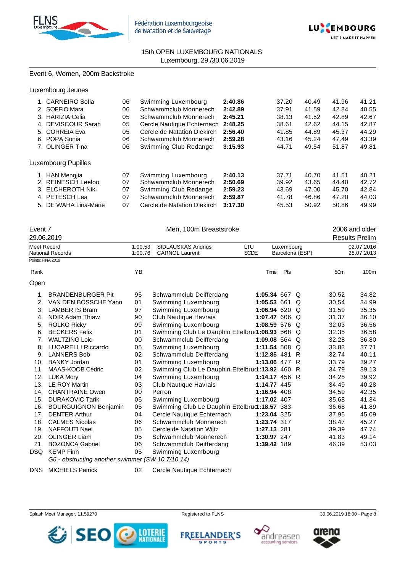



# Event 6, Women, 200m Backstroke

|  | <b>CARNEIRO</b> Sofia | 06 | Swimming Luxembourg         | 2:40.86 | 37.20 | 40.49 | 41.96 | 41.21 |
|--|-----------------------|----|-----------------------------|---------|-------|-------|-------|-------|
|  | 2. SOFFIO Mara        | 06 | Schwammclub Monnerech       | 2:42.89 | 37.91 | 41.59 | 42.84 | 40.55 |
|  | 3. HARIZIA Celia      | 05 | Schwammclub Monnerech       | 2:45.21 | 38.13 | 41.52 | 42.89 | 42.67 |
|  | 4. DEVISCOUR Sarah    | 05 | Cercle Nautique Echternach  | 2:48.25 | 38.61 | 42.62 | 44.15 | 42.87 |
|  | 5. CORREIA Eva        | 05 | Cercle de Natation Diekirch | 2:56.40 | 41.85 | 44.89 | 45.37 | 44.29 |
|  | 6. POPA Sonia         | 06 | Schwammclub Monnerech       | 2:59.28 | 43.16 | 45.24 | 47.49 | 43.39 |
|  | 7. OLINGER Tina       | 06 | Swimming Club Redange       | 3:15.93 | 44.71 | 49.54 | 51.87 | 49.81 |
|  | Luxembourg Pupilles   |    |                             |         |       |       |       |       |
|  | <b>HAN Mengjia</b>    | 07 | Swimming Luxembourg         | 2:40.13 | 37.71 | 40.70 | 41.51 | 40.21 |
|  | 2. REINESCH Leeloo    | 07 | Schwammclub Monnerech       | 2:50.69 | 39.92 | 43.65 | 44.40 | 42.72 |
|  | 3. ELCHEROTH Niki     | 07 | Swimming Club Redange       | 2:59.23 | 43.69 | 47.00 | 45.70 | 42.84 |
|  | 4. PETESCH Lea        | 07 | Schwammclub Monnerech       | 2:59.87 | 41.78 | 46.86 | 47.20 | 44.03 |
|  | 5. DE WAHA Lina-Marie | 07 | Cercle de Natation Diekirch | 3:17.30 | 45.53 | 50.92 | 50.86 | 49.99 |
|  |                       |    |                             |         |       |       |       |       |

|                   | Event 7<br>29.06.2019                                                  |                    | Men, 100m Breaststroke                             |                           |                               |                 | 2006 and older<br><b>Results Prelim</b> |
|-------------------|------------------------------------------------------------------------|--------------------|----------------------------------------------------|---------------------------|-------------------------------|-----------------|-----------------------------------------|
| Meet Record       | National Records                                                       | 1:00.53<br>1:00.76 | <b>SIDLAUSKAS Andrius</b><br><b>CARNOL Laurent</b> | <b>LTU</b><br><b>SCDE</b> | Luxembourg<br>Barcelona (ESP) |                 | 02.07.2016<br>28.07.2013                |
| Points: FINA 2019 |                                                                        |                    |                                                    |                           |                               |                 |                                         |
| Rank              |                                                                        | YB                 |                                                    | Time                      | Pts                           | 50 <sub>m</sub> | 100m                                    |
| Open              |                                                                        |                    |                                                    |                           |                               |                 |                                         |
| 1.                | <b>BRANDENBURGER Pit</b>                                               | 95                 | Schwammclub Deifferdang                            |                           | 1:05.34 667 $Q$               | 30.52           | 34.82                                   |
| 2.                | VAN DEN BOSSCHE Yann                                                   | 01                 | Swimming Luxembourg                                | 1:05.53 661               | $\Omega$                      | 30.54           | 34.99                                   |
| 3.                | <b>LAMBERTS Bram</b>                                                   | 97                 | Swimming Luxembourg                                |                           | 1:06.94 620 Q                 | 31.59           | 35.35                                   |
| 4.                | <b>NDIR Adam Thiaw</b>                                                 | 90                 | Club Nautique Havrais                              |                           | 1:07.47 606 Q                 | 31.37           | 36.10                                   |
| 5.                | <b>ROLKO Ricky</b>                                                     | 99                 | Swimming Luxembourg                                |                           | 1:08.59 576 $Q$               | 32.03           | 36.56                                   |
| 6.                | <b>BECKERS Felix</b>                                                   | 01                 | Swimming Club Le Dauphin Ettelbru(1:08.93 568 Q    |                           |                               | 32.35           | 36.58                                   |
| 7.                | <b>WALTZING Loic</b>                                                   | $00 \,$            | Schwammclub Deifferdang                            |                           | 1:09.08 564 Q                 | 32.28           | 36.80                                   |
| 8.                | <b>LUCARELLI Riccardo</b>                                              | 05                 | Swimming Luxembourg                                |                           | 1:11.54 508 Q                 | 33.83           | 37.71                                   |
| 9.                | <b>LANNERS Bob</b>                                                     | 02                 | Schwammclub Deifferdang                            | 1:12.85 481               | R                             | 32.74           | 40.11                                   |
| 10.               | <b>BANKY Jordan</b>                                                    | 01                 | Swimming Luxembourg                                |                           | 1:13.06 $477 R$               | 33.79           | 39.27                                   |
| 11.               | MAAS-KOOB Cedric                                                       | 02                 | Swimming Club Le Dauphin Ettelbru(1:13.92 460 R    |                           |                               | 34.79           | 39.13                                   |
| 12.               | <b>LUKA Mory</b>                                                       | 04                 | Swimming Luxembourg                                |                           | 1:14.17 456 R                 | 34.25           | 39.92                                   |
| 13.               | <b>LE ROY Martin</b>                                                   | 03                 | Club Nautique Havrais                              | 1:14.77 445               |                               | 34.49           | 40.28                                   |
| 14.               | <b>CHANTRAINE Owen</b>                                                 | 00                 | Perron                                             | 1:16.94 408               |                               | 34.59           | 42.35                                   |
| 15.               | <b>DURAKOVIC Tarik</b>                                                 | 05                 | Swimming Luxembourg                                | 1:17.02 407               |                               | 35.68           | 41.34                                   |
| 16.               | <b>BOURGUIGNON Benjamin</b>                                            | 05                 | Swimming Club Le Dauphin Ettelbru(1:18.57 383      |                           |                               | 36.68           | 41.89                                   |
| 17.               | <b>DENTER Arthur</b>                                                   | 04                 | Cercle Nautique Echternach                         | 1:23.04 325               |                               | 37.95           | 45.09                                   |
| 18.               | <b>CALMES Nicolas</b>                                                  | 06                 | Schwammclub Monnerech                              | 1:23.74 317               |                               | 38.47           | 45.27                                   |
| 19.               | <b>NAFFOUTI Nael</b>                                                   | 05                 | Cercle de Natation Wiltz                           | 1:27.13 281               |                               | 39.39           | 47.74                                   |
| 20.               | <b>OLINGER Liam</b>                                                    | 05                 | Schwammclub Monnerech                              | 1:30.97 247               |                               | 41.83           | 49.14                                   |
| 21.               | <b>BOZONCA Gabriel</b>                                                 | 06                 | Schwammclub Deifferdang                            | 1:39.42 189               |                               | 46.39           | 53.03                                   |
| DSQ.              | <b>KEMP Finn</b>                                                       | 05                 | Swimming Luxembourg                                |                           |                               |                 |                                         |
|                   | $\overline{C}$ obervating enother evimper $(\overline{C}M/40.7/40.44)$ |                    |                                                    |                           |                               |                 |                                         |

*G6 - obstructing another swimmer (SW 10.7/10.14)*

DNS MICHIELS Patrick 02 Cercle Nautique Echternach









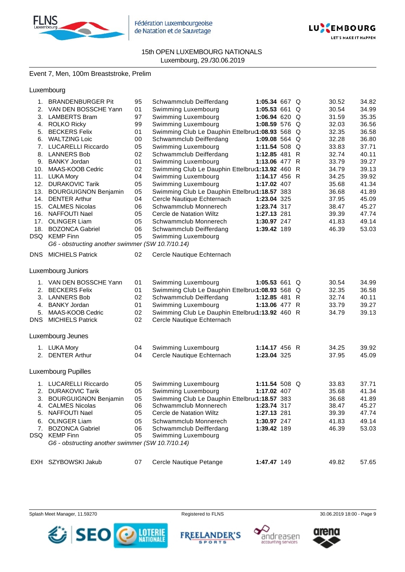



# Event 7, Men, 100m Breaststroke, Prelim

# Luxembourg

| 1.  | <b>BRANDENBURGER Pit</b>                         | 95 | Schwammclub Deifferdang                          | 1:05.34 667 Q   |   | 30.52 | 34.82 |
|-----|--------------------------------------------------|----|--------------------------------------------------|-----------------|---|-------|-------|
| 2.  | VAN DEN BOSSCHE Yann                             | 01 | Swimming Luxembourg                              | 1:05.53 661     | Q | 30.54 | 34.99 |
| 3.  | LAMBERTS Bram                                    | 97 | Swimming Luxembourg                              | 1:06.94 620 Q   |   | 31.59 | 35.35 |
|     | 4. ROLKO Ricky                                   | 99 | Swimming Luxembourg                              | 1:08.59 576 Q   |   | 32.03 | 36.56 |
| 5.  | <b>BECKERS Felix</b>                             | 01 | Swimming Club Le Dauphin Ettelbru(1:08.93 568 Q  |                 |   | 32.35 | 36.58 |
|     | 6. WALTZING Loic                                 | 00 | Schwammclub Deifferdang                          | 1:09.08 564 $Q$ |   | 32.28 | 36.80 |
| 7.  | <b>LUCARELLI Riccardo</b>                        | 05 | Swimming Luxembourg                              | 1:11.54 508 Q   |   | 33.83 | 37.71 |
| 8.  | <b>LANNERS Bob</b>                               | 02 | Schwammclub Deifferdang                          | 1:12.85 481 R   |   | 32.74 | 40.11 |
|     | 9. BANKY Jordan                                  | 01 | Swimming Luxembourg                              | 1:13.06 477 R   |   | 33.79 | 39.27 |
|     | 10. MAAS-KOOB Cedric                             | 02 | Swimming Club Le Dauphin Ettelbru(1:13.92 460 R  |                 |   | 34.79 | 39.13 |
|     | 11. LUKA Mory                                    | 04 | Swimming Luxembourg                              | 1:14.17 456 R   |   | 34.25 | 39.92 |
|     | 12. DURAKOVIC Tarik                              | 05 | Swimming Luxembourg                              | 1:17.02 407     |   | 35.68 | 41.34 |
|     | 13. BOURGUIGNON Benjamin                         | 05 | Swimming Club Le Dauphin Ettelbru(1:18.57 383    |                 |   | 36.68 | 41.89 |
| 14. | <b>DENTER Arthur</b>                             | 04 | Cercle Nautique Echternach                       | 1:23.04 325     |   | 37.95 | 45.09 |
|     | 15. CALMES Nicolas                               | 06 | Schwammclub Monnerech                            | 1:23.74 317     |   | 38.47 | 45.27 |
|     | 16. NAFFOUTI Nael                                | 05 | Cercle de Natation Wiltz                         | 1:27.13 281     |   | 39.39 | 47.74 |
|     | 17. OLINGER Liam                                 | 05 | Schwammclub Monnerech                            | 1:30.97 247     |   | 41.83 | 49.14 |
|     | 18. BOZONCA Gabriel                              | 06 | Schwammclub Deifferdang                          | 1:39.42 189     |   | 46.39 | 53.03 |
|     | DSQ KEMP Finn                                    | 05 | Swimming Luxembourg                              |                 |   |       |       |
|     | G6 - obstructing another swimmer (SW 10.7/10.14) |    |                                                  |                 |   |       |       |
|     |                                                  |    |                                                  |                 |   |       |       |
|     | DNS MICHIELS Patrick                             | 02 | Cercle Nautique Echternach                       |                 |   |       |       |
|     |                                                  |    |                                                  |                 |   |       |       |
|     | Luxembourg Juniors                               |    |                                                  |                 |   |       |       |
|     | 1. VAN DEN BOSSCHE Yann                          | 01 | Swimming Luxembourg                              | 1:05.53 661 Q   |   | 30.54 | 34.99 |
|     | 2. BECKERS Felix                                 | 01 | Swimming Club Le Dauphin Ettelbruৌ 1:08.93 568 Q |                 |   | 32.35 | 36.58 |
| 3.  | <b>LANNERS Bob</b>                               | 02 | Schwammclub Deifferdang                          | 1:12.85 481 R   |   | 32.74 | 40.11 |
| 4.  | <b>BANKY Jordan</b>                              | 01 | Swimming Luxembourg                              | 1:13.06 $477 R$ |   | 33.79 | 39.27 |
| 5.  | MAAS-KOOB Cedric                                 | 02 | Swimming Club Le Dauphin Ettelbru(1:13.92 460 R  |                 |   | 34.79 | 39.13 |
|     | <b>DNS</b> MICHIELS Patrick                      | 02 | Cercle Nautique Echternach                       |                 |   |       |       |
|     |                                                  |    |                                                  |                 |   |       |       |
|     |                                                  |    |                                                  |                 |   |       |       |
|     | Luxembourg Jeunes                                |    |                                                  |                 |   |       |       |
|     | 1. LUKA Mory                                     | 04 | Swimming Luxembourg                              | 1:14.17 456 R   |   | 34.25 | 39.92 |
|     | 2. DENTER Arthur                                 | 04 | Cercle Nautique Echternach                       | 1:23.04 325     |   | 37.95 | 45.09 |
|     |                                                  |    |                                                  |                 |   |       |       |
|     | <b>Luxembourg Pupilles</b>                       |    |                                                  |                 |   |       |       |
|     |                                                  |    |                                                  |                 |   |       |       |
|     | 1. LUCARELLI Riccardo                            | 05 | Swimming Luxembourg                              | 1:11.54 508 Q   |   | 33.83 | 37.71 |
|     | 2. DURAKOVIC Tarik                               | 05 | Swimming Luxembourg                              | 1:17.02 407     |   | 35.68 | 41.34 |
| 3.  | <b>BOURGUIGNON Benjamin</b>                      | 05 | Swimming Club Le Dauphin Ettelbru(1:18.57 383    |                 |   | 36.68 | 41.89 |
|     | 4. CALMES Nicolas                                | 06 | Schwammclub Monnerech                            | 1:23.74 317     |   | 38.47 | 45.27 |
| 5.  | NAFFOUTI Nael                                    | 05 | Cercle de Natation Wiltz                         | 1:27.13 281     |   | 39.39 | 47.74 |
| 6.  | <b>OLINGER Liam</b>                              | 05 | Schwammclub Monnerech                            | 1:30.97 247     |   | 41.83 | 49.14 |
| 7.  | <b>BOZONCA Gabriel</b>                           | 06 | Schwammclub Deifferdang                          | 1:39.42 189     |   | 46.39 | 53.03 |
|     | DSQ KEMP Finn                                    | 05 | Swimming Luxembourg                              |                 |   |       |       |
|     | G6 - obstructing another swimmer (SW 10.7/10.14) |    |                                                  |                 |   |       |       |
|     |                                                  |    |                                                  |                 |   |       |       |
| EXH | SZYBOWSKI Jakub                                  | 07 | Cercle Nautique Petange                          | 1:47.47 149     |   | 49.82 | 57.65 |
|     |                                                  |    |                                                  |                 |   |       |       |









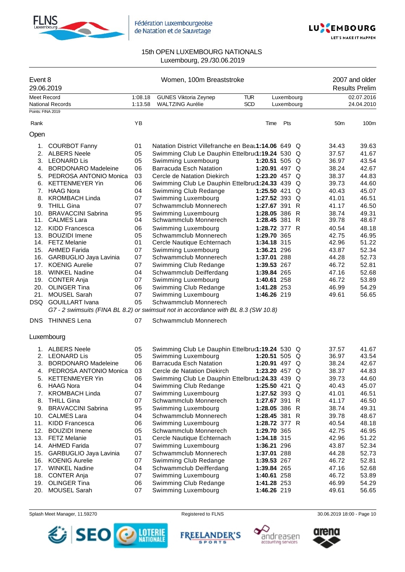



| Event 8<br>29.06.2019            |                                                                                    |                    | Women, 100m Breaststroke                                | 2007 and older<br><b>Results Prelim</b> |                          |                |                          |
|----------------------------------|------------------------------------------------------------------------------------|--------------------|---------------------------------------------------------|-----------------------------------------|--------------------------|----------------|--------------------------|
| Meet Record<br>Points: FINA 2019 | <b>National Records</b>                                                            | 1:08.18<br>1:13.58 | <b>GUNES Viktoria Zeynep</b><br><b>WALTZING Aurélie</b> | <b>TUR</b><br>SCD                       | Luxembourg<br>Luxembourg |                | 02.07.2016<br>24.04.2010 |
| Rank                             |                                                                                    | ΥB                 |                                                         | Time                                    | Pts                      | 50m            | 100m                     |
| Open                             |                                                                                    |                    |                                                         |                                         |                          |                |                          |
|                                  |                                                                                    |                    | Natation District Villefranche en Beau1:14.06 649 Q     |                                         |                          |                |                          |
|                                  | 1. COURBOT Fanny<br>2. ALBERS Neele                                                | 01                 |                                                         |                                         |                          | 34.43<br>37.57 | 39.63<br>41.67           |
|                                  | 3. LEONARD Lis                                                                     | 05<br>05           | Swimming Club Le Dauphin Ettelbru(1:19.24 530 Q         | 1:20.51 505 Q                           |                          | 36.97          | 43.54                    |
|                                  | 4. BORDONARO Madeleine                                                             | 06                 | Swimming Luxembourg<br><b>Barracuda Esch Natation</b>   | 1:20.91 497 Q                           |                          | 38.24          | 42.67                    |
|                                  | 5. PEDROSA ANTONIO Monica                                                          | 03                 | Cercle de Natation Diekirch                             | 1:23.20 457 Q                           |                          | 38.37          | 44.83                    |
|                                  | 6. KETTENMEYER Yin                                                                 | 06                 | Swimming Club Le Dauphin Ettelbru(1:24.33 439 Q         |                                         |                          | 39.73          | 44.60                    |
|                                  | 7. HAAG Nora                                                                       | 04                 | Swimming Club Redange                                   | 1:25.50 421 Q                           |                          | 40.43          | 45.07                    |
| 8.                               | <b>KROMBACH Linda</b>                                                              | 07                 | Swimming Luxembourg                                     | 1:27.52 393 Q                           |                          | 41.01          | 46.51                    |
|                                  | 9. THILL Gina                                                                      | 07                 | Schwammclub Monnerech                                   | 1:27.67 391 R                           |                          | 41.17          | 46.50                    |
| 10.                              | <b>BRAVACCINI Sabrina</b>                                                          | 95                 | Swimming Luxembourg                                     | 1:28.05 386 R                           |                          | 38.74          | 49.31                    |
|                                  | 11. CALMES Lara                                                                    | 04                 | Schwammclub Monnerech                                   | 1:28.45 381 R                           |                          | 39.78          | 48.67                    |
|                                  | 12. KIDD Francesca                                                                 | 06                 | Swimming Luxembourg                                     | 1:28.72 377 R                           |                          | 40.54          | 48.18                    |
|                                  | 13. BOUZIDI Imene                                                                  | 05                 | Schwammclub Monnerech                                   | 1:29.70 365                             |                          | 42.75          | 46.95                    |
|                                  | 14. FETZ Melanie                                                                   | 01                 | Cercle Nautique Echternach                              | 1:34.18 315                             |                          | 42.96          | 51.22                    |
|                                  | 15. AHMED Farida                                                                   | 07                 | Swimming Luxembourg                                     | 1:36.21 296                             |                          | 43.87          | 52.34                    |
|                                  | 16. GARBUGLIO Jaya Lavinia                                                         | 07                 | Schwammclub Monnerech                                   | 1:37.01 288                             |                          | 44.28          | 52.73                    |
|                                  | 17. KOENIG Aurelie                                                                 | 07                 | Swimming Club Redange                                   | 1:39.53 267                             |                          | 46.72          | 52.81                    |
|                                  | 18. WINKEL Nadine                                                                  | 04                 | Schwammclub Deifferdang                                 | 1:39.84 265                             |                          | 47.16          | 52.68                    |
|                                  | 19. CONTER Anja                                                                    | 07                 | Swimming Luxembourg                                     | 1:40.61 258                             |                          | 46.72          | 53.89                    |
|                                  | 20. OLINGER Tina                                                                   | 06                 | Swimming Club Redange                                   | 1:41.28 253                             |                          | 46.99          | 54.29                    |
| 21.                              | <b>MOUSEL Sarah</b>                                                                | 07                 | Swimming Luxembourg                                     | 1:46.26 219                             |                          | 49.61          | 56.65                    |
|                                  | DSQ GOUILLART Ivana                                                                | 05                 | Schwammclub Monnerech                                   |                                         |                          |                |                          |
|                                  | G7 - 2 swimsuits (FINA BL 8.2) or swimsuit not in accordance with BL 8.3 (SW 10.8) |                    |                                                         |                                         |                          |                |                          |
|                                  | DNS THINNES Lena                                                                   | 07                 | Schwammclub Monnerech                                   |                                         |                          |                |                          |
|                                  | Luxembourg                                                                         |                    |                                                         |                                         |                          |                |                          |
|                                  | 1. ALBERS Neele                                                                    | 05                 | Swimming Club Le Dauphin Ettelbru(1:19.24 530 Q         |                                         |                          | 37.57          | 41.67                    |
|                                  | 2. LEONARD Lis                                                                     | 05                 | Swimming Luxembourg                                     | 1:20.51 505 $Q$                         |                          | 36.97          | 43.54                    |
|                                  | 3. BORDONARO Madeleine                                                             | 06                 | <b>Barracuda Esch Natation</b>                          | 1:20.91 497 $Q$                         |                          | 38.24          | 42.67                    |
|                                  | 4. PEDROSA ANTONIO Monica                                                          | 03                 | Cercle de Natation Diekirch                             | 1:23.20 457 $Q$                         |                          | 38.37          | 44.83                    |
| 5.                               | <b>KETTENMEYER Yin</b>                                                             | 06                 | Swimming Club Le Dauphin Ettelbru(1:24.33 439 Q         |                                         |                          | 39.73          | 44.60                    |
| 6.                               | HAAG Nora                                                                          | 04                 | Swimming Club Redange                                   | 1:25.50 421 Q                           |                          | 40.43          | 45.07                    |
| 7.                               | <b>KROMBACH Linda</b>                                                              | 07                 | Swimming Luxembourg                                     | 1:27.52 393 Q                           |                          | 41.01          | 46.51                    |
| 8.                               | <b>THILL Gina</b>                                                                  | 07                 | Schwammclub Monnerech                                   | 1:27.67 391 R                           |                          | 41.17          | 46.50                    |
| 9.                               | <b>BRAVACCINI Sabrina</b>                                                          | 95                 | Swimming Luxembourg                                     | 1:28.05 386 R                           |                          | 38.74          | 49.31                    |
|                                  | 10. CALMES Lara                                                                    | 04                 | Schwammclub Monnerech                                   | 1:28.45 381 R                           |                          | 39.78          | 48.67                    |
| 11.                              | <b>KIDD Francesca</b>                                                              | 06                 | Swimming Luxembourg                                     | 1:28.72 377 R                           |                          | 40.54          | 48.18                    |
| 12.                              | <b>BOUZIDI</b> Imene                                                               | 05                 | Schwammclub Monnerech                                   | 1:29.70 365                             |                          | 42.75          | 46.95                    |
|                                  | 13. FETZ Melanie                                                                   | 01                 | Cercle Nautique Echternach                              | 1:34.18 315                             |                          | 42.96          | 51.22                    |
|                                  | 14. AHMED Farida                                                                   | 07<br>07           | Swimming Luxembourg<br>Schwammclub Monnerech            | 1:36.21 296                             |                          | 43.87<br>44.28 | 52.34<br>52.73           |
|                                  | 15. GARBUGLIO Jaya Lavinia<br>16. KOENIG Aurelie                                   | 07                 | Swimming Club Redange                                   | 1:37.01 288                             |                          | 46.72          | 52.81                    |
|                                  | 17. WINKEL Nadine                                                                  | 04                 | Schwammclub Deifferdang                                 | 1:39.53 267<br>1:39.84 265              |                          | 47.16          | 52.68                    |
|                                  | 18. CONTER Anja                                                                    | 07                 | Swimming Luxembourg                                     | 1:40.61 258                             |                          | 46.72          | 53.89                    |
|                                  | 19. OLINGER Tina                                                                   | 06                 | Swimming Club Redange                                   | 1:41.28 253                             |                          | 46.99          | 54.29                    |
|                                  | 20. MOUSEL Sarah                                                                   | 07                 | Swimming Luxembourg                                     | 1:46.26 219                             |                          | 49.61          | 56.65                    |
|                                  |                                                                                    |                    |                                                         |                                         |                          |                |                          |







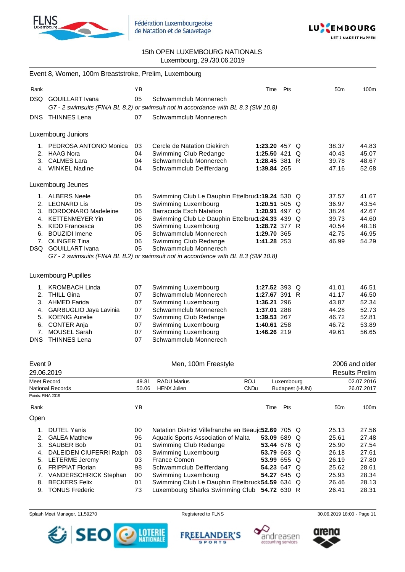



**LET'S MAKE IT HAPPEN** 

# 15th OPEN LUXEMBOURG NATIONALS Luxembourg, 29./30.06.2019

|                   | Event 8, Women, 100m Breaststroke, Prelim, Luxembourg |          |                                                                                                             |                            |             |                |                 |                       |
|-------------------|-------------------------------------------------------|----------|-------------------------------------------------------------------------------------------------------------|----------------------------|-------------|----------------|-----------------|-----------------------|
| Rank              |                                                       | ΥB       |                                                                                                             | Time                       | Pts         |                | 50 <sub>m</sub> | 100m                  |
| DSQ.              | <b>GOUILLART</b> Ivana                                | 05       | Schwammclub Monnerech<br>G7 - 2 swimsuits (FINA BL 8.2) or swimsuit not in accordance with BL 8.3 (SW 10.8) |                            |             |                |                 |                       |
|                   | DNS THINNES Lena                                      | 07       | Schwammclub Monnerech                                                                                       |                            |             |                |                 |                       |
|                   | Luxembourg Juniors                                    |          |                                                                                                             |                            |             |                |                 |                       |
| 1.                | PEDROSA ANTONIO Monica                                | 03       | Cercle de Natation Diekirch                                                                                 | 1:23.20 457 $Q$            |             |                | 38.37           | 44.83                 |
|                   | 2. HAAG Nora                                          | 04       | Swimming Club Redange                                                                                       | 1:25.50 421 Q              |             |                | 40.43           | 45.07                 |
|                   | 3. CALMES Lara                                        | 04       | Schwammclub Monnerech                                                                                       | 1:28.45 381 R              |             |                | 39.78           | 48.67                 |
|                   | 4. WINKEL Nadine                                      | 04       | Schwammclub Deifferdang                                                                                     | 1:39.84 265                |             |                | 47.16           | 52.68                 |
|                   | Luxembourg Jeunes                                     |          |                                                                                                             |                            |             |                |                 |                       |
|                   | 1. ALBERS Neele                                       | 05       | Swimming Club Le Dauphin Ettelbru(1:19.24 530 Q                                                             |                            |             |                | 37.57           | 41.67                 |
|                   | 2. LEONARD Lis                                        | 05       | Swimming Luxembourg                                                                                         | 1:20.51 505 Q              |             |                | 36.97           | 43.54                 |
|                   | 3. BORDONARO Madeleine                                | 06       | <b>Barracuda Esch Natation</b>                                                                              | 1:20.91 497 Q              |             |                | 38.24           | 42.67                 |
| 4.                | <b>KETTENMEYER Yin</b>                                | 06       | Swimming Club Le Dauphin Ettelbru(1:24.33 439 Q                                                             |                            |             |                | 39.73           | 44.60                 |
|                   | 5. KIDD Francesca                                     | 06       | Swimming Luxembourg                                                                                         | 1:28.72 377 R              |             |                | 40.54           | 48.18                 |
|                   | 6. BOUZIDI Imene<br>7. OLINGER Tina                   | 05<br>06 | Schwammclub Monnerech                                                                                       | 1:29.70 365<br>1:41.28 253 |             |                | 42.75<br>46.99  | 46.95<br>54.29        |
|                   | DSQ GOUILLART Ivana                                   | 05       | Swimming Club Redange<br>Schwammclub Monnerech                                                              |                            |             |                |                 |                       |
|                   |                                                       |          | G7 - 2 swimsuits (FINA BL 8.2) or swimsuit not in accordance with BL 8.3 (SW 10.8)                          |                            |             |                |                 |                       |
|                   |                                                       |          |                                                                                                             |                            |             |                |                 |                       |
|                   | <b>Luxembourg Pupilles</b>                            |          |                                                                                                             |                            |             |                |                 |                       |
|                   | 1. KROMBACH Linda                                     | 07       | Swimming Luxembourg                                                                                         | 1:27.52 393 Q              |             |                | 41.01           | 46.51                 |
|                   | 2. THILL Gina                                         | 07       | Schwammclub Monnerech                                                                                       | 1:27.67 391 R              |             |                | 41.17           | 46.50                 |
|                   | 3. AHMED Farida                                       | 07       | Swimming Luxembourg                                                                                         | 1:36.21 296                |             |                | 43.87           | 52.34                 |
|                   | 4. GARBUGLIO Jaya Lavinia                             | 07       | Schwammclub Monnerech                                                                                       | 1:37.01 288                |             |                | 44.28           | 52.73                 |
|                   | 5. KOENIG Aurelie                                     | 07       | Swimming Club Redange                                                                                       | 1:39.53 267                |             |                | 46.72           | 52.81                 |
|                   | 6. CONTER Anja                                        | 07       | Swimming Luxembourg                                                                                         | 1:40.61 258                |             |                | 46.72           | 53.89                 |
| 7.<br>DNS.        | MOUSEL Sarah<br><b>THINNES Lena</b>                   | 07<br>07 | Swimming Luxembourg<br>Schwammclub Monnerech                                                                | 1:46.26 219                |             |                | 49.61           | 56.65                 |
|                   |                                                       |          |                                                                                                             |                            |             |                |                 |                       |
| Event 9           |                                                       |          | Men, 100m Freestyle                                                                                         |                            |             |                |                 | 2006 and older        |
| 29.06.2019        |                                                       |          |                                                                                                             |                            |             |                |                 | <b>Results Prelim</b> |
| Meet Record       |                                                       | 49.81    | <b>RADU Marius</b>                                                                                          | ROU                        | Luxembourg  |                |                 | 02.07.2016            |
|                   | <b>National Records</b>                               | 50.06    | <b>HENX Julien</b>                                                                                          | <b>CNDu</b>                |             | Budapest (HUN) |                 | 26.07.2017            |
| Points: FINA 2019 |                                                       |          |                                                                                                             |                            |             |                |                 |                       |
| Rank              |                                                       | ΥB       |                                                                                                             | Time                       | Pts         |                | 50 <sub>m</sub> | 100m                  |
| Open              |                                                       |          |                                                                                                             |                            |             |                |                 |                       |
| 1.                | <b>DUTEL Yanis</b>                                    | 00       | Natation District Villefranche en Beaujc52.69 705 Q                                                         |                            |             |                | 25.13           | 27.56                 |
| 2.                | <b>GALEA Matthew</b>                                  | 96       | Aquatic Sports Association of Malta                                                                         |                            | 53.09 689 Q |                | 25.61           | 27.48                 |
| 3.                | <b>SAUBER Bob</b>                                     | 01       | Swimming Club Redange                                                                                       |                            | 53.44 676 Q |                | 25.90           | 27.54                 |
| 4.                | DALEIDEN CIUFERRI Ralph                               | 03       | Swimming Luxembourg                                                                                         |                            | 53.79 663 Q |                | 26.18           | 27.61                 |
| 5.                | <b>LETERME Jeremy</b>                                 | 03       | France Comen                                                                                                |                            | 53.99 655 Q |                | 26.19           | 27.80                 |
| 6.                | <b>FRIPPIAT Florian</b>                               | 98       | Schwammclub Deifferdang                                                                                     |                            | 54.23 647 Q |                | 25.62           | 28.61                 |
| 7.<br>8.          | VANDERSCHRICK Stephan<br><b>BECKERS Felix</b>         | 00<br>01 | Swimming Luxembourg<br>Swimming Club Le Dauphin Ettelbruck 54.59 634 Q                                      |                            | 54.27 645 Q |                | 25.93<br>26.46  | 28.34<br>28.13        |
| 9.                | <b>TONUS Frederic</b>                                 | 73       | Luxembourg Sharks Swimming Club 54.72 630 R                                                                 |                            |             |                | 26.41           | 28.31                 |
|                   |                                                       |          |                                                                                                             |                            |             |                |                 |                       |

Splash Meet Manager, 11.59270 **Registered to FLNS** Registered to FLNS 30.06.2019 18:00 - Page 11



FREELANDER'S



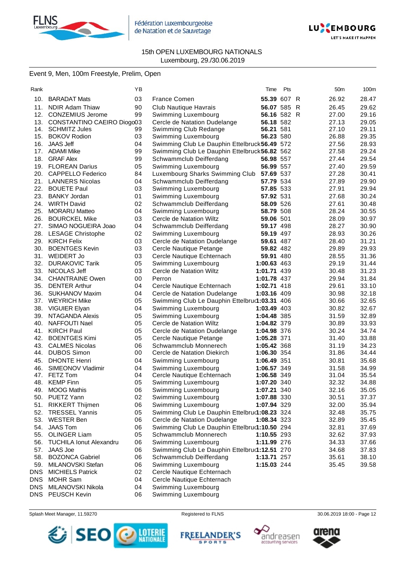



# 15th OPEN LUXEMBOURG NATIONALS Luxembourg, 29./30.06.2019

# Event 9, Men, 100m Freestyle, Prelim, Open

| Rank       |                                | ΥB |                                               | Time        | Pts | 50 <sub>m</sub> | 100m  |
|------------|--------------------------------|----|-----------------------------------------------|-------------|-----|-----------------|-------|
| 10.        | <b>BARADAT Mats</b>            | 03 | <b>France Comen</b>                           | 55.39 607 R |     | 26.92           | 28.47 |
| 11.        | <b>NDIR Adam Thiaw</b>         | 90 | Club Nautique Havrais                         | 56.07 585 R |     | 26.45           | 29.62 |
| 12.        | <b>CONZEMIUS Jerome</b>        | 99 | Swimming Luxembourg                           | 56.16 582 R |     | 27.00           | 29.16 |
|            | 13. CONSTANTINO CAEIRO Diogo03 |    | Cercle de Natation Dudelange                  | 56.18 582   |     | 27.13           | 29.05 |
|            | 14. SCHMITZ Jules              | 99 | Swimming Club Redange                         | 56.21 581   |     | 27.10           | 29.11 |
| 15.        | <b>BOKOV Rodion</b>            | 03 | Swimming Luxembourg                           | 56.23 580   |     | 26.88           | 29.35 |
| 16.        | <b>JAAS Jeff</b>               | 04 | Swimming Club Le Dauphin Ettelbruck 56.49 572 |             |     | 27.56           | 28.93 |
| 17.        | <b>ADAMI Mike</b>              | 99 | Swimming Club Le Dauphin Ettelbruck 56.82 562 |             |     | 27.58           | 29.24 |
| 18.        | <b>GRAF Alex</b>               | 99 | Schwammclub Deifferdang                       | 56.98 557   |     | 27.44           | 29.54 |
|            | 19. FLOREAN Darius             | 05 | Swimming Luxembourg                           | 56.99 557   |     | 27.40           | 29.59 |
|            | 20. CAPPELLO Federico          | 84 | Luxembourg Sharks Swimming Club               | 57.69 537   |     | 27.28           | 30.41 |
|            | 21. LANNERS Nicolas            | 04 | Schwammclub Deifferdang                       | 57.79 534   |     | 27.89           | 29.90 |
|            | 22. BOUETE Paul                | 03 | Swimming Luxembourg                           | 57.85 533   |     | 27.91           | 29.94 |
| 23.        | <b>BANKY Jordan</b>            | 01 | Swimming Luxembourg                           | 57.92 531   |     | 27.68           | 30.24 |
| 24.        | <b>WIRTH David</b>             | 02 | Schwammclub Deifferdang                       | 58.09 526   |     | 27.61           | 30.48 |
| 25.        | <b>MORARU Matteo</b>           | 04 | Swimming Luxembourg                           | 58.79 508   |     | 28.24           | 30.55 |
| 26.        | <b>BOURCKEL Mike</b>           | 03 | Cercle de Natation Wiltz                      | 59.06 501   |     | 28.09           | 30.97 |
|            | 27. SIMAO NOGUEIRA Joao        | 04 | Schwammclub Deifferdang                       | 59.17 498   |     | 28.27           | 30.90 |
|            | 28. LESAGE Christophe          | 02 | Swimming Luxembourg                           | 59.19 497   |     | 28.93           | 30.26 |
| 29.        | <b>KIRCH Felix</b>             | 03 | Cercle de Natation Dudelange                  | 59.61 487   |     | 28.40           | 31.21 |
| 30.        | <b>BOENTGES Kevin</b>          | 03 | Cercle Nautique Petange                       | 59.82 482   |     | 29.89           | 29.93 |
| 31.        | <b>WEIDERT Jo</b>              | 03 | Cercle Nautique Echternach                    | 59.91 480   |     | 28.55           | 31.36 |
| 32.        | <b>DURAKOVIC Tarik</b>         | 05 | Swimming Luxembourg                           | 1:00.63 463 |     | 29.19           | 31.44 |
| 33.        | NICOLAS Jeff                   | 03 | Cercle de Natation Wiltz                      | 1:01.71 439 |     | 30.48           | 31.23 |
|            | 34. CHANTRAINE Owen            | 00 | Perron                                        | 1:01.78 437 |     | 29.94           | 31.84 |
| 35.        | <b>DENTER Arthur</b>           | 04 | Cercle Nautique Echternach                    | 1:02.71 418 |     | 29.61           | 33.10 |
| 36.        | SUKHANOV Maxim                 | 04 | Cercle de Natation Dudelange                  | 1:03.16 409 |     | 30.98           | 32.18 |
| 37.        | <b>WEYRICH Mike</b>            | 05 | Swimming Club Le Dauphin Ettelbru(1:03.31 406 |             |     | 30.66           | 32.65 |
| 38.        | VIGUIER Elyan                  | 04 | Swimming Luxembourg                           | 1:03.49 403 |     | 30.82           | 32.67 |
| 39.        | NTAGANDA Alexis                | 05 | Swimming Luxembourg                           | 1:04.48 385 |     | 31.59           | 32.89 |
| 40.        | NAFFOUTI Nael                  | 05 | Cercle de Natation Wiltz                      | 1:04.82 379 |     | 30.89           | 33.93 |
| 41.        | <b>KIRCH Paul</b>              | 05 | Cercle de Natation Dudelange                  | 1:04.98 376 |     | 30.24           | 34.74 |
| 42.        | <b>BOENTGES Kimi</b>           | 05 | Cercle Nautique Petange                       | 1:05.28 371 |     | 31.40           | 33.88 |
| 43.        | <b>CALMES Nicolas</b>          | 06 | Schwammclub Monnerech                         | 1:05.42 368 |     | 31.19           | 34.23 |
| 44.        | <b>DUBOS Simon</b>             | 00 | Cercle de Natation Diekirch                   | 1:06.30 354 |     | 31.86           | 34.44 |
| 45.        | <b>DHONTE Henri</b>            | 04 | Swimming Luxembourg                           | 1:06.49 351 |     | 30.81           | 35.68 |
| 46.        | SIMEONOV Vladimir              | 04 | Swimming Luxembourg                           | 1:06.57 349 |     | 31.58           | 34.99 |
| 47.        | <b>FETZ Tom</b>                | 04 | Cercle Nautique Echternach                    | 1:06.58 349 |     | 31.04           | 35.54 |
|            | 48. KEMP Finn                  | 05 | Swimming Luxembourg                           | 1:07.20 340 |     | 32.32           | 34.88 |
|            | 49. MOOG Mathis                | 06 | Swimming Luxembourg                           | 1:07.21 340 |     | 32.16           | 35.05 |
|            | 50. PUETZ Yann                 | 02 | Swimming Luxembourg                           | 1:07.88 330 |     | 30.51           | 37.37 |
| 51.        | <b>RIKKERT Thijmen</b>         | 06 | Swimming Luxembourg                           | 1:07.94 329 |     | 32.00           | 35.94 |
| 52.        | <b>TRESSEL Yannis</b>          | 05 | Swimming Club Le Dauphin Ettelbru(1:08.23 324 |             |     | 32.48           | 35.75 |
| 53.        | WESTER Ben                     | 06 | Cercle de Natation Dudelange                  | 1:08.34 323 |     | 32.89           | 35.45 |
| 54.        | <b>JAAS Tom</b>                | 06 | Swimming Club Le Dauphin Ettelbru(1:10.50 294 |             |     | 32.81           | 37.69 |
| 55.        | <b>OLINGER Liam</b>            | 05 | Schwammclub Monnerech                         | 1:10.55 293 |     | 32.62           | 37.93 |
|            | 56. TUCHILA Ionut Alexandru    | 06 | Swimming Luxembourg                           | 1:11.99 276 |     | 34.33           | 37.66 |
| 57.        | JAAS Joe                       | 06 | Swimming Club Le Dauphin Ettelbru(1:12.51 270 |             |     | 34.68           | 37.83 |
| 58.        | <b>BOZONCA Gabriel</b>         | 06 | Schwammclub Deifferdang                       | 1:13.71 257 |     | 35.61           | 38.10 |
| 59.        | MILANOVSKI Stefan              | 06 | Swimming Luxembourg                           | 1:15.03 244 |     | 35.45           | 39.58 |
| <b>DNS</b> | <b>MICHIELS Patrick</b>        | 02 | Cercle Nautique Echternach                    |             |     |                 |       |
| DNS        | <b>MOHR Sam</b>                | 04 | Cercle Nautique Echternach                    |             |     |                 |       |
| DNS        | MILANOVSKI Nikola              | 04 | Swimming Luxembourg                           |             |     |                 |       |
| DNS        | PEUSCH Kevin                   | 06 | Swimming Luxembourg                           |             |     |                 |       |

Splash Meet Manager, 11.59270 **Registered to FLNS** Registered to FLNS 30.06.2019 18:00 - Page 12

**FREELANDER'S** 

**SPORTS** 







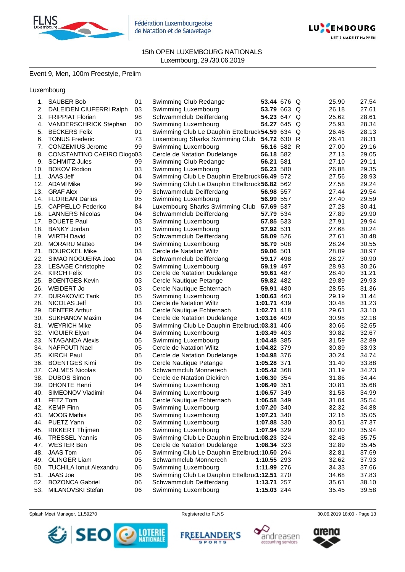



# 15th OPEN LUXEMBOURG NATIONALS Luxembourg, 29./30.06.2019

# Event 9, Men, 100m Freestyle, Prelim

Luxembourg

| 1.  | <b>SAUBER Bob</b>           | 01 | Swimming Club Redange                           | 53.44 676 Q |  | 25.90 | 27.54 |
|-----|-----------------------------|----|-------------------------------------------------|-------------|--|-------|-------|
|     | 2. DALEIDEN CIUFERRI Ralph  | 03 | Swimming Luxembourg                             | 53.79 663 Q |  | 26.18 | 27.61 |
| 3.  | <b>FRIPPIAT Florian</b>     | 98 | Schwammclub Deifferdang                         | 54.23 647 Q |  | 25.62 | 28.61 |
| 4.  | VANDERSCHRICK Stephan       | 00 | Swimming Luxembourg                             | 54.27 645 Q |  | 25.93 | 28.34 |
| 5.  | <b>BECKERS Felix</b>        | 01 | Swimming Club Le Dauphin Ettelbruck 54.59 634 Q |             |  | 26.46 | 28.13 |
| 6.  | <b>TONUS Frederic</b>       | 73 | Luxembourg Sharks Swimming Club 54.72 630 R     |             |  | 26.41 | 28.31 |
|     | 7. CONZEMIUS Jerome         | 99 | Swimming Luxembourg                             | 56.16 582 R |  | 27.00 | 29.16 |
| 8.  | CONSTANTINO CAEIRO Diogo03  |    | Cercle de Natation Dudelange                    | 56.18 582   |  | 27.13 | 29.05 |
| 9.  | <b>SCHMITZ Jules</b>        | 99 | Swimming Club Redange                           | 56.21 581   |  | 27.10 | 29.11 |
| 10. | <b>BOKOV Rodion</b>         | 03 | Swimming Luxembourg                             | 56.23 580   |  | 26.88 | 29.35 |
| 11. | <b>JAAS Jeff</b>            | 04 | Swimming Club Le Dauphin Ettelbruck 56.49 572   |             |  | 27.56 | 28.93 |
| 12. | ADAMI Mike                  | 99 | Swimming Club Le Dauphin Ettelbruck 56.82 562   |             |  | 27.58 | 29.24 |
| 13. | <b>GRAF Alex</b>            | 99 | Schwammclub Deifferdang                         | 56.98 557   |  | 27.44 | 29.54 |
|     | 14. FLOREAN Darius          | 05 | Swimming Luxembourg                             | 56.99 557   |  | 27.40 | 29.59 |
|     | 15. CAPPELLO Federico       | 84 | Luxembourg Sharks Swimming Club                 | 57.69 537   |  | 27.28 | 30.41 |
|     | 16. LANNERS Nicolas         | 04 | Schwammclub Deifferdang                         | 57.79 534   |  | 27.89 | 29.90 |
| 17. | <b>BOUETE Paul</b>          | 03 | Swimming Luxembourg                             | 57.85 533   |  | 27.91 | 29.94 |
| 18. | <b>BANKY Jordan</b>         | 01 | Swimming Luxembourg                             | 57.92 531   |  | 27.68 | 30.24 |
| 19. | <b>WIRTH David</b>          | 02 | Schwammclub Deifferdang                         | 58.09 526   |  | 27.61 | 30.48 |
| 20. | <b>MORARU Matteo</b>        | 04 | Swimming Luxembourg                             | 58.79 508   |  | 28.24 | 30.55 |
| 21. | <b>BOURCKEL Mike</b>        | 03 | Cercle de Natation Wiltz                        | 59.06 501   |  | 28.09 | 30.97 |
| 22. | SIMAO NOGUEIRA Joao         | 04 | Schwammclub Deifferdang                         | 59.17 498   |  | 28.27 | 30.90 |
|     | 23. LESAGE Christophe       | 02 | Swimming Luxembourg                             | 59.19 497   |  | 28.93 | 30.26 |
|     | 24. KIRCH Felix             | 03 | Cercle de Natation Dudelange                    | 59.61 487   |  | 28.40 | 31.21 |
| 25. | <b>BOENTGES Kevin</b>       | 03 | Cercle Nautique Petange                         | 59.82 482   |  | 29.89 | 29.93 |
| 26. | <b>WEIDERT Jo</b>           | 03 | Cercle Nautique Echternach                      | 59.91 480   |  | 28.55 | 31.36 |
|     | 27. DURAKOVIC Tarik         | 05 | Swimming Luxembourg                             | 1:00.63 463 |  | 29.19 | 31.44 |
|     | 28. NICOLAS Jeff            | 03 | Cercle de Natation Wiltz                        | 1:01.71 439 |  | 30.48 | 31.23 |
|     | 29. DENTER Arthur           | 04 | Cercle Nautique Echternach                      | 1:02.71 418 |  | 29.61 | 33.10 |
| 30. | <b>SUKHANOV Maxim</b>       | 04 | Cercle de Natation Dudelange                    | 1:03.16 409 |  | 30.98 | 32.18 |
|     | 31. WEYRICH Mike            | 05 | Swimming Club Le Dauphin Ettelbru(1:03.31 406   |             |  | 30.66 | 32.65 |
|     | 32. VIGUIER Elyan           | 04 | Swimming Luxembourg                             | 1:03.49 403 |  | 30.82 | 32.67 |
| 33. | NTAGANDA Alexis             | 05 | Swimming Luxembourg                             | 1:04.48 385 |  | 31.59 | 32.89 |
| 34. | NAFFOUTI Nael               | 05 | Cercle de Natation Wiltz                        | 1:04.82 379 |  | 30.89 | 33.93 |
|     | 35. KIRCH Paul              | 05 | Cercle de Natation Dudelange                    | 1:04.98 376 |  | 30.24 | 34.74 |
| 36. | <b>BOENTGES Kimi</b>        | 05 | Cercle Nautique Petange                         | 1:05.28 371 |  | 31.40 | 33.88 |
|     | 37. CALMES Nicolas          | 06 | Schwammclub Monnerech                           | 1:05.42 368 |  | 31.19 | 34.23 |
|     | 38. DUBOS Simon             | 00 | Cercle de Natation Diekirch                     | 1:06.30 354 |  | 31.86 | 34.44 |
|     | 39. DHONTE Henri            | 04 | Swimming Luxembourg                             | 1:06.49 351 |  | 30.81 | 35.68 |
| 40. | SIMEONOV Vladimir           | 04 | Swimming Luxembourg                             | 1:06.57 349 |  | 31.58 | 34.99 |
| 41. | FETZ Tom                    | 04 | Cercle Nautique Echternach                      | 1:06.58 349 |  | 31.04 | 35.54 |
|     | 42. KEMP Finn               | 05 | Swimming Luxembourg                             | 1:07.20 340 |  | 32.32 | 34.88 |
| 43. | <b>MOOG Mathis</b>          | 06 | Swimming Luxembourg                             | 1:07.21 340 |  | 32.16 | 35.05 |
|     | 44. PUETZ Yann              | 02 | Swimming Luxembourg                             | 1:07.88 330 |  | 30.51 | 37.37 |
|     | 45. RIKKERT Thijmen         | 06 | Swimming Luxembourg                             | 1:07.94 329 |  | 32.00 | 35.94 |
|     | 46. TRESSEL Yannis          | 05 | Swimming Club Le Dauphin Ettelbru(1:08.23 324   |             |  | 32.48 | 35.75 |
|     | 47. WESTER Ben              | 06 | Cercle de Natation Dudelange                    | 1:08.34 323 |  | 32.89 | 35.45 |
| 48. | <b>JAAS Tom</b>             | 06 | Swimming Club Le Dauphin Ettelbru(1:10.50 294   |             |  | 32.81 | 37.69 |
|     | 49. OLINGER Liam            | 05 | Schwammclub Monnerech                           | 1:10.55 293 |  | 32.62 | 37.93 |
|     | 50. TUCHILA Ionut Alexandru | 06 | Swimming Luxembourg                             | 1:11.99 276 |  | 34.33 | 37.66 |
| 51. | <b>JAAS Joe</b>             | 06 | Swimming Club Le Dauphin Ettelbru(1:12.51 270   |             |  | 34.68 | 37.83 |
| 52. | <b>BOZONCA Gabriel</b>      | 06 | Schwammclub Deifferdang                         | 1:13.71 257 |  | 35.61 | 38.10 |
| 53. | MILANOVSKI Stefan           | 06 | Swimming Luxembourg                             | 1:15.03 244 |  | 35.45 | 39.58 |
|     |                             |    |                                                 |             |  |       |       |

Splash Meet Manager, 11.59270 **Registered to FLNS Registered to FLNS** 30.06.2019 18:00 - Page 13



**FREELANDER'S SPORTS** 



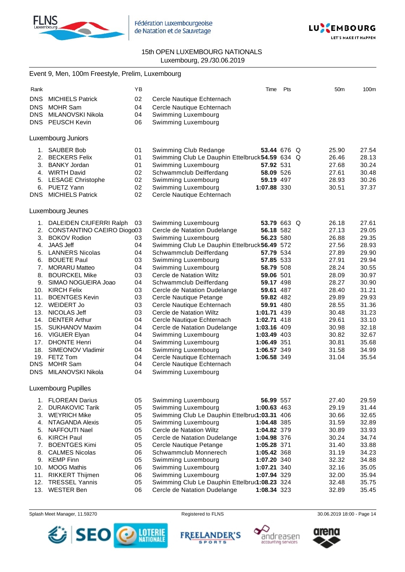



15th OPEN LUXEMBOURG NATIONALS Luxembourg, 29./30.06.2019

# Event 9, Men, 100m Freestyle, Prelim, Luxembourg

| Rank                     |                                                 | YB       |                                                                      | Time                   | Pts | 50 <sub>m</sub> | 100m           |
|--------------------------|-------------------------------------------------|----------|----------------------------------------------------------------------|------------------------|-----|-----------------|----------------|
| <b>DNS</b><br><b>DNS</b> | <b>MICHIELS Patrick</b><br><b>MOHR Sam</b>      | 02<br>04 | Cercle Nautique Echternach                                           |                        |     |                 |                |
| <b>DNS</b>               | MILANOVSKI Nikola                               | 04       | Cercle Nautique Echternach<br>Swimming Luxembourg                    |                        |     |                 |                |
|                          | DNS PEUSCH Kevin                                | 06       | Swimming Luxembourg                                                  |                        |     |                 |                |
|                          |                                                 |          |                                                                      |                        |     |                 |                |
|                          | <b>Luxembourg Juniors</b>                       |          |                                                                      |                        |     |                 |                |
| 1.                       | <b>SAUBER Bob</b>                               | 01       | Swimming Club Redange                                                | 53.44 676 Q            |     | 25.90           | 27.54          |
| 2.                       | <b>BECKERS Felix</b>                            | 01       | Swimming Club Le Dauphin Ettelbruck 54.59 634 Q                      |                        |     | 26.46           | 28.13          |
| 3.                       | <b>BANKY Jordan</b>                             | 01       | Swimming Luxembourg                                                  | 57.92 531              |     | 27.68           | 30.24          |
|                          | 4. WIRTH David                                  | 02       | Schwammclub Deifferdang                                              | 58.09 526              |     | 27.61           | 30.48          |
| 5.                       | <b>LESAGE Christophe</b>                        | 02       | Swimming Luxembourg                                                  | 59.19 497              |     | 28.93           | 30.26          |
|                          | 6. PUETZ Yann                                   | 02       | Swimming Luxembourg                                                  | 1:07.88 330            |     | 30.51           | 37.37          |
| DNS.                     | <b>MICHIELS Patrick</b>                         | 02       | Cercle Nautique Echternach                                           |                        |     |                 |                |
|                          | Luxembourg Jeunes                               |          |                                                                      |                        |     |                 |                |
| 1.                       | DALEIDEN CIUFERRI Ralph                         | 03       | Swimming Luxembourg                                                  | 53.79 663 Q            |     | 26.18           | 27.61          |
|                          | 2. CONSTANTINO CAEIRO Diogo03                   |          | Cercle de Natation Dudelange                                         | 56.18 582              |     | 27.13           | 29.05          |
|                          | 3. BOKOV Rodion                                 | 03       | Swimming Luxembourg                                                  | 56.23 580              |     | 26.88           | 29.35          |
|                          | 4. JAAS Jeff                                    | 04       | Swimming Club Le Dauphin Ettelbruck 56.49 572                        |                        |     | 27.56           | 28.93          |
|                          | 5. LANNERS Nicolas                              | 04       | Schwammclub Deifferdang                                              | 57.79 534              |     | 27.89           | 29.90          |
|                          | 6. BOUETE Paul                                  | 03       | Swimming Luxembourg                                                  | 57.85 533              |     | 27.91           | 29.94          |
| 7.                       | <b>MORARU Matteo</b>                            | 04       | Swimming Luxembourg                                                  | 58.79 508              |     | 28.24           | 30.55          |
| 8.                       | <b>BOURCKEL Mike</b>                            | 03       | Cercle de Natation Wiltz                                             | 59.06 501              |     | 28.09           | 30.97          |
| 9.                       | SIMAO NOGUEIRA Joao                             | 04       | Schwammclub Deifferdang                                              | 59.17 498              |     | 28.27           | 30.90          |
| 11.                      | 10. KIRCH Felix<br><b>BOENTGES Kevin</b>        | 03<br>03 | Cercle de Natation Dudelange                                         | 59.61 487<br>59.82 482 |     | 28.40<br>29.89  | 31.21<br>29.93 |
| 12.                      | WEIDERT Jo                                      | 03       | Cercle Nautique Petange<br>Cercle Nautique Echternach                | 59.91 480              |     | 28.55           | 31.36          |
| 13.                      | NICOLAS Jeff                                    | 03       | Cercle de Natation Wiltz                                             | 1:01.71 439            |     | 30.48           | 31.23          |
| 14.                      | <b>DENTER Arthur</b>                            | 04       | Cercle Nautique Echternach                                           | 1:02.71 418            |     | 29.61           | 33.10          |
|                          | 15. SUKHANOV Maxim                              | 04       | Cercle de Natation Dudelange                                         | 1:03.16 409            |     | 30.98           | 32.18          |
|                          | 16. VIGUIER Elyan                               | 04       | Swimming Luxembourg                                                  | 1:03.49 403            |     | 30.82           | 32.67          |
| 17.                      | <b>DHONTE Henri</b>                             | 04       | Swimming Luxembourg                                                  | 1:06.49 351            |     | 30.81           | 35.68          |
|                          | 18. SIMEONOV Vladimir                           | 04       | Swimming Luxembourg                                                  | 1:06.57 349            |     | 31.58           | 34.99          |
|                          | 19. FETZ Tom                                    | 04       | Cercle Nautique Echternach                                           | 1:06.58 349            |     | 31.04           | 35.54          |
| <b>DNS</b>               | <b>MOHR Sam</b>                                 | 04       | Cercle Nautique Echternach                                           |                        |     |                 |                |
| <b>DNS</b>               | MILANOVSKI Nikola                               | 04       | Swimming Luxembourg                                                  |                        |     |                 |                |
|                          | <b>Luxembourg Pupilles</b>                      |          |                                                                      |                        |     |                 |                |
|                          | 1. FLOREAN Darius                               | 05       | Swimming Luxembourg                                                  | 56.99 557              |     | 27.40           | 29.59          |
| 2.                       | <b>DURAKOVIC Tarik</b>                          | 05       | Swimming Luxembourg                                                  | 1:00.63 463            |     | 29.19           | 31.44          |
| 3.                       | <b>WEYRICH Mike</b>                             | 05       | Swimming Club Le Dauphin Ettelbru(1:03.31 406                        |                        |     | 30.66           | 32.65          |
| 4.                       | NTAGANDA Alexis                                 | 05       | Swimming Luxembourg                                                  | 1:04.48 385            |     | 31.59           | 32.89          |
| 5.                       | NAFFOUTI Nael                                   | 05       | Cercle de Natation Wiltz                                             | 1:04.82 379            |     | 30.89           | 33.93          |
| 6.                       | <b>KIRCH Paul</b>                               | 05       | Cercle de Natation Dudelange                                         | 1:04.98 376            |     | 30.24           | 34.74          |
| 7.                       | <b>BOENTGES Kimi</b>                            | 05       | Cercle Nautique Petange                                              | 1:05.28 371            |     | 31.40           | 33.88          |
| 8.                       | <b>CALMES Nicolas</b>                           | 06       | Schwammclub Monnerech                                                | 1:05.42 368            |     | 31.19           | 34.23          |
| 9.                       | <b>KEMP Finn</b>                                | 05       | Swimming Luxembourg                                                  | 1:07.20 340            |     | 32.32           | 34.88          |
| 10.                      | <b>MOOG Mathis</b>                              | 06       | Swimming Luxembourg                                                  | 1:07.21 340            |     | 32.16           | 35.05          |
| 11.<br>12.               | <b>RIKKERT Thijmen</b><br><b>TRESSEL Yannis</b> | 06<br>05 | Swimming Luxembourg<br>Swimming Club Le Dauphin Ettelbru(1:08.23 324 | 1:07.94 329            |     | 32.00           | 35.94          |
| 13.                      | <b>WESTER Ben</b>                               | 06       | Cercle de Natation Dudelange                                         | 1:08.34 323            |     | 32.48<br>32.89  | 35.75<br>35.45 |
|                          |                                                 |          |                                                                      |                        |     |                 |                |

Splash Meet Manager, 11.59270 **Registered to FLNS Registered to FLNS** 30.06.2019 18:00 - Page 14



**FREELANDER'S SPORTS** 



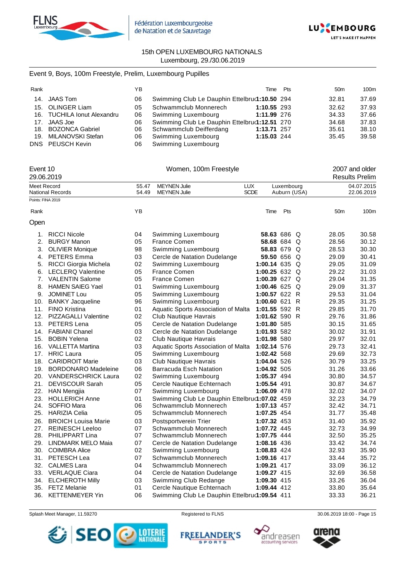



# Event 9, Boys, 100m Freestyle, Prelim, Luxembourg Pupilles

| Rank |                             | ΥB |                                               |             | Time Pts | 50 <sub>m</sub> | 100m  |
|------|-----------------------------|----|-----------------------------------------------|-------------|----------|-----------------|-------|
|      | 14. JAAS Tom                | 06 | Swimming Club Le Dauphin Ettelbrur1:10.50 294 |             |          | 32.81           | 37.69 |
|      | 15. OLINGER Liam            | 05 | Schwammclub Monnerech                         | 1:10.55 293 |          | 32.62           | 37.93 |
|      | 16. TUCHILA Ionut Alexandru | 06 | Swimming Luxembourg                           | 1:11.99 276 |          | 34.33           | 37.66 |
|      | 17. JAAS Joe                | 06 | Swimming Club Le Dauphin Ettelbru(1:12.51 270 |             |          | 34.68           | 37.83 |
|      | 18. BOZONCA Gabriel         | 06 | Schwammclub Deifferdang                       | 1:13.71 257 |          | 35.61           | 38.10 |
|      | 19. MILANOVSKI Stefan       | 06 | Swimming Luxembourg                           | 1:15.03 244 |          | 35.45           | 39.58 |
|      | DNS PEUSCH Kevin            | 06 | Swimming Luxembourg                           |             |          |                 |       |

|      | Event 10<br>29.06.2019     |       | Women, 100m Freestyle                         |               |              |  |       | 2007 and older<br><b>Results Prelim</b> |  |
|------|----------------------------|-------|-----------------------------------------------|---------------|--------------|--|-------|-----------------------------------------|--|
|      | Meet Record                | 55.47 | <b>MEYNEN Julie</b>                           | LUX           | Luxembourg   |  |       | 04.07.2015                              |  |
|      | National Records           | 54.49 | <b>MEYNEN Julie</b>                           | <b>SCDE</b>   | Auburn (USA) |  |       | 22.06.2019                              |  |
|      | Points: FINA 2019          |       |                                               |               |              |  |       |                                         |  |
| Rank |                            | YB    |                                               | Time          | Pts          |  | 50m   | 100m                                    |  |
| Open |                            |       |                                               |               |              |  |       |                                         |  |
|      | 1. RICCI Nicole            | 04    | Swimming Luxembourg                           |               | 58.63 686 Q  |  | 28.05 | 30.58                                   |  |
| 2.   | <b>BURGY Manon</b>         | 05    | <b>France Comen</b>                           |               | 58.68 684 Q  |  | 28.56 | 30.12                                   |  |
| 3.   | <b>OLIVIER Monique</b>     | 98    | Swimming Luxembourg                           |               | 58.83 679 Q  |  | 28.53 | 30.30                                   |  |
| 4.   | <b>PETERS Emma</b>         | 03    | Cercle de Natation Dudelange                  |               | 59.50 656 Q  |  | 29.09 | 30.41                                   |  |
| 5.   | RICCI Giorgia Michela      | 02    | Swimming Luxembourg                           | 1:00.14 635 Q |              |  | 29.05 | 31.09                                   |  |
| 6.   | <b>LECLERQ Valentine</b>   | 05    | <b>France Comen</b>                           | 1:00.25 632 Q |              |  | 29.22 | 31.03                                   |  |
| 7.   | <b>VALENTIN Salome</b>     | 05    | <b>France Comen</b>                           | 1:00.39 627 Q |              |  | 29.04 | 31.35                                   |  |
| 8.   | <b>HAMEN SAIEG Yael</b>    | 01    | Swimming Luxembourg                           | 1:00.46 625 Q |              |  | 29.09 | 31.37                                   |  |
| 9.   | <b>JOMINET Lou</b>         | 05    | Swimming Luxembourg                           | 1:00.57 622 R |              |  | 29.53 | 31.04                                   |  |
| 10.  | <b>BANKY Jacqueline</b>    | 96    | Swimming Luxembourg                           | 1:00.60 621 R |              |  | 29.35 | 31.25                                   |  |
| 11.  | <b>FINO Kristina</b>       | 01    | Aquatic Sports Association of Malta           | 1:01.55 592 R |              |  | 29.85 | 31.70                                   |  |
|      | 12. PIZZAGALLI Valentine   | 02    | Club Nautique Havrais                         | 1:01.62 590 R |              |  | 29.76 | 31.86                                   |  |
|      | 13. PETERS Lena            | 05    | Cercle de Natation Dudelange                  | 1:01.80 585   |              |  | 30.15 | 31.65                                   |  |
|      | 14. FABIANI Chanel         | 03    | Cercle de Natation Dudelange                  | 1:01.93 582   |              |  | 30.02 | 31.91                                   |  |
|      | 15. BOBIN Yelena           | 02    | Club Nautique Havrais                         | 1:01.98 580   |              |  | 29.97 | 32.01                                   |  |
|      | 16. VALLETTA Martina       | 03    | Aquatic Sports Association of Malta           | 1:02.14 576   |              |  | 29.73 | 32.41                                   |  |
|      | 17. HRIC Laura             | 05    | Swimming Luxembourg                           | 1:02.42 568   |              |  | 29.69 | 32.73                                   |  |
|      | 18. CARIDROIT Marie        | 03    | Club Nautique Havrais                         | 1:04.04 526   |              |  | 30.79 | 33.25                                   |  |
| 19.  | <b>BORDONARO Madeleine</b> | 06    | Barracuda Esch Natation                       | 1:04.92 505   |              |  | 31.26 | 33.66                                   |  |
| 20.  | <b>VANDERSCHRICK Laura</b> | 02    | Swimming Luxembourg                           | 1:05.37 494   |              |  | 30.80 | 34.57                                   |  |
| 21.  | <b>DEVISCOUR Sarah</b>     | 05    | Cercle Nautique Echternach                    | 1:05.54 491   |              |  | 30.87 | 34.67                                   |  |
|      | 22. HAN Mengjia            | 07    | Swimming Luxembourg                           | 1:06.09 478   |              |  | 32.02 | 34.07                                   |  |
|      | 23. HOLLERICH Anne         | 01    | Swimming Club Le Dauphin Ettelbru(1:07.02 459 |               |              |  | 32.23 | 34.79                                   |  |
| 24.  | SOFFIO Mara                | 06    | Schwammclub Monnerech                         | 1:07.13 457   |              |  | 32.42 | 34.71                                   |  |
|      | 25. HARIZIA Celia          | 05    | Schwammclub Monnerech                         | 1:07.25 454   |              |  | 31.77 | 35.48                                   |  |
| 26.  | <b>BROICH Louisa Marie</b> | 03    | Postsportverein Trier                         | 1:07.32 453   |              |  | 31.40 | 35.92                                   |  |
| 27.  | <b>REINESCH Leeloo</b>     | 07    | Schwammclub Monnerech                         | 1:07.72 445   |              |  | 32.73 | 34.99                                   |  |
|      | 28. PHILIPPART Lina        | 07    | Schwammclub Monnerech                         | 1:07.75 444   |              |  | 32.50 | 35.25                                   |  |
| 29.  | LINDMARK MELO Maia         | 07    | Cercle de Natation Dudelange                  | 1:08.16 436   |              |  | 33.42 | 34.74                                   |  |
|      | 30. COIMBRA Alice          | 02    | Swimming Luxembourg                           | 1:08.83 424   |              |  | 32.93 | 35.90                                   |  |
|      | 31. PETESCH Lea            | 07    | Schwammclub Monnerech                         | 1:09.16 417   |              |  | 33.44 | 35.72                                   |  |
|      | 32. CALMES Lara            | 04    | Schwammclub Monnerech                         | 1:09.21 417   |              |  | 33.09 | 36.12                                   |  |
|      | 33. VERLAQUE Ciara         | 04    | Cercle de Natation Dudelange                  | 1:09.27 415   |              |  | 32.69 | 36.58                                   |  |
|      | 34. ELCHEROTH Milly        | 03    | Swimming Club Redange                         | 1:09.30 415   |              |  | 33.26 | 36.04                                   |  |
| 35.  | <b>FETZ Melanie</b>        | 01    | Cercle Nautique Echternach                    | 1:09.44 412   |              |  | 33.80 | 35.64                                   |  |
| 36.  | <b>KETTENMEYER Yin</b>     | 06    | Swimming Club Le Dauphin Ettelbru(1:09.54 411 |               |              |  | 33.33 | 36.21                                   |  |







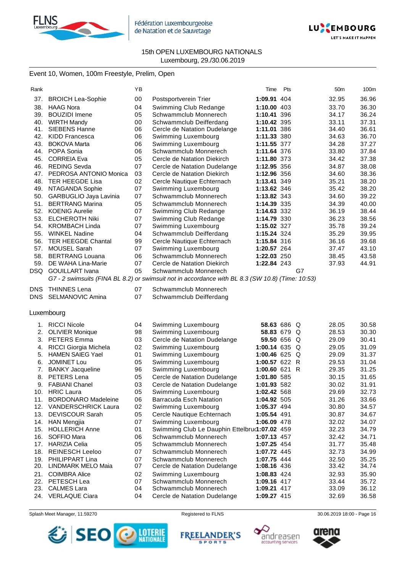



# Event 10, Women, 100m Freestyle, Prelim, Open

|                                   | ΥB                                                                                                                                                                                                                                                                                                                                                                                                                                                                                                                                                |                                                                                                                | Time                                                                                                                                                                                                                                                                                                                                                                                                                                                                                                                                     | Pts |                                                                                                                                                                                                                                                                                                                                                       | 50m                                                                                                                                                                             | 100m                                                                                                                                                                                                                                                     |
|-----------------------------------|---------------------------------------------------------------------------------------------------------------------------------------------------------------------------------------------------------------------------------------------------------------------------------------------------------------------------------------------------------------------------------------------------------------------------------------------------------------------------------------------------------------------------------------------------|----------------------------------------------------------------------------------------------------------------|------------------------------------------------------------------------------------------------------------------------------------------------------------------------------------------------------------------------------------------------------------------------------------------------------------------------------------------------------------------------------------------------------------------------------------------------------------------------------------------------------------------------------------------|-----|-------------------------------------------------------------------------------------------------------------------------------------------------------------------------------------------------------------------------------------------------------------------------------------------------------------------------------------------------------|---------------------------------------------------------------------------------------------------------------------------------------------------------------------------------|----------------------------------------------------------------------------------------------------------------------------------------------------------------------------------------------------------------------------------------------------------|
|                                   |                                                                                                                                                                                                                                                                                                                                                                                                                                                                                                                                                   |                                                                                                                |                                                                                                                                                                                                                                                                                                                                                                                                                                                                                                                                          |     |                                                                                                                                                                                                                                                                                                                                                       |                                                                                                                                                                                 | 36.96                                                                                                                                                                                                                                                    |
|                                   |                                                                                                                                                                                                                                                                                                                                                                                                                                                                                                                                                   |                                                                                                                |                                                                                                                                                                                                                                                                                                                                                                                                                                                                                                                                          |     |                                                                                                                                                                                                                                                                                                                                                       |                                                                                                                                                                                 | 36.30                                                                                                                                                                                                                                                    |
|                                   |                                                                                                                                                                                                                                                                                                                                                                                                                                                                                                                                                   |                                                                                                                |                                                                                                                                                                                                                                                                                                                                                                                                                                                                                                                                          |     |                                                                                                                                                                                                                                                                                                                                                       |                                                                                                                                                                                 | 36.24                                                                                                                                                                                                                                                    |
|                                   |                                                                                                                                                                                                                                                                                                                                                                                                                                                                                                                                                   |                                                                                                                |                                                                                                                                                                                                                                                                                                                                                                                                                                                                                                                                          |     |                                                                                                                                                                                                                                                                                                                                                       |                                                                                                                                                                                 | 37.31                                                                                                                                                                                                                                                    |
|                                   |                                                                                                                                                                                                                                                                                                                                                                                                                                                                                                                                                   |                                                                                                                |                                                                                                                                                                                                                                                                                                                                                                                                                                                                                                                                          |     |                                                                                                                                                                                                                                                                                                                                                       |                                                                                                                                                                                 | 36.61                                                                                                                                                                                                                                                    |
|                                   |                                                                                                                                                                                                                                                                                                                                                                                                                                                                                                                                                   |                                                                                                                |                                                                                                                                                                                                                                                                                                                                                                                                                                                                                                                                          |     |                                                                                                                                                                                                                                                                                                                                                       |                                                                                                                                                                                 | 36.70                                                                                                                                                                                                                                                    |
|                                   |                                                                                                                                                                                                                                                                                                                                                                                                                                                                                                                                                   |                                                                                                                |                                                                                                                                                                                                                                                                                                                                                                                                                                                                                                                                          |     |                                                                                                                                                                                                                                                                                                                                                       |                                                                                                                                                                                 | 37.27                                                                                                                                                                                                                                                    |
|                                   |                                                                                                                                                                                                                                                                                                                                                                                                                                                                                                                                                   |                                                                                                                |                                                                                                                                                                                                                                                                                                                                                                                                                                                                                                                                          |     |                                                                                                                                                                                                                                                                                                                                                       |                                                                                                                                                                                 | 37.84                                                                                                                                                                                                                                                    |
|                                   |                                                                                                                                                                                                                                                                                                                                                                                                                                                                                                                                                   |                                                                                                                |                                                                                                                                                                                                                                                                                                                                                                                                                                                                                                                                          |     |                                                                                                                                                                                                                                                                                                                                                       |                                                                                                                                                                                 | 37.38                                                                                                                                                                                                                                                    |
|                                   |                                                                                                                                                                                                                                                                                                                                                                                                                                                                                                                                                   |                                                                                                                |                                                                                                                                                                                                                                                                                                                                                                                                                                                                                                                                          |     |                                                                                                                                                                                                                                                                                                                                                       |                                                                                                                                                                                 | 38.08                                                                                                                                                                                                                                                    |
| PEDROSA ANTONIO Monica            | 03                                                                                                                                                                                                                                                                                                                                                                                                                                                                                                                                                |                                                                                                                |                                                                                                                                                                                                                                                                                                                                                                                                                                                                                                                                          |     |                                                                                                                                                                                                                                                                                                                                                       |                                                                                                                                                                                 | 38.36                                                                                                                                                                                                                                                    |
|                                   |                                                                                                                                                                                                                                                                                                                                                                                                                                                                                                                                                   |                                                                                                                |                                                                                                                                                                                                                                                                                                                                                                                                                                                                                                                                          |     |                                                                                                                                                                                                                                                                                                                                                       |                                                                                                                                                                                 | 38.20                                                                                                                                                                                                                                                    |
|                                   |                                                                                                                                                                                                                                                                                                                                                                                                                                                                                                                                                   |                                                                                                                |                                                                                                                                                                                                                                                                                                                                                                                                                                                                                                                                          |     |                                                                                                                                                                                                                                                                                                                                                       |                                                                                                                                                                                 | 38.20                                                                                                                                                                                                                                                    |
|                                   | 07                                                                                                                                                                                                                                                                                                                                                                                                                                                                                                                                                | Schwammclub Monnerech                                                                                          |                                                                                                                                                                                                                                                                                                                                                                                                                                                                                                                                          |     |                                                                                                                                                                                                                                                                                                                                                       |                                                                                                                                                                                 | 39.22                                                                                                                                                                                                                                                    |
|                                   |                                                                                                                                                                                                                                                                                                                                                                                                                                                                                                                                                   | Schwammclub Monnerech                                                                                          |                                                                                                                                                                                                                                                                                                                                                                                                                                                                                                                                          |     |                                                                                                                                                                                                                                                                                                                                                       |                                                                                                                                                                                 | 40.00                                                                                                                                                                                                                                                    |
|                                   | 07                                                                                                                                                                                                                                                                                                                                                                                                                                                                                                                                                |                                                                                                                |                                                                                                                                                                                                                                                                                                                                                                                                                                                                                                                                          |     |                                                                                                                                                                                                                                                                                                                                                       |                                                                                                                                                                                 | 38.44                                                                                                                                                                                                                                                    |
| <b>ELCHEROTH Niki</b>             | 07                                                                                                                                                                                                                                                                                                                                                                                                                                                                                                                                                | Swimming Club Redange                                                                                          |                                                                                                                                                                                                                                                                                                                                                                                                                                                                                                                                          |     |                                                                                                                                                                                                                                                                                                                                                       |                                                                                                                                                                                 | 38.56                                                                                                                                                                                                                                                    |
| <b>KROMBACH Linda</b>             | 07                                                                                                                                                                                                                                                                                                                                                                                                                                                                                                                                                |                                                                                                                |                                                                                                                                                                                                                                                                                                                                                                                                                                                                                                                                          |     |                                                                                                                                                                                                                                                                                                                                                       |                                                                                                                                                                                 | 39.24                                                                                                                                                                                                                                                    |
| <b>WINKEL Nadine</b>              | 04                                                                                                                                                                                                                                                                                                                                                                                                                                                                                                                                                | Schwammclub Deifferdang                                                                                        |                                                                                                                                                                                                                                                                                                                                                                                                                                                                                                                                          |     |                                                                                                                                                                                                                                                                                                                                                       |                                                                                                                                                                                 | 39.95                                                                                                                                                                                                                                                    |
| <b>TER HEEGDE Chantal</b>         | 99                                                                                                                                                                                                                                                                                                                                                                                                                                                                                                                                                | Cercle Nautique Echternach                                                                                     |                                                                                                                                                                                                                                                                                                                                                                                                                                                                                                                                          |     |                                                                                                                                                                                                                                                                                                                                                       |                                                                                                                                                                                 | 39.68                                                                                                                                                                                                                                                    |
| <b>MOUSEL Sarah</b>               | 07                                                                                                                                                                                                                                                                                                                                                                                                                                                                                                                                                | Swimming Luxembourg                                                                                            |                                                                                                                                                                                                                                                                                                                                                                                                                                                                                                                                          |     |                                                                                                                                                                                                                                                                                                                                                       |                                                                                                                                                                                 | 43.10                                                                                                                                                                                                                                                    |
| <b>BERTRANG Louana</b>            | 06                                                                                                                                                                                                                                                                                                                                                                                                                                                                                                                                                | Schwammclub Monnerech                                                                                          |                                                                                                                                                                                                                                                                                                                                                                                                                                                                                                                                          |     |                                                                                                                                                                                                                                                                                                                                                       |                                                                                                                                                                                 | 43.58                                                                                                                                                                                                                                                    |
| DE WAHA Lina-Marie                | 07                                                                                                                                                                                                                                                                                                                                                                                                                                                                                                                                                | Cercle de Natation Diekirch                                                                                    |                                                                                                                                                                                                                                                                                                                                                                                                                                                                                                                                          |     |                                                                                                                                                                                                                                                                                                                                                       |                                                                                                                                                                                 | 44.91                                                                                                                                                                                                                                                    |
| <b>GOUILLART</b> Ivana            | 05                                                                                                                                                                                                                                                                                                                                                                                                                                                                                                                                                | Schwammclub Monnerech                                                                                          |                                                                                                                                                                                                                                                                                                                                                                                                                                                                                                                                          |     | G7                                                                                                                                                                                                                                                                                                                                                    |                                                                                                                                                                                 |                                                                                                                                                                                                                                                          |
|                                   |                                                                                                                                                                                                                                                                                                                                                                                                                                                                                                                                                   |                                                                                                                |                                                                                                                                                                                                                                                                                                                                                                                                                                                                                                                                          |     |                                                                                                                                                                                                                                                                                                                                                       |                                                                                                                                                                                 |                                                                                                                                                                                                                                                          |
| <b>THINNES Lena</b>               | 07                                                                                                                                                                                                                                                                                                                                                                                                                                                                                                                                                | Schwammclub Monnerech                                                                                          |                                                                                                                                                                                                                                                                                                                                                                                                                                                                                                                                          |     |                                                                                                                                                                                                                                                                                                                                                       |                                                                                                                                                                                 |                                                                                                                                                                                                                                                          |
|                                   | 07                                                                                                                                                                                                                                                                                                                                                                                                                                                                                                                                                | Schwammclub Deifferdang                                                                                        |                                                                                                                                                                                                                                                                                                                                                                                                                                                                                                                                          |     |                                                                                                                                                                                                                                                                                                                                                       |                                                                                                                                                                                 |                                                                                                                                                                                                                                                          |
|                                   |                                                                                                                                                                                                                                                                                                                                                                                                                                                                                                                                                   |                                                                                                                |                                                                                                                                                                                                                                                                                                                                                                                                                                                                                                                                          |     |                                                                                                                                                                                                                                                                                                                                                       |                                                                                                                                                                                 |                                                                                                                                                                                                                                                          |
|                                   |                                                                                                                                                                                                                                                                                                                                                                                                                                                                                                                                                   |                                                                                                                |                                                                                                                                                                                                                                                                                                                                                                                                                                                                                                                                          |     |                                                                                                                                                                                                                                                                                                                                                       |                                                                                                                                                                                 |                                                                                                                                                                                                                                                          |
|                                   |                                                                                                                                                                                                                                                                                                                                                                                                                                                                                                                                                   |                                                                                                                |                                                                                                                                                                                                                                                                                                                                                                                                                                                                                                                                          |     |                                                                                                                                                                                                                                                                                                                                                       |                                                                                                                                                                                 | 30.58                                                                                                                                                                                                                                                    |
|                                   |                                                                                                                                                                                                                                                                                                                                                                                                                                                                                                                                                   |                                                                                                                |                                                                                                                                                                                                                                                                                                                                                                                                                                                                                                                                          |     |                                                                                                                                                                                                                                                                                                                                                       |                                                                                                                                                                                 | 30.30                                                                                                                                                                                                                                                    |
|                                   |                                                                                                                                                                                                                                                                                                                                                                                                                                                                                                                                                   |                                                                                                                |                                                                                                                                                                                                                                                                                                                                                                                                                                                                                                                                          |     |                                                                                                                                                                                                                                                                                                                                                       |                                                                                                                                                                                 | 30.41                                                                                                                                                                                                                                                    |
|                                   |                                                                                                                                                                                                                                                                                                                                                                                                                                                                                                                                                   |                                                                                                                |                                                                                                                                                                                                                                                                                                                                                                                                                                                                                                                                          |     |                                                                                                                                                                                                                                                                                                                                                       |                                                                                                                                                                                 | 31.09                                                                                                                                                                                                                                                    |
|                                   |                                                                                                                                                                                                                                                                                                                                                                                                                                                                                                                                                   | Swimming Luxembourg                                                                                            |                                                                                                                                                                                                                                                                                                                                                                                                                                                                                                                                          |     |                                                                                                                                                                                                                                                                                                                                                       |                                                                                                                                                                                 | 31.37                                                                                                                                                                                                                                                    |
|                                   |                                                                                                                                                                                                                                                                                                                                                                                                                                                                                                                                                   |                                                                                                                |                                                                                                                                                                                                                                                                                                                                                                                                                                                                                                                                          |     |                                                                                                                                                                                                                                                                                                                                                       |                                                                                                                                                                                 |                                                                                                                                                                                                                                                          |
|                                   |                                                                                                                                                                                                                                                                                                                                                                                                                                                                                                                                                   |                                                                                                                | 1:00.57 622 R                                                                                                                                                                                                                                                                                                                                                                                                                                                                                                                            |     |                                                                                                                                                                                                                                                                                                                                                       | 29.53                                                                                                                                                                           | 31.04                                                                                                                                                                                                                                                    |
| <b>BANKY Jacqueline</b>           | 96                                                                                                                                                                                                                                                                                                                                                                                                                                                                                                                                                | Swimming Luxembourg                                                                                            | 1:00.60 621 R                                                                                                                                                                                                                                                                                                                                                                                                                                                                                                                            |     |                                                                                                                                                                                                                                                                                                                                                       | 29.35                                                                                                                                                                           | 31.25                                                                                                                                                                                                                                                    |
| PETERS Lena                       | 05                                                                                                                                                                                                                                                                                                                                                                                                                                                                                                                                                | Cercle de Natation Dudelange                                                                                   | 1:01.80 585                                                                                                                                                                                                                                                                                                                                                                                                                                                                                                                              |     |                                                                                                                                                                                                                                                                                                                                                       | 30.15                                                                                                                                                                           | 31.65                                                                                                                                                                                                                                                    |
| <b>FABIANI Chanel</b>             | 03                                                                                                                                                                                                                                                                                                                                                                                                                                                                                                                                                | Cercle de Natation Dudelange                                                                                   | 1:01.93 582                                                                                                                                                                                                                                                                                                                                                                                                                                                                                                                              |     |                                                                                                                                                                                                                                                                                                                                                       | 30.02                                                                                                                                                                           | 31.91                                                                                                                                                                                                                                                    |
| 10. HRIC Laura                    | 05                                                                                                                                                                                                                                                                                                                                                                                                                                                                                                                                                | Swimming Luxembourg                                                                                            | 1:02.42 568                                                                                                                                                                                                                                                                                                                                                                                                                                                                                                                              |     |                                                                                                                                                                                                                                                                                                                                                       | 29.69                                                                                                                                                                           | 32.73                                                                                                                                                                                                                                                    |
| <b>BORDONARO Madeleine</b>        | 06                                                                                                                                                                                                                                                                                                                                                                                                                                                                                                                                                | Barracuda Esch Natation                                                                                        | 1:04.92 505                                                                                                                                                                                                                                                                                                                                                                                                                                                                                                                              |     |                                                                                                                                                                                                                                                                                                                                                       | 31.26                                                                                                                                                                           | 33.66                                                                                                                                                                                                                                                    |
| <b>VANDERSCHRICK Laura</b>        | 02                                                                                                                                                                                                                                                                                                                                                                                                                                                                                                                                                | Swimming Luxembourg                                                                                            | 1:05.37 494                                                                                                                                                                                                                                                                                                                                                                                                                                                                                                                              |     |                                                                                                                                                                                                                                                                                                                                                       | 30.80                                                                                                                                                                           | 34.57                                                                                                                                                                                                                                                    |
| <b>DEVISCOUR Sarah</b>            | 05                                                                                                                                                                                                                                                                                                                                                                                                                                                                                                                                                | Cercle Nautique Echternach                                                                                     | 1:05.54 491                                                                                                                                                                                                                                                                                                                                                                                                                                                                                                                              |     |                                                                                                                                                                                                                                                                                                                                                       | 30.87                                                                                                                                                                           | 34.67                                                                                                                                                                                                                                                    |
| <b>HAN Mengjia</b>                | 07                                                                                                                                                                                                                                                                                                                                                                                                                                                                                                                                                | Swimming Luxembourg                                                                                            | 1:06.09 478                                                                                                                                                                                                                                                                                                                                                                                                                                                                                                                              |     |                                                                                                                                                                                                                                                                                                                                                       | 32.02                                                                                                                                                                           | 34.07                                                                                                                                                                                                                                                    |
| <b>HOLLERICH Anne</b>             | 01                                                                                                                                                                                                                                                                                                                                                                                                                                                                                                                                                | Swimming Club Le Dauphin Ettelbru(1:07.02 459                                                                  |                                                                                                                                                                                                                                                                                                                                                                                                                                                                                                                                          |     |                                                                                                                                                                                                                                                                                                                                                       | 32.23                                                                                                                                                                           | 34.79                                                                                                                                                                                                                                                    |
| SOFFIO Mara                       | 06                                                                                                                                                                                                                                                                                                                                                                                                                                                                                                                                                | Schwammclub Monnerech                                                                                          | 1:07.13 457                                                                                                                                                                                                                                                                                                                                                                                                                                                                                                                              |     |                                                                                                                                                                                                                                                                                                                                                       | 32.42                                                                                                                                                                           | 34.71                                                                                                                                                                                                                                                    |
| <b>HARIZIA Celia</b>              | 05                                                                                                                                                                                                                                                                                                                                                                                                                                                                                                                                                | Schwammclub Monnerech                                                                                          | 1:07.25 454                                                                                                                                                                                                                                                                                                                                                                                                                                                                                                                              |     |                                                                                                                                                                                                                                                                                                                                                       | 31.77                                                                                                                                                                           | 35.48                                                                                                                                                                                                                                                    |
| <b>REINESCH Leeloo</b>            | 07                                                                                                                                                                                                                                                                                                                                                                                                                                                                                                                                                | Schwammclub Monnerech                                                                                          | 1:07.72 445                                                                                                                                                                                                                                                                                                                                                                                                                                                                                                                              |     |                                                                                                                                                                                                                                                                                                                                                       | 32.73                                                                                                                                                                           | 34.99                                                                                                                                                                                                                                                    |
| PHILIPPART Lina                   | 07                                                                                                                                                                                                                                                                                                                                                                                                                                                                                                                                                | Schwammclub Monnerech                                                                                          | 1:07.75 444                                                                                                                                                                                                                                                                                                                                                                                                                                                                                                                              |     |                                                                                                                                                                                                                                                                                                                                                       | 32.50                                                                                                                                                                           | 35.25                                                                                                                                                                                                                                                    |
| <b>LINDMARK MELO Maia</b>         | 07                                                                                                                                                                                                                                                                                                                                                                                                                                                                                                                                                | Cercle de Natation Dudelange                                                                                   | 1:08.16 436                                                                                                                                                                                                                                                                                                                                                                                                                                                                                                                              |     |                                                                                                                                                                                                                                                                                                                                                       | 33.42                                                                                                                                                                           | 34.74                                                                                                                                                                                                                                                    |
| <b>COIMBRA Alice</b>              | 02                                                                                                                                                                                                                                                                                                                                                                                                                                                                                                                                                | Swimming Luxembourg                                                                                            | 1:08.83 424                                                                                                                                                                                                                                                                                                                                                                                                                                                                                                                              |     |                                                                                                                                                                                                                                                                                                                                                       | 32.93                                                                                                                                                                           | 35.90                                                                                                                                                                                                                                                    |
| PETESCH Lea<br><b>CALMES Lara</b> | 07<br>04                                                                                                                                                                                                                                                                                                                                                                                                                                                                                                                                          | Schwammclub Monnerech<br>Schwammclub Monnerech                                                                 | 1:09.16 417<br>1:09.21 417                                                                                                                                                                                                                                                                                                                                                                                                                                                                                                               |     |                                                                                                                                                                                                                                                                                                                                                       | 33.44<br>33.09                                                                                                                                                                  | 35.72<br>36.12                                                                                                                                                                                                                                           |
| 40.<br>51.<br>54.<br>57.          | <b>BROICH Lea-Sophie</b><br><b>HAAG Nora</b><br><b>BOUZIDI</b> Imene<br><b>WIRTH Mandy</b><br><b>SIEBENS Hanne</b><br><b>KIDD Francesca</b><br><b>BOKOVA Marta</b><br>POPA Sonia<br><b>CORREIA Eva</b><br><b>REDING Sevda</b><br><b>TER HEEGDE Lisa</b><br>NTAGANDA Sophie<br>GARBUGLIO Jaya Lavinia<br><b>BERTRANG Marina</b><br>52. KOENIG Aurelie<br>DNS SELMANOVIC Amina<br>Luxembourg<br><b>RICCI Nicole</b><br>1.<br><b>OLIVIER Monique</b><br><b>PETERS Emma</b><br>RICCI Giorgia Michela<br><b>HAMEN SAIEG Yael</b><br><b>JOMINET Lou</b> | 00<br>04<br>05<br>00<br>06<br>06<br>06<br>06<br>05<br>07<br>02<br>07<br>05<br>04<br>98<br>03<br>02<br>01<br>05 | Postsportverein Trier<br>Swimming Club Redange<br>Schwammclub Monnerech<br>Schwammclub Deifferdang<br>Cercle de Natation Dudelange<br>Swimming Luxembourg<br>Swimming Luxembourg<br>Schwammclub Monnerech<br>Cercle de Natation Diekirch<br>Cercle de Natation Dudelange<br>Cercle de Natation Diekirch<br>Cercle Nautique Echternach<br>Swimming Luxembourg<br>Swimming Club Redange<br>Swimming Luxembourg<br>Swimming Luxembourg<br>Swimming Luxembourg<br>Cercle de Natation Dudelange<br>Swimming Luxembourg<br>Swimming Luxembourg |     | 1:09.91 404<br>1:10.00 403<br>1:10.41 396<br>1:10.42 395<br>1:11.01 386<br>1:11.33 380<br>1:11.55 377<br>1:11.64 376<br>1:11.80 373<br>1:12.95 356<br>1:12.96 356<br>1:13.41 349<br>1:13.62 346<br>1:13.82 343<br>1:14.39 335<br>1:14.63 332<br>1:14.79 330<br>1:15.02 327<br>1:15.24 324<br>1:15.84 316<br>1:20.57 264<br>1:22.03 250<br>1:22.84 243 | G7 - 2 swimsuits (FINA BL 8.2) or swimsuit not in accordance with BL 8.3 (SW 10.8) (Time: 10:53)<br>58.63 686 Q<br>58.83 679 Q<br>59.50 656 Q<br>1:00.14 635 Q<br>1:00.46 625 Q | 32.95<br>33.70<br>34.17<br>33.11<br>34.40<br>34.63<br>34.28<br>33.80<br>34.42<br>34.87<br>34.60<br>35.21<br>35.42<br>34.60<br>34.39<br>36.19<br>36.23<br>35.78<br>35.29<br>36.16<br>37.47<br>38.45<br>37.93<br>28.05<br>28.53<br>29.09<br>29.05<br>29.09 |







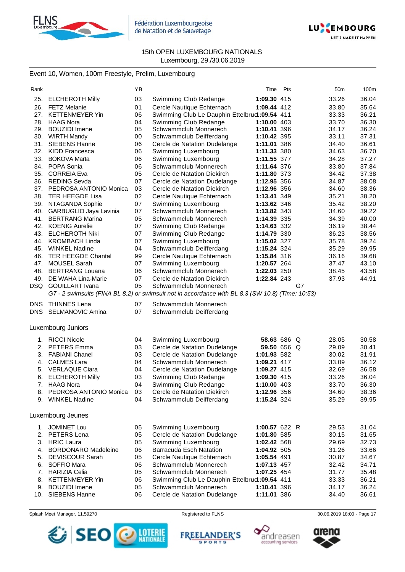



# Event 10, Women, 100m Freestyle, Prelim, Luxembourg

| Rank       |                            | ΥB |                                                                                                                           | Time          | Pts         | 50 <sub>m</sub> | 100m  |
|------------|----------------------------|----|---------------------------------------------------------------------------------------------------------------------------|---------------|-------------|-----------------|-------|
| 25.        | <b>ELCHEROTH Milly</b>     | 03 | Swimming Club Redange                                                                                                     | 1:09.30 415   |             | 33.26           | 36.04 |
| 26.        | FETZ Melanie               | 01 | Cercle Nautique Echternach                                                                                                | 1:09.44 412   |             | 33.80           | 35.64 |
| 27.        | <b>KETTENMEYER Yin</b>     | 06 | Swimming Club Le Dauphin Ettelbru(1:09.54 411                                                                             |               |             | 33.33           | 36.21 |
| 28.        | <b>HAAG Nora</b>           | 04 | Swimming Club Redange                                                                                                     | 1:10.00 403   |             | 33.70           | 36.30 |
| 29.        | <b>BOUZIDI</b> Imene       | 05 | Schwammclub Monnerech                                                                                                     | 1:10.41 396   |             | 34.17           | 36.24 |
| 30.        | <b>WIRTH Mandy</b>         | 00 | Schwammclub Deifferdang                                                                                                   | 1:10.42 395   |             | 33.11           | 37.31 |
| 31.        | <b>SIEBENS Hanne</b>       | 06 | Cercle de Natation Dudelange                                                                                              | 1:11.01 386   |             | 34.40           | 36.61 |
| 32.        | <b>KIDD Francesca</b>      | 06 | Swimming Luxembourg                                                                                                       | 1:11.33 380   |             | 34.63           | 36.70 |
| 33.        | <b>BOKOVA Marta</b>        | 06 | Swimming Luxembourg                                                                                                       | 1:11.55 377   |             | 34.28           | 37.27 |
| 34.        | POPA Sonia                 | 06 | Schwammclub Monnerech                                                                                                     | 1:11.64 376   |             | 33.80           | 37.84 |
| 35.        | <b>CORREIA Eva</b>         | 05 | Cercle de Natation Diekirch                                                                                               | 1:11.80 373   |             | 34.42           | 37.38 |
| 36.        | <b>REDING Sevda</b>        | 07 | Cercle de Natation Dudelange                                                                                              | 1:12.95 356   |             | 34.87           | 38.08 |
| 37.        | PEDROSA ANTONIO Monica     | 03 | Cercle de Natation Diekirch                                                                                               | 1:12.96 356   |             | 34.60           | 38.36 |
| 38.        | <b>TER HEEGDE Lisa</b>     | 02 | Cercle Nautique Echternach                                                                                                | 1:13.41 349   |             | 35.21           | 38.20 |
| 39.        | NTAGANDA Sophie            | 07 | Swimming Luxembourg                                                                                                       | 1:13.62 346   |             | 35.42           | 38.20 |
| 40.        | GARBUGLIO Jaya Lavinia     | 07 | Schwammclub Monnerech                                                                                                     | 1:13.82 343   |             | 34.60           | 39.22 |
| 41.        | <b>BERTRANG Marina</b>     | 05 | Schwammclub Monnerech                                                                                                     | 1:14.39 335   |             | 34.39           | 40.00 |
| 42.        | <b>KOENIG Aurelie</b>      | 07 | Swimming Club Redange                                                                                                     | 1:14.63 332   |             | 36.19           | 38.44 |
| 43.        | <b>ELCHEROTH Niki</b>      | 07 | Swimming Club Redange                                                                                                     | 1:14.79 330   |             | 36.23           | 38.56 |
| 44.        | <b>KROMBACH Linda</b>      | 07 | Swimming Luxembourg                                                                                                       | 1:15.02 327   |             | 35.78           | 39.24 |
| 45.        | <b>WINKEL Nadine</b>       | 04 | Schwammclub Deifferdang                                                                                                   | 1:15.24 324   |             | 35.29           | 39.95 |
| 46.        | <b>TER HEEGDE Chantal</b>  | 99 | Cercle Nautique Echternach                                                                                                | 1:15.84 316   |             | 36.16           | 39.68 |
| 47.        | <b>MOUSEL Sarah</b>        | 07 | Swimming Luxembourg                                                                                                       | 1:20.57 264   |             | 37.47           | 43.10 |
| 48.        | <b>BERTRANG Louana</b>     | 06 | Schwammclub Monnerech                                                                                                     | 1:22.03 250   |             | 38.45           | 43.58 |
| 49.        | DE WAHA Lina-Marie         | 07 | Cercle de Natation Diekirch                                                                                               | 1:22.84 243   |             | 37.93           | 44.91 |
| DSQ        | <b>GOUILLART</b> Ivana     | 05 | Schwammclub Monnerech<br>G7 - 2 swimsuits (FINA BL 8.2) or swimsuit not in accordance with BL 8.3 (SW 10.8) (Time: 10:53) |               | G7          |                 |       |
| <b>DNS</b> | <b>THINNES Lena</b>        | 07 | Schwammclub Monnerech                                                                                                     |               |             |                 |       |
|            | DNS SELMANOVIC Amina       | 07 | Schwammclub Deifferdang                                                                                                   |               |             |                 |       |
|            |                            |    |                                                                                                                           |               |             |                 |       |
|            | Luxembourg Juniors         |    |                                                                                                                           |               |             |                 |       |
|            | 1. RICCI Nicole            | 04 | Swimming Luxembourg                                                                                                       |               | 58.63 686 Q | 28.05           | 30.58 |
| 2.         | <b>PETERS Emma</b>         | 03 | Cercle de Natation Dudelange                                                                                              |               | 59.50 656 Q | 29.09           | 30.41 |
| 3.         | <b>FABIANI Chanel</b>      | 03 | Cercle de Natation Dudelange                                                                                              | 1:01.93 582   |             | 30.02           | 31.91 |
| 4.         | <b>CALMES Lara</b>         | 04 | Schwammclub Monnerech                                                                                                     | 1:09.21 417   |             | 33.09           | 36.12 |
| 5.         | <b>VERLAQUE Ciara</b>      | 04 | Cercle de Natation Dudelange                                                                                              | 1:09.27 415   |             | 32.69           | 36.58 |
| 6.         | <b>ELCHEROTH Milly</b>     | 03 | Swimming Club Redange                                                                                                     | 1:09.30 415   |             | 33.26           | 36.04 |
| 7.         | <b>HAAG Nora</b>           | 04 | Swimming Club Redange                                                                                                     | 1:10.00 403   |             | 33.70           | 36.30 |
| 8.         | PEDROSA ANTONIO Monica     | 03 | Cercle de Natation Diekirch                                                                                               | 1:12.96 356   |             | 34.60           | 38.36 |
| 9.         | <b>WINKEL Nadine</b>       | 04 | Schwammclub Deifferdang                                                                                                   | 1:15.24 324   |             | 35.29           | 39.95 |
|            | Luxembourg Jeunes          |    |                                                                                                                           |               |             |                 |       |
| 1.         | <b>JOMINET Lou</b>         | 05 | Swimming Luxembourg                                                                                                       | 1:00.57 622 R |             | 29.53           | 31.04 |
| 2.         | PETERS Lena                | 05 | Cercle de Natation Dudelange                                                                                              | 1:01.80 585   |             | 30.15           | 31.65 |
| 3.         | <b>HRIC Laura</b>          | 05 | Swimming Luxembourg                                                                                                       | 1:02.42 568   |             | 29.69           | 32.73 |
| 4.         | <b>BORDONARO Madeleine</b> | 06 | <b>Barracuda Esch Natation</b>                                                                                            | 1:04.92 505   |             | 31.26           | 33.66 |
| 5.         | <b>DEVISCOUR Sarah</b>     | 05 | Cercle Nautique Echternach                                                                                                | 1:05.54 491   |             | 30.87           | 34.67 |
| 6.         | SOFFIO Mara                | 06 | Schwammclub Monnerech                                                                                                     | 1:07.13 457   |             | 32.42           | 34.71 |
| 7.         | <b>HARIZIA Celia</b>       | 05 | Schwammclub Monnerech                                                                                                     | 1:07.25 454   |             | 31.77           | 35.48 |
| 8.         | <b>KETTENMEYER Yin</b>     | 06 | Swimming Club Le Dauphin Ettelbru(1:09.54 411                                                                             |               |             | 33.33           | 36.21 |
| 9.         | <b>BOUZIDI</b> Imene       | 05 | Schwammclub Monnerech                                                                                                     | 1:10.41 396   |             | 34.17           | 36.24 |
|            | 10. SIEBENS Hanne          | 06 | Cercle de Natation Dudelange                                                                                              | 1:11.01 386   |             | 34.40           | 36.61 |







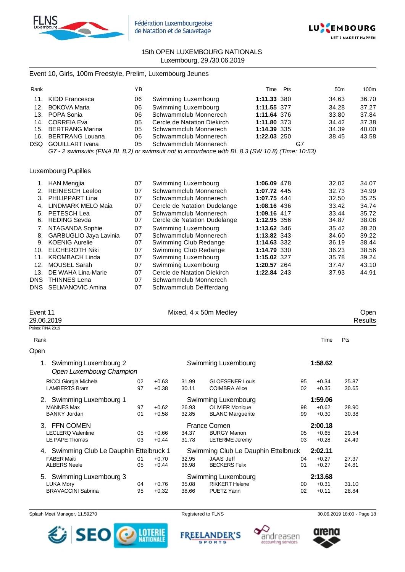



# Event 10, Girls, 100m Freestyle, Prelim, Luxembourg Jeunes

| Rank |                     | ΥB |                             | Time        | Pts |    | 50 <sub>m</sub> | 100m  |
|------|---------------------|----|-----------------------------|-------------|-----|----|-----------------|-------|
|      | 11. KIDD Francesca  | 06 | Swimming Luxembourg         | 1:11.33 380 |     |    | 34.63           | 36.70 |
|      | 12. BOKOVA Marta    | 06 | Swimming Luxembourg         | 1:11.55 377 |     |    | 34.28           | 37.27 |
|      | 13. POPA Sonia      | 06 | Schwammclub Monnerech       | 1:11.64 376 |     |    | 33.80           | 37.84 |
|      | 14. CORREIA Eva     | 05 | Cercle de Natation Diekirch | 1:11.80 373 |     |    | 34.42           | 37.38 |
|      | 15. BERTRANG Marina | 05 | Schwammclub Monnerech       | 1:14.39 335 |     |    | 34.39           | 40.00 |
|      | 16. BERTRANG Louana | 06 | Schwammclub Monnerech       | 1:22.03 250 |     |    | 38.45           | 43.58 |
|      | DSQ GOUILLART Ivana | 05 | Schwammclub Monnerech       |             |     | G7 |                 |       |

*G7 - 2 swimsuits (FINA BL 8.2) or swimsuit not in accordance with BL 8.3 (SW 10.8) (Time: 10:53)*

# Luxembourg Pupilles

|      | <b>HAN Mengjia</b>     | 07 | Swimming Luxembourg          | 1:06.09 478 | 32.02 | 34.07 |
|------|------------------------|----|------------------------------|-------------|-------|-------|
| 2.   | <b>REINESCH Leeloo</b> | 07 | Schwammclub Monnerech        | 1:07.72 445 | 32.73 | 34.99 |
| 3.   | PHILIPPART Lina        | 07 | Schwammclub Monnerech        | 1:07.75 444 | 32.50 | 35.25 |
| 4.   | LINDMARK MELO Maia     | 07 | Cercle de Natation Dudelange | 1:08.16 436 | 33.42 | 34.74 |
| 5.   | PETESCH Lea            | 07 | Schwammclub Monnerech        | 1:09.16 417 | 33.44 | 35.72 |
| 6.   | <b>REDING Sevda</b>    | 07 | Cercle de Natation Dudelange | 1:12.95 356 | 34.87 | 38.08 |
| 7.   | NTAGANDA Sophie        | 07 | Swimming Luxembourg          | 1:13.62 346 | 35.42 | 38.20 |
| 8.   | GARBUGLIO Jaya Lavinia | 07 | Schwammclub Monnerech        | 1:13.82 343 | 34.60 | 39.22 |
| 9.   | <b>KOENIG Aurelie</b>  | 07 | Swimming Club Redange        | 1:14.63 332 | 36.19 | 38.44 |
| 10.  | <b>ELCHEROTH Niki</b>  | 07 | Swimming Club Redange        | 1:14.79 330 | 36.23 | 38.56 |
| 11.  | <b>KROMBACH Linda</b>  | 07 | Swimming Luxembourg          | 1:15.02 327 | 35.78 | 39.24 |
| 12.  | <b>MOUSEL Sarah</b>    | 07 | Swimming Luxembourg          | 1:20.57 264 | 37.47 | 43.10 |
| 13.  | DE WAHA Lina-Marie     | 07 | Cercle de Natation Diekirch  | 1:22.84 243 | 37.93 | 44.91 |
| DNS. | <b>THINNES Lena</b>    | 07 | Schwammclub Monnerech        |             |       |       |
| DNS  | SELMANOVIC Amina       | 07 | Schwammclub Deifferdang      |             |       |       |

|    |                                                                                                     |                                          |                         |                                                                                                            |                                     | Open<br>Results |
|----|-----------------------------------------------------------------------------------------------------|------------------------------------------|-------------------------|------------------------------------------------------------------------------------------------------------|-------------------------------------|-----------------|
|    |                                                                                                     |                                          |                         |                                                                                                            |                                     |                 |
|    |                                                                                                     |                                          |                         |                                                                                                            | Time                                | Pts             |
|    |                                                                                                     |                                          |                         |                                                                                                            |                                     |                 |
|    |                                                                                                     |                                          |                         |                                                                                                            | 1:58.62                             |                 |
| 02 | $+0.63$                                                                                             | 31.99                                    | <b>GLOESENER Louis</b>  | 95                                                                                                         | $+0.34$                             | 25.87           |
| 97 | $+0.38$                                                                                             | 30.11                                    | <b>COIMBRA Alice</b>    | 02                                                                                                         | $+0.35$                             | 30.65           |
|    |                                                                                                     |                                          |                         |                                                                                                            | 1:59.06                             |                 |
| 97 | $+0.62$                                                                                             | 26.93                                    | <b>OLIVIER Monique</b>  | 98                                                                                                         | $+0.62$                             | 28.90           |
| 01 | $+0.58$                                                                                             | 32.85                                    | <b>BLANC Marguerite</b> | 99                                                                                                         | $+0.30$                             | 30.38           |
|    |                                                                                                     |                                          |                         |                                                                                                            | 2:00.18                             |                 |
| 05 | $+0.66$                                                                                             | 34.37                                    | <b>BURGY Manon</b>      | 05                                                                                                         | $+0.65$                             | 29.54           |
| 03 | $+0.44$                                                                                             | 31.78                                    | <b>LETERME Jeremy</b>   | 03                                                                                                         | $+0.28$                             | 24.49           |
|    |                                                                                                     |                                          |                         |                                                                                                            | 2:02.11                             |                 |
| 01 | $+0.70$                                                                                             | 32.95                                    | <b>JAAS Jeff</b>        | 04                                                                                                         | $+0.27$                             | 27.37           |
| 05 | $+0.44$                                                                                             | 36.98                                    | <b>BECKERS Felix</b>    | 01                                                                                                         | $+0.27$                             | 24.81           |
|    |                                                                                                     |                                          |                         |                                                                                                            |                                     |                 |
| 04 | $+0.76$                                                                                             | 35.08                                    | <b>RIKKERT Helene</b>   | 00                                                                                                         | $+0.31$                             | 31.10           |
| 95 | $+0.32$                                                                                             | 38.66                                    | PUETZ Yann              | 02                                                                                                         | $+0.11$                             | 28.84           |
|    | Swimming Luxembourg 2<br>Open Luxembourg Champion<br>Swimming Luxembourg 1<br>Swimming Luxembourg 3 | 4. Swimming Club Le Dauphin Ettelbruck 1 |                         | Mixed, 4 x 50m Medley<br>Swimming Luxembourg<br>Swimming Luxembourg<br>France Comen<br>Swimming Luxembourg | Swimming Club Le Dauphin Ettelbruck | 2:13.68         |

Splash Meet Manager, 11.59270 **Registered to FLNS** Registered to FLNS 30.06.2019 18:00 - Page 18

SEO LOTERIE<br>NATIONALE





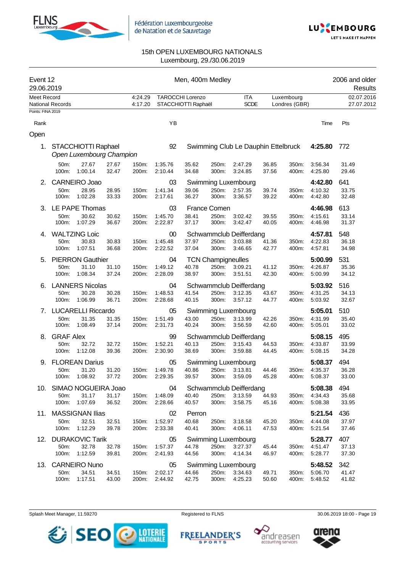



| Event 12<br>29.06.2019<br>Meet Record |                                                                                                        |                                             |                          |                    |                          | Men, 400m Medley                               |                                             |                                               |                |                             |                               | 2006 and older<br>Results |
|---------------------------------------|--------------------------------------------------------------------------------------------------------|---------------------------------------------|--------------------------|--------------------|--------------------------|------------------------------------------------|---------------------------------------------|-----------------------------------------------|----------------|-----------------------------|-------------------------------|---------------------------|
|                                       | National Records                                                                                       |                                             |                          | 4:24.29<br>4:17.20 |                          | <b>TAROCCHI Lorenzo</b><br>STACCHIOTTI Raphaël |                                             | <b>ITA</b><br><b>SCDE</b>                     |                | Luxembourg<br>Londres (GBR) |                               | 02.07.2016<br>27.07.2012  |
| Points: FINA 2019<br>Rank             |                                                                                                        |                                             |                          |                    | YB                       |                                                |                                             |                                               |                |                             | Time                          | Pts                       |
| Open                                  |                                                                                                        |                                             |                          |                    |                          |                                                |                                             |                                               |                |                             |                               |                           |
| 1.                                    |                                                                                                        | STACCHIOTTI Raphael                         | Open Luxembourg Champion |                    | 92                       |                                                |                                             | Swimming Club Le Dauphin Ettelbruck           |                |                             | 4:25.80                       | 772                       |
|                                       | 50m:<br>100m:                                                                                          | 27.67<br>1:00.14                            | 27.67<br>32.47           | 150m:<br>200m:     | 1:35.76<br>2:10.44       | 35.62<br>34.68                                 | 250m:<br>300m:                              | 2:47.29<br>3:24.85                            | 36.85<br>37.56 | 350m:<br>400m:              | 3:56.34<br>4:25.80            | 31.49<br>29.46            |
| 2.                                    | 50m:                                                                                                   | CARNEIRO Joao<br>28.95                      | 28.95                    | 150m:              | 03<br>1:41.34            | 39.06                                          | 250m:                                       | Swimming Luxembourg<br>2:57.35                | 39.74          | 350m:                       | 4:42.80<br>4:10.32            | 641<br>33.75              |
|                                       | 100m:                                                                                                  | 1:02.28                                     | 33.33                    | 200m:              | 2:17.61                  | 36.27                                          | 300m:                                       | 3:36.57                                       | 39.22          | 400m:                       | 4:42.80                       | 32.48                     |
| 3.                                    | 50m:<br>100m:                                                                                          | LE PAPE Thomas<br>30.62<br>1:07.29          | 30.62<br>36.67           | 150m:<br>200m:     | 03<br>1:45.70<br>2:22.87 | 38.41<br>37.17                                 | France Comen<br>250m:<br>300m:              | 3:02.42<br>3:42.47                            | 39.55<br>40.05 | 350m:<br>400m:              | 4:46.98<br>4:15.61<br>4:46.98 | 613<br>33.14<br>31.37     |
| 4.                                    | <b>WALTZING Loic</b><br>50m:<br>30.83<br>30.83<br>100m:<br>1:07.51<br>36.68<br><b>PIERRON Gauthier</b> |                                             |                          | 150m:<br>200m:     | 00<br>1:45.48<br>2:22.52 | 37.97<br>37.04                                 | 250m:<br>300m:                              | Schwammclub Deifferdang<br>3:03.88<br>3:46.65 | 41.36<br>42.77 | 350m:<br>400m:              | 4:57.81<br>4:22.83<br>4:57.81 | 548<br>36.18<br>34.98     |
| 5.                                    | 50m:<br>100m:                                                                                          | 31.10<br>1:08.34                            | 31.10<br>37.24           | 150m:<br>200m:     | 04<br>1:49.12<br>2:28.09 | 40.78<br>38.97                                 | <b>TCN Champigneulles</b><br>250m:<br>300m: | 3:09.21<br>3:51.51                            | 41.12<br>42.30 | 350m:<br>400m:              | 5:00.99<br>4:26.87<br>5:00.99 | 531<br>35.36<br>34.12     |
| 6.                                    | 50m:<br>100m:                                                                                          | <b>LANNERS Nicolas</b><br>30.28<br>1:06.99  | 30.28<br>36.71           | 150m:<br>200m:     | 04<br>1:48.53<br>2:28.68 | 41.54<br>40.15                                 | 250m:<br>300m:                              | Schwammclub Deifferdang<br>3:12.35<br>3:57.12 | 43.67<br>44.77 | 350m:<br>400m:              | 5:03.92<br>4:31.25<br>5:03.92 | 516<br>34.13<br>32.67     |
| 7.                                    |                                                                                                        | <b>LUCARELLI Riccardo</b>                   |                          |                    | 05                       |                                                |                                             | Swimming Luxembourg                           |                |                             | 5:05.01                       | 510                       |
|                                       | 50m:<br>100m:                                                                                          | 31.35<br>1:08.49                            | 31.35<br>37.14           | 150m:<br>200m:     | 1:51.49<br>2:31.73       | 43.00<br>40.24                                 | 250m:<br>300m:                              | 3:13.99<br>3:56.59                            | 42.26<br>42.60 | 350m:<br>400m:              | 4:31.99<br>5:05.01            | 35.40<br>33.02            |
| 8.                                    | <b>GRAF Alex</b><br>50m:<br>100m:                                                                      | 32.72<br>1:12.08                            | 32.72<br>39.36           | 150m:<br>200m:     | 99<br>1:52.21<br>2:30.90 | 40.13<br>38.69                                 | 250m:<br>300m:                              | Schwammclub Deifferdang<br>3:15.43<br>3:59.88 | 44.53<br>44.45 | 350m:<br>400m:              | 5:08.15<br>4:33.87<br>5:08.15 | 495<br>33.99<br>34.28     |
| 9.                                    | 50m:<br>100m:                                                                                          | <b>FLOREAN Darius</b><br>31.20<br>1:08.92   | 31.20<br>37.72           | 150m:<br>200m:     | 05<br>1:49.78<br>2:29.35 | 40.86<br>39.57                                 | 250m:<br>300m:                              | Swimming Luxembourg<br>3:13.81<br>3:59.09     | 44.46<br>45.28 | 350m:<br>400m:              | 5:08.37<br>4:35.37<br>5:08.37 | 494<br>36.28<br>33.00     |
|                                       | 50m:<br>100m:                                                                                          | 10. SIMAO NOGUEIRA Joao<br>31.17<br>1:07.69 | 31.17<br>36.52           | 150m:<br>200m:     | 04<br>1:48.09<br>2:28.66 | 40.40<br>40.57                                 | 250m:<br>300m:                              | Schwammclub Deifferdang<br>3:13.59<br>3:58.75 | 44.93<br>45.16 | 350m:<br>400m:              | 5:08.38<br>4:34.43<br>5:08.38 | 494<br>35.68<br>33.95     |
|                                       | 50m:<br>100m:                                                                                          | 11. MASSIGNAN Ilias<br>32.51<br>1:12.29     | 32.51<br>39.78           | 150m:<br>200m:     | 02<br>1:52.97<br>2:33.38 | Perron<br>40.68<br>40.41                       | 250m:<br>300m:                              | 3:18.58<br>4:06.11                            | 45.20<br>47.53 | 350m:<br>400m:              | 5:21.54<br>4:44.08<br>5:21.54 | 436<br>37.97<br>37.46     |
| 12.                                   | 50m:<br>100m:                                                                                          | <b>DURAKOVIC Tarik</b><br>32.78<br>1:12.59  | 32.78<br>39.81           | 150m:<br>200m:     | 05<br>1:57.37<br>2:41.93 | 44.78<br>44.56                                 | 250m:<br>300m:                              | Swimming Luxembourg<br>3:27.37<br>4:14.34     | 45.44<br>46.97 | 350m:<br>400m:              | 5:28.77<br>4:51.47<br>5:28.77 | 407<br>37.13<br>37.30     |
| 13.                                   | 50m:<br>100m:                                                                                          | <b>CARNEIRO Nuno</b><br>34.51<br>1:17.51    | 34.51<br>43.00           | 150m:<br>200m:     | 05<br>2:02.17<br>2:44.92 | 44.66<br>42.75                                 | 250m:<br>300m:                              | Swimming Luxembourg<br>3:34.63<br>4:25.23     | 49.71<br>50.60 | 350m:<br>400m:              | 5:48.52<br>5:06.70<br>5:48.52 | 342<br>41.47<br>41.82     |

Splash Meet Manager, 11.59270 **Registered to FLNS Registered to FLNS** 30.06.2019 18:00 - Page 19



FREELANDER'S





arena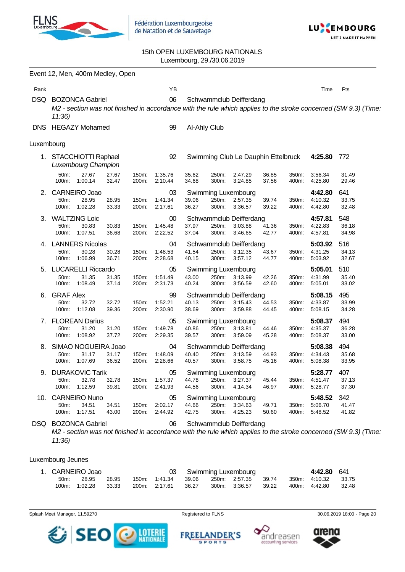



# 15th OPEN LUXEMBOURG NATIONALS Luxembourg, 29./30.06.2019

|            | Event 12, Men, 400m Medley, Open                                                                                                                   |                |                          |                |                |                                                        |                |                |                                     |                       |
|------------|----------------------------------------------------------------------------------------------------------------------------------------------------|----------------|--------------------------|----------------|----------------|--------------------------------------------------------|----------------|----------------|-------------------------------------|-----------------------|
| Rank       |                                                                                                                                                    |                | ΥB                       |                |                |                                                        |                |                | Time                                | Pts                   |
| <b>DSQ</b> | <b>BOZONCA Gabriel</b><br>M2 - section was not finished in accordance with the rule which applies to the stroke concerned (SW 9.3) (Time:<br>11:36 |                | 06                       |                |                | Schwammclub Deifferdang                                |                |                |                                     |                       |
| <b>DNS</b> | <b>HEGAZY Mohamed</b>                                                                                                                              |                | 99                       | Al-Ahly Club   |                |                                                        |                |                |                                     |                       |
| Luxembourg |                                                                                                                                                    |                |                          |                |                |                                                        |                |                |                                     |                       |
|            | 1. STACCHIOTTI Raphael<br>Luxembourg Champion                                                                                                      |                | 92                       |                |                | Swimming Club Le Dauphin Ettelbruck                    |                |                | 4:25.80                             | 772                   |
|            | 27.67<br>27.67<br>50m:<br>1:00.14<br>100m:<br>32.47                                                                                                | 150m:<br>200m: | 1:35.76<br>2:10.44       | 35.62<br>34.68 | 250m:<br>300m: | 2:47.29<br>3:24.85                                     | 36.85<br>37.56 | 350m:<br>400m: | 3:56.34<br>4:25.80                  | 31.49<br>29.46        |
| 2.         | CARNEIRO Joao<br>50m:<br>28.95<br>28.95<br>1:02.28<br>33.33<br>100m:                                                                               | 150m:<br>200m: | 03<br>1:41.34<br>2:17.61 | 39.06<br>36.27 | 250m:<br>300m: | Swimming Luxembourg<br>2:57.35<br>3:36.57              | 39.74<br>39.22 | 350m:<br>400m: | 4:42.80<br>4:10.32<br>4:42.80       | 641<br>33.75<br>32.48 |
| 3.         | <b>WALTZING Loic</b><br>50m:<br>30.83<br>30.83<br>100m:<br>1:07.51<br>36.68                                                                        | 150m:<br>200m: | 00<br>1:45.48<br>2:22.52 | 37.97<br>37.04 | 250m:<br>300m: | Schwammclub Deifferdang<br>3:03.88<br>3:46.65          | 41.36<br>42.77 | 350m:<br>400m: | 4:57.81<br>4:22.83<br>4:57.81       | 548<br>36.18<br>34.98 |
| 4.         | <b>LANNERS Nicolas</b><br>30.28<br>50m:<br>30.28<br>1:06.99<br>100m:<br>36.71                                                                      | 150m:<br>200m: | 04<br>1:48.53<br>2:28.68 | 41.54<br>40.15 | 250m:<br>300m: | Schwammclub Deifferdang<br>3:12.35<br>3:57.12          | 43.67<br>44.77 | 350m:<br>400m: | 5:03.92<br>4:31.25<br>5:03.92       | 516<br>34.13<br>32.67 |
| 5.         | <b>LUCARELLI Riccardo</b><br>50m:<br>31.35<br>31.35<br>100m:<br>1:08.49<br>37.14                                                                   | 150m:<br>200m: | 05<br>1:51.49<br>2:31.73 | 43.00<br>40.24 | 250m:<br>300m: | Swimming Luxembourg<br>3:13.99<br>3:56.59              | 42.26<br>42.60 | 350m:<br>400m: | 5:05.01<br>4:31.99<br>5:05.01       | 510<br>35.40<br>33.02 |
| 6.         | <b>GRAF Alex</b><br>50m:<br>32.72<br>32.72<br>1:12.08<br>100m:<br>39.36                                                                            | 150m:<br>200m: | 99<br>1:52.21<br>2:30.90 | 40.13<br>38.69 | 250m:<br>300m: | Schwammclub Deifferdang<br>3:15.43<br>3:59.88          | 44.53<br>44.45 | 350m:<br>400m: | 5:08.15<br>4:33.87<br>5:08.15       | 495<br>33.99<br>34.28 |
| 7.         | <b>FLOREAN Darius</b><br>50m:<br>31.20<br>31.20<br>1:08.92<br>37.72<br>100m:                                                                       | 150m:<br>200m: | 05<br>1:49.78<br>2:29.35 | 40.86<br>39.57 | 250m:<br>300m: | Swimming Luxembourg<br>3:13.81<br>3:59.09              | 44.46<br>45.28 | 350m:<br>400m: | 5:08.37<br>4:35.37<br>5:08.37       | 494<br>36.28<br>33.00 |
| 8.         | SIMAO NOGUEIRA Joao<br>31.17<br>50m:<br>31.17<br>100m:<br>1:07.69<br>36.52                                                                         | 150m:<br>200m: | 04<br>1:48.09<br>2:28.66 | 40.40<br>40.57 | 250m:<br>300m: | Schwammclub Deifferdang<br>3:13.59<br>3:58.75          | 44.93<br>45.16 | 350m:<br>400m: | 5:08.38<br>4:34.43<br>5:08.38       | 494<br>35.68<br>33.95 |
| 9.         | <b>DURAKOVIC Tarik</b><br>32.78<br>50m:<br>32.78<br>1:12.59<br>100m:<br>39.81                                                                      | 150m:<br>200m: | 05<br>1:57.37<br>2:41.93 | 44.78<br>44.56 | 300m:          | <b>Swimming Luxembourg</b><br>250m: 3:27.37<br>4:14.34 | 45.44<br>46.97 | 400m:          | 5:28.77<br>350m: 4:51.47<br>5:28.77 | 407<br>37.13<br>37.30 |
|            | 10. CARNEIRO Nuno<br>34.51<br>34.51<br>50m:<br>100m:<br>1:17.51<br>43.00                                                                           | 150m:<br>200m: | 05<br>2:02.17<br>2:44.92 | 44.66<br>42.75 | 300m:          | Swimming Luxembourg<br>250m: 3:34.63<br>4:25.23        | 49.71<br>50.60 | 350m:<br>400m: | 5:48.52<br>5:06.70<br>5:48.52       | 342<br>41.47<br>41.82 |
|            | DSQ BOZONCA Gabriel                                                                                                                                |                | 06                       |                |                | Schwammclub Deifferdang                                |                |                |                                     |                       |

*M2 - section was not finished in accordance with the rule which applies to the stroke concerned (SW 9.3) (Time: 11:36)*

## Luxembourg Jeunes

|         | 1. CARNEIRO Joao |         |               |       | 03 Swimming Luxembourg                  |       | 4:42.80 641         |       |
|---------|------------------|---------|---------------|-------|-----------------------------------------|-------|---------------------|-------|
| $50m$ : | 28.95            | 28.95   |               |       | 150m: 1:41.34 39.06 250m: 2:57.35 39.74 |       | 350m: 4:10.32 33.75 |       |
|         | 100m: 1:02.28    | - 33.33 | 200m: 2:17.61 | 36.27 | 300m: 3:36.57                           | 39.22 | 400m: 4:42.80       | 32.48 |







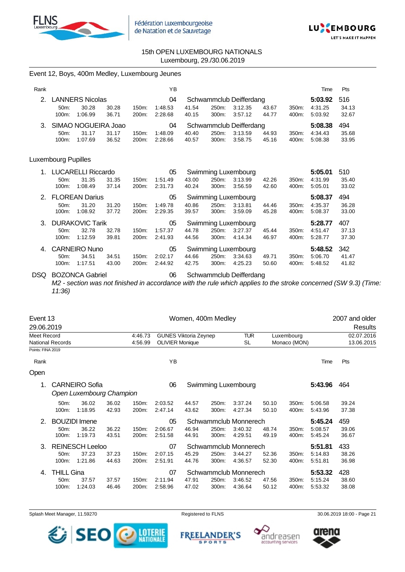

Event 12, Boys, 400m Medley, Luxembourg Jeunes



# 15th OPEN LUXEMBOURG NATIONALS Luxembourg, 29./30.06.2019

| Rank |                     |                           |       |       | YB      |       |       |                         |       |       | Time    | Pts   |
|------|---------------------|---------------------------|-------|-------|---------|-------|-------|-------------------------|-------|-------|---------|-------|
| 2.   |                     | <b>LANNERS Nicolas</b>    |       |       | 04      |       |       | Schwammclub Deifferdang |       |       | 5:03.92 | 516   |
|      | 50m:                | 30.28                     | 30.28 | 150m: | 1:48.53 | 41.54 | 250m: | 3:12.35                 | 43.67 | 350m: | 4:31.25 | 34.13 |
|      | 100m:               | 1:06.99                   | 36.71 | 200m: | 2:28.68 | 40.15 | 300m: | 3:57.12                 | 44.77 | 400m: | 5:03.92 | 32.67 |
| 3.   |                     | SIMAO NOGUEIRA Joao       |       |       | 04      |       |       | Schwammclub Deifferdang |       |       | 5:08.38 | 494   |
|      | $50m$ :             | 31.17                     | 31.17 | 150m: | 1:48.09 | 40.40 | 250m: | 3:13.59                 | 44.93 | 350m: | 4:34.43 | 35.68 |
|      | 100m:               | 1:07.69                   | 36.52 | 200m: | 2:28.66 | 40.57 | 300m: | 3:58.75                 | 45.16 | 400m: | 5:08.38 | 33.95 |
|      |                     |                           |       |       |         |       |       |                         |       |       |         |       |
|      | Luxembourg Pupilles |                           |       |       |         |       |       |                         |       |       |         |       |
|      |                     | <b>LUCARELLI Riccardo</b> |       |       | 05      |       |       | Swimming Luxembourg     |       |       | 5:05.01 | 510   |
|      | 50m:                | 31.35                     | 31.35 | 150m: | 1:51.49 | 43.00 | 250m: | 3:13.99                 | 42.26 | 350m: | 4:31.99 | 35.40 |
|      | 100m:               | 1:08.49                   | 37.14 | 200m: | 2:31.73 | 40.24 | 300m: | 3:56.59                 | 42.60 | 400m: | 5:05.01 | 33.02 |
|      |                     | <b>FLOREAN Darius</b>     |       |       | 05      |       |       | Swimming Luxembourg     |       |       | 5:08.37 | 494   |
|      | 50m:                | 31.20                     | 31.20 | 150m: | 1:49.78 | 40.86 | 250m: | 3:13.81                 | 44.46 | 350m: | 4:35.37 | 36.28 |
|      | 100m:               | 1:08.92                   | 37.72 | 200m: | 2:29.35 | 39.57 | 300m: | 3:59.09                 | 45.28 | 400m: | 5:08.37 | 33.00 |
| 3.   |                     | <b>DURAKOVIC Tarik</b>    |       |       | 05      |       |       | Swimming Luxembourg     |       |       | 5:28.77 | 407   |
|      | 50m:                | 32.78                     | 32.78 | 150m: | 1:57.37 | 44.78 | 250m: | 3:27.37                 | 45.44 | 350m: | 4:51.47 | 37.13 |
|      | 100m:               | 1:12.59                   | 39.81 | 200m: | 2:41.93 | 44.56 | 300m: | 4:14.34                 | 46.97 | 400m: | 5.28.77 | 37.30 |
|      |                     | <b>CARNEIRO Nuno</b>      |       |       | 05      |       |       | Swimming Luxembourg     |       |       | 5:48.52 | 342   |
|      | $50m$ :             | 34.51                     | 34.51 | 150m: | 2:02.17 | 44.66 | 250m: | 3:34.63                 | 49.71 | 350m: | 5:06.70 | 41.47 |
|      | 100m:               | 1:17.51                   | 43.00 | 200m: | 2:44.92 | 42.75 | 300m: | 4:25.23                 | 50.60 | 400m: | 5:48.52 | 41.82 |
|      |                     |                           |       |       |         |       |       |                         |       |       |         |       |

DSQ BOZONCA Gabriel 06 Schwammclub Deifferdang *M2 - section was not finished in accordance with the rule which applies to the stroke concerned (SW 9.3) (Time: 11:36)*

| Event 13          |                                                   |                                            |                |                    |                                                        |                | Women, 400m Medley |                                             |                |                            |                               | 2007 and older           |
|-------------------|---------------------------------------------------|--------------------------------------------|----------------|--------------------|--------------------------------------------------------|----------------|--------------------|---------------------------------------------|----------------|----------------------------|-------------------------------|--------------------------|
|                   | 29.06.2019                                        |                                            |                |                    |                                                        |                |                    |                                             |                | Results                    |                               |                          |
| Meet Record       | <b>National Records</b>                           |                                            |                | 4:46.73<br>4:56.99 | <b>GUNES Viktoria Zeynep</b><br><b>OLIVIER Monique</b> |                |                    | <b>TUR</b><br><b>SL</b>                     |                | Luxembourg<br>Monaco (MON) |                               | 02.07.2016<br>13.06.2015 |
| Points: FINA 2019 |                                                   |                                            |                |                    |                                                        |                |                    |                                             |                |                            |                               |                          |
| Rank              |                                                   |                                            |                |                    | ΥB                                                     |                |                    |                                             |                |                            | Time                          | Pts                      |
| Open              |                                                   |                                            |                |                    |                                                        |                |                    |                                             |                |                            |                               |                          |
| 1.                | <b>CARNEIRO Sofia</b><br>Open Luxembourg Champion |                                            |                |                    | 06                                                     |                |                    | Swimming Luxembourg                         |                |                            | 5:43.96                       | 464                      |
|                   | 50m:<br>100m:                                     | 36.02<br>1:18.95                           | 36.02<br>42.93 | 150m:<br>200m:     | 2:03.52<br>2:47.14                                     | 44.57<br>43.62 | 250m:<br>300m:     | 3:37.24<br>4:27.34                          | 50.10<br>50.10 | 350m:<br>400m:             | 5:06.58<br>5:43.96            | 39.24<br>37.38           |
| 2.                | 50m:<br>100m:                                     | <b>BOUZIDI</b> Imene<br>36.22<br>1:19.73   | 36.22<br>43.51 | 150m:<br>200m:     | 05<br>2:06.67<br>2:51.58                               | 46.94<br>44.91 | 250m:<br>300m:     | Schwammclub Monnerech<br>3:40.32<br>4:29.51 | 48.74<br>49.19 | 350m:<br>400m:             | 5:45.24<br>5:08.57<br>5:45.24 | 459<br>39.06<br>36.67    |
| 3.                | $50m$ :<br>100m:                                  | <b>REINESCH Leeloo</b><br>37.23<br>1:21.86 | 37.23<br>44.63 | 150m:<br>200m:     | 07<br>2:07.15<br>2:51.91                               | 45.29<br>44.76 | 250m:<br>300m:     | Schwammclub Monnerech<br>3:44.27<br>4:36.57 | 52.36<br>52.30 | 350m:<br>400m:             | 5:51.81<br>5:14.83<br>5:51.81 | 433<br>38.26<br>36.98    |
| 4.                | <b>THILL Gina</b><br>$50m$ :<br>100m:             | 37.57<br>1:24.03                           | 37.57<br>46.46 | 150m:<br>200m:     | 07<br>2:11.94<br>2:58.96                               | 47.91<br>47.02 | 250m:<br>300m:     | Schwammclub Monnerech<br>3:46.52<br>4:36.64 | 47.56<br>50.12 | 350m:<br>400m:             | 5:53.32<br>5:15.24<br>5:53.32 | 428<br>38.60<br>38.08    |







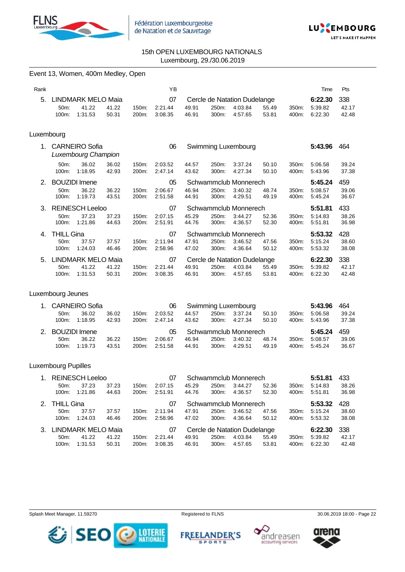



# Event 13, Women, 400m Medley, Open

| Rank       |                   |                           |       |          | YB      |       |       |                              |       |       | Time    | Pts   |
|------------|-------------------|---------------------------|-------|----------|---------|-------|-------|------------------------------|-------|-------|---------|-------|
| 5.         |                   | <b>LINDMARK MELO Maia</b> |       |          | 07      |       |       | Cercle de Natation Dudelange |       |       | 6:22.30 | 338   |
|            | 50 <sub>m</sub>   | 41.22                     | 41.22 | 150m:    | 2:21.44 | 49.91 | 250m: | 4:03.84                      | 55.49 | 350m: | 5:39.82 | 42.17 |
|            | 100m:             | 1:31.53                   | 50.31 | 200m:    | 3:08.35 | 46.91 | 300m: | 4:57.65                      | 53.81 | 400m: | 6:22.30 | 42.48 |
| Luxembourg |                   |                           |       |          |         |       |       |                              |       |       |         |       |
| 1.         |                   | <b>CARNEIRO Sofia</b>     |       |          | 06      |       |       |                              |       |       | 5:43.96 |       |
|            |                   | Luxembourg Champion       |       |          |         |       |       | Swimming Luxembourg          |       |       |         | 464   |
|            | 50m               | 36.02                     | 36.02 | 150m:    | 2:03.52 | 44.57 | 250m: | 3:37.24                      | 50.10 | 350m: | 5:06.58 | 39.24 |
|            | 100m:             | 1:18.95                   | 42.93 | 200m:    | 2:47.14 | 43.62 | 300m: | 4.27.34                      | 50.10 | 400m: | 5.43.96 | 37.38 |
| $2_{-}$    |                   | <b>BOUZIDI</b> Imene      |       |          | 05      |       |       | Schwammclub Monnerech        |       |       | 5:45.24 | 459   |
|            | $50m$ :           | 36.22                     | 36.22 | $150m$ : | 2:06.67 | 46.94 | 250m: | 3:40.32                      | 48.74 | 350m: | 5:08.57 | 39.06 |
|            | 100m:             | 1:19.73                   | 43.51 | 200m:    | 2:51.58 | 44.91 | 300m: | 4:29.51                      | 49.19 | 400m: | 5:45.24 | 36.67 |
| 3.         |                   | <b>REINESCH Leeloo</b>    |       |          | 07      |       |       | Schwammclub Monnerech        |       |       | 5:51.81 | 433   |
|            | 50 <sub>m</sub> : | 37.23                     | 37.23 | 150m:    | 2:07.15 | 45.29 | 250m: | 3:44.27                      | 52.36 | 350m: | 5:14.83 | 38.26 |
|            | 100m:             | 1:21.86                   | 44.63 | 200m:    | 2:51.91 | 44.76 | 300m: | 4:36.57                      | 52.30 | 400m: | 5:51.81 | 36.98 |

| 4. THILL Gina |                       |       |                    | 07      |       |       | Schwammclub Monnerech        |       |       | 5:53.32       | 428   |
|---------------|-----------------------|-------|--------------------|---------|-------|-------|------------------------------|-------|-------|---------------|-------|
| 50m:          | 37.57                 | 37.57 | 150m:              | 2:11.94 | 47.91 | 250m: | 3:46.52                      | 47.56 | 350m: | 5:15.24       | 38.60 |
| 100m:         | 1:24.03               | 46.46 | 200m:              | 2:58.96 | 47.02 | 300m: | 4:36.64                      | 50.12 |       | 400m: 5:53.32 | 38.08 |
|               | 5. LINDMARK MELO Maia |       |                    | 07      |       |       | Cercle de Natation Dudelange |       |       | 6:22.30       | - 338 |
| 50m           | 41.22                 | 41.22 | 150m:              | 2:21.44 | 49.91 | 250m: | 4:03.84                      | 55.49 | 350m: | 5:39.82       | 42.17 |
| 100m:         | 1:31.53               | 50.31 | 200 <sub>m</sub> : | 3:08.35 | 46.91 | 300m: | 4:57.65                      | 53.81 | 400m: | 6:22.30       | 42.48 |

# Luxembourg Jeunes

|         | 1. CARNEIRO Sofia | Swimming Luxembourg<br>06 |          |         |       |       |                       |       | 5:43.96 | 464     |       |
|---------|-------------------|---------------------------|----------|---------|-------|-------|-----------------------|-------|---------|---------|-------|
| 50m:    | 36.02             | 36.02                     | 150m:    | 2:03.52 | 44.57 | 250m: | 3:37.24               | 50.10 | 350m:   | 5:06.58 | 39.24 |
| 100m:   | 1:18.95           | 42.93                     | $200m$ : | 2:47.14 | 43.62 | 300m. | 4:27.34               | 50.10 | 400m:   | 5:43.96 | 37.38 |
|         |                   |                           |          |         |       |       |                       |       |         |         |       |
|         | 2. BOUZIDI Imene  |                           |          | 05      |       |       | Schwammclub Monnerech |       |         | 5:45.24 | 459   |
| $50m$ : | 36.22             | 36.22                     | 150m:    | 2:06.67 | 46.94 | 250m: | 3:40.32               | 48.74 | 350m:   | 5:08.57 | 39.06 |

## Luxembourg Pupilles

| $1_{-}$        | <b>REINESCH Leeloo</b><br>Schwammclub Monnerech<br>07           |         |       |       |         |       | 5:51.81  | 433                   |       |                    |         |       |
|----------------|-----------------------------------------------------------------|---------|-------|-------|---------|-------|----------|-----------------------|-------|--------------------|---------|-------|
|                | $50m$ :                                                         | 37.23   | 37.23 | 150m: | 2:07.15 | 45.29 | 250m:    | 3:44.27               | 52.36 | 350m:              | 5:14.83 | 38.26 |
|                | 100m:                                                           | 1:21.86 | 44.63 | 200m: | 2:51.91 | 44.76 | $300m$ : | 4:36.57               | 52.30 | 400m:              | 5:51.81 | 36.98 |
| 2 <sup>1</sup> | <b>THILL Gina</b>                                               |         |       |       | 07      |       |          | Schwammclub Monnerech |       |                    | 5:53.32 | 428   |
|                | $50m$ :                                                         | 37.57   | 37.57 | 150m: | 2:11.94 | 47.91 | 250m:    | 3:46.52               | 47.56 | 350m:              | 5:15.24 | 38.60 |
|                | $100m$ :                                                        | 1:24.03 | 46.46 | 200m: | 2:58.96 | 47.02 | $300m$ : | 4:36.64               | 50.12 | 400m:              | 5:53.32 | 38.08 |
| $3_{-}$        | <b>LINDMARK MELO Maia</b><br>Cercle de Natation Dudelange<br>07 |         |       |       |         |       |          | 6:22.30               | 338   |                    |         |       |
|                | 41.22<br>2:21.44<br>41.22<br>150m:<br>$50m$ :                   |         |       |       |         | 49.91 | 250m:    | 4:03.84               | 55.49 | 350 <sub>m</sub> : | 5:39.82 | 42.17 |
|                | $100m$ :                                                        | 1:31.53 | 50.31 | 200m: | 3:08.35 | 46.91 | $300m$ : | 4:57.65               | 53.81 | 400m:              | 6:22.30 | 42.48 |

Splash Meet Manager, 11.59270 **Registered to FLNS** Registered to FLNS 30.06.2019 18:00 - Page 22

**SPORTS** 







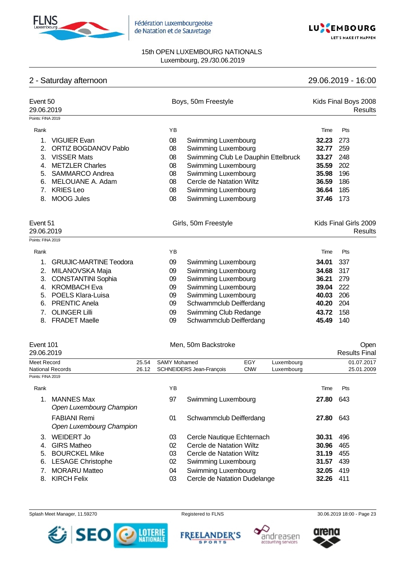



# 15th OPEN LUXEMBOURG NATIONALS Luxembourg, 29./30.06.2019

# 2 - Saturday afternoon 29.06.2019 - 16:00

| Event 50<br>29.06.2019<br>Points: FINA 2019 |                                                 |                                  |                               | Boys, 50m Freestyle                 |                   |                          |           | Kids Final Boys 2008<br><b>Results</b> |
|---------------------------------------------|-------------------------------------------------|----------------------------------|-------------------------------|-------------------------------------|-------------------|--------------------------|-----------|----------------------------------------|
|                                             |                                                 |                                  |                               |                                     |                   |                          |           |                                        |
| Rank                                        |                                                 |                                  | YB                            |                                     |                   |                          | Time      | Pts                                    |
| 1.                                          | <b>VIGUIER Evan</b>                             |                                  | 08                            | Swimming Luxembourg                 |                   |                          | 32.23     | 273                                    |
| 2.                                          | <b>ORTIZ BOGDANOV Pablo</b>                     |                                  | 08                            | Swimming Luxembourg                 |                   |                          | 32.77     | 259                                    |
| 3.                                          | <b>VISSER Mats</b>                              |                                  | 08                            | Swimming Club Le Dauphin Ettelbruck |                   |                          | 33.27     | 248                                    |
| 4.                                          | <b>METZLER Charles</b>                          |                                  | 08                            | Swimming Luxembourg                 |                   |                          | 35.59     | 202                                    |
| 5.                                          | <b>SAMMARCO Andrea</b>                          |                                  | 08                            | Swimming Luxembourg                 |                   |                          | 35.98     | 196                                    |
|                                             | 6. MELOUANE A. Adam                             |                                  | 08                            | Cercle de Natation Wiltz            |                   |                          | 36.59     | 186                                    |
| 7.                                          | <b>KRIES Leo</b>                                |                                  | 08                            | Swimming Luxembourg                 |                   |                          | 36.64     | 185                                    |
| 8.                                          | <b>MOOG Jules</b>                               |                                  | 08                            | Swimming Luxembourg                 |                   |                          | 37.46     | 173                                    |
|                                             |                                                 |                                  |                               |                                     |                   |                          |           |                                        |
|                                             | Event 51<br>29.06.2019                          |                                  |                               | Girls, 50m Freestyle                |                   |                          |           | Kids Final Girls 2009<br>Results       |
| Points: FINA 2019                           |                                                 |                                  |                               |                                     |                   |                          |           |                                        |
| Rank                                        |                                                 |                                  | ΥB                            |                                     |                   |                          | Time      | Pts                                    |
| 1.                                          | <b>GRUIJIC-MARTINE Teodora</b>                  |                                  | 09                            | Swimming Luxembourg                 |                   |                          | 34.01     | 337                                    |
| 2.                                          | MILANOVSKA Maja                                 |                                  | 09                            | Swimming Luxembourg                 |                   |                          | 34.68     | 317                                    |
|                                             | 3. CONSTANTINI Sophia                           |                                  | 09                            | Swimming Luxembourg                 |                   |                          | 36.21     | 279                                    |
|                                             | 4. KROMBACH Eva                                 |                                  | 09                            | Swimming Luxembourg                 |                   |                          | 39.04     | 222                                    |
|                                             | 5. POELS Klara-Luisa                            |                                  | 09                            | Swimming Luxembourg                 |                   |                          | 40.03     | 206                                    |
| 6.                                          | <b>PRENTIC Anela</b>                            |                                  | 09                            | Schwammclub Deifferdang             |                   |                          | 40.20     | 204                                    |
| 7.                                          | <b>OLINGER Lilli</b>                            |                                  | 09                            | Swimming Club Redange               |                   |                          | 43.72     | 158                                    |
| 8.                                          | <b>FRADET Maelle</b>                            |                                  | 09                            | Schwammclub Deifferdang             |                   |                          | 45.49     | 140                                    |
|                                             |                                                 |                                  |                               |                                     |                   |                          |           |                                        |
| Event 101<br>29.06.2019                     |                                                 |                                  |                               | Men, 50m Backstroke                 |                   |                          |           | Open<br><b>Results Final</b>           |
| Meet Record                                 | National Records                                | 25.54<br>26.12                   | <b>SAMY Mohamed</b>           | SCHNEIDERS Jean-François            | EGY<br><b>CNW</b> | Luxembourg<br>Luxembourg |           | 01.07.2017<br>25.01.2009               |
| Points: FINA 2019                           |                                                 |                                  |                               |                                     |                   |                          |           |                                        |
| Rank                                        |                                                 |                                  | ΥB                            |                                     |                   |                          | Time      | Pts                                    |
|                                             | <b>MANNES Max</b><br>Open Luxembourg Champion   |                                  | 97                            | Swimming Luxembourg                 |                   |                          | 27.80     | - 643                                  |
|                                             | <b>FABIANI Remi</b><br>Open Luxembourg Champion |                                  | 01<br>Schwammclub Deifferdang |                                     |                   |                          | 27.80     | 643                                    |
| WEIDERT Jo<br>3.                            |                                                 | Cercle Nautique Echternach<br>03 |                               |                                     |                   | 30.31                    | 496       |                                        |
| 4. GIRS Matheo                              |                                                 | 02                               | Cercle de Natation Wiltz      |                                     |                   | 30.96                    | 465       |                                        |
|                                             | 5. BOURCKEL Mike                                |                                  |                               | Cercle de Natation Wiltz<br>03      |                   |                          | 31.19     | 455                                    |
|                                             | 6. LESAGE Christophe                            |                                  | 02                            | Swimming Luxembourg                 |                   |                          | 31.57 439 |                                        |

- 7. MORARU Matteo 04 Swimming Luxembourg **32.05** 419
- 8. KIRCH Felix 03 Cercle de Natation Dudelange **32.26** 411

Splash Meet Manager, 11.59270 **Registered to FLNS Registered to FLNS** 30.06.2019 18:00 - Page 23









arena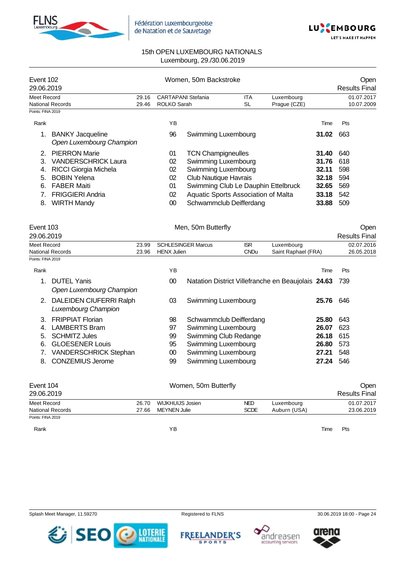



| Event 102<br>29.06.2019 |                                                     |       | Women, 50m Backstroke |                                     |            | Open<br><b>Results Final</b> |       |            |
|-------------------------|-----------------------------------------------------|-------|-----------------------|-------------------------------------|------------|------------------------------|-------|------------|
| Meet Record             |                                                     | 29.16 |                       | <b>CARTAPANI Stefania</b>           | <b>ITA</b> | Luxembourg                   |       | 01.07.2017 |
|                         | <b>National Records</b>                             | 29.46 | ROLKO Sarah           |                                     | SL         | Prague (CZE)                 |       | 10.07.2009 |
| Points: FINA 2019       |                                                     |       |                       |                                     |            |                              |       |            |
| Rank                    |                                                     |       | YB.                   |                                     |            |                              | Time  | Pts        |
|                         | <b>BANKY Jacqueline</b><br>Open Luxembourg Champion |       | 96                    | Swimming Luxembourg                 |            |                              | 31.02 | 663        |
|                         | <b>PIERRON Marie</b>                                |       | 01                    | <b>TCN Champigneulles</b>           |            |                              | 31.40 | 640        |
| 3.                      | <b>VANDERSCHRICK Laura</b>                          |       | 02                    | Swimming Luxembourg                 |            |                              | 31.76 | 618        |
| 4.                      | <b>RICCI Giorgia Michela</b>                        |       | 02                    | Swimming Luxembourg                 |            |                              | 32.11 | 598        |
| 5.                      | <b>BOBIN Yelena</b>                                 |       | 02                    | <b>Club Nautique Havrais</b>        |            |                              | 32.18 | 594        |
| 6.                      | <b>FABER Maiti</b>                                  |       | 01                    | Swimming Club Le Dauphin Ettelbruck |            |                              | 32.65 | 569        |
|                         | <b>FRIGGIERI Andria</b>                             |       | 02                    | Aquatic Sports Association of Malta |            |                              | 33.18 | 542        |
| 8.                      | <b>WIRTH Mandy</b>                                  |       | 00                    | Schwammclub Deifferdang             |            |                              | 33.88 | 509        |

| Event 103         |                                                       |       |                    | Men, 50m Butterfly                                 |             |                     |       | <b>Open</b>          |
|-------------------|-------------------------------------------------------|-------|--------------------|----------------------------------------------------|-------------|---------------------|-------|----------------------|
| 29.06.2019        |                                                       |       |                    |                                                    |             |                     |       | <b>Results Final</b> |
| Meet Record       |                                                       | 23.99 |                    | <b>SCHLESINGER Marcus</b>                          | <b>ISR</b>  | Luxembourg          |       | 02.07.2016           |
|                   | National Records                                      | 23.96 | <b>HENX Julien</b> |                                                    | <b>CNDu</b> | Saint Raphael (FRA) |       | 26.05.2018           |
| Points: FINA 2019 |                                                       |       |                    |                                                    |             |                     |       |                      |
| Rank              |                                                       |       | YB                 |                                                    |             |                     | Time  | Pts                  |
|                   | <b>DUTEL Yanis</b><br>Open Luxembourg Champion        |       | 00                 | Natation District Villefranche en Beaujolais 24.63 |             |                     |       | 739                  |
| 2.                | <b>DALEIDEN CIUFERRI Ralph</b><br>Luxembourg Champion |       | 03                 | Swimming Luxembourg                                |             |                     | 25.76 | 646                  |
| 3                 | <b>FRIPPIAT Florian</b>                               |       | 98                 | Schwammclub Deifferdang                            |             |                     | 25.80 | 643                  |
| 4                 | <b>LAMBERTS Bram</b>                                  |       | 97                 | Swimming Luxembourg                                |             |                     | 26.07 | 623                  |
| 5.                | <b>SCHMITZ Jules</b>                                  |       | 99                 | Swimming Club Redange                              |             |                     | 26.18 | 615                  |
| 6.                | <b>GLOESENER Louis</b>                                |       | 95                 | Swimming Luxembourg                                |             |                     | 26.80 | 573                  |
|                   | <b>VANDERSCHRICK Stephan</b>                          |       | 00                 | Swimming Luxembourg                                |             |                     | 27.21 | 548                  |
| 8.                | <b>CONZEMIUS Jerome</b>                               |       | 99                 | Swimming Luxembourg                                |             |                     | 27.24 | 546                  |

| Event 104               |       | Open                 |             |              |      |            |
|-------------------------|-------|----------------------|-------------|--------------|------|------------|
| 29.06.2019              |       | <b>Results Final</b> |             |              |      |            |
| Meet Record             | 26.70 | WIJKHUIJS Josien     | NED.        | Luxembourg   |      | 01.07.2017 |
| <b>National Records</b> | 27.66 | <b>MEYNEN Julie</b>  | <b>SCDE</b> | Auburn (USA) |      | 23.06.2019 |
| Points: FINA 2019       |       |                      |             |              |      |            |
| Rank                    |       | ΥB                   |             |              | Time | Pts        |

Splash Meet Manager, 11.59270 **Registered to FLNS** Registered to FLNS 30.06.2019 18:00 - Page 24







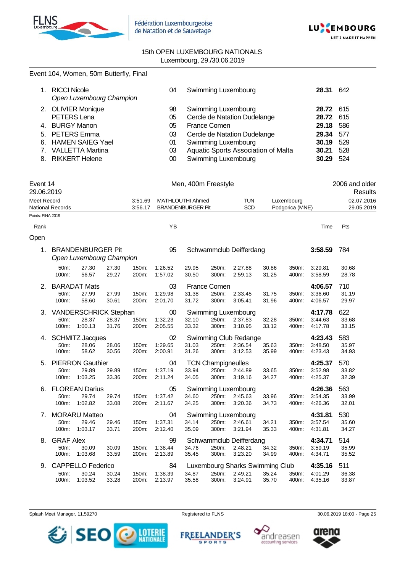



# Event 104, Women, 50m Butterfly, Final

| <b>RICCI Nicole</b><br>Open Luxembourg Champion | 04 | <b>Swimming Luxembourg</b>          | 28.31     | 642 |
|-------------------------------------------------|----|-------------------------------------|-----------|-----|
| 2. OLIVIER Monique                              | 98 | Swimming Luxembourg                 | 28.72 615 |     |
| PETERS Lena                                     | 05 | Cercle de Natation Dudelange        | 28.72 615 |     |
| 4. BURGY Manon                                  | 05 | <b>France Comen</b>                 | 29.18     | 586 |
| 5. PETERS Emma                                  | 03 | Cercle de Natation Dudelange        | 29.34     | 577 |
| 6. HAMEN SAIEG Yael                             | 01 | <b>Swimming Luxembourg</b>          | 30.19     | 529 |
| 7. VALLETTA Martina                             | 03 | Aquatic Sports Association of Malta | 30.21     | 528 |
| 8. RIKKERT Helene                               | 00 | <b>Swimming Luxembourg</b>          | 30.29     | 524 |

| Event 14<br>29.06.2019 |                                   |                                                      |                |                    |                                              |                | Men, 400m Freestyle                         |                                                       |                |                               |                               | 2006 and older<br>Results |
|------------------------|-----------------------------------|------------------------------------------------------|----------------|--------------------|----------------------------------------------|----------------|---------------------------------------------|-------------------------------------------------------|----------------|-------------------------------|-------------------------------|---------------------------|
| <b>Meet Record</b>     | <b>National Records</b>           |                                                      |                | 3:51.69<br>3:56.17 | MATHLOUTHI Ahmed<br><b>BRANDENBURGER Pit</b> |                |                                             | <b>TUN</b><br><b>SCD</b>                              |                | Luxembourg<br>Podgorica (MNE) |                               | 02.07.2016<br>29.05.2019  |
| Points: FINA 2019      |                                   |                                                      |                |                    |                                              |                |                                             |                                                       |                |                               |                               |                           |
| Rank                   |                                   |                                                      |                |                    | YB                                           |                |                                             |                                                       |                |                               | Time                          | Pts                       |
| Open                   |                                   |                                                      |                |                    |                                              |                |                                             |                                                       |                |                               |                               |                           |
| 1.                     |                                   | <b>BRANDENBURGER Pit</b><br>Open Luxembourg Champion |                |                    | 95                                           |                |                                             | Schwammclub Deifferdang                               |                |                               | 3:58.59                       | 784                       |
|                        | 50m:<br>100m:                     | 27.30<br>56.57                                       | 27.30<br>29.27 | 150m:<br>200m:     | 1:26.52<br>1:57.02                           | 29.95<br>30.50 | 250m:<br>300m:                              | 2:27.88<br>2:59.13                                    | 30.86<br>31.25 | 350m:<br>400m:                | 3:29.81<br>3:58.59            | 30.68<br>28.78            |
| 2.                     | 50m:<br>100m:                     | <b>BARADAT Mats</b><br>27.99<br>58.60                | 27.99<br>30.61 | 150m:<br>200m:     | 03<br>1:29.98<br>2:01.70                     | 31.38<br>31.72 | France Comen<br>250m:<br>300m:              | 2:33.45<br>3:05.41                                    | 31.75<br>31.96 | 350m:<br>400m:                | 4:06.57<br>3:36.60<br>4:06.57 | 710<br>31.19<br>29.97     |
| З.                     | 50m:<br>100m:                     | VANDERSCHRICK Stephan<br>28.37<br>1:00.13            | 28.37<br>31.76 | 150m:<br>200m:     | 00<br>1:32.23<br>2:05.55                     | 32.10<br>33.32 | 250m:<br>300m:                              | Swimming Luxembourg<br>2:37.83<br>3:10.95             | 32.28<br>33.12 | 350m:<br>400m:                | 4:17.78<br>3:44.63<br>4:17.78 | 622<br>33.68<br>33.15     |
| 4.                     | 50m:<br>100m:                     | <b>SCHMITZ Jacques</b><br>28.06<br>58.62             | 28.06<br>30.56 | 150m:<br>200m:     | 02<br>1:29.65<br>2:00.91                     | 31.03<br>31.26 | 250m:<br>300m:                              | Swimming Club Redange<br>2:36.54<br>3:12.53           | 35.63<br>35.99 | 350m:<br>400m:                | 4:23.43<br>3:48.50<br>4:23.43 | 583<br>35.97<br>34.93     |
| 5.                     | 50m:<br>100m:                     | <b>PIERRON Gauthier</b><br>29.89<br>1:03.25          | 29.89<br>33.36 | 150m:<br>200m:     | 04<br>1:37.19<br>2:11.24                     | 33.94<br>34.05 | <b>TCN Champigneulles</b><br>250m:<br>300m: | 2:44.89<br>3:19.16                                    | 33.65<br>34.27 | 350m:<br>400m:                | 4:25.37<br>3:52.98<br>4:25.37 | 570<br>33.82<br>32.39     |
| 6.                     | 50m:<br>100m:                     | <b>FLOREAN Darius</b><br>29.74<br>1:02.82            | 29.74<br>33.08 | 150m:<br>200m:     | 05<br>1:37.42<br>2:11.67                     | 34.60<br>34.25 | 250m:<br>300m:                              | Swimming Luxembourg<br>2:45.63<br>3:20.36             | 33.96<br>34.73 | 350m:<br>400m:                | 4:26.36<br>3:54.35<br>4:26.36 | 563<br>33.99<br>32.01     |
| 7.                     | 50m:<br>100m:                     | <b>MORARU Matteo</b><br>29.46<br>1:03.17             | 29.46<br>33.71 | 150m:<br>200m:     | 04<br>1:37.31<br>2:12.40                     | 34.14<br>35.09 | 250m:<br>300m:                              | Swimming Luxembourg<br>2:46.61<br>3:21.94             | 34.21<br>35.33 | 350m:<br>400m:                | 4:31.81<br>3:57.54<br>4:31.81 | 530<br>35.60<br>34.27     |
| 8.                     | <b>GRAF Alex</b><br>50m:<br>100m: | 30.09<br>1:03.68                                     | 30.09<br>33.59 | 150m:<br>200m:     | 99<br>1:38.44<br>2:13.89                     | 34.76<br>35.45 | 250m:<br>300m:                              | Schwammclub Deifferdang<br>2:48.21<br>3:23.20         | 34.32<br>34.99 | 350m:<br>400m:                | 4:34.71<br>3:59.19<br>4:34.71 | 514<br>35.99<br>35.52     |
| 9.                     | 50m:<br>100m:                     | <b>CAPPELLO Federico</b><br>30.24<br>1:03.52         | 30.24<br>33.28 | 150m:<br>200m:     | 84<br>1:38.39<br>2:13.97                     | 34.87<br>35.58 | 250m:<br>300m:                              | Luxembourg Sharks Swimming Club<br>2:49.21<br>3:24.91 | 35.24<br>35.70 | 350m:<br>400m:                | 4:35.16<br>4:01.29<br>4:35.16 | 511<br>36.38<br>33.87     |

Splash Meet Manager, 11.59270 **Registered to FLNS** Registered to FLNS 30.06.2019 18:00 - Page 25



**FREELANDER'S** 

**SPORTS** 



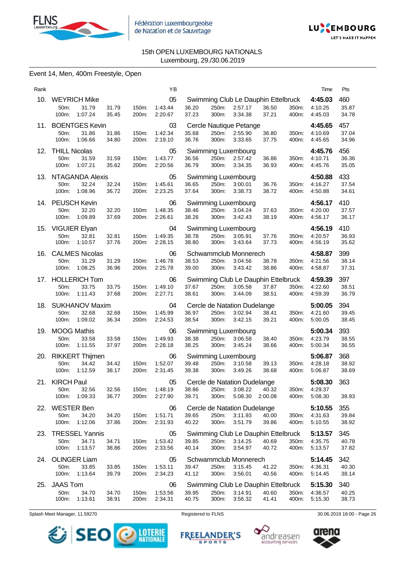



# Event 14, Men, 400m Freestyle, Open

| Rank |                                                             |                |                | YB                                   |                |                |                                                                        |                |                | Time                                | Pts                   |
|------|-------------------------------------------------------------|----------------|----------------|--------------------------------------|----------------|----------------|------------------------------------------------------------------------|----------------|----------------|-------------------------------------|-----------------------|
| 10.  | <b>WEYRICH Mike</b><br>31.79<br>50m:<br>1:07.24<br>100m:    | 31.79<br>35.45 | 150m:<br>200m: | 05<br>1:43.44<br>2:20.67             | 36.20<br>37.23 | 250m:<br>300m: | Swimming Club Le Dauphin Ettelbruck<br>2:57.17<br>3:34.38              | 36.50<br>37.21 | 350m:<br>400m: | 4:45.03<br>4:10.25<br>4:45.03       | 460<br>35.87<br>34.78 |
|      | 11. BOENTGES Kevin<br>31.86<br>50m:<br>100m: 1:06.66        | 31.86<br>34.80 | 150m:<br>200m: | 03<br>1:42.34<br>2:19.10             | 35.68<br>36.76 | 250m:<br>300m: | Cercle Nautique Petange<br>2:55.90<br>3:33.65                          | 36.80<br>37.75 | 350m:<br>400m: | 4:45.65<br>4:10.69<br>4:45.65       | 457<br>37.04<br>34.96 |
| 12.  | <b>THILL Nicolas</b><br>50m:<br>31.59<br>1:07.21<br>100m:   | 31.59<br>35.62 | 150m:<br>200m: | 05<br>1:43.77<br>2:20.56             | 36.56<br>36.79 | 250m:<br>300m: | Swimming Luxembourg<br>2:57.42<br>3:34.35                              | 36.86<br>36.93 | 350m:<br>400m: | 4:45.76<br>4:10.71<br>4:45.76       | 456<br>36.36<br>35.05 |
| 13.  | NTAGANDA Alexis<br>50m:<br>32.24<br>100m:<br>1:08.96        | 32.24<br>36.72 | 150m:<br>200m: | 05<br>1:45.61<br>2:23.25             | 36.65<br>37.64 | 250m:<br>300m: | Swimming Luxembourg<br>3:00.01<br>3:38.73                              | 36.76<br>38.72 | 350m:<br>400m: | 4:50.88<br>4:16.27<br>4:50.88       | 433<br>37.54<br>34.61 |
|      | 14. PEUSCH Kevin<br>32.20<br>50m:<br>100m:<br>1:09.89       | 32.20<br>37.69 | 150m:<br>200m: | 06<br>1:48.35<br>2:26.61             | 38.46<br>38.26 | 250m:<br>300m: | Swimming Luxembourg<br>3:04.24<br>3.42.43                              | 37.63<br>38.19 | 350m:<br>400m: | 4:56.17<br>4:20.00<br>4:56.17       | 410<br>37.57<br>36.17 |
| 15.  | VIGUIER Elyan<br>50m:<br>32.81<br>100m:<br>1:10.57          | 32.81<br>37.76 | 150m:<br>200m: | 04<br>1:49.35<br>2:28.15             | 38.78<br>38.80 | 250m:<br>300m: | Swimming Luxembourg<br>3:05.91<br>3:43.64                              | 37.76<br>37.73 | 350m:<br>400m: | 4:56.19<br>4:20.57<br>4:56.19       | 410<br>36.93<br>35.62 |
| 16.  | <b>CALMES Nicolas</b><br>50m:<br>31.29<br>100m:<br>1:08.25  | 31.29<br>36.96 | 150m:<br>200m: | 06<br>1:46.78<br>2:25.78             | 38.53<br>39.00 | 250m:<br>300m: | Schwammclub Monnerech<br>3:04.56<br>3:43.42                            | 38.78<br>38.86 | 350m:<br>400m: | 4:58.87<br>4:21.56<br>4:58.87       | 399<br>38.14<br>37.31 |
| 17.  | <b>HOLLERICH Tom</b><br>33.75<br>50m:<br>100m:<br>1:11.43   | 33.75<br>37.68 | 150m:<br>200m: | 06<br>1:49.10<br>2:27.71             | 37.67<br>38.61 | 250m:<br>300m: | Swimming Club Le Dauphin Ettelbruck<br>3:05.58<br>3:44.09              | 37.87<br>38.51 | 350m:<br>400m: | 4:59.39<br>4:22.60<br>4:59.39       | 397<br>38.51<br>36.79 |
| 18.  | <b>SUKHANOV Maxim</b><br>32.68<br>50m:<br>100m:<br>1:09.02  | 32.68<br>36.34 | 150m:<br>200m: | 04<br>1:45.99<br>2:24.53             | 36.97<br>38.54 | 250m:<br>300m: | Cercle de Natation Dudelange<br>3:02.94<br>3:42.15                     | 38.41<br>39.21 | 350m:<br>400m: | 5:00.05<br>4:21.60<br>5:00.05       | 394<br>39.45<br>38.45 |
| 19.  | <b>MOOG Mathis</b><br>33.58<br>50m:<br>100m:<br>1:11.55     | 33.58<br>37.97 | 150m:<br>200m: | 06<br>1:49.93<br>2:28.18             | 38.38<br>38.25 | 250m:<br>300m: | Swimming Luxembourg<br>3:06.58<br>3:45.24                              | 38.40<br>38.66 | 350m:<br>400m: | 5:00.34<br>4:23.79<br>5:00.34       | 393<br>38.55<br>36.55 |
| 20.  | <b>RIKKERT Thijmen</b><br>50m:<br>34.42<br>100m:<br>1:12.59 | 34.42<br>38.17 | 150m:<br>200m: | 06<br>1:52.07<br>2:31.45             | 39.48<br>39.38 | 250m:<br>300m: | Swimming Luxembourg<br>3:10.58<br>3:49.26                              | 39.13<br>38.68 | 350m:<br>400m: | 5:06.87<br>4:28.18<br>5:06.87       | 368<br>38.92<br>38.69 |
|      | 21. KIRCH Paul<br>50m: 32.56<br>100m: 1:09.33               | 32.56<br>36.77 | 200m:          | 05<br>150m: 1:48.19 38.86<br>2:27.90 | 39.71          | 300m:          | Cercle de Natation Dudelange<br>250m: 3:08.22 40.32<br>5:08.30 2:00.08 |                | 400m:          | 5:08.30<br>350m: 4:29.37<br>5:08.30 | 363<br>38.93          |
| 22.  | <b>WESTER Ben</b><br>50m:<br>34.20<br>100m: 1:12.06         | 34.20<br>37.86 | 150m:<br>200m: | 06<br>1:51.71<br>2:31.93             | 39.65<br>40.22 | 250m:<br>300m: | Cercle de Natation Dudelange<br>3:11.93<br>3:51.79                     | 40.00<br>39.86 | 350m:<br>400m: | 5:10.55<br>4:31.63<br>5:10.55       | 355<br>39.84<br>38.92 |
| 23.  | <b>TRESSEL Yannis</b><br>34.71<br>50m:<br>100m:<br>1:13.57  | 34.71<br>38.86 | 150m:<br>200m: | 05<br>1:53.42<br>2:33.56             | 39.85<br>40.14 | 250m:<br>300m: | Swimming Club Le Dauphin Ettelbruck<br>3:14.25<br>3:54.97              | 40.69<br>40.72 | 350m:<br>400m: | 5:13.57<br>4:35.75<br>5:13.57       | 345<br>40.78<br>37.82 |
|      | 24. OLINGER Liam<br>33.85<br>50m:<br>100m:<br>1:13.64       | 33.85<br>39.79 | 150m:<br>200m: | 05<br>1:53.11<br>2:34.23             | 39.47<br>41.12 | 250m:<br>300m: | Schwammclub Monnerech<br>3:15.45<br>3:56.01                            | 41.22<br>40.56 | 350m:<br>400m: | 5:14.45<br>4:36.31<br>5:14.45       | 342<br>40.30<br>38.14 |
| 25.  | <b>JAAS Tom</b><br>50m:<br>34.70<br>1:13.61<br>100m:        | 34.70<br>38.91 | 150m:<br>200m: | 06<br>1:53.56<br>2:34.31             | 39.95<br>40.75 | 250m:<br>300m: | Swimming Club Le Dauphin Ettelbruck<br>3:14.91<br>3:56.32              | 40.60<br>41.41 | 350m:<br>400m: | 5:15.30<br>4:36.57<br>5:15.30       | 340<br>40.25<br>38.73 |

Splash Meet Manager, 11.59270 **Registered to FLNS** Registered to FLNS 30.06.2019 18:00 - Page 26

**SPORTS** 





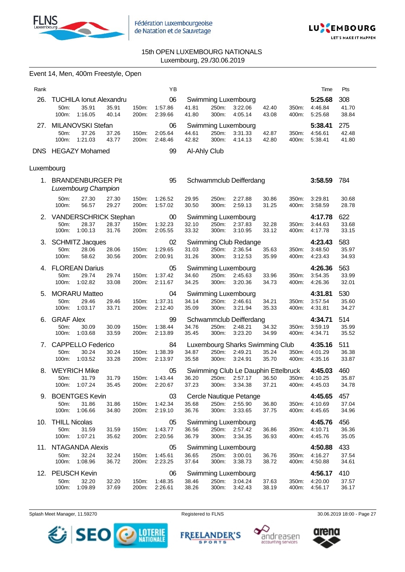

Event 14, Men, 400m Freestyle, Open



# 15th OPEN LUXEMBOURG NATIONALS Luxembourg, 29./30.06.2019

| Rank       |                                       |                |                | YB                 |                |                |                                     |                |                | Time               | Pts            |
|------------|---------------------------------------|----------------|----------------|--------------------|----------------|----------------|-------------------------------------|----------------|----------------|--------------------|----------------|
| 26.        | <b>TUCHILA Ionut Alexandru</b>        |                |                | 06                 |                |                | Swimming Luxembourg                 |                |                | 5:25.68            | 308            |
|            | 50m:<br>35.91                         | 35.91          | 150m:          | 1:57.86            | 41.81          | 250m:          | 3:22.06                             | 42.40          | 350m:          | 4:46.84            | 41.70          |
|            | 100m:<br>1:16.05<br>MILANOVSKI Stefan | 40.14          | 200m:          | 2:39.66            | 41.80          | 300m:          | 4:05.14                             | 43.08          | 400m:          | 5:25.68            | 38.84          |
| 27.        | 50m:<br>37.26                         | 37.26          | 150m:          | 06<br>2:05.64      | 44.61          | 250m:          | Swimming Luxembourg<br>3:31.33      | 42.87          | 350m:          | 5:38.41<br>4:56.61 | 275<br>42.48   |
|            | 100m:<br>1:21.03                      | 43.77          | 200m:          | 2:48.46            | 42.82          | 300m:          | 4:14.13                             | 42.80          | 400m:          | 5:38.41            | 41.80          |
|            | DNS HEGAZY Mohamed                    |                |                | 99                 |                | Al-Ahly Club   |                                     |                |                |                    |                |
| Luxembourg |                                       |                |                |                    |                |                |                                     |                |                |                    |                |
|            | 1. BRANDENBURGER Pit                  |                |                | 95                 |                |                |                                     |                |                |                    | 784            |
|            | Luxembourg Champion                   |                |                |                    |                |                | Schwammclub Deifferdang             |                |                | 3:58.59            |                |
|            | 27.30<br>50m:                         | 27.30          | 150m:          | 1:26.52            | 29.95          | 250m:          | 2:27.88                             | 30.86          | 350m:          | 3:29.81            | 30.68          |
|            | 100m:<br>56.57                        | 29.27          | 200m:          | 1:57.02            | 30.50          | 300m:          | 2:59.13                             | 31.25          | 400m:          | 3:58.59            | 28.78          |
| 2.         | <b>VANDERSCHRICK Stephan</b>          |                |                | $00\,$             |                |                | Swimming Luxembourg                 |                |                | 4:17.78            | 622            |
|            | 50m:<br>28.37                         | 28.37          | 150m:          | 1:32.23            | 32.10          | 250m:          | 2:37.83                             | 32.28          | 350m:          | 3:44.63            | 33.68          |
|            | 100m:<br>1:00.13                      | 31.76          | 200m:          | 2:05.55            | 33.32          | 300m:          | 3:10.95                             | 33.12          | 400m:          | 4:17.78            | 33.15          |
|            | 3. SCHMITZ Jacques                    |                |                | 02                 |                |                | Swimming Club Redange               |                |                | 4:23.43            | 583            |
|            | 50m:<br>28.06                         | 28.06          | 150m:          | 1:29.65            | 31.03          | 250m:          | 2:36.54                             | 35.63          | 350m:          | 3:48.50            | 35.97          |
|            | 100m:<br>58.62                        | 30.56          | 200m:          | 2:00.91            | 31.26          | 300m:          | 3:12.53                             | 35.99          | 400m:          | 4:23.43            | 34.93          |
|            | 4. FLOREAN Darius                     |                |                | 05                 |                |                | Swimming Luxembourg                 |                |                | 4:26.36            | 563            |
|            | 29.74<br>50m:<br>1:02.82<br>100m:     | 29.74<br>33.08 | 150m:<br>200m: | 1:37.42<br>2:11.67 | 34.60<br>34.25 | 250m:<br>300m: | 2:45.63<br>3:20.36                  | 33.96<br>34.73 | 350m:          | 3:54.35<br>4:26.36 | 33.99<br>32.01 |
|            |                                       |                |                |                    |                |                |                                     |                | 400m:          |                    |                |
| 5.         | <b>MORARU Matteo</b>                  |                |                | 04                 |                |                | Swimming Luxembourg                 |                |                | 4:31.81            | 530            |
|            | 50m:<br>29.46<br>100m:<br>1:03.17     | 29.46<br>33.71 | 150m:<br>200m: | 1:37.31<br>2:12.40 | 34.14<br>35.09 | 250m:<br>300m: | 2:46.61<br>3:21.94                  | 34.21<br>35.33 | 350m:<br>400m: | 3:57.54<br>4:31.81 | 35.60<br>34.27 |
|            |                                       |                |                |                    |                |                |                                     |                |                |                    |                |
| 6.         | <b>GRAF Alex</b>                      |                |                | 99<br>1:38.44      | 34.76          |                | Schwammclub Deifferdang             |                |                | 4:34.71            | 514<br>35.99   |
|            | 50m:<br>30.09<br>100m:<br>1:03.68     | 30.09<br>33.59 | 150m:<br>200m: | 2:13.89            | 35.45          | 250m:<br>300m: | 2:48.21<br>3:23.20                  | 34.32<br>34.99 | 350m:<br>400m: | 3:59.19<br>4:34.71 | 35.52          |
| 7.         | <b>CAPPELLO Federico</b>              |                |                | 84                 |                |                | Luxembourg Sharks Swimming Club     |                |                | 4:35.16            | 511            |
|            | 30.24<br>50m:                         | 30.24          | 150m:          | 1:38.39            | 34.87          | 250m:          | 2:49.21                             | 35.24          | 350m:          | 4:01.29            | 36.38          |
|            | 100m:<br>1:03.52                      | 33.28          | 200m:          | 2:13.97            | 35.58          | 300m:          | 3:24.91                             | 35.70          | 400m:          | 4:35.16            | 33.87          |
| 8.         | <b>WEYRICH Mike</b>                   |                |                | 05                 |                |                | Swimming Club Le Dauphin Ettelbruck |                |                | 4:45.03            | 460            |
|            | 50m:<br>31.79                         | 31.79          | 150m:          | 1:43.44            | 36.20          | 250m:          | 2:57.17                             | 36.50          | 350m:          | 4:10.25            | 35.87          |
|            | 1:07.24<br>100m:                      | 35.45          | 200m:          | 2:20.67            | 37.23          | 300m:          | 3:34.38                             | 37.21          | 400m:          | 4:45.03            | 34.78          |
| 9.         | <b>BOENTGES Kevin</b>                 |                |                | 03                 |                |                | Cercle Nautique Petange             |                |                | 4:45.65            | 457            |
|            | 50m:<br>31.86                         | 31.86          | 150m:          | 1:42.34            | 35.68          | 250m:          | 2:55.90                             | 36.80          | 350m:          | 4:10.69            | 37.04          |
|            | 100m:<br>1:06.66                      | 34.80          | 200m:          | 2:19.10            | 36.76          | 300m:          | 3:33.65                             | 37.75          | 400m:          | 4:45.65            | 34.96          |
| 10.        | <b>THILL Nicolas</b>                  |                |                | 05                 |                |                | Swimming Luxembourg                 |                |                | 4:45.76            | 456            |
|            | 50m:<br>31.59<br>1:07.21<br>100m:     | 31.59<br>35.62 | 150m:<br>200m: | 1:43.77<br>2:20.56 | 36.56<br>36.79 | 250m:<br>300m: | 2:57.42<br>3:34.35                  | 36.86<br>36.93 | 350m:<br>400m: | 4:10.71<br>4:45.76 | 36.36<br>35.05 |
|            |                                       |                |                |                    |                |                |                                     |                |                |                    |                |
|            | 11. NTAGANDA Alexis                   |                |                | 05                 |                |                | Swimming Luxembourg                 |                |                | 4:50.88            | 433            |
|            | 50m:<br>32.24<br>1:08.96<br>100m:     | 32.24<br>36.72 | 150m:<br>200m: | 1:45.61<br>2:23.25 | 36.65<br>37.64 | 250m:<br>300m: | 3:00.01<br>3:38.73                  | 36.76<br>38.72 | 350m:<br>400m: | 4:16.27<br>4:50.88 | 37.54<br>34.61 |
| 12.        | <b>PEUSCH Kevin</b>                   |                |                | 06                 |                |                | Swimming Luxembourg                 |                |                | 4:56.17            | 410            |
|            | 32.20<br>50m:                         | 32.20          | 150m:          | 1:48.35            | 38.46          | 250m:          | 3:04.24                             | 37.63          | 350m:          | 4:20.00            | 37.57          |
|            | 1:09.89<br>100m:                      | 37.69          | 200m:          | 2:26.61            | 38.26          | 300m:          | 3:42.43                             | 38.19          | 400m:          | 4:56.17            | 36.17          |

Splash Meet Manager, 11.59270 **Registered to FLNS** Registered to FLNS 30.06.2019 18:00 - Page 27

**SPORTS** 



**FREELANDER'S** andreasen accounting services

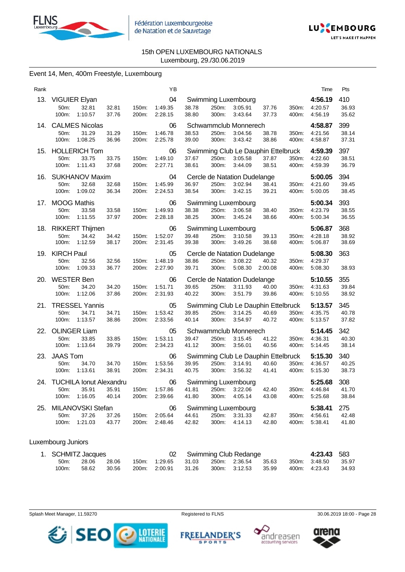



# Event 14, Men, 400m Freestyle, Luxembourg

| Rank |                                     |                                  | ΥB                 |                |                |                                         |                                              |                | Time               | Pts            |
|------|-------------------------------------|----------------------------------|--------------------|----------------|----------------|-----------------------------------------|----------------------------------------------|----------------|--------------------|----------------|
| 13.  | <b>VIGUIER Elyan</b>                |                                  | 04                 |                |                | Swimming Luxembourg                     |                                              |                | 4:56.19            | 410            |
|      | 32.81<br>50m:<br>1:10.57<br>100m:   | 32.81<br>150m:<br>37.76<br>200m: | 1:49.35<br>2:28.15 | 38.78<br>38.80 | 250m:<br>300m: | 3:05.91<br>3:43.64                      | 37.76<br>37.73                               | 350m:<br>400m: | 4:20.57<br>4:56.19 | 36.93<br>35.62 |
| 14.  | <b>CALMES Nicolas</b>               |                                  | 06                 |                |                | Schwammclub Monnerech                   |                                              |                | 4:58.87            | 399            |
|      | 31.29<br>50m:<br>1:08.25<br>100m:   | 31.29<br>150m:<br>36.96<br>200m: | 1:46.78<br>2:25.78 | 38.53<br>39.00 | 250m:<br>300m: | 3:04.56<br>3:43.42                      | 38.78<br>38.86                               | 350m:<br>400m: | 4:21.56<br>4:58.87 | 38.14<br>37.31 |
| 15.  | <b>HOLLERICH Tom</b>                |                                  | 06                 |                |                |                                         | Swimming Club Le Dauphin Ettelbruck          |                | 4:59.39            | 397            |
|      | 50m:<br>33.75<br>1:11.43<br>100m:   | 33.75<br>150m:<br>37.68<br>200m: | 1:49.10<br>2:27.71 | 37.67<br>38.61 | 250m:<br>300m: | 3:05.58<br>3:44.09                      | 37.87<br>38.51                               | 350m:<br>400m: | 4:22.60<br>4:59.39 | 38.51<br>36.79 |
| 16.  | SUKHANOV Maxim                      |                                  | 04                 |                |                | Cercle de Natation Dudelange            |                                              |                | 5:00.05            | 394            |
|      | 50m:<br>32.68<br>100m:<br>1:09.02   | 32.68<br>150m:<br>36.34<br>200m: | 1:45.99<br>2:24.53 | 36.97<br>38.54 | 250m:<br>300m: | 3:02.94<br>3:42.15                      | 38.41<br>39.21                               | 350m:<br>400m: | 4:21.60<br>5:00.05 | 39.45<br>38.45 |
|      |                                     |                                  |                    |                |                |                                         |                                              |                |                    |                |
| 17.  | <b>MOOG Mathis</b><br>50m:<br>33.58 | 33.58<br>150m:                   | 06<br>1:49.93      | 38.38          | 250m:          | Swimming Luxembourg<br>3:06.58          | 38.40                                        | 350m:          | 5:00.34<br>4:23.79 | 393<br>38.55   |
|      | 100m:<br>1:11.55                    | 37.97<br>200m:                   | 2:28.18            | 38.25          | 300m:          | 3:45.24                                 | 38.66                                        | 400m:          | 5:00.34            | 36.55          |
| 18.  | <b>RIKKERT Thijmen</b>              |                                  | 06                 |                |                | Swimming Luxembourg                     |                                              |                | 5:06.87            | 368            |
|      | 34.42<br>50m:                       | 34.42<br>150m:                   | 1:52.07            | 39.48          | 250m:          | 3:10.58                                 | 39.13                                        | 350m:          | 4:28.18            | 38.92          |
|      | 100m:<br>1:12.59                    | 38.17<br>200m:                   | 2:31.45            | 39.38          | 300m:          | 3:49.26                                 | 38.68                                        | 400m:          | 5:06.87            | 38.69          |
| 19.  | <b>KIRCH Paul</b>                   |                                  | 05                 |                |                | Cercle de Natation Dudelange            |                                              |                | 5:08.30            | 363            |
|      | 50m:<br>32.56<br>1:09.33<br>100m:   | 32.56<br>150m:<br>36.77<br>200m: | 1:48.19<br>2:27.90 | 38.86<br>39.71 | 250m:<br>300m: | 3:08.22<br>5:08.30                      | 40.32<br>2:00.08                             | 350m:<br>400m: | 4:29.37<br>5:08.30 | 38.93          |
|      |                                     |                                  |                    |                |                |                                         |                                              |                |                    |                |
| 20.  | <b>WESTER Ben</b><br>50m:<br>34.20  | 34.20<br>150m:                   | 06<br>1:51.71      | 39.65          | 250m:          | Cercle de Natation Dudelange<br>3:11.93 | 40.00                                        | 350m:          | 5:10.55<br>4:31.63 | 355<br>39.84   |
|      | 100m:<br>1:12.06                    | 37.86<br>200m:                   | 2:31.93            | 40.22          | 300m:          | 3:51.79                                 | 39.86                                        | 400m:          | 5:10.55            | 38.92          |
| 21.  | <b>TRESSEL Yannis</b>               |                                  | 05                 |                |                |                                         | Swimming Club Le Dauphin Ettelbruck          |                | 5:13.57            | 345            |
|      | 50m:<br>34.71                       | 34.71<br>150m:                   | 1:53.42            | 39.85          | 250m:          | 3:14.25                                 | 40.69                                        | 350m:          | 4:35.75            | 40.78          |
|      | 100m:<br>1:13.57                    | 38.86<br>200m:                   | 2:33.56            | 40.14          | 300m:          | 3:54.97                                 | 40.72                                        | 400m:          | 5:13.57            | 37.82          |
| 22.  | <b>OLINGER Liam</b>                 |                                  | 05                 |                |                | Schwammclub Monnerech                   |                                              |                | 5:14.45            | 342            |
|      | 50m:<br>33.85                       | 33.85<br>150m:                   | 1:53.11            | 39.47          | 250m:          | 3:15.45                                 | 41.22                                        | 350m:          | 4:36.31            | 40.30          |
|      | 100m:<br>1:13.64                    | 39.79<br>200m:                   | 2:34.23            | 41.12          | 300m:          | 3:56.01                                 | 40.56                                        | 400m:          | 5:14.45            | 38.14          |
| 23.  | <b>JAAS Tom</b><br>50m:<br>34.70    | 34.70<br>150m:                   | 06<br>1:53.56      | 39.95          | 250m:          | 3:14.91                                 | Swimming Club Le Dauphin Ettelbruck<br>40.60 | 350m:          | 5:15.30<br>4:36.57 | 340<br>40.25   |
|      | 100m:<br>1:13.61                    | 38.91<br>200m:                   | 2:34.31            | 40.75          | 300m:          | 3:56.32                                 | 41.41                                        | 400m:          | 5:15.30            | 38.73          |
| 24.  | <b>TUCHILA Ionut Alexandru</b>      |                                  | 06                 |                |                | Swimming Luxembourg                     |                                              |                | 5:25.68            | 308            |
|      | 35.91<br>50m:                       | 35.91<br>150m:                   | 1:57.86            | 41.81          | 250m:          | 3:22.06                                 | 42.40                                        | 350m:          | 4:46.84            | 41.70          |
|      | 100m:<br>1:16.05                    | 40.14<br>200m:                   | 2:39.66            | 41.80          | 300m:          | 4:05.14                                 | 43.08                                        | 400m:          | 5:25.68            | 38.84          |
| 25.  | MILANOVSKI Stefan                   |                                  | 06                 |                |                | Swimming Luxembourg                     |                                              |                | 5:38.41            | 275            |
|      | 37.26<br>50m:                       | 37.26<br>150m:                   | 2:05.64            | 44.61          | 250m:          | 3:31.33                                 | 42.87                                        | 350m:          | 4:56.61            | 42.48          |
|      | 1:21.03<br>100m:                    | 43.77<br>200m:                   | 2:48.46            | 42.82          | 300m:          | 4:14.13                                 | 42.80                                        | 400m:          | 5:38.41            | 41.80          |

# Luxembourg Juniors

| 1. SCHMITZ Jacques |       |       |  |                                         |  | 02 Swimming Club Redange |  | 4:23.43 583   |       |
|--------------------|-------|-------|--|-----------------------------------------|--|--------------------------|--|---------------|-------|
| 50m:               | 28.06 | 28.06 |  | 150m: 1:29.65 31.03 250m: 2:36.54 35.63 |  |                          |  | 350m: 3:48.50 | 35.97 |
| 100m:              | 58.62 | 30.56 |  | 200m. 2:00.91 31.26 300m. 3:12.53 35.99 |  |                          |  | 400m: 4:23.43 | 34.93 |

Splash Meet Manager, 11.59270 **Registered to FLNS** Registered to FLNS 30.06.2019 18:00 - Page 28



**FREELANDER'S SPORTS** 



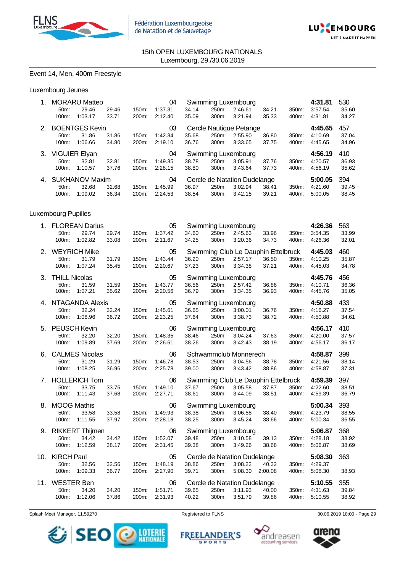



# Event 14, Men, 400m Freestyle

# Luxembourg Jeunes

| 1. | 50m:<br>100m:                         | <b>MORARU Matteo</b><br>29.46<br>1:03.17   | 29.46<br>33.71 | 150m:<br>200m: | 04<br>1:37.31<br>2:12.40 | 34.14<br>35.09 | 250m:<br>300m: | Swimming Luxembourg<br>2:46.61<br>3:21.94                 | 34.21<br>35.33   | 350m:<br>400m: | 4:31.81<br>3:57.54<br>4:31.81 | 530<br>35.60<br>34.27 |
|----|---------------------------------------|--------------------------------------------|----------------|----------------|--------------------------|----------------|----------------|-----------------------------------------------------------|------------------|----------------|-------------------------------|-----------------------|
| 2. | 50m:<br>100m:                         | <b>BOENTGES Kevin</b><br>31.86<br>1:06.66  | 31.86<br>34.80 | 150m:<br>200m: | 03<br>1:42.34<br>2:19.10 | 35.68<br>36.76 | 250m:<br>300m: | Cercle Nautique Petange<br>2:55.90<br>3:33.65             | 36.80<br>37.75   | 350m:<br>400m: | 4:45.65<br>4:10.69<br>4:45.65 | 457<br>37.04<br>34.96 |
|    | 3. VIGUIER Elyan<br>50m:<br>100m:     | 32.81<br>1:10.57                           | 32.81<br>37.76 | 150m:<br>200m: | 04<br>1:49.35<br>2:28.15 | 38.78<br>38.80 | 250m:<br>300m: | Swimming Luxembourg<br>3:05.91<br>3:43.64                 | 37.76<br>37.73   | 350m:<br>400m: | 4:56.19<br>4:20.57<br>4:56.19 | 410<br>36.93<br>35.62 |
| 4. | 50m:<br>100m:                         | <b>SUKHANOV Maxim</b><br>32.68<br>1:09.02  | 32.68<br>36.34 | 150m:<br>200m: | 04<br>1:45.99<br>2:24.53 | 36.97<br>38.54 | 250m:<br>300m: | Cercle de Natation Dudelange<br>3:02.94<br>3:42.15        | 38.41<br>39.21   | 350m:<br>400m: | 5:00.05<br>4:21.60<br>5:00.05 | 394<br>39.45<br>38.45 |
|    | <b>Luxembourg Pupilles</b>            |                                            |                |                |                          |                |                |                                                           |                  |                |                               |                       |
|    | 50m:<br>100m:                         | 1. FLOREAN Darius<br>29.74<br>1:02.82      | 29.74<br>33.08 | 150m:<br>200m: | 05<br>1:37.42<br>2:11.67 | 34.60<br>34.25 | 250m:<br>300m: | Swimming Luxembourg<br>2:45.63<br>3:20.36                 | 33.96<br>34.73   | 350m:<br>400m: | 4:26.36<br>3:54.35<br>4:26.36 | 563<br>33.99<br>32.01 |
|    | 50m:<br>100m:                         | 2. WEYRICH Mike<br>31.79<br>1:07.24        | 31.79<br>35.45 | 150m:<br>200m: | 05<br>1:43.44<br>2:20.67 | 36.20<br>37.23 | 250m:<br>300m: | Swimming Club Le Dauphin Ettelbruck<br>2:57.17<br>3:34.38 | 36.50<br>37.21   | 350m:<br>400m: | 4:45.03<br>4:10.25<br>4:45.03 | 460<br>35.87<br>34.78 |
| 3. | <b>THILL Nicolas</b><br>50m:<br>100m: | 31.59<br>1:07.21                           | 31.59<br>35.62 | 150m:<br>200m: | 05<br>1:43.77<br>2:20.56 | 36.56<br>36.79 | 250m:<br>300m: | Swimming Luxembourg<br>2:57.42<br>3:34.35                 | 36.86<br>36.93   | 350m:<br>400m: | 4:45.76<br>4:10.71<br>4:45.76 | 456<br>36.36<br>35.05 |
| 4. | 50m:<br>100m:                         | <b>NTAGANDA Alexis</b><br>32.24<br>1:08.96 | 32.24<br>36.72 | 150m:<br>200m: | 05<br>1:45.61<br>2:23.25 | 36.65<br>37.64 | 250m:<br>300m: | Swimming Luxembourg<br>3:00.01<br>3:38.73                 | 36.76<br>38.72   | 350m:<br>400m: | 4:50.88<br>4:16.27<br>4:50.88 | 433<br>37.54<br>34.61 |
| 5. | <b>PEUSCH Kevin</b>                   |                                            |                |                | 06                       |                |                | Swimming Luxembourg                                       |                  |                | 4:56.17                       | 410                   |
|    | 50m:<br>100m:                         | 32.20<br>1:09.89                           | 32.20<br>37.69 | 150m:<br>200m: | 1:48.35<br>2:26.61       | 38.46<br>38.26 | 250m:<br>300m: | 3:04.24<br>3:42.43                                        | 37.63<br>38.19   | 350m:<br>400m: | 4:20.00<br>4:56.17            | 37.57<br>36.17        |
| 6. | 50m:<br>100m:                         | <b>CALMES Nicolas</b><br>31.29<br>1:08.25  | 31.29<br>36.96 | 150m:<br>200m: | 06<br>1:46.78<br>2:25.78 | 38.53<br>39.00 | 250m:<br>300m: | Schwammclub Monnerech<br>3:04.56<br>3:43.42               | 38.78<br>38.86   | 350m:<br>400m: | 4:58.87<br>4:21.56<br>4:58.87 | 399<br>38.14<br>37.31 |
| 7. | 50m:<br>100m:                         | <b>HOLLERICH Tom</b><br>33.75<br>1:11.43   | 33.75<br>37.68 | 150m:<br>200m: | 06<br>1:49.10<br>2:27.71 | 37.67<br>38.61 | 250m:<br>300m: | Swimming Club Le Dauphin Ettelbruck<br>3:05.58<br>3:44.09 | 37.87<br>38.51   | 350m:<br>400m: | 4:59.39<br>4:22.60<br>4:59.39 | 397<br>38.51<br>36.79 |
|    | 8. MOOG Mathis<br>50m:<br>100m:       | 33.58<br>1:11.55                           | 33.58<br>37.97 | 150m:<br>200m: | 06<br>1.49.93<br>2:28.18 | 38.38<br>38.25 | 250m:<br>300m: | Swimming Luxembourg<br>3:06.58<br>3:45.24                 | 38.40<br>38.66   | 350m:<br>400m: | 5:00.34<br>4:23.79<br>5:00.34 | 393<br>38.55<br>36.55 |
| 9. | 50m:<br>100m:                         | <b>RIKKERT Thijmen</b><br>34.42<br>1:12.59 | 34.42<br>38.17 | 150m:<br>200m: | 06<br>1:52.07<br>2:31.45 | 39.48<br>39.38 | 250m:<br>300m: | Swimming Luxembourg<br>3:10.58<br>3:49.26                 | 39.13<br>38.68   | 350m:<br>400m: | 5:06.87<br>4:28.18<br>5:06.87 | 368<br>38.92<br>38.69 |
|    | 10. KIRCH Paul<br>50m:<br>100m:       | 32.56<br>1:09.33                           | 32.56<br>36.77 | 150m:<br>200m: | 05<br>1:48.19<br>2:27.90 | 38.86<br>39.71 | 250m:<br>300m: | Cercle de Natation Dudelange<br>3:08.22<br>5:08.30        | 40.32<br>2:00.08 | 350m:<br>400m: | 5:08.30<br>4:29.37<br>5:08.30 | 363<br>38.93          |

Splash Meet Manager, 11.59270 **Registered to FLNS** Registered to FLNS 30.06.2019 18:00 - Page 29



**FREELANDER'S SPORTS** 



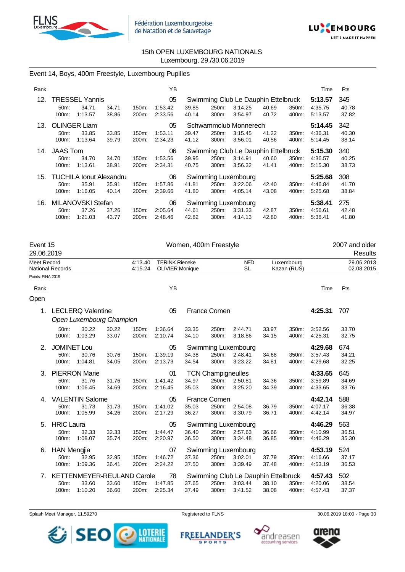



# Event 14, Boys, 400m Freestyle, Luxembourg Pupilles

| Rank |                   |                                |       |       | ΥB      |       |       |                                     |       |       | Time    | Pts   |
|------|-------------------|--------------------------------|-------|-------|---------|-------|-------|-------------------------------------|-------|-------|---------|-------|
| 12.  |                   | <b>TRESSEL Yannis</b>          |       |       | 05      |       |       | Swimming Club Le Dauphin Ettelbruck |       |       | 5:13.57 | 345   |
|      | 50 <sub>m</sub> : | 34.71                          | 34.71 | 150m: | 1:53.42 | 39.85 | 250m: | 3:14.25                             | 40.69 | 350m: | 4:35.75 | 40.78 |
|      | 100m:             | 1:13.57                        | 38.86 | 200m: | 2:33.56 | 40.14 | 300m: | 3:54.97                             | 40.72 | 400m: | 5:13.57 | 37.82 |
| 13.  |                   | <b>OLINGER Liam</b>            |       |       | 05      |       |       | Schwammclub Monnerech               |       |       | 5:14.45 | 342   |
|      | 50 <sub>m</sub>   | 33.85                          | 33.85 | 150m: | 1:53.11 | 39.47 | 250m: | 3:15.45                             | 41.22 | 350m: | 4:36.31 | 40.30 |
|      | 100m:             | 1:13.64                        | 39.79 | 200m: | 2:34.23 | 41.12 | 300m: | 3:56.01                             | 40.56 | 400m: | 5:14.45 | 38.14 |
| 14.  | <b>JAAS Tom</b>   |                                |       |       | 06      |       |       | Swimming Club Le Dauphin Ettelbruck |       |       | 5:15.30 | 340   |
|      | 50 <sub>m</sub> : | 34.70                          | 34.70 | 150m: | 1:53.56 | 39.95 | 250m: | 3:14.91                             | 40.60 | 350m: | 4:36.57 | 40.25 |
|      | 100m:             | 1:13.61                        | 38.91 | 200m: | 2:34.31 | 40.75 | 300m: | 3:56.32                             | 41.41 | 400m: | 5:15.30 | 38.73 |
| 15.  |                   | <b>TUCHILA Ionut Alexandru</b> |       |       | 06      |       |       | Swimming Luxembourg                 |       |       | 5:25.68 | 308   |
|      | 50m:              | 35.91                          | 35.91 | 150m: | 1:57.86 | 41.81 | 250m: | 3:22.06                             | 42.40 | 350m: | 4:46.84 | 41.70 |
|      | 100m:             | 1:16.05                        | 40.14 | 200m: | 2:39.66 | 41.80 | 300m: | 4:05.14                             | 43.08 | 400m: | 5:25.68 | 38.84 |
| 16.  |                   | MILANOVSKI Stefan              |       |       | 06      |       |       | Swimming Luxembourg                 |       |       | 5:38.41 | 275   |
|      | 50 <sub>m</sub> : | 37.26                          | 37.26 | 150m: | 2:05.64 | 44.61 | 250m: | 3:31.33                             | 42.87 | 350m: | 4:56.61 | 42.48 |
|      | 100m:             | 1:21.03                        | 43.77 | 200m: | 2.48.46 | 42.82 | 300m: | 4:14.13                             | 42.80 | 400m: | 5:38.41 | 41.80 |

| Event 15<br>29.06.2019 |                                                  |                                                      |                |                    |                                                 |                | Women, 400m Freestyle                        |                                                           |                |                           |                               | 2007 and older<br>Results |  |
|------------------------|--------------------------------------------------|------------------------------------------------------|----------------|--------------------|-------------------------------------------------|----------------|----------------------------------------------|-----------------------------------------------------------|----------------|---------------------------|-------------------------------|---------------------------|--|
| Meet Record            | National Records                                 |                                                      |                | 4:13.40<br>4:15.24 | <b>TERINK Rieneke</b><br><b>OLIVIER Monique</b> |                |                                              | <b>NED</b><br><b>SL</b>                                   |                | Luxembourg<br>Kazan (RUS) |                               | 29.06.2013<br>02.08.2015  |  |
| Points: FINA 2019      |                                                  |                                                      |                |                    |                                                 |                |                                              |                                                           |                |                           |                               |                           |  |
| Rank                   |                                                  |                                                      |                |                    | YB                                              |                |                                              |                                                           |                |                           | Time                          | Pts                       |  |
| Open                   |                                                  |                                                      |                |                    |                                                 |                |                                              |                                                           |                |                           |                               |                           |  |
| 1.                     |                                                  | <b>LECLERQ Valentine</b><br>Open Luxembourg Champion |                |                    | 05                                              |                | <b>France Comen</b>                          |                                                           |                |                           | 4:25.31                       | 707                       |  |
|                        | 50m:<br>100m:                                    | 30.22<br>1:03.29                                     | 30.22<br>33.07 | 150m:<br>200m:     | 1:36.64<br>2:10.74                              | 33.35<br>34.10 | 250m:<br>300m:                               | 2:44.71<br>3:18.86                                        | 33.97<br>34.15 | 350m:<br>400m:            | 3:52.56<br>4:25.31            | 33.70<br>32.75            |  |
| 2.                     | <b>JOMINET Lou</b><br>50 <sub>m</sub> :<br>100m: | 30.76<br>1:04.81                                     | 30.76<br>34.05 | 150m:<br>200m:     | 05<br>1:39.19<br>2:13.73                        | 34.38<br>34.54 | Swimming Luxembourg<br>250m:<br>300m:        | 2:48.41<br>3:23.22                                        | 34.68<br>34.81 | 350m:<br>400m:            | 4:29.68<br>3:57.43<br>4:29.68 | 674<br>34.21<br>32.25     |  |
| 3.                     | 50m:<br>100m:                                    | <b>PIERRON Marie</b><br>31.76<br>1:06.45             | 31.76<br>34.69 | 150m.<br>200m:     | 01<br>1:41.42<br>2:16.45                        | 34.97<br>35.03 | <b>TCN Champigneulles</b><br>250m:<br>300m:  | 2:50.81<br>3:25.20                                        | 34.36<br>34.39 | 350m:<br>400m:            | 4:33.65<br>3:59.89<br>4:33.65 | 645<br>34.69<br>33.76     |  |
| 4.                     | 50m:<br>100m:                                    | <b>VALENTIN Salome</b><br>31.73<br>1:05.99           | 31.73<br>34.26 | 150m:<br>200m:     | 05<br>1:41.02<br>2:17.29                        | 35.03<br>36.27 | France Comen<br>250m:<br>300m:               | 2:54.08<br>3:30.79                                        | 36.79<br>36.71 | 350m:<br>400m:            | 4:42.14<br>4:07.17<br>4:42.14 | 588<br>36.38<br>34.97     |  |
| 5.                     | <b>HRIC Laura</b><br>50 <sub>m</sub> :<br>100m:  | 32.33<br>1:08.07                                     | 32.33<br>35.74 | 150m:<br>200m:     | 05<br>1:44.47<br>2:20.97                        | 36.40<br>36.50 | <b>Swimming Luxembourg</b><br>250m:<br>300m: | 2:57.63<br>3.34.48                                        | 36.66<br>36.85 | 350m:<br>400m:            | 4:46.29<br>4:10.99<br>4:46.29 | 563<br>36.51<br>35.30     |  |
| 6.                     | <b>HAN Mengjia</b><br>50m:<br>100m:              | 32.95<br>1:09.36                                     | 32.95<br>36.41 | 150m:<br>200m:     | 07<br>1:46.72<br>2:24.22                        | 37.36<br>37.50 | <b>Swimming Luxembourg</b><br>250m:<br>300m: | 3:02.01<br>3:39.49                                        | 37.79<br>37.48 | 350m:<br>400m:            | 4:53.19<br>4:16.66<br>4:53.19 | 524<br>37.17<br>36.53     |  |
| 7.                     | 50m:<br>100m:                                    | KETTENMEYER-REULAND Carole<br>33.60<br>1:10.20       | 33.60<br>36.60 | 150m:<br>200m:     | 78<br>1:47.85<br>2:25.34                        | 37.65<br>37.49 | 250m:<br>300m:                               | Swimming Club Le Dauphin Ettelbruck<br>3:03.44<br>3:41.52 | 38.10<br>38.08 | 350m:<br>400m:            | 4:57.43<br>4:20.06<br>4:57.43 | 502<br>38.54<br>37.37     |  |

Splash Meet Manager, 11.59270 **Registered to FLNS Registered to FLNS** 30.06.2019 18:00 - Page 30



**FREELANDER'S SPORTS** 





arena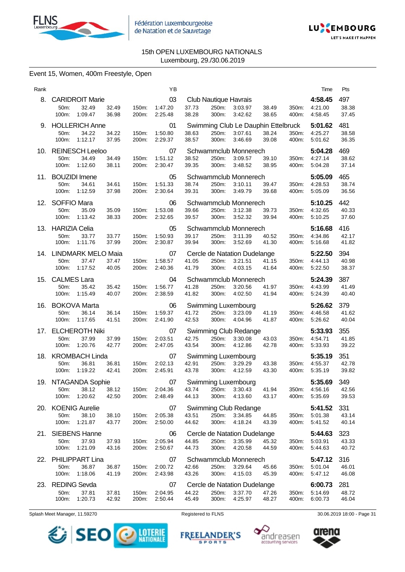



# Event 15, Women, 400m Freestyle, Open

| Rank |                                       |                                                    |                |                | YB                                                             |                |                |                                                           |                |                | Time                                | Pts                   |
|------|---------------------------------------|----------------------------------------------------|----------------|----------------|----------------------------------------------------------------|----------------|----------------|-----------------------------------------------------------|----------------|----------------|-------------------------------------|-----------------------|
|      | 50m:<br>100m:                         | 8. CARIDROIT Marie<br>32.49<br>1:09.47             | 32.49<br>36.98 | 150m:<br>200m: | 03<br>1:47.20<br>2:25.48                                       | 37.73<br>38.28 | 250m:<br>300m: | Club Nautique Havrais<br>3:03.97<br>3:42.62               | 38.49<br>38.65 | 350m:<br>400m: | 4:58.45<br>4:21.00<br>4:58.45       | 497<br>38.38<br>37.45 |
|      | 50m:                                  | 9. HOLLERICH Anne<br>34.22<br>100m: 1:12.17        | 34.22<br>37.95 | 150m:<br>200m: | 01<br>1:50.80<br>2:29.37                                       | 38.63<br>38.57 | 250m:<br>300m: | Swimming Club Le Dauphin Ettelbruck<br>3:07.61<br>3:46.69 | 38.24<br>39.08 | 350m:<br>400m: | 5:01.62<br>4:25.27<br>5:01.62       | 481<br>38.58<br>36.35 |
| 10.  | 50m:<br>100m:                         | <b>REINESCH Leeloo</b><br>34.49<br>1:12.60         | 34.49<br>38.11 | 150m:<br>200m: | 07<br>1:51.12<br>2:30.47                                       | 38.52<br>39.35 | 250m:<br>300m: | Schwammclub Monnerech<br>3:09.57<br>3:48.52               | 39.10<br>38.95 | 350m:<br>400m: | 5:04.28<br>4:27.14<br>5:04.28       | 469<br>38.62<br>37.14 |
| 11.  | <b>BOUZIDI</b> Imene<br>50m:<br>100m: | 34.61<br>1:12.59                                   | 34.61<br>37.98 | 150m:<br>200m: | 05<br>1:51.33<br>2:30.64                                       | 38.74<br>39.31 | 250m:<br>300m: | Schwammclub Monnerech<br>3:10.11<br>3:49.79               | 39.47<br>39.68 | 350m:<br>400m: | 5:05.09<br>4:28.53<br>5:05.09       | 465<br>38.74<br>36.56 |
|      | 12. SOFFIO Mara<br>50m:<br>100m:      | 35.09<br>1:13.42                                   | 35.09<br>38.33 | 150m:<br>200m: | 06<br>1:53.08<br>2:32.65                                       | 39.66<br>39.57 | 250m:<br>300m: | Schwammclub Monnerech<br>3:12.38<br>3:52.32               | 39.73<br>39.94 | 350m:<br>400m: | 5:10.25<br>4:32.65<br>5:10.25       | 442<br>40.33<br>37.60 |
|      | 13. HARIZIA Celia<br>50m:<br>100m:    | 33.77<br>1:11.76                                   | 33.77<br>37.99 | 150m:<br>200m: | 05<br>1:50.93<br>2:30.87                                       | 39.17<br>39.94 | 250m:<br>300m: | Schwammclub Monnerech<br>3:11.39<br>3:52.69               | 40.52<br>41.30 | 350m:<br>400m: | 5:16.68<br>4:34.86<br>5:16.68       | 416<br>42.17<br>41.82 |
|      | 50m:<br>100m:                         | 14. LINDMARK MELO Maia<br>37.47<br>1:17.52         | 37.47<br>40.05 | 150m:<br>200m: | 07<br>1:58.57<br>2:40.36                                       | 41.05<br>41.79 | 250m:<br>300m: | Cercle de Natation Dudelange<br>3:21.51<br>4:03.15        | 41.15<br>41.64 | 350m:<br>400m: | 5:22.50<br>4:44.13<br>5:22.50       | 394<br>40.98<br>38.37 |
| 15.  | <b>CALMES Lara</b><br>50m:<br>100m:   | 35.42<br>1:15.49                                   | 35.42<br>40.07 | 150m:<br>200m: | 04<br>1:56.77<br>2:38.59                                       | 41.28<br>41.82 | 250m:<br>300m: | Schwammclub Monnerech<br>3:20.56<br>4:02.50               | 41.97<br>41.94 | 350m:<br>400m: | 5:24.39<br>4.43.99<br>5:24.39       | 387<br>41.49<br>40.40 |
| 16.  | 50m:<br>100m:                         | <b>BOKOVA Marta</b><br>36.14<br>1:17.65            | 36.14<br>41.51 | 150m:<br>200m: | 06<br>1:59.37<br>2:41.90                                       | 41.72<br>42.53 | 250m:<br>300m: | Swimming Luxembourg<br>3:23.09<br>4:04.96                 | 41.19<br>41.87 | 350m:<br>400m: | 5:26.62<br>4:46.58<br>5:26.62       | 379<br>41.62<br>40.04 |
| 17.  | 50m:<br>100m:                         | <b>ELCHEROTH Niki</b><br>37.99<br>1:20.76          | 37.99<br>42.77 | 150m:<br>200m: | 07<br>2:03.51<br>2:47.05                                       | 42.75<br>43.54 | 250m:<br>300m: | Swimming Club Redange<br>3:30.08<br>4:12.86               | 43.03<br>42.78 | 350m:<br>400m: | 5:33.93<br>4:54.71<br>5:33.93       | 355<br>41.85<br>39.22 |
| 18.  | 50m:<br>100m:                         | <b>KROMBACH Linda</b><br>36.81<br>1:19.22          | 36.81<br>42.41 | 150m:<br>200m: | 07<br>2:02.13<br>2:45.91                                       | 42.91<br>43.78 | 250m:<br>300m: | Swimming Luxembourg<br>3:29.29<br>4:12.59                 | 43.38<br>43.30 | 350m:<br>400m: | 5:35.19<br>4:55.37<br>5:35.19       | 351<br>42.78<br>39.82 |
|      |                                       | 19. NTAGANDA Sophie<br>50m: 38.12<br>100m: 1:20.62 | 42.50          | 200m:          | 07<br>38.12 150m: 2:04.36 43.74 250m: 3:30.43 41.94<br>2:48.49 | 44.13          | 300m:          | Swimming Luxembourg<br>4:13.60                            | 43.17          | 400m:          | 5:35.69<br>350m: 4:56.16<br>5:35.69 | 349<br>42.56<br>39.53 |
| 20.  | 50m:<br>100m:                         | <b>KOENIG Aurelie</b><br>38.10<br>1:21.87          | 38.10<br>43.77 | 150m:<br>200m: | 07<br>2:05.38<br>2:50.00                                       | 43.51<br>44.62 | 250m:<br>300m: | Swimming Club Redange<br>3:34.85<br>4:18.24               | 44.85<br>43.39 | 350m:<br>400m: | 5:41.52<br>5:01.38<br>5:41.52       | 331<br>43.14<br>40.14 |
| 21.  | 50m:<br>100m:                         | <b>SIEBENS Hanne</b><br>37.93<br>1:21.09           | 37.93<br>43.16 | 150m:<br>200m: | 06<br>2:05.94<br>2:50.67                                       | 44.85<br>44.73 | 250m:<br>300m: | Cercle de Natation Dudelange<br>3:35.99<br>4:20.58        | 45.32<br>44.59 | 350m:<br>400m: | 5:44.63<br>5:03.91<br>5:44.63       | 323<br>43.33<br>40.72 |
| 22.  | 50m:<br>100m:                         | <b>PHILIPPART Lina</b><br>36.87<br>1:18.06         | 36.87<br>41.19 | 150m:<br>200m: | 07<br>2:00.72<br>2:43.98                                       | 42.66<br>43.26 | 250m:<br>300m: | Schwammclub Monnerech<br>3:29.64<br>4:15.03               | 45.66<br>45.39 | 350m:<br>400m: | 5:47.12<br>5:01.04<br>5:47.12       | 316<br>46.01<br>46.08 |
| 23.  | <b>REDING Sevda</b><br>50m:<br>100m:  | 37.81<br>1:20.73                                   | 37.81<br>42.92 | 150m:<br>200m: | 07<br>2:04.95<br>2:50.44                                       | 44.22<br>45.49 | 250m:<br>300m: | Cercle de Natation Dudelange<br>3:37.70<br>4:25.97        | 47.26<br>48.27 | 350m:<br>400m: | 6:00.73<br>5:14.69<br>6:00.73       | 281<br>48.72<br>46.04 |









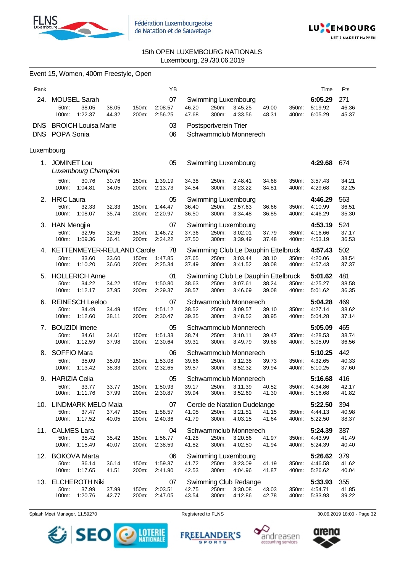

Event 15, Women, 400m Freestyle, Open



# 15th OPEN LUXEMBOURG NATIONALS Luxembourg, 29./30.06.2019

| Rank               |                                                                    |                |                | ΥB                             |                |                        |                                                           |                |                | Time                                | Pts                   |
|--------------------|--------------------------------------------------------------------|----------------|----------------|--------------------------------|----------------|------------------------|-----------------------------------------------------------|----------------|----------------|-------------------------------------|-----------------------|
| 24.                | <b>MOUSEL Sarah</b><br>38.05<br>50m:<br>100m:<br>1:22.37           | 38.05<br>44.32 | 150m:<br>200m: | 07<br>2:08.57<br>2:56.25       | 46.20<br>47.68 | 250m:<br>300m:         | Swimming Luxembourg<br>3:45.25<br>4:33.56                 | 49.00<br>48.31 | 350m:<br>400m: | 6:05.29<br>5:19.92<br>6:05.29       | 271<br>46.36<br>45.37 |
| DNS.<br><b>DNS</b> | <b>BROICH Louisa Marie</b><br>POPA Sonia                           |                |                | 03<br>06                       |                | Postsportverein Trier  | Schwammclub Monnerech                                     |                |                |                                     |                       |
| Luxembourg         |                                                                    |                |                |                                |                |                        |                                                           |                |                |                                     |                       |
|                    | 1. JOMINET Lou<br><b>Luxembourg Champion</b>                       |                |                | 05                             |                |                        | Swimming Luxembourg                                       |                |                | 4:29.68                             | 674                   |
|                    | 50m:<br>30.76<br>100m:<br>1:04.81                                  | 30.76<br>34.05 | 150m:<br>200m: | 1:39.19<br>2:13.73             | 34.38<br>34.54 | 250m:<br>300m:         | 2:48.41<br>3:23.22                                        | 34.68<br>34.81 | 350m:<br>400m: | 3:57.43<br>4.29.68                  | 34.21<br>32.25        |
|                    | 2. HRIC Laura<br>32.33<br>50m:<br>100m:<br>1:08.07                 | 32.33<br>35.74 | 150m:<br>200m: | 05<br>1:44.47<br>2:20.97       | 36.40<br>36.50 | 250m:<br>300m:         | Swimming Luxembourg<br>2:57.63<br>3:34.48                 | 36.66<br>36.85 | 350m:<br>400m: | 4:46.29<br>4:10.99<br>4:46.29       | 563<br>36.51<br>35.30 |
|                    | 3. HAN Mengjia<br>50m:<br>32.95<br>1:09.36<br>100m:                | 32.95<br>36.41 | 150m:<br>200m: | 07<br>1:46.72<br>2:24.22       | 37.36<br>37.50 | 250m:<br>300m:         | Swimming Luxembourg<br>3:02.01<br>3:39.49                 | 37.79<br>37.48 | 350m:<br>400m: | 4:53.19<br>4:16.66<br>4:53.19       | 524<br>37.17<br>36.53 |
|                    | 4. KETTENMEYER-REULAND Carole<br>50m:<br>33.60<br>1:10.20<br>100m: | 33.60<br>36.60 | 150m:<br>200m: | 78<br>1:47.85<br>2:25.34       | 37.65<br>37.49 | 250m:<br>300m:         | Swimming Club Le Dauphin Ettelbruck<br>3:03.44<br>3:41.52 | 38.10<br>38.08 | 350m:<br>400m: | 4:57.43<br>4:20.06<br>4:57.43       | 502<br>38.54<br>37.37 |
| 5.                 | <b>HOLLERICH Anne</b><br>50m:<br>34.22<br>100m:<br>1:12.17         | 34.22<br>37.95 | 150m:<br>200m: | 01<br>1:50.80<br>2:29.37       | 38.63<br>38.57 | 250m:<br>300m:         | Swimming Club Le Dauphin Ettelbruck<br>3:07.61<br>3:46.69 | 38.24<br>39.08 | 350m:<br>400m: | 5:01.62<br>4:25.27<br>5:01.62       | 481<br>38.58<br>36.35 |
| 6.                 | <b>REINESCH Leeloo</b><br>34.49<br>50m:<br>100m:<br>1:12.60        | 34.49<br>38.11 | 150m:<br>200m: | 07<br>1:51.12<br>2:30.47       | 38.52<br>39.35 | 250m:<br>300m:         | Schwammclub Monnerech<br>3:09.57<br>3:48.52               | 39.10<br>38.95 | 350m:<br>400m: | 5:04.28<br>4:27.14<br>5:04.28       | 469<br>38.62<br>37.14 |
| 7.                 | <b>BOUZIDI</b> Imene<br>50m:<br>34.61<br>1:12.59<br>100m:          | 34.61<br>37.98 | 150m:<br>200m: | 05<br>1:51.33<br>2:30.64       | 38.74<br>39.31 | 250m:<br>300m:         | Schwammclub Monnerech<br>3:10.11<br>3:49.79               | 39.47<br>39.68 | 350m:<br>400m: | 5:05.09<br>4:28.53<br>5:05.09       | 465<br>38.74<br>36.56 |
| 8.                 | <b>SOFFIO Mara</b><br>50m:<br>35.09<br>100m:<br>1:13.42            | 35.09<br>38.33 | 150m:<br>200m: | 06<br>1:53.08<br>2:32.65       | 39.66<br>39.57 | 250m:<br>300m:         | Schwammclub Monnerech<br>3:12.38<br>3:52.32               | 39.73<br>39.94 | 350m:<br>400m: | 5:10.25<br>4:32.65<br>5:10.25       | 442<br>40.33<br>37.60 |
|                    | 9. HARIZIA Celia<br>50m: 33.77<br>100m:<br>1:11.76                 | 33.77<br>37.99 | 200m:          | 05<br>150m: 1:50.93<br>2:30.87 | 39.17<br>39.94 | 250m: 3:11.39<br>300m: | Schwammclub Monnerech<br>3:52.69                          | 40.52<br>41.30 | 400m:          | 5:16.68<br>350m: 4:34.86<br>5:16.68 | 416<br>42.17<br>41.82 |
|                    | 10. LINDMARK MELO Maia<br>37.47<br>50m:<br>1:17.52<br>100m:        | 37.47<br>40.05 | 150m:<br>200m: | 07<br>1:58.57<br>2:40.36       | 41.05<br>41.79 | 250m.<br>300m:         | Cercle de Natation Dudelange<br>3:21.51<br>4:03.15        | 41.15<br>41.64 | 350m:<br>400m: | 5:22.50<br>4:44.13<br>5:22.50       | 394<br>40.98<br>38.37 |
|                    | 11. CALMES Lara<br>50m:<br>35.42<br>100m:<br>1:15.49               | 35.42<br>40.07 | 150m:<br>200m: | 04<br>1:56.77<br>2:38.59       | 41.28<br>41.82 | 250m:<br>300m:         | Schwammclub Monnerech<br>3:20.56<br>4:02.50               | 41.97<br>41.94 | 350m:<br>400m: | 5:24.39<br>4:43.99<br>5:24.39       | 387<br>41.49<br>40.40 |
|                    | 12. BOKOVA Marta<br>50m:<br>36.14<br>100m:<br>1:17.65              | 36.14<br>41.51 | 150m:<br>200m: | 06<br>1:59.37<br>2:41.90       | 41.72<br>42.53 | 250m:<br>300m:         | Swimming Luxembourg<br>3:23.09<br>4:04.96                 | 41.19<br>41.87 | 350m:<br>400m: | 5:26.62<br>4:46.58<br>5:26.62       | 379<br>41.62<br>40.04 |
|                    | 13. ELCHEROTH Niki<br>50m:<br>37.99<br>100m:<br>1:20.76            | 37.99<br>42.77 | 150m:<br>200m: | 07<br>2:03.51<br>2:47.05       | 42.75<br>43.54 | 250m:<br>300m:         | Swimming Club Redange<br>3:30.08<br>4:12.86               | 43.03<br>42.78 | 350m:<br>400m: | 5:33.93<br>4:54.71<br>5:33.93       | 355<br>41.85<br>39.22 |







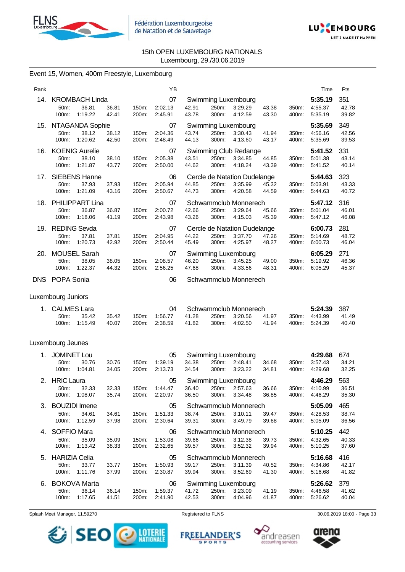



# Event 15, Women, 400m Freestyle, Luxembourg

| Rank |                      |                        |                |                | ΥB                 |                |                |                              |                |                | Time               | Pts            |
|------|----------------------|------------------------|----------------|----------------|--------------------|----------------|----------------|------------------------------|----------------|----------------|--------------------|----------------|
|      |                      | 14. KROMBACH Linda     |                |                | 07                 |                |                | Swimming Luxembourg          |                |                | 5:35.19            | 351            |
|      | 50m:<br>100m:        | 36.81<br>1:19.22       | 36.81<br>42.41 | 150m:<br>200m: | 2:02.13<br>2:45.91 | 42.91<br>43.78 | 250m:<br>300m: | 3:29.29<br>4:12.59           | 43.38<br>43.30 | 350m:<br>400m: | 4:55.37<br>5:35.19 | 42.78<br>39.82 |
| 15.  |                      | NTAGANDA Sophie        |                |                | 07                 |                |                | Swimming Luxembourg          |                |                | 5:35.69            | 349            |
|      | 50m:<br>100m:        | 38.12<br>1:20.62       | 38.12<br>42.50 | 150m:<br>200m: | 2:04.36<br>2:48.49 | 43.74<br>44.13 | 250m:<br>300m: | 3:30.43<br>4:13.60           | 41.94<br>43.17 | 350m:<br>400m: | 4:56.16<br>5:35.69 | 42.56<br>39.53 |
| 16.  |                      | <b>KOENIG Aurelie</b>  |                |                | 07                 |                |                | Swimming Club Redange        |                |                | 5:41.52            | 331            |
|      | 50m:<br>100m:        | 38.10<br>1:21.87       | 38.10<br>43.77 | 150m:<br>200m: | 2:05.38<br>2:50.00 | 43.51<br>44.62 | 250m:<br>300m: | 3:34.85<br>4:18.24           | 44.85<br>43.39 | 350m:<br>400m: | 5:01.38<br>5:41.52 | 43.14<br>40.14 |
| 17.  |                      | <b>SIEBENS Hanne</b>   |                |                | 06                 |                |                | Cercle de Natation Dudelange |                |                | 5:44.63            | 323            |
|      | 50m:<br>100m:        | 37.93<br>1:21.09       | 37.93<br>43.16 | 150m:<br>200m: | 2:05.94<br>2:50.67 | 44.85<br>44.73 | 250m:<br>300m: | 3:35.99<br>4:20.58           | 45.32<br>44.59 | 350m:<br>400m: | 5:03.91<br>5:44.63 | 43.33<br>40.72 |
| 18.  |                      | PHILIPPART Lina        |                |                | 07                 |                |                | Schwammclub Monnerech        |                |                | 5:47.12            | 316            |
|      | 50m:<br>100m:        | 36.87<br>1:18.06       | 36.87<br>41.19 | 150m:<br>200m: | 2:00.72<br>2:43.98 | 42.66<br>43.26 | 250m:<br>300m: | 3:29.64<br>4:15.03           | 45.66<br>45.39 | 350m:<br>400m: | 5:01.04<br>5:47.12 | 46.01<br>46.08 |
|      | 19. REDING Sevda     |                        |                |                | 07                 |                |                | Cercle de Natation Dudelange |                |                | 6:00.73            | 281            |
|      | 50m:<br>100m:        | 37.81<br>1:20.73       | 37.81<br>42.92 | 150m:<br>200m: | 2:04.95<br>2:50.44 | 44.22<br>45.49 | 250m:<br>300m: | 3:37.70<br>4:25.97           | 47.26<br>48.27 | 350m:<br>400m: | 5:14.69<br>6:00.73 | 48.72<br>46.04 |
| 20.  |                      | <b>MOUSEL Sarah</b>    |                |                | 07                 |                |                | Swimming Luxembourg          |                |                | 6:05.29            | 271            |
|      | 50m:<br>100m:        | 38.05<br>1:22.37       | 38.05<br>44.32 | 150m:<br>200m: | 2:08.57<br>2:56.25 | 46.20<br>47.68 | 250m:<br>300m: | 3:45.25<br>4:33.56           | 49.00<br>48.31 | 350m:<br>400m: | 5:19.92<br>6:05.29 | 46.36<br>45.37 |
|      | DNS POPA Sonia       |                        |                |                | 06                 |                |                | Schwammclub Monnerech        |                |                |                    |                |
|      | Luxembourg Juniors   |                        |                |                |                    |                |                |                              |                |                |                    |                |
| 1.   | <b>CALMES Lara</b>   |                        |                |                | 04                 |                |                | Schwammclub Monnerech        |                |                | 5:24.39            | 387            |
|      | 50m:<br>100m:        | 35.42<br>1:15.49       | 35.42<br>40.07 | 150m:<br>200m: | 1:56.77<br>2:38.59 | 41.28<br>41.82 | 250m:<br>300m: | 3:20.56<br>4:02.50           | 41.97<br>41.94 | 350m:<br>400m: | 4:43.99<br>5:24.39 | 41.49<br>40.40 |
|      | Luxembourg Jeunes    |                        |                |                |                    |                |                |                              |                |                |                    |                |
| 1.   | <b>JOMINET Lou</b>   |                        |                |                | 05                 |                |                | Swimming Luxembourg          |                |                | 4:29.68            | 674            |
|      | 50m:<br>100m:        | 30.76<br>1:04.81       | 30.76<br>34.05 | 150m:<br>200m: | 1:39.19<br>2:13.73 | 34.38<br>34.54 | 250m:<br>300m: | 2:48.41<br>3:23.22           | 34.68<br>34.81 | 350m:<br>400m: | 3:57.43<br>4:29.68 | 34.21<br>32.25 |
| 2.   | <b>HRIC Laura</b>    |                        |                |                | 05                 |                |                | Swimming Luxembourg          |                |                | 4:46.29            | 563            |
|      | 50m:                 | 32.33<br>100m: 1:08.07 | 32.33<br>35.74 | 150m:<br>200m: | 1:44.47<br>2:20.97 | 36.40<br>36.50 | 250m:<br>300m: | 2:57.63<br>3:34.48           | 36.66<br>36.85 | 350m:<br>400m: | 4:10.99<br>4:46.29 | 36.51<br>35.30 |
| З.   | <b>BOUZIDI</b> Imene |                        |                |                | 05                 |                |                | Schwammclub Monnerech        |                |                | 5:05.09            | 465            |
|      | 50m:<br>100m:        | 34.61<br>1:12.59       | 34.61<br>37.98 | 150m:<br>200m: | 1:51.33<br>2:30.64 | 38.74<br>39.31 | 250m:<br>300m: | 3:10.11<br>3:49.79           | 39.47<br>39.68 | 350m:<br>400m: | 4:28.53<br>5:05.09 | 38.74<br>36.56 |
| 4.   | <b>SOFFIO Mara</b>   |                        |                |                | 06                 |                |                | Schwammclub Monnerech        |                |                | 5:10.25            | 442            |
|      | 50m:<br>100m:        | 35.09<br>1:13.42       | 35.09<br>38.33 | 150m:<br>200m: | 1:53.08<br>2:32.65 | 39.66<br>39.57 | 250m:<br>300m: | 3:12.38<br>3:52.32           | 39.73<br>39.94 | 350m:<br>400m: | 4:32.65<br>5:10.25 | 40.33<br>37.60 |
|      | 5. HARIZIA Celia     |                        |                |                | 05                 |                |                | Schwammclub Monnerech        |                |                | 5:16.68            | 416            |
|      | 50m:<br>100m:        | 33.77<br>1:11.76       | 33.77<br>37.99 | 150m:<br>200m: | 1:50.93<br>2:30.87 | 39.17<br>39.94 | 250m:<br>300m: | 3:11.39<br>3:52.69           | 40.52<br>41.30 | 350m:<br>400m: | 4:34.86<br>5:16.68 | 42.17<br>41.82 |
| 6.   |                      | <b>BOKOVA Marta</b>    |                |                | 06                 |                |                | Swimming Luxembourg          |                |                | 5:26.62            | 379            |
|      | 50m:<br>100m:        | 36.14<br>1:17.65       | 36.14<br>41.51 | 150m:<br>200m: | 1:59.37<br>2:41.90 | 41.72<br>42.53 | 250m:<br>300m: | 3:23.09<br>4:04.96           | 41.19<br>41.87 | 350m:<br>400m: | 4:46.58<br>5:26.62 | 41.62<br>40.04 |

Splash Meet Manager, 11.59270 **Registered to FLNS** Registered to FLNS 30.06.2019 18:00 - Page 33

SEO **DESCRIPTIONALE** 





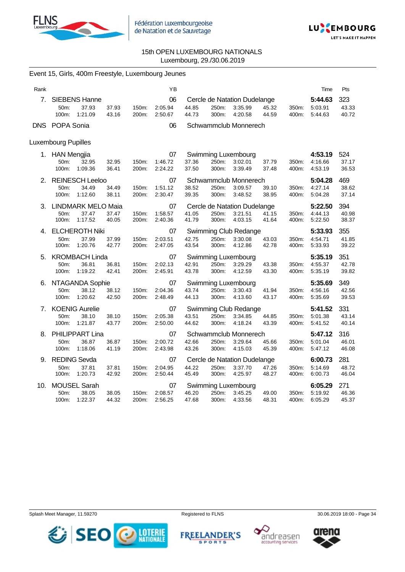



| Rank |                     |                              |                |                | ΥB                        |                              |                |                                         |                |                | Time               | Pts            |
|------|---------------------|------------------------------|----------------|----------------|---------------------------|------------------------------|----------------|-----------------------------------------|----------------|----------------|--------------------|----------------|
| 7.   |                     | <b>SIEBENS Hanne</b>         |                |                | 06                        |                              |                | Cercle de Natation Dudelange            |                |                | 5:44.63            | 323            |
|      | 50m:<br>100m:       | 37.93<br>1:21.09             | 37.93<br>43.16 | 150m:<br>200m: | 2:05.94<br>2:50.67        | 44.85<br>44.73               | 250m:<br>300m: | 3:35.99<br>4:20.58                      | 45.32<br>44.59 | 350m:<br>400m: | 5:03.91<br>5:44.63 | 43.33<br>40.72 |
|      | DNS POPA Sonia      |                              |                |                |                           |                              |                |                                         |                |                |                    |                |
|      |                     |                              |                |                | 06                        |                              |                | Schwammclub Monnerech                   |                |                |                    |                |
|      | Luxembourg Pupilles |                              |                |                |                           |                              |                |                                         |                |                |                    |                |
|      | 1. HAN Mengjia      |                              |                |                | 07                        |                              |                | Swimming Luxembourg                     |                |                | 4:53.19            | 524            |
|      | 50m:                | 32.95                        | 32.95          | 150m:          | 1:46.72                   | 37.36                        | 250m:          | 3:02.01                                 | 37.79          | 350m:          | 4:16.66            | 37.17          |
|      | 100m:               | 1:09.36                      | 36.41          | 200m:          | 2:24.22                   | 37.50                        | 300m:          | 3:39.49                                 | 37.48          | 400m:          | 4:53.19            | 36.53          |
|      | 50m:                | 2. REINESCH Leeloo<br>34.49  | 34.49          | 150m:          | 07<br>1:51.12             | 38.52                        | 250m:          | Schwammclub Monnerech<br>3:09.57        | 39.10          | 350m:          | 5:04.28<br>4:27.14 | 469<br>38.62   |
|      | 100m:               | 1:12.60                      | 38.11          | 200m:          | 2:30.47                   | 39.35                        | 300m:          | 3:48.52                                 | 38.95          | 400m:          | 5:04.28            | 37.14          |
|      |                     | 3. LINDMARK MELO Maia        |                |                | 07                        | Cercle de Natation Dudelange |                |                                         |                |                |                    | 394            |
|      | 50m:                | 37.47                        | 37.47          | 150m:          | 1:58.57                   | 41.05                        | 250m:          | 3:21.51                                 | 41.15          | 350m:          | 4:44.13            | 40.98          |
|      | 100m:               | 1:17.52                      | 40.05          | 200m:          | 2:40.36                   | 41.79                        | 300m:          | 4:03.15                                 | 41.64          | 400m:          | 5:22.50            | 38.37          |
|      |                     | 4. ELCHEROTH Niki            |                |                | 07                        |                              |                | Swimming Club Redange                   |                |                | 5:33.93            | 355            |
|      | 50m:<br>100m:       | 37.99<br>1:20.76             | 37.99<br>42.77 | 150m:<br>200m: | 2:03.51<br>2:47.05        | 42.75<br>43.54               | 250m:<br>300m: | 3:30.08<br>4:12.86                      | 43.03<br>42.78 | 350m:<br>400m: | 4:54.71<br>5:33.93 | 41.85<br>39.22 |
|      | 5. KROMBACH Linda   |                              |                |                | 07<br>Swimming Luxembourg |                              |                |                                         |                |                | 5:35.19            | 351            |
|      | 50m:                | 36.81                        | 36.81          | 150m:          | 2:02.13                   | 42.91                        | 250m:          | 3:29.29                                 | 43.38          | 350m:          | 4:55.37            | 42.78          |
|      | 100m:               | 1:19.22                      | 42.41          | 200m:          | 2:45.91                   | 43.78                        | 300m:          | 4:12.59                                 | 43.30          | 400m:          | 5:35.19            | 39.82          |
|      |                     | 6. NTAGANDA Sophie           |                |                | 07                        |                              |                | <b>Swimming Luxembourg</b>              |                |                | 5:35.69            | 349            |
|      | 50m:<br>100m:       | 38.12<br>1:20.62             | 38.12<br>42.50 | 150m:<br>200m: | 2:04.36<br>2:48.49        | 43.74<br>44.13               | 250m:<br>300m: | 3:30.43<br>4:13.60                      | 41.94<br>43.17 | 350m:<br>400m: | 4:56.16<br>5:35.69 | 42.56<br>39.53 |
|      |                     | 7. KOENIG Aurelie            |                |                | 07                        |                              |                | Swimming Club Redange                   |                |                | 5:41.52            | 331            |
|      | 50m:                | 38.10                        | 38.10          | 150m:          | 2:05.38                   | 43.51                        | 250m:          | 3:34.85                                 | 44.85          | 350m:          | 5:01.38            | 43.14          |
|      | 100m:               | 1:21.87                      | 43.77          | 200m:          | 2:50.00                   | 44.62                        | 300m:          | 4:18.24                                 | 43.39          | 400m:          | 5:41.52            | 40.14          |
|      |                     | 8. PHILIPPART Lina           |                |                | 07                        | Schwammclub Monnerech        |                |                                         |                |                | 5:47.12            | 316            |
|      | 50m:<br>100m:       | 36.87<br>1:18.06             | 36.87<br>41.19 | 150m:<br>200m: | 2:00.72<br>2:43.98        | 42.66<br>43.26               | 250m:<br>300m: | 3:29.64<br>4:15.03                      | 45.66<br>45.39 | 350m:<br>400m: | 5:01.04<br>5:47.12 | 46.01<br>46.08 |
|      |                     |                              |                |                |                           |                              |                |                                         |                |                |                    |                |
| 9.   | 50m:                | <b>REDING Sevda</b><br>37.81 | 37.81          | 150m:          | 07<br>2:04.95             | 44.22                        | 250m:          | Cercle de Natation Dudelange<br>3:37.70 | 47.26          | 350m:          | 6:00.73<br>5:14.69 | 281<br>48.72   |
|      | 100m:               | 1:20.73                      | 42.92          | 200m:          | 2:50.44                   | 45.49                        | 300m:          | 4:25.97                                 | 48.27          | 400m:          | 6:00.73            | 46.04          |
| 10.  |                     | <b>MOUSEL Sarah</b>          |                |                | 07                        | Swimming Luxembourg          |                |                                         |                |                | 6:05.29            | 271            |
|      | 50m:                | 38.05                        | 38.05          | 150m:          | 2:08.57                   | 46.20                        | 250m:          | 3:45.25                                 | 49.00          | 350m:          | 5:19.92            | 46.36          |
|      | 100m:               | 1:22.37                      | 44.32          | 200m:          | 2:56.25                   | 47.68                        | 300m:          | 4:33.56                                 | 48.31          | 400m:          | 6:05.29            | 45.37          |

# Event 15, Girls, 400m Freestyle, Luxembourg Jeunes









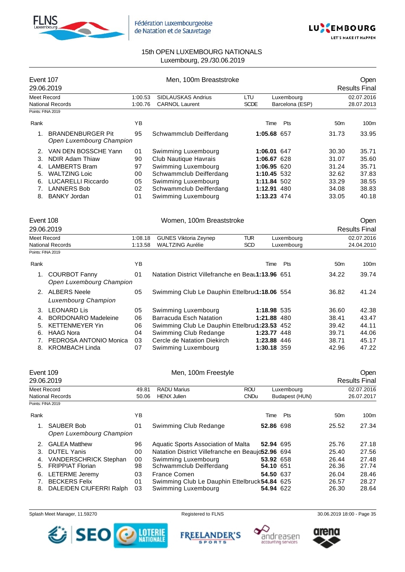



| Event 107<br>29.06.2019 |                                                      |         | Men, 100m Breaststroke                            |             |      |                 |                 | Open<br><b>Results Final</b> |
|-------------------------|------------------------------------------------------|---------|---------------------------------------------------|-------------|------|-----------------|-----------------|------------------------------|
| Meet Record             |                                                      | 1:00.53 | SIDLAUSKAS Andrius                                | LTU         |      | Luxembourg      |                 | 02.07.2016                   |
|                         | <b>National Records</b>                              | 1:00.76 | <b>CARNOL Laurent</b>                             | <b>SCDE</b> |      | Barcelona (ESP) |                 | 28.07.2013                   |
| Points: FINA 2019       |                                                      |         |                                                   |             |      |                 |                 |                              |
| Rank                    |                                                      | YB      |                                                   |             | Time | Pts             | 50 <sub>m</sub> | 100m                         |
| 1.                      | <b>BRANDENBURGER Pit</b><br>Open Luxembourg Champion | 95      | Schwammclub Deifferdang                           |             |      | 1:05.68 657     | 31.73           | 33.95                        |
|                         | 2. VAN DEN BOSSCHE Yann                              | 01      | Swimming Luxembourg                               |             |      | 1:06.01 647     | 30.30           | 35.71                        |
| 3.                      | <b>NDIR Adam Thiaw</b>                               | 90      | Club Nautique Havrais                             |             |      | 1:06.67 628     | 31.07           | 35.60                        |
|                         | 4. LAMBERTS Bram                                     | 97      | Swimming Luxembourg                               |             |      | 1:06.95 620     | 31.24           | 35.71                        |
|                         | 5. WALTZING Loic                                     | 00      | Schwammclub Deifferdang                           |             |      | 1:10.45 532     | 32.62           | 37.83                        |
| 6.                      | <b>LUCARELLI Riccardo</b>                            | 05      | Swimming Luxembourg                               |             |      | 1:11.84 502     | 33.29           | 38.55                        |
|                         | 7. LANNERS Bob                                       | 02      | Schwammclub Deifferdang                           |             |      | 1:12.91 480     | 34.08           | 38.83                        |
|                         | 8. BANKY Jordan                                      | 01      | Swimming Luxembourg                               |             |      | 1:13.23 474     | 33.05           | 40.18                        |
| Event 108               |                                                      |         | Women, 100m Breaststroke                          |             |      |                 |                 | Open                         |
| 29.06.2019              |                                                      |         |                                                   |             |      |                 |                 | <b>Results Final</b>         |
| Meet Record             |                                                      | 1:08.18 | <b>GUNES Viktoria Zeynep</b>                      | <b>TUR</b>  |      | Luxembourg      |                 | 02.07.2016                   |
|                         | <b>National Records</b>                              | 1:13.58 | <b>WALTZING Aurélie</b>                           | <b>SCD</b>  |      | Luxembourg      |                 | 24.04.2010                   |
| Points: FINA 2019       |                                                      |         |                                                   |             |      |                 |                 |                              |
| Rank                    |                                                      | ΥB      |                                                   |             | Time | Pts             | 50 <sub>m</sub> | 100m                         |
|                         | 1. COURBOT Fanny<br>Open Luxembourg Champion         | 01      | Natation District Villefranche en Beau1:13.96 651 |             |      |                 | 34.22           | 39.74                        |
|                         | 2. ALBERS Neele                                      | 05      | Swimming Club Le Dauphin Ettelbru(1:18.06 554     |             |      |                 | 36.82           | 41.24                        |
|                         | <b>Luxembourg Champion</b>                           |         |                                                   |             |      |                 |                 |                              |
|                         | 3. LEONARD Lis                                       | 05      | Swimming Luxembourg                               |             |      | 1:18.98 535     | 36.60           | 42.38                        |
| 4.                      | <b>BORDONARO Madeleine</b>                           | 06      | <b>Barracuda Esch Natation</b>                    |             |      | 1:21.88 480     | 38.41           | 43.47                        |
| 5.                      | <b>KETTENMEYER Yin</b>                               | 06      | Swimming Club Le Dauphin Ettelbru(1:23.53 452     |             |      |                 | 39.42           | 44.11                        |
| 6.                      | <b>HAAG Nora</b>                                     | 04      | Swimming Club Redange                             |             |      | 1:23.77 448     | 39.71           | 44.06                        |
| 7.                      | PEDROSA ANTONIO Monica                               | 03      | Cercle de Natation Diekirch                       |             |      | 1:23.88 446     | 38.71           | 45.17                        |
| 8.                      | <b>KROMBACH Linda</b>                                | 07      | Swimming Luxembourg                               |             |      | 1:30.18 359     | 42.96           | 47.22                        |
| Event 109               |                                                      |         | Men, 100m Freestyle                               |             |      |                 |                 | Open                         |
| 29.06.2019              |                                                      |         |                                                   |             |      |                 |                 | <b>Results Final</b>         |
| <b>Meet Record</b>      |                                                      | 49.81   | <b>RADU Marius</b>                                | <b>ROU</b>  |      | Luxembourg      |                 | 02.07.2016                   |
|                         | <b>National Records</b>                              | 50.06   | <b>HENX Julien</b>                                | <b>CNDu</b> |      | Budapest (HUN)  |                 | 26.07.2017                   |
| Points: FINA 2019       |                                                      |         |                                                   |             |      |                 |                 |                              |
| Rank                    |                                                      | YB      |                                                   |             | Time | Pts             | 50 <sub>m</sub> | 100m                         |
| 1.                      | <b>SAUBER Bob</b><br>Open Luxembourg Champion        | 01      | Swimming Club Redange                             |             |      | 52.86 698       | 25.52           | 27.34                        |
|                         | 2. GALEA Matthew                                     | 96      | Aquatic Sports Association of Malta               |             |      | 52.94 695       | 25.76           | 27.18                        |
| 3.                      | <b>DUTEL Yanis</b>                                   | 00      | Natation District Villefranche en Beaujc52.96 694 |             |      |                 | 25.40           | 27.56                        |
| 4.                      | <b>VANDERSCHRICK Stephan</b>                         | 00      | Swimming Luxembourg                               |             |      | 53.92 658       | 26.44           | 27.48                        |
| 5.                      | <b>FRIPPIAT Florian</b>                              | 98      | Schwammclub Deifferdang                           |             |      | 54.10 651       | 26.36           | 27.74                        |
| 6.                      | <b>LETERME Jeremy</b>                                | 03      | France Comen                                      |             |      | 54.50 637       | 26.04           | 28.46                        |

7. BECKERS Felix 01 Swimming Club Le Dauphin Ettelbruck**54.84** 625 26.57 28.27

8. DALEIDEN CIUFERRI Ralph 03 Swimming Luxembourg **54.94** 622 26.30 28.64

Splash Meet Manager, 11.59270 **Registered to FLNS Registered to FLNS** 30.06.2019 18:00 - Page 35



**FREELANDER'S SPORTS** 



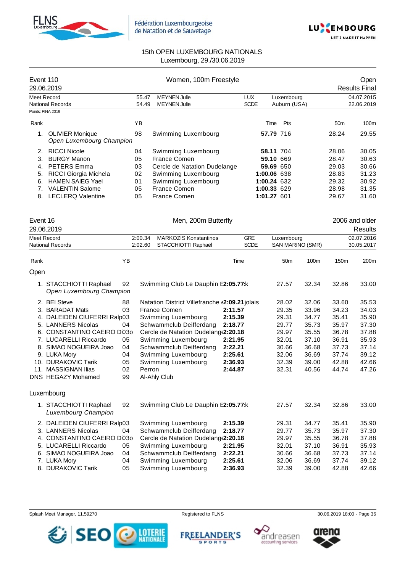



| Event 110<br>29.06.2019 |                                                    |    | Women, 100m Freestyle |                                                     |         |                           |                 |                  |                 |                          |
|-------------------------|----------------------------------------------------|----|-----------------------|-----------------------------------------------------|---------|---------------------------|-----------------|------------------|-----------------|--------------------------|
|                         | <b>Meet Record</b>                                 |    | 55.47                 | <b>MEYNEN Julie</b>                                 |         | <b>LUX</b>                | Luxembourg      |                  |                 | 04.07.2015               |
|                         | National Records                                   |    | 54.49                 | <b>MEYNEN Julie</b>                                 |         | <b>SCDE</b>               | Auburn (USA)    |                  |                 | 22.06.2019               |
|                         | Points: FINA 2019                                  |    |                       |                                                     |         |                           |                 |                  |                 |                          |
| Rank                    |                                                    | YB |                       |                                                     |         | Time                      | Pts             |                  | 50 <sub>m</sub> | 100m                     |
| 1.                      | <b>OLIVIER Monique</b><br>Open Luxembourg Champion | 98 |                       | Swimming Luxembourg                                 |         | 57.79 716                 |                 |                  | 28.24           | 29.55                    |
| 2.                      | <b>RICCI Nicole</b>                                | 04 |                       | Swimming Luxembourg                                 |         | 58.11 704                 |                 |                  | 28.06           | 30.05                    |
| 3.                      | <b>BURGY Manon</b>                                 | 05 |                       | France Comen                                        |         | 59.10 669                 |                 |                  | 28.47           | 30.63                    |
| 4.                      | <b>PETERS Emma</b>                                 | 03 |                       | Cercle de Natation Dudelange                        |         | 59.69 650                 |                 |                  | 29.03           | 30.66                    |
| 5.                      | RICCI Giorgia Michela                              | 02 |                       | Swimming Luxembourg                                 |         | 1:00.06 638               |                 |                  | 28.83           | 31.23                    |
| 6.                      | <b>HAMEN SAIEG Yael</b>                            | 01 |                       | Swimming Luxembourg                                 |         | 1:00.24 632               |                 |                  | 29.32           | 30.92                    |
| 7.                      | <b>VALENTIN Salome</b>                             | 05 |                       | France Comen                                        |         | 1:00.33 629               |                 |                  | 28.98           | 31.35                    |
|                         | 8. LECLERQ Valentine                               | 05 |                       | <b>France Comen</b>                                 |         | 1:01.27 601               |                 |                  | 29.67           | 31.60                    |
| Event 16                |                                                    |    |                       | Men, 200m Butterfly                                 |         |                           |                 |                  |                 | 2006 and older           |
|                         | 29.06.2019                                         |    |                       |                                                     |         |                           |                 |                  |                 | <b>Results</b>           |
|                         | Meet Record<br><b>National Records</b>             |    | 2:00.34<br>2:02.60    | <b>MARKOZIS Konstantinos</b><br>STACCHIOTTI Raphaël |         | <b>GRE</b><br><b>SCDE</b> | Luxembourg      | SAN MARINO (SMR) |                 | 02.07.2016<br>30.05.2017 |
|                         |                                                    |    |                       |                                                     |         |                           |                 |                  |                 |                          |
| Rank<br>Open            |                                                    | YB |                       |                                                     | Time    |                           | 50 <sub>m</sub> | 100m             | 150m            | 200m                     |
|                         |                                                    |    |                       |                                                     |         |                           |                 |                  |                 |                          |
|                         | 1. STACCHIOTTI Raphael<br>Open Luxembourg Champion | 92 |                       | Swimming Club Le Dauphin E2:05.77:k                 |         |                           | 27.57           | 32.34            | 32.86           | 33.00                    |
|                         | 2. BEI Steve                                       | 88 |                       | Natation District Villefranche (2:09.21 jolais      |         |                           | 28.02           | 32.06            | 33.60           | 35.53                    |
|                         | 3. BARADAT Mats                                    | 03 |                       | France Comen                                        | 2:11.57 |                           | 29.35           | 33.96            | 34.23           | 34.03                    |
|                         | 4. DALEIDEN CIUFERRI Ralp03                        |    |                       | Swimming Luxembourg                                 | 2:15.39 |                           | 29.31           | 34.77            | 35.41           | 35.90                    |
|                         | 5. LANNERS Nicolas                                 | 04 |                       | Schwammclub Deifferdang                             | 2:18.77 |                           | 29.77           | 35.73            | 35.97           | 37.30                    |
|                         | 6. CONSTANTINO CAEIRO Di03o                        |    |                       | Cercle de Natation Dudelang (2:20.18                |         |                           | 29.97           | 35.55            | 36.78           | 37.88                    |
|                         | 7. LUCARELLI Riccardo                              | 05 |                       | Swimming Luxembourg                                 | 2:21.95 |                           | 32.01           | 37.10            | 36.91           | 35.93                    |
|                         | 8. SIMAO NOGUEIRA Joao                             | 04 |                       | Schwammclub Deifferdang                             | 2:22.21 |                           | 30.66           | 36.68            | 37.73           | 37.14                    |
|                         | 9. LUKA Mory                                       | 04 |                       | Swimming Luxembourg                                 | 2:25.61 |                           | 32.06           | 36.69            | 37.74           | 39.12                    |
|                         | 10. DURAKOVIC Tarik                                | 05 |                       | Swimming Luxembourg                                 | 2:36.93 |                           | 32.39           | 39.00            | 42.88           | 42.66                    |
|                         | 11. MASSIGNAN Ilias                                | 02 | Perron                |                                                     | 2:44.87 |                           | 32.31           | 40.56            | 44.74           | 47.26                    |
|                         | DNS HEGAZY Mohamed                                 | 99 |                       | Al-Ahly Club                                        |         |                           |                 |                  |                 |                          |
|                         | Luxembourg                                         |    |                       |                                                     |         |                           |                 |                  |                 |                          |
|                         | 1. STACCHIOTTI Raphael<br>Luxembourg Champion      | 92 |                       | Swimming Club Le Dauphin E2:05.77:k                 |         |                           | 27.57           | 32.34            | 32.86           | 33.00                    |
|                         | 2. DALEIDEN CIUFERRI Ralp03                        |    |                       | Swimming Luxembourg                                 | 2:15.39 |                           | 29.31           | 34.77            | 35.41           | 35.90                    |
|                         | 3. LANNERS Nicolas                                 | 04 |                       | Schwammclub Deifferdang                             | 2:18.77 |                           | 29.77           | 35.73            | 35.97           | 37.30                    |
|                         | 4. CONSTANTINO CAEIRO Di03o                        |    |                       | Cercle de Natation Dudelang (2:20.18                |         |                           | 29.97           | 35.55            | 36.78           | 37.88                    |
|                         | 5. LUCARELLI Riccardo                              | 05 |                       | Swimming Luxembourg                                 | 2:21.95 |                           | 32.01           | 37.10            | 36.91           | 35.93                    |
|                         | 6. SIMAO NOGUEIRA Joao                             | 04 |                       | Schwammclub Deifferdang                             | 2:22.21 |                           | 30.66           | 36.68            | 37.73           | 37.14                    |
|                         | 7. LUKA Mory                                       | 04 |                       | Swimming Luxembourg                                 | 2:25.61 |                           | 32.06           | 36.69            | 37.74           | 39.12                    |
|                         | 8. DURAKOVIC Tarik                                 | 05 |                       | Swimming Luxembourg                                 | 2:36.93 |                           | 32.39           | 39.00            | 42.88           | 42.66                    |





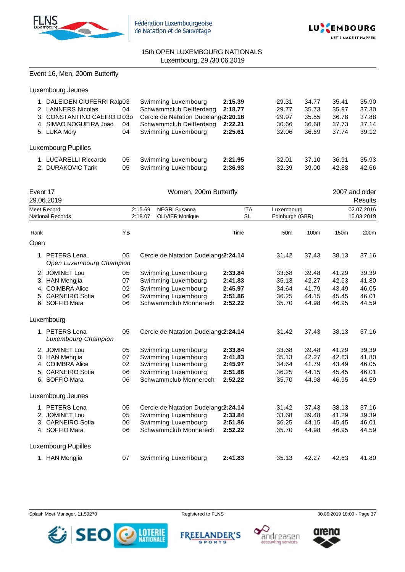



## Event 16, Men, 200m Butterfly

| 1. DALEIDEN CIUFERRI Ralp03<br>2. LANNERS Nicolas<br>3. CONSTANTINO CAEIRO DI030<br>4. SIMAO NOGUEIRA Joao<br>5. LUKA Mory | 04<br>04<br>04 | Swimming Luxembourg<br>Schwammclub Deifferdang<br>Cercle de Natation Dudelang(2:20.18<br>Schwammclub Deifferdang<br>Swimming Luxembourg | 2:15.39<br>2:18.77<br>2:22.21<br>2:25.61 | 29.31<br>29.77<br>29.97<br>30.66<br>32.06 | 34.77<br>35.73<br>35.55<br>36.68<br>36.69 | 35.41<br>35.97<br>36.78<br>37.73<br>37.74 | 35.90<br>37.30<br>37.88<br>37.14<br>39.12 |
|----------------------------------------------------------------------------------------------------------------------------|----------------|-----------------------------------------------------------------------------------------------------------------------------------------|------------------------------------------|-------------------------------------------|-------------------------------------------|-------------------------------------------|-------------------------------------------|
| Luxembourg Pupilles<br><b>LUCARELLI Riccardo</b>                                                                           | 05             | Swimming Luxembourg                                                                                                                     | 2:21.95                                  | 32.01                                     | 37.10                                     | 36.91                                     | 35.93                                     |
| 2. DURAKOVIC Tarik                                                                                                         | 05             | Swimming Luxembourg                                                                                                                     | 2:36.93                                  | 32.39                                     | 39.00                                     | 42.88                                     | 42.66                                     |

| Event 17 | 29.06.2019                                                                                  |                            |                    | Women, 200m Butterfly                                                                                             |                                                     |                                           |                                           |                                           | 2007 and older<br><b>Results</b>          |
|----------|---------------------------------------------------------------------------------------------|----------------------------|--------------------|-------------------------------------------------------------------------------------------------------------------|-----------------------------------------------------|-------------------------------------------|-------------------------------------------|-------------------------------------------|-------------------------------------------|
|          | <b>Meet Record</b><br><b>National Records</b>                                               |                            | 2:15.69<br>2:18.07 | <b>NEGRI Susanna</b><br><b>OLIVIER Monique</b>                                                                    | <b>ITA</b><br><b>SL</b>                             | Luxembourg<br>Edinburgh (GBR)             |                                           |                                           | 02.07.2016<br>15.03.2019                  |
| Rank     |                                                                                             | <b>YB</b>                  |                    |                                                                                                                   | Time                                                | 50 <sub>m</sub>                           | 100m                                      | 150m                                      | 200m                                      |
| Open     |                                                                                             |                            |                    |                                                                                                                   |                                                     |                                           |                                           |                                           |                                           |
|          | 1. PETERS Lena<br>Open Luxembourg Champion                                                  | 05                         |                    | Cercle de Natation Dudelang (2:24.14                                                                              |                                                     | 31.42                                     | 37.43                                     | 38.13                                     | 37.16                                     |
|          | 2. JOMINET Lou<br>3. HAN Mengjia<br>4. COIMBRA Alice<br>5. CARNEIRO Sofia<br>6. SOFFIO Mara | 05<br>07<br>02<br>06<br>06 |                    | Swimming Luxembourg<br>Swimming Luxembourg<br>Swimming Luxembourg<br>Swimming Luxembourg<br>Schwammclub Monnerech | 2:33.84<br>2:41.83<br>2:45.97<br>2:51.86<br>2:52.22 | 33.68<br>35.13<br>34.64<br>36.25<br>35.70 | 39.48<br>42.27<br>41.79<br>44.15<br>44.98 | 41.29<br>42.63<br>43.49<br>45.45<br>46.95 | 39.39<br>41.80<br>46.05<br>46.01<br>44.59 |
|          | Luxembourg                                                                                  |                            |                    |                                                                                                                   |                                                     |                                           |                                           |                                           |                                           |
|          | 1. PETERS Lena<br>Luxembourg Champion                                                       | 05                         |                    | Cercle de Natation Dudelang (2:24.14                                                                              |                                                     | 31.42                                     | 37.43                                     | 38.13                                     | 37.16                                     |
|          | 2. JOMINET Lou<br>3. HAN Mengjia<br>4. COIMBRA Alice<br>5. CARNEIRO Sofia<br>6. SOFFIO Mara | 05<br>07<br>02<br>06<br>06 |                    | Swimming Luxembourg<br>Swimming Luxembourg<br>Swimming Luxembourg<br>Swimming Luxembourg<br>Schwammclub Monnerech | 2:33.84<br>2:41.83<br>2:45.97<br>2:51.86<br>2:52.22 | 33.68<br>35.13<br>34.64<br>36.25<br>35.70 | 39.48<br>42.27<br>41.79<br>44.15<br>44.98 | 41.29<br>42.63<br>43.49<br>45.45<br>46.95 | 39.39<br>41.80<br>46.05<br>46.01<br>44.59 |
|          | Luxembourg Jeunes                                                                           |                            |                    |                                                                                                                   |                                                     |                                           |                                           |                                           |                                           |
|          | 1. PETERS Lena<br>2. JOMINET Lou<br>3. CARNEIRO Sofia<br>4. SOFFIO Mara                     | 05<br>05<br>06<br>06       |                    | Cercle de Natation Dudelang(2:24.14<br>Swimming Luxembourg<br>Swimming Luxembourg<br>Schwammclub Monnerech        | 2:33.84<br>2:51.86<br>2:52.22                       | 31.42<br>33.68<br>36.25<br>35.70          | 37.43<br>39.48<br>44.15<br>44.98          | 38.13<br>41.29<br>45.45<br>46.95          | 37.16<br>39.39<br>46.01<br>44.59          |
|          | <b>Luxembourg Pupilles</b>                                                                  |                            |                    |                                                                                                                   |                                                     |                                           |                                           |                                           |                                           |
|          | 1. HAN Mengjia                                                                              | 07                         |                    | Swimming Luxembourg                                                                                               | 2:41.83                                             | 35.13                                     | 42.27                                     | 42.63                                     | 41.80                                     |

Splash Meet Manager, 11.59270 **Registered to FLNS** Registered to FLNS 30.06.2019 18:00 - Page 37



**FREELANDER'S SPORTS** 



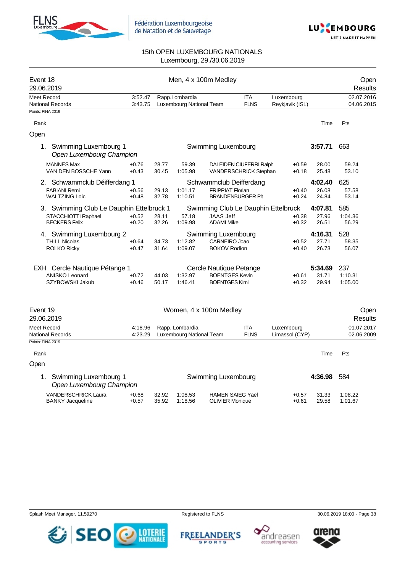



| Event 18<br>29.06.2019                                  |                    |                |                                             | Men, 4 x 100m Medley                        |                                                  |                              |                | Open<br><b>Results</b>   |
|---------------------------------------------------------|--------------------|----------------|---------------------------------------------|---------------------------------------------|--------------------------------------------------|------------------------------|----------------|--------------------------|
| <b>Meet Record</b>                                      | 3:52.47            |                | Rapp.Lombardia                              |                                             | <b>ITA</b>                                       | Luxembourg                   |                | 02.07.2016               |
| <b>National Records</b>                                 | 3:43.75            |                | Luxembourg National Team                    |                                             | <b>FLNS</b>                                      | Reykjavik (ISL)              |                | 04.06.2015               |
| Points: FINA 2019                                       |                    |                |                                             |                                             |                                                  |                              |                |                          |
| Rank                                                    |                    |                |                                             |                                             |                                                  |                              | Time           | Pts                      |
| Open                                                    |                    |                |                                             |                                             |                                                  |                              |                |                          |
| Swimming Luxembourg 1<br>1.<br>Open Luxembourg Champion |                    |                |                                             | Swimming Luxembourg                         |                                                  |                              | 3:57.71        | 663                      |
| <b>MANNES Max</b><br>VAN DEN BOSSCHE Yann               | $+0.76$<br>$+0.43$ | 28.77<br>30.45 | 59.39<br>1:05.98                            |                                             | DALEIDEN CIUFERRI Ralph<br>VANDERSCHRICK Stephan | $+0.59$<br>$+0.18$           | 28.00<br>25.48 | 59.24<br>53.10           |
| 2. Schwammclub Déifferdang 1                            |                    |                |                                             |                                             | Schwammclub Deifferdang                          |                              | 4:02.40        | 625                      |
| <b>FABIANI Remi</b><br><b>WALTZING Loic</b>             | $+0.56$<br>$+0.48$ | 29.13<br>32.78 | 1:01.17<br>1:10.51                          | <b>FRIPPIAT Florian</b>                     | <b>BRANDENBURGER Pit</b>                         | $+0.40$<br>$+0.24$           | 26.08<br>24.84 | 57.58<br>53.14           |
| 3. Swimming Club Le Dauphin Ettelbruck 1                |                    |                |                                             |                                             | Swimming Club Le Dauphin Ettelbruck              |                              | 4:07.81        | 585                      |
| STACCHIOTTI Raphael<br><b>BECKERS Felix</b>             | $+0.52$<br>$+0.20$ | 28.11<br>32.26 | 57.18<br>1:09.98                            | <b>JAAS Jeff</b><br><b>ADAMI Mike</b>       |                                                  | $+0.38$<br>$+0.32$           | 27.96<br>26.51 | 1:04.36<br>56.29         |
| 4. Swimming Luxembourg 2                                |                    |                |                                             | Swimming Luxembourg                         |                                                  |                              | 4:16.31        | 528                      |
| <b>THILL Nicolas</b><br><b>ROLKO Ricky</b>              | $+0.64$<br>$+0.47$ | 34.73<br>31.64 | 1:12.82<br>1:09.07                          | <b>CARNEIRO Joao</b><br><b>BOKOV Rodion</b> |                                                  | $+0.52$<br>$+0.40$           | 27.71<br>26.73 | 58.35<br>56.07           |
| EXH Cercle Nautique Pétange 1                           |                    |                |                                             | Cercle Nautique Petange                     |                                                  |                              | 5:34.69        | 237                      |
| <b>ANISKO Leonard</b>                                   | $+0.72$            | 44.03          | 1:32.97                                     | <b>BOENTGES Kevin</b>                       |                                                  | $+0.61$                      | 31.71          | 1:10.31                  |
| SZYBOWSKI Jakub                                         | $+0.46$            | 50.17          | 1:46.41                                     | <b>BOENTGES Kimi</b>                        |                                                  | $+0.32$                      | 29.94          | 1:05.00                  |
| Event 19                                                |                    |                |                                             | Women, 4 x 100m Medley                      |                                                  |                              |                | Open                     |
| 29.06.2019                                              |                    |                |                                             |                                             |                                                  |                              |                | Results                  |
| Meet Record<br><b>National Records</b>                  | 4:18.96<br>4:23.29 |                | Rapp. Lombardia<br>Luxembourg National Team |                                             | <b>ITA</b><br><b>FLNS</b>                        | Luxembourg<br>Limassol (CYP) |                | 01.07.2017<br>02.06.2009 |
| Points: FINA 2019                                       |                    |                |                                             |                                             |                                                  |                              |                |                          |
| Rank                                                    |                    |                |                                             |                                             |                                                  |                              | Time           | Pts                      |
| Open                                                    |                    |                |                                             |                                             |                                                  |                              |                |                          |
| Swimming Luxembourg 1<br>1.<br>Open Luxembourg Champion |                    |                |                                             | Swimming Luxembourg                         |                                                  |                              | 4:36.98        | 584                      |
| VANDERSCHRICK Laura<br><b>BANKY Jacqueline</b>          | $+0.68$<br>$+0.57$ | 32.92<br>35.92 | 1:08.53<br>1:18.56                          | <b>OLIVIER Monique</b>                      | <b>HAMEN SAIEG Yael</b>                          | $+0.57$<br>$+0.61$           | 31.33<br>29.58 | 1:08.22<br>1:01.67       |

Splash Meet Manager, 11.59270 **Registered to FLNS** Registered to FLNS 30.06.2019 18:00 - Page 38







arena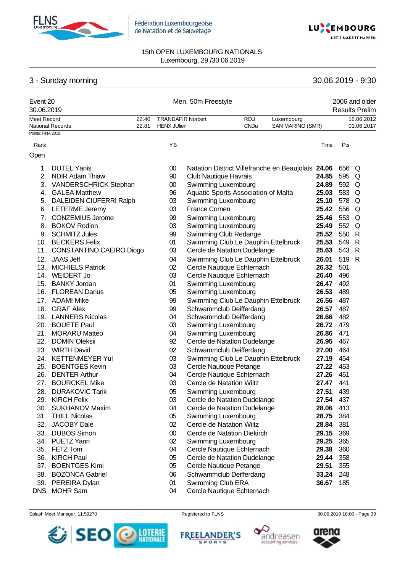



# 3 - Sunday morning 30.06.2019 - 9:30

| Event 20<br>30.06.2019 |                          |                |                                                | Men, 50m Freestyle           |                                                    |                                |       |       | 2006 and older<br><b>Results Prelim</b> |
|------------------------|--------------------------|----------------|------------------------------------------------|------------------------------|----------------------------------------------------|--------------------------------|-------|-------|-----------------------------------------|
| <b>Meet Record</b>     | <b>National Records</b>  | 22.40<br>22.81 | <b>TRANDAFIR Norbert</b><br><b>HENX JUlien</b> |                              | <b>ROU</b><br><b>CNDu</b>                          | Luxembourg<br>SAN MARINO (SMR) |       |       | 16.06.2012<br>01.06.2017                |
| Points: FINA 2019      |                          |                |                                                |                              |                                                    |                                |       |       |                                         |
| Rank                   |                          |                | YB                                             |                              |                                                    |                                | Time  | Pts   |                                         |
| Open                   |                          |                |                                                |                              |                                                    |                                |       |       |                                         |
| 1.                     | <b>DUTEL Yanis</b>       |                | $00\,$                                         |                              | Natation District Villefranche en Beaujolais 24.06 |                                |       | 656 Q |                                         |
| 2.                     | <b>NDIR Adam Thiaw</b>   |                | 90                                             | <b>Club Nautique Havrais</b> |                                                    |                                | 24.85 | 595   | Q                                       |
| 3.                     | VANDERSCHRICK Stephan    |                | 00                                             | Swimming Luxembourg          |                                                    |                                | 24.89 | 592   | Q                                       |
| 4.                     | <b>GALEA Matthew</b>     |                | 96                                             |                              | Aquatic Sports Association of Malta                |                                | 25.03 | 583   | Q                                       |
| 5.                     | DALEIDEN CIUFERRI Ralph  |                | 03                                             | Swimming Luxembourg          |                                                    |                                | 25.10 | 578   | Q                                       |
| 6.                     | <b>LETERME Jeremy</b>    |                | 03                                             | <b>France Comen</b>          |                                                    |                                | 25.42 | 556   | Q                                       |
| 7.                     | <b>CONZEMIUS Jerome</b>  |                | 99                                             | Swimming Luxembourg          |                                                    |                                | 25.46 | 553   | Q                                       |
| 8.                     | <b>BOKOV Rodion</b>      |                | 03                                             | Swimming Luxembourg          |                                                    |                                | 25.49 | 552   | Q                                       |
| 9.                     | <b>SCHMITZ Jules</b>     |                | 99                                             |                              | Swimming Club Redange                              |                                | 25.52 | 550   | $\mathsf{R}$                            |
|                        | 10. BECKERS Felix        |                | 01                                             |                              | Swimming Club Le Dauphin Ettelbruck                |                                | 25.53 | 549   | R                                       |
| 11.                    | CONSTANTINO CAEIRO Diogo |                | 03                                             |                              | Cercle de Natation Dudelange                       |                                | 25.63 | 543   | R                                       |
| 12.                    | <b>JAAS Jeff</b>         |                | 04                                             |                              | Swimming Club Le Dauphin Ettelbruck                |                                | 26.01 | 519   | R                                       |
| 13.                    | <b>MICHIELS Patrick</b>  |                | 02                                             |                              | Cercle Nautique Echternach                         |                                | 26.32 | 501   |                                         |
|                        | 14. WEIDERT Jo           |                | 03                                             |                              | Cercle Nautique Echternach                         |                                | 26.40 | 496   |                                         |
|                        | 15. BANKY Jordan         |                | 01                                             | Swimming Luxembourg          |                                                    |                                | 26.47 | 492   |                                         |
| 16.                    | <b>FLOREAN Darius</b>    |                | 05                                             | Swimming Luxembourg          |                                                    |                                | 26.53 | 489   |                                         |
|                        | 17. ADAMI Mike           |                | 99                                             |                              | Swimming Club Le Dauphin Ettelbruck                |                                | 26.56 | 487   |                                         |
| 18.                    | <b>GRAF Alex</b>         |                | 99                                             |                              | Schwammclub Deifferdang                            |                                | 26.57 | 487   |                                         |
|                        | 19. LANNERS Nicolas      |                | 04                                             |                              | Schwammclub Deifferdang                            |                                | 26.66 | 482   |                                         |
|                        | 20. BOUETE Paul          |                | 03                                             | Swimming Luxembourg          |                                                    |                                | 26.72 | 479   |                                         |
| 21.                    | <b>MORARU Matteo</b>     |                | 04                                             | Swimming Luxembourg          |                                                    |                                | 26.86 | 471   |                                         |
| 22.                    | <b>DOMIN Oleksii</b>     |                | 92                                             |                              | Cercle de Natation Dudelange                       |                                | 26.95 | 467   |                                         |
| 23.                    | <b>WIRTH David</b>       |                | 02                                             |                              | Schwammclub Deifferdang                            |                                | 27.00 | 464   |                                         |
|                        | 24. KETTENMEYER Yul      |                | 03                                             |                              | Swimming Club Le Dauphin Ettelbruck                |                                | 27.19 | 454   |                                         |
| 25.                    | <b>BOENTGES Kevin</b>    |                | 03                                             |                              | Cercle Nautique Petange                            |                                | 27.22 | 453   |                                         |
| 26.                    | <b>DENTER Arthur</b>     |                | 04                                             |                              | Cercle Nautique Echternach                         |                                | 27.26 | 451   |                                         |
| 27.                    | <b>BOURCKEL Mike</b>     |                | 03                                             |                              | Cercle de Natation Wiltz                           |                                | 27.47 | 441   |                                         |
| 28.                    | <b>DURAKOVIC Tarik</b>   |                | 05                                             | Swimming Luxembourg          |                                                    |                                | 27.51 | 439   |                                         |
| 29.                    | <b>KIRCH Felix</b>       |                | 03                                             |                              | Cercle de Natation Dudelange                       |                                | 27.54 | 437   |                                         |
| 30.                    | <b>SUKHANOV Maxim</b>    |                | 04                                             |                              | Cercle de Natation Dudelange                       |                                | 28.06 | 413   |                                         |
| 31.                    | <b>THILL Nicolas</b>     |                | 05                                             | Swimming Luxembourg          |                                                    |                                | 28.75 | 384   |                                         |
| 32.                    | <b>JACOBY Dale</b>       |                | 02                                             |                              | Cercle de Natation Wiltz                           |                                | 28.84 | 381   |                                         |
| 33.                    | <b>DUBOS Simon</b>       |                | $00\,$                                         |                              | Cercle de Natation Diekirch                        |                                | 29.15 | 369   |                                         |
| 34.                    | PUETZ Yann               |                | 02                                             | Swimming Luxembourg          |                                                    |                                | 29.25 | 365   |                                         |
| 35.                    | FETZ Tom                 |                | 04                                             |                              | Cercle Nautique Echternach                         |                                | 29.38 | 360   |                                         |
| 36.                    | <b>KIRCH Paul</b>        |                | 05                                             |                              | Cercle de Natation Dudelange                       |                                | 29.44 | 358   |                                         |
| 37.                    | <b>BOENTGES Kimi</b>     |                | 05                                             |                              | Cercle Nautique Petange                            |                                | 29.51 | 355   |                                         |
| 38.                    | <b>BOZONCA Gabriel</b>   |                | 06                                             |                              | Schwammclub Deifferdang                            |                                | 33.24 | 248   |                                         |
| 39.                    | PEREIRA Dylan            |                | 01                                             | Swimming Club ERA            |                                                    |                                | 36.67 | 185   |                                         |
| <b>DNS</b>             | <b>MOHR Sam</b>          |                | 04                                             |                              | Cercle Nautique Echternach                         |                                |       |       |                                         |





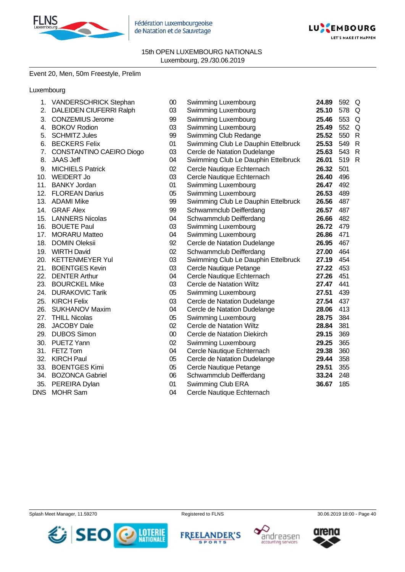

Fédération Luxembourgeoise de Natation et de Sauvetage



15th OPEN LUXEMBOURG NATIONALS Luxembourg, 29./30.06.2019

# Event 20, Men, 50m Freestyle, Prelim

## Luxembourg

| 1.         | <b>VANDERSCHRICK Stephan</b> | $00\,$ | Swimming Luxembourg                 | 24.89 | 592 Q |              |
|------------|------------------------------|--------|-------------------------------------|-------|-------|--------------|
| 2.         | DALEIDEN CIUFERRI Ralph      | 03     | Swimming Luxembourg                 | 25.10 | 578   | Q            |
| 3.         | <b>CONZEMIUS Jerome</b>      | 99     | Swimming Luxembourg                 | 25.46 | 553   | Q            |
| 4.         | <b>BOKOV Rodion</b>          | 03     | Swimming Luxembourg                 | 25.49 | 552   | Q            |
| 5.         | <b>SCHMITZ Jules</b>         | 99     | Swimming Club Redange               | 25.52 | 550   | $\mathsf{R}$ |
| 6.         | <b>BECKERS Felix</b>         | 01     | Swimming Club Le Dauphin Ettelbruck | 25.53 | 549   | $\mathsf{R}$ |
| 7.         | CONSTANTINO CAEIRO Diogo     | 03     | Cercle de Natation Dudelange        | 25.63 | 543   | $\mathsf{R}$ |
| 8.         | <b>JAAS Jeff</b>             | 04     | Swimming Club Le Dauphin Ettelbruck | 26.01 | 519   | $\mathsf{R}$ |
| 9.         | <b>MICHIELS Patrick</b>      | 02     | Cercle Nautique Echternach          | 26.32 | 501   |              |
| 10.        | <b>WEIDERT Jo</b>            | 03     | Cercle Nautique Echternach          | 26.40 | 496   |              |
|            | 11. BANKY Jordan             | 01     | Swimming Luxembourg                 | 26.47 | 492   |              |
|            | 12. FLOREAN Darius           | 05     | Swimming Luxembourg                 | 26.53 | 489   |              |
|            | 13. ADAMI Mike               | 99     | Swimming Club Le Dauphin Ettelbruck | 26.56 | 487   |              |
| 14.        | <b>GRAF Alex</b>             | 99     | Schwammclub Deifferdang             | 26.57 | 487   |              |
|            | 15. LANNERS Nicolas          | 04     | Schwammclub Deifferdang             | 26.66 | 482   |              |
|            | 16. BOUETE Paul              | 03     | Swimming Luxembourg                 | 26.72 | 479   |              |
| 17.        | <b>MORARU Matteo</b>         | 04     | Swimming Luxembourg                 | 26.86 | 471   |              |
| 18.        | <b>DOMIN Oleksii</b>         | 92     | Cercle de Natation Dudelange        | 26.95 | 467   |              |
| 19.        | <b>WIRTH David</b>           | 02     | Schwammclub Deifferdang             | 27.00 | 464   |              |
| 20.        | <b>KETTENMEYER Yul</b>       | 03     | Swimming Club Le Dauphin Ettelbruck | 27.19 | 454   |              |
| 21.        | <b>BOENTGES Kevin</b>        | 03     | Cercle Nautique Petange             | 27.22 | 453   |              |
|            | 22. DENTER Arthur            | 04     | Cercle Nautique Echternach          | 27.26 | 451   |              |
|            | 23. BOURCKEL Mike            | 03     | Cercle de Natation Wiltz            | 27.47 | 441   |              |
|            | 24. DURAKOVIC Tarik          | 05     | Swimming Luxembourg                 | 27.51 | 439   |              |
|            | 25. KIRCH Felix              | 03     | Cercle de Natation Dudelange        | 27.54 | 437   |              |
| 26.        | <b>SUKHANOV Maxim</b>        | 04     | Cercle de Natation Dudelange        | 28.06 | 413   |              |
|            | 27. THILL Nicolas            | 05     | Swimming Luxembourg                 | 28.75 | 384   |              |
| 28.        | <b>JACOBY Dale</b>           | 02     | Cercle de Natation Wiltz            | 28.84 | 381   |              |
| 29.        | <b>DUBOS Simon</b>           | $00\,$ | Cercle de Natation Diekirch         | 29.15 | 369   |              |
|            | 30. PUETZ Yann               | 02     | Swimming Luxembourg                 | 29.25 | 365   |              |
| 31.        | FETZ Tom                     | 04     | Cercle Nautique Echternach          | 29.38 | 360   |              |
| 32.        | <b>KIRCH Paul</b>            | 05     | Cercle de Natation Dudelange        | 29.44 | 358   |              |
|            | 33. BOENTGES Kimi            | 05     | Cercle Nautique Petange             | 29.51 | 355   |              |
|            | 34. BOZONCA Gabriel          | 06     | Schwammclub Deifferdang             | 33.24 | 248   |              |
| 35.        | PEREIRA Dylan                | 01     | Swimming Club ERA                   | 36.67 | 185   |              |
| <b>DNS</b> | <b>MOHR Sam</b>              | 04     | Cercle Nautique Echternach          |       |       |              |

Splash Meet Manager, 11.59270 **Registered to FLNS** Registered to FLNS 30.06.2019 18:00 - Page 40



**FREELANDER'S SPORTS** 



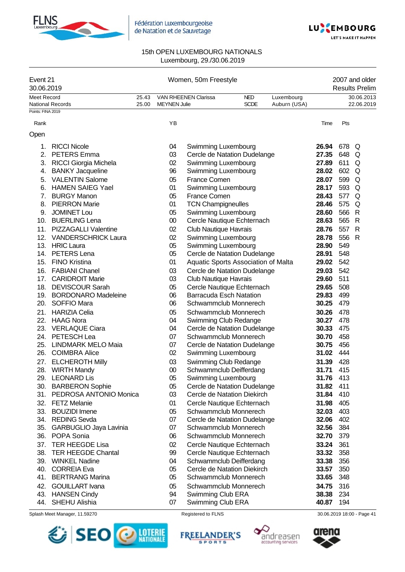



| Event 21<br>30.06.2019 |                                             |                |                     | Women, 50m Freestyle                                        |                           |                            | 2007 and older<br><b>Results Prelim</b> |            |                          |
|------------------------|---------------------------------------------|----------------|---------------------|-------------------------------------------------------------|---------------------------|----------------------------|-----------------------------------------|------------|--------------------------|
| <b>Meet Record</b>     | <b>National Records</b>                     | 25.43<br>25.00 | <b>MEYNEN Julie</b> | <b>VAN RHEENEN Clarissa</b>                                 | <b>NED</b><br><b>SCDE</b> | Luxembourg<br>Auburn (USA) |                                         |            | 30.06.2013<br>22.06.2019 |
| Points: FINA 2019      |                                             |                |                     |                                                             |                           |                            |                                         |            |                          |
| Rank                   |                                             |                | ΥB                  |                                                             |                           |                            | Time                                    | Pts        |                          |
| Open                   |                                             |                |                     |                                                             |                           |                            |                                         |            |                          |
| 1.                     | <b>RICCI Nicole</b>                         |                | 04                  | Swimming Luxembourg                                         |                           |                            | 26.94                                   | 678        | Q                        |
| 2.                     | <b>PETERS</b> Emma                          |                | 03                  | Cercle de Natation Dudelange                                |                           |                            | 27.35                                   | 648        | Q                        |
| 3.                     | <b>RICCI Giorgia Michela</b>                |                | 02                  | Swimming Luxembourg                                         |                           |                            | 27.89                                   | 611        | Q                        |
| 4.                     | <b>BANKY Jacqueline</b>                     |                | 96                  | Swimming Luxembourg                                         |                           |                            | 28.02                                   | 602        | Q                        |
| 5.                     | <b>VALENTIN Salome</b>                      |                | 05                  | <b>France Comen</b>                                         |                           |                            | 28.07                                   | 599        | Q                        |
| 6.                     | <b>HAMEN SAIEG Yael</b>                     |                | 01                  | Swimming Luxembourg                                         |                           |                            | 28.17                                   | 593        | Q                        |
| 7 <sub>1</sub>         | <b>BURGY Manon</b>                          |                | 05                  | France Comen                                                |                           |                            | 28.43                                   | 577        | Q                        |
| 8.                     | <b>PIERRON Marie</b>                        |                | 01                  | <b>TCN Champigneulles</b>                                   |                           |                            | 28.46                                   | 575        | Q                        |
| 9.                     | <b>JOMINET Lou</b>                          |                | 05                  | Swimming Luxembourg                                         |                           |                            | 28.60                                   | 566        | $\mathsf{R}$             |
| 10.                    | <b>BUERLING Lena</b>                        |                | $00\,$              | Cercle Nautique Echternach                                  |                           |                            | 28.63                                   | 565        | $\mathsf{R}$             |
| 11.                    | <b>PIZZAGALLI Valentine</b>                 |                | 02                  | <b>Club Nautique Havrais</b>                                |                           |                            | 28.76                                   | 557        | $\mathsf{R}$             |
| 12.                    | <b>VANDERSCHRICK Laura</b>                  |                | 02                  | Swimming Luxembourg                                         |                           |                            | 28.78                                   | 556        | $\mathsf{R}$             |
| 13.                    | <b>HRIC Laura</b>                           |                | 05                  | Swimming Luxembourg                                         |                           |                            | 28.90                                   | 549        |                          |
| 14.                    | PETERS Lena                                 |                | 05                  | Cercle de Natation Dudelange                                |                           |                            | 28.91                                   | 548        |                          |
| 15.                    | <b>FINO Kristina</b>                        |                | 01                  | Aquatic Sports Association of Malta                         |                           |                            | 29.02                                   | 542        |                          |
| 16.                    | <b>FABIANI Chanel</b>                       |                | 03                  | Cercle de Natation Dudelange                                |                           |                            | 29.03                                   | 542        |                          |
| 17.                    | <b>CARIDROIT Marie</b>                      |                | 03                  | <b>Club Nautique Havrais</b>                                |                           |                            | 29.60                                   | 511        |                          |
| 18.                    | <b>DEVISCOUR Sarah</b>                      |                | 05                  | Cercle Nautique Echternach                                  |                           |                            | 29.65                                   | 508        |                          |
| 19.                    | <b>BORDONARO Madeleine</b>                  |                | 06                  | <b>Barracuda Esch Natation</b>                              |                           |                            | 29.83                                   | 499        |                          |
| 20.                    | SOFFIO Mara                                 |                | 06                  | Schwammclub Monnerech                                       |                           |                            | 30.25                                   | 479        |                          |
| 21.                    | <b>HARIZIA Celia</b>                        |                | 05                  | Schwammclub Monnerech                                       |                           |                            | 30.26                                   | 478        |                          |
| 22.                    | <b>HAAG Nora</b>                            |                | 04                  | Swimming Club Redange                                       |                           |                            | 30.27                                   | 478        |                          |
| 23.                    | <b>VERLAQUE Ciara</b>                       |                | 04                  | Cercle de Natation Dudelange                                |                           |                            | 30.33                                   | 475        |                          |
| 24.                    | PETESCH Lea                                 |                | 07                  | Schwammclub Monnerech                                       |                           |                            | 30.70                                   | 458        |                          |
| 25.                    | <b>LINDMARK MELO Maia</b>                   |                | 07                  | Cercle de Natation Dudelange                                |                           |                            | 30.75                                   | 456<br>444 |                          |
| 26.                    | <b>COIMBRA Alice</b>                        |                | 02                  | Swimming Luxembourg                                         |                           |                            | 31.02                                   |            |                          |
| 27.                    | <b>ELCHEROTH Milly</b>                      |                | 03                  | Swimming Club Redange                                       |                           |                            | 31.39                                   | 428        |                          |
| 28.                    | <b>WIRTH Mandy</b>                          |                | $00\,$              | Schwammclub Deifferdang                                     |                           |                            | 31.71                                   | 415        |                          |
|                        | 29. LEONARD Lis<br><b>BARBERON Sophie</b>   |                | 05<br>05            | Swimming Luxembourg                                         |                           |                            | 31.76<br>31.82                          | 413<br>411 |                          |
| 30.<br>31.             | PEDROSA ANTONIO Monica                      |                | 03                  | Cercle de Natation Dudelange<br>Cercle de Natation Diekirch |                           |                            | 31.84                                   | 410        |                          |
|                        |                                             |                |                     |                                                             |                           |                            |                                         |            |                          |
| 32.                    | <b>FETZ Melanie</b><br><b>BOUZIDI</b> Imene |                | 01                  | Cercle Nautique Echternach<br>Schwammclub Monnerech         |                           |                            | 31.98<br>32.03                          | 405        |                          |
| 33.<br>34.             | <b>REDING Sevda</b>                         |                | 05<br>07            |                                                             |                           |                            |                                         | 403<br>402 |                          |
| 35.                    |                                             |                | 07                  | Cercle de Natation Dudelange<br>Schwammclub Monnerech       |                           |                            | 32.06<br>32.56                          | 384        |                          |
| 36.                    | GARBUGLIO Jaya Lavinia<br>POPA Sonia        |                |                     | Schwammclub Monnerech                                       |                           |                            | 32.70                                   | 379        |                          |
|                        |                                             |                | 06                  |                                                             |                           |                            |                                         |            |                          |
| 37.                    | <b>TER HEEGDE Lisa</b>                      |                | 02                  | Cercle Nautique Echternach                                  |                           |                            | 33.24                                   | 361        |                          |
|                        | 38. TER HEEGDE Chantal<br>39. WINKEL Nadine |                | 99<br>04            | Cercle Nautique Echternach<br>Schwammclub Deifferdang       |                           |                            | 33.32                                   | 358        |                          |
| 40.                    | <b>CORREIA Eva</b>                          |                | 05                  | Cercle de Natation Diekirch                                 |                           |                            | 33.38<br>33.57                          | 356<br>350 |                          |
| 41.                    | <b>BERTRANG Marina</b>                      |                | 05                  | Schwammclub Monnerech                                       |                           |                            | 33.65                                   | 348        |                          |
| 42.                    | <b>GOUILLART</b> Ivana                      |                | 05                  | Schwammclub Monnerech                                       |                           |                            | 34.75                                   | 316        |                          |
| 43.                    | <b>HANSEN Cindy</b>                         |                | 94                  | Swimming Club ERA                                           |                           |                            | 38.38                                   | 234        |                          |
| 44.                    | <b>SHEHU Alishia</b>                        |                | 07                  | Swimming Club ERA                                           |                           |                            | 40.87                                   | 194        |                          |
|                        |                                             |                |                     |                                                             |                           |                            |                                         |            |                          |







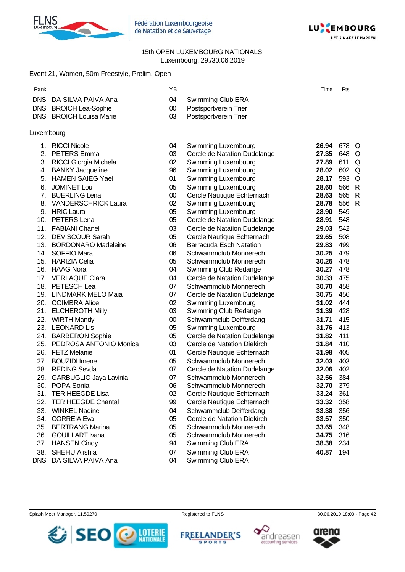

Fédération Luxembourgeoise de Natation et de Sauvetage



### 15th OPEN LUXEMBOURG NATIONALS Luxembourg, 29./30.06.2019

|            | Event 21, Women, 50m Freestyle, Prelim, Open |        |                                |           |          |
|------------|----------------------------------------------|--------|--------------------------------|-----------|----------|
| Rank       |                                              | YB     |                                | Time      | Pts      |
| <b>DNS</b> | DA SILVA PAIVA Ana                           | 04     | Swimming Club ERA              |           |          |
|            | DNS BROICH Lea-Sophie                        | 00     | Postsportverein Trier          |           |          |
|            | DNS BROICH Louisa Marie                      | 03     | Postsportverein Trier          |           |          |
|            |                                              |        |                                |           |          |
| Luxembourg |                                              |        |                                |           |          |
|            | 1. RICCI Nicole                              | 04     | Swimming Luxembourg            | 26.94     | 678 Q    |
| 2.         | PETERS Emma                                  | 03     | Cercle de Natation Dudelange   | 27.35     | 648<br>Q |
|            | 3. RICCI Giorgia Michela                     | 02     | Swimming Luxembourg            | 27.89     | 611<br>Q |
| 4.         | <b>BANKY Jacqueline</b>                      | 96     | Swimming Luxembourg            | 28.02     | 602<br>Q |
| 5.         | <b>HAMEN SAIEG Yael</b>                      | 01     | Swimming Luxembourg            | 28.17     | 593<br>Q |
| 6.         | <b>JOMINET Lou</b>                           | 05     | Swimming Luxembourg            | 28.60     | 566<br>R |
| 7.         | <b>BUERLING Lena</b>                         | $00\,$ | Cercle Nautique Echternach     | 28.63     | 565<br>R |
| 8.         | <b>VANDERSCHRICK Laura</b>                   | 02     | Swimming Luxembourg            | 28.78     | 556<br>R |
| 9.         | <b>HRIC Laura</b>                            | 05     | Swimming Luxembourg            | 28.90     | 549      |
| 10.        | PETERS Lena                                  | 05     | Cercle de Natation Dudelange   | 28.91     | 548      |
|            | 11. FABIANI Chanel                           | 03     | Cercle de Natation Dudelange   | 29.03     | 542      |
|            | 12. DEVISCOUR Sarah                          | 05     | Cercle Nautique Echternach     | 29.65     | 508      |
|            | 13. BORDONARO Madeleine                      | 06     | <b>Barracuda Esch Natation</b> | 29.83     | 499      |
|            | 14. SOFFIO Mara                              | 06     | Schwammclub Monnerech          | 30.25     | 479      |
|            | 15. HARIZIA Celia                            | 05     | Schwammclub Monnerech          | 30.26     | 478      |
|            | 16. HAAG Nora                                | 04     | Swimming Club Redange          | 30.27     | 478      |
|            | 17. VERLAQUE Ciara                           | 04     | Cercle de Natation Dudelange   | 30.33     | 475      |
|            | 18. PETESCH Lea                              | 07     | Schwammclub Monnerech          | 30.70     | 458      |
|            | 19. LINDMARK MELO Maia                       | 07     | Cercle de Natation Dudelange   | 30.75     | 456      |
|            | 20. COIMBRA Alice                            | 02     | Swimming Luxembourg            | 31.02     | 444      |
|            | 21. ELCHEROTH Milly                          | 03     | Swimming Club Redange          | 31.39     | 428      |
|            | 22. WIRTH Mandy                              | $00\,$ | Schwammclub Deifferdang        | 31.71     | 415      |
|            | 23. LEONARD Lis                              | 05     | Swimming Luxembourg            | 31.76     | 413      |
|            | 24. BARBERON Sophie                          | 05     | Cercle de Natation Dudelange   | 31.82     | 411      |
|            | 25. PEDROSA ANTONIO Monica                   | 03     | Cercle de Natation Diekirch    | 31.84     | 410      |
|            | 26. FETZ Melanie                             | 01     | Cercle Nautique Echternach     | 31.98     | 405      |
| 27.        | <b>BOUZIDI</b> Imene                         | 05     | Schwammclub Monnerech          | 32.03     | 403      |
| 28.        | <b>REDING Sevda</b>                          | 07     | Cercle de Natation Dudelange   | 32.06     | 402      |
|            | 29. GARBUGLIO Jaya Lavinia                   | 07     | Schwammclub Monnerech          | 32.56 384 |          |
| 30.        | POPA Sonia                                   | 06     | Schwammclub Monnerech          | 32.70     | 379      |
| 31.        | <b>TER HEEGDE Lisa</b>                       | 02     | Cercle Nautique Echternach     | 33.24     | 361      |
| 32.        | <b>TER HEEGDE Chantal</b>                    | 99     | Cercle Nautique Echternach     | 33.32     | 358      |
| 33.        | <b>WINKEL Nadine</b>                         | 04     | Schwammclub Deifferdang        | 33.38     | 356      |
| 34.        | <b>CORREIA Eva</b>                           | 05     | Cercle de Natation Diekirch    | 33.57     | 350      |
| 35.        | <b>BERTRANG Marina</b>                       | 05     | Schwammclub Monnerech          | 33.65     | 348      |
| 36.        | <b>GOUILLART</b> Ivana                       | 05     | Schwammclub Monnerech          | 34.75     | 316      |
| 37.        | <b>HANSEN Cindy</b>                          | 94     | Swimming Club ERA              | 38.38     | 234      |
| 38.        | SHEHU Alishia                                | 07     | Swimming Club ERA              | 40.87     | 194      |
| <b>DNS</b> | DA SILVA PAIVA Ana                           | 04     | Swimming Club ERA              |           |          |

Splash Meet Manager, 11.59270 **Registered to FLNS** Registered to FLNS 30.06.2019 18:00 - Page 42



FREELANDER'S





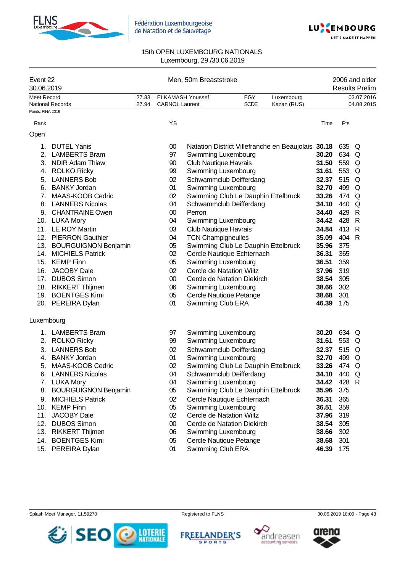



| Event 22<br>30.06.2019 |                             |       |                       | Men, 50m Breaststroke               |             |                                                    |       |       | 2006 and older<br><b>Results Prelim</b> |
|------------------------|-----------------------------|-------|-----------------------|-------------------------------------|-------------|----------------------------------------------------|-------|-------|-----------------------------------------|
| Meet Record            |                             | 27.83 |                       | <b>ELKAMASH Youssef</b>             | EGY         | Luxembourg                                         |       |       | 03.07.2016                              |
| Points: FINA 2019      | <b>National Records</b>     | 27.94 | <b>CARNOL Laurent</b> |                                     | <b>SCDE</b> | Kazan (RUS)                                        |       |       | 04.08.2015                              |
|                        |                             |       |                       |                                     |             |                                                    |       |       |                                         |
| Rank                   |                             |       | YB                    |                                     |             |                                                    | Time  | Pts   |                                         |
| Open                   |                             |       |                       |                                     |             |                                                    |       |       |                                         |
| 1.                     | <b>DUTEL Yanis</b>          |       | $00\,$                |                                     |             | Natation District Villefranche en Beaujolais 30.18 |       | 635 Q |                                         |
| 2.                     | <b>LAMBERTS Bram</b>        |       | 97                    | Swimming Luxembourg                 |             |                                                    | 30.20 | 634 Q |                                         |
| 3.                     | <b>NDIR Adam Thiaw</b>      |       | 90                    | <b>Club Nautique Havrais</b>        |             |                                                    | 31.50 | 559 Q |                                         |
| 4.                     | <b>ROLKO Ricky</b>          |       | 99                    | Swimming Luxembourg                 |             |                                                    | 31.61 | 553 Q |                                         |
| 5.                     | <b>LANNERS Bob</b>          |       | 02                    | Schwammclub Deifferdang             |             |                                                    | 32.37 | 515 Q |                                         |
| 6.                     | <b>BANKY Jordan</b>         |       | 01                    | Swimming Luxembourg                 |             |                                                    | 32.70 | 499 Q |                                         |
| 7.                     | MAAS-KOOB Cedric            |       | 02                    | Swimming Club Le Dauphin Ettelbruck |             |                                                    | 33.26 | 474 Q |                                         |
| 8.                     | <b>LANNERS Nicolas</b>      |       | 04                    | Schwammclub Deifferdang             |             |                                                    | 34.10 | 440   | Q                                       |
| 9.                     | <b>CHANTRAINE Owen</b>      |       | $00\,$                | Perron                              |             |                                                    | 34.40 | 429   | $\mathsf{R}$                            |
|                        | 10. LUKA Mory               |       | 04                    | Swimming Luxembourg                 |             |                                                    | 34.42 | 428   | R                                       |
|                        | 11. LE ROY Martin           |       | 03                    | Club Nautique Havrais               |             |                                                    | 34.84 | 413 R |                                         |
|                        | 12. PIERRON Gauthier        |       | 04                    | <b>TCN Champigneulles</b>           |             |                                                    | 35.09 | 404 R |                                         |
|                        | 13. BOURGUIGNON Benjamin    |       | 05                    | Swimming Club Le Dauphin Ettelbruck |             |                                                    | 35.96 | 375   |                                         |
|                        | 14. MICHIELS Patrick        |       | 02                    | Cercle Nautique Echternach          |             |                                                    | 36.31 | 365   |                                         |
|                        | 15. KEMP Finn               |       | 05                    | Swimming Luxembourg                 |             |                                                    | 36.51 | 359   |                                         |
|                        | 16. JACOBY Dale             |       | 02                    | <b>Cercle de Natation Wiltz</b>     |             |                                                    | 37.96 | 319   |                                         |
|                        | 17. DUBOS Simon             |       | $00\,$                | Cercle de Natation Diekirch         |             |                                                    | 38.54 | 305   |                                         |
|                        | 18. RIKKERT Thijmen         |       | 06                    | Swimming Luxembourg                 |             |                                                    | 38.66 | 302   |                                         |
|                        | 19. BOENTGES Kimi           |       | 05                    | Cercle Nautique Petange             |             |                                                    | 38.68 | 301   |                                         |
|                        | 20. PEREIRA Dylan           |       | 01                    | Swimming Club ERA                   |             |                                                    | 46.39 | 175   |                                         |
| Luxembourg             |                             |       |                       |                                     |             |                                                    |       |       |                                         |
|                        | 1. LAMBERTS Bram            |       | 97                    | Swimming Luxembourg                 |             |                                                    | 30.20 | 634 Q |                                         |
|                        | 2. ROLKO Ricky              |       | 99                    | Swimming Luxembourg                 |             |                                                    | 31.61 | 553   | Q                                       |
| 3.                     | <b>LANNERS Bob</b>          |       | 02                    | Schwammclub Deifferdang             |             |                                                    | 32.37 | 515   | Q                                       |
| 4.                     | <b>BANKY Jordan</b>         |       | 01                    | Swimming Luxembourg                 |             |                                                    | 32.70 | 499   | Q                                       |
| 5.                     | MAAS-KOOB Cedric            |       | 02                    | Swimming Club Le Dauphin Ettelbruck |             |                                                    | 33.26 | 474 Q |                                         |
| 6.                     | <b>LANNERS Nicolas</b>      |       | 04                    | Schwammclub Deifferdang             |             |                                                    | 34.10 | 440   | Q                                       |
|                        | 7. LUKA Mory                |       | 04                    | Swimming Luxembourg                 |             |                                                    | 34.42 | 428 R |                                         |
| 8.                     | <b>BOURGUIGNON Benjamin</b> |       | 05                    | Swimming Club Le Dauphin Ettelbruck |             |                                                    | 35.96 | 375   |                                         |
| 9.                     | <b>MICHIELS Patrick</b>     |       | 02                    | Cercle Nautique Echternach          |             |                                                    | 36.31 | 365   |                                         |
| 10.                    | <b>KEMP Finn</b>            |       | 05                    | Swimming Luxembourg                 |             |                                                    | 36.51 | 359   |                                         |
| 11.                    | <b>JACOBY Dale</b>          |       | 02                    | Cercle de Natation Wiltz            |             |                                                    | 37.96 | 319   |                                         |
| 12.                    | <b>DUBOS Simon</b>          |       | $00\,$                | Cercle de Natation Diekirch         |             |                                                    | 38.54 | 305   |                                         |
| 13.                    | <b>RIKKERT Thijmen</b>      |       | 06                    | Swimming Luxembourg                 |             |                                                    | 38.66 | 302   |                                         |
| 14.                    | <b>BOENTGES Kimi</b>        |       | 05                    | Cercle Nautique Petange             |             |                                                    | 38.68 | 301   |                                         |
|                        | 15. PEREIRA Dylan           |       | 01                    | Swimming Club ERA                   |             |                                                    | 46.39 | 175   |                                         |









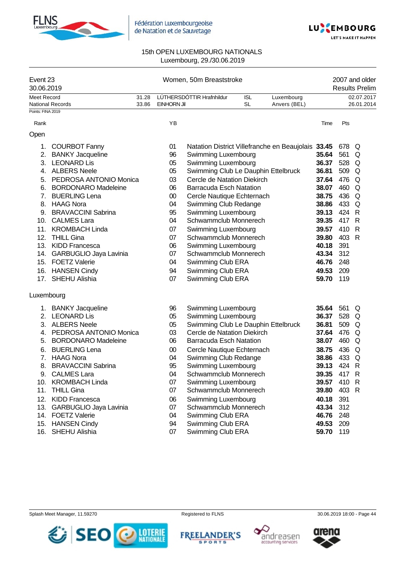



| Event 23<br>30.06.2019 |                            |       |             | Women, 50m Breaststroke                            |            |              |       |       | 2007 and older<br><b>Results Prelim</b> |
|------------------------|----------------------------|-------|-------------|----------------------------------------------------|------------|--------------|-------|-------|-----------------------------------------|
| Meet Record            |                            | 31.28 |             | LÚTHERSDÓTTIR Hrafnhildur                          | <b>ISL</b> | Luxembourg   |       |       | 02.07.2017                              |
|                        | National Records           | 33.86 | EINHORN Jil |                                                    | <b>SL</b>  | Anvers (BEL) |       |       | 26.01.2014                              |
| Points: FINA 2019      |                            |       |             |                                                    |            |              |       |       |                                         |
| Rank                   |                            |       | YB          |                                                    |            |              | Time  | Pts   |                                         |
| Open                   |                            |       |             |                                                    |            |              |       |       |                                         |
| 1.                     | <b>COURBOT Fanny</b>       |       | 01          | Natation District Villefranche en Beaujolais 33.45 |            |              |       | 678 Q |                                         |
| 2.                     | <b>BANKY Jacqueline</b>    |       | 96          | Swimming Luxembourg                                |            |              | 35.64 | 561   | Q                                       |
| 3.                     | <b>LEONARD Lis</b>         |       | 05          | Swimming Luxembourg                                |            |              | 36.37 | 528   | Q                                       |
| 4.                     | <b>ALBERS Neele</b>        |       | 05          | Swimming Club Le Dauphin Ettelbruck                |            |              | 36.81 | 509   | Q                                       |
| 5.                     | PEDROSA ANTONIO Monica     |       | 03          | Cercle de Natation Diekirch                        |            |              | 37.64 | 476   | Q                                       |
| 6.                     | <b>BORDONARO Madeleine</b> |       | 06          | <b>Barracuda Esch Natation</b>                     |            |              | 38.07 | 460   | Q                                       |
| 7 <sub>1</sub>         | <b>BUERLING Lena</b>       |       | $00\,$      | Cercle Nautique Echternach                         |            |              | 38.75 | 436 Q |                                         |
|                        | 8. HAAG Nora               |       | 04          | Swimming Club Redange                              |            |              | 38.86 | 433 Q |                                         |
|                        | 9. BRAVACCINI Sabrina      |       | 95          | Swimming Luxembourg                                |            |              | 39.13 | 424 R |                                         |
|                        | 10. CALMES Lara            |       | 04          | Schwammclub Monnerech                              |            |              | 39.35 | 417 R |                                         |
|                        | 11. KROMBACH Linda         |       | 07          | Swimming Luxembourg                                |            |              | 39.57 | 410 R |                                         |
|                        | 12. THILL Gina             |       | 07          | Schwammclub Monnerech                              |            |              | 39.80 | 403 R |                                         |
|                        | 13. KIDD Francesca         |       | 06          | Swimming Luxembourg                                |            |              | 40.18 | 391   |                                         |
|                        | 14. GARBUGLIO Jaya Lavinia |       | 07          | Schwammclub Monnerech                              |            |              | 43.34 | 312   |                                         |
|                        | 15. FOETZ Valerie          |       | 04          | Swimming Club ERA                                  |            |              | 46.76 | 248   |                                         |
|                        | 16. HANSEN Cindy           |       | 94          | Swimming Club ERA                                  |            |              | 49.53 | 209   |                                         |
|                        | 17. SHEHU Alishia          |       | 07          | Swimming Club ERA                                  |            |              | 59.70 | 119   |                                         |
| Luxembourg             |                            |       |             |                                                    |            |              |       |       |                                         |
|                        | 1. BANKY Jacqueline        |       | 96          | Swimming Luxembourg                                |            |              | 35.64 | 561   | Q                                       |
|                        | 2. LEONARD Lis             |       | 05          | Swimming Luxembourg                                |            |              | 36.37 | 528   | Q                                       |
| 3.                     | <b>ALBERS Neele</b>        |       | 05          | Swimming Club Le Dauphin Ettelbruck                |            |              | 36.81 | 509   | Q                                       |
| 4.                     | PEDROSA ANTONIO Monica     |       | 03          | Cercle de Natation Diekirch                        |            |              | 37.64 | 476   | Q                                       |
| 5.                     | <b>BORDONARO Madeleine</b> |       | 06          | <b>Barracuda Esch Natation</b>                     |            |              | 38.07 | 460   | Q                                       |
| 6.                     | <b>BUERLING Lena</b>       |       | 00          | Cercle Nautique Echternach                         |            |              | 38.75 | 436   | Q                                       |
| 7.                     | <b>HAAG Nora</b>           |       | 04          | Swimming Club Redange                              |            |              | 38.86 | 433 Q |                                         |
| 8.                     | <b>BRAVACCINI Sabrina</b>  |       | 95          | Swimming Luxembourg                                |            |              | 39.13 | 424 R |                                         |
| 9.                     | <b>CALMES Lara</b>         |       | 04          | Schwammclub Monnerech                              |            |              | 39.35 | 417   | R                                       |
|                        | 10. KROMBACH Linda         |       | 07          | Swimming Luxembourg                                |            |              | 39.57 | 410 R |                                         |
| 11.                    | <b>THILL Gina</b>          |       | 07          | Schwammclub Monnerech                              |            |              | 39.80 | 403 R |                                         |
| 12.                    | <b>KIDD Francesca</b>      |       | 06          | Swimming Luxembourg                                |            |              | 40.18 | 391   |                                         |
| 13.                    | GARBUGLIO Jaya Lavinia     |       | 07          | Schwammclub Monnerech                              |            |              | 43.34 | 312   |                                         |
|                        | 14. FOETZ Valerie          |       | 04          | Swimming Club ERA                                  |            |              | 46.76 | 248   |                                         |
| 15.                    | <b>HANSEN Cindy</b>        |       | 94          | Swimming Club ERA                                  |            |              | 49.53 | 209   |                                         |
|                        | 16. SHEHU Alishia          |       | 07          | Swimming Club ERA                                  |            |              | 59.70 | 119   |                                         |







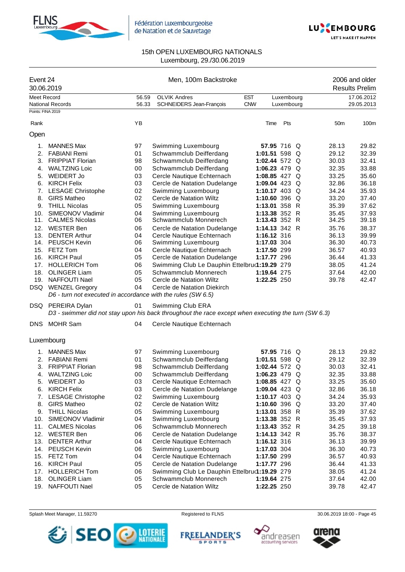



| Meet Record<br><b>OLVIK Andres</b><br><b>EST</b><br>17.06.2012<br>56.59<br>Luxembourg<br><b>National Records</b><br>56.33<br>SCHNEIDERS Jean-François<br><b>CNW</b><br>Luxembourg<br>29.05.2013<br>Points: FINA 2019<br>YB<br>Pts<br>Rank<br>Time<br>50 <sub>m</sub><br>Open<br><b>MANNES Max</b><br>97<br>Swimming Luxembourg<br>57.95 716 Q<br>28.13<br>1.<br>29.12<br>2. FABIANI Remi<br>01<br>Schwammclub Deifferdang<br>1:01.51 598 $Q$<br>3. FRIPPIAT Florian<br>Schwammclub Deifferdang<br>30.03<br>98<br>1:02.44 572 $Q$<br>32.35<br>4. WALTZING Loic<br>00<br>Schwammclub Deifferdang<br>1:06.23 479 $Q$<br>03<br>33.25<br>5.<br><b>WEIDERT Jo</b><br>Cercle Nautique Echternach<br>1:08.85 427 Q<br><b>KIRCH Felix</b><br>32.86<br>03<br>Cercle de Natation Dudelange<br>1:09.04 423 Q<br>6.<br>02<br>34.24<br>7.<br><b>LESAGE Christophe</b><br>Swimming Luxembourg<br>1:10.17 403 Q<br>02<br>Cercle de Natation Wiltz<br>8.<br><b>GIRS Matheo</b><br>1:10.60 396 $Q$<br>33.20<br>THILL Nicolas<br>05<br>Swimming Luxembourg<br>1:13.01 358 R<br>35.39<br>9.<br>SIMEONOV Vladimir<br>04<br>1:13.38 352 R<br>35.45<br>10.<br>Swimming Luxembourg<br>Schwammclub Monnerech<br>11. CALMES Nicolas<br>06<br>1:13.43 352 R<br>34.25<br>12. WESTER Ben<br>06<br>1:14.13 342 R<br>35.76<br>Cercle de Natation Dudelange<br>13. DENTER Arthur<br>36.13<br>04<br>Cercle Nautique Echternach<br>1:16.12 316<br>14. PEUSCH Kevin<br>06<br>Swimming Luxembourg<br>1:17.03 304<br>36.30<br>15. FETZ Tom<br>04<br>Cercle Nautique Echternach<br>1:17.50 299<br>36.57<br>05<br>16. KIRCH Paul<br>Cercle de Natation Dudelange<br>1:17.77 296<br>36.44<br>17. HOLLERICH Tom<br>Swimming Club Le Dauphin Ettelbru(1:19.29 279<br>06<br>38.05<br>Schwammclub Monnerech<br>18.<br><b>OLINGER Liam</b><br>05<br>1:19.64 275<br>37.64<br>19. NAFFOUTI Nael<br>05<br>Cercle de Natation Wiltz<br>1:22.25 250<br>39.78<br>DSQ WENZEL Gregory<br>04<br>Cercle de Natation Diekirch<br>D6 - turn not executed in accordance with the rules (SW 6.5)<br>01<br>DSQ PEREIRA Dylan<br>Swimming Club ERA<br>D3 - swimmer did not stay upon his back throughout the race except when executing the turn (SW 6.3)<br>DNS MOHR Sam<br>04<br>Cercle Nautique Echternach<br>Luxembourg<br>1. MANNES Max<br>97<br>Swimming Luxembourg<br>57.95 716 Q<br>28.13<br>Schwammclub Deifferdang<br>1:01.51 598 Q<br>29.12<br>2. FABIANI Remi<br>01<br>3.<br><b>FRIPPIAT Florian</b><br>98<br>Schwammclub Deifferdang<br>1:02.44 572 $Q$<br>30.03<br>00<br>1:06.23 479 Q<br>4. WALTZING Loic<br>Schwammclub Deifferdang<br>32.35<br><b>WEIDERT Jo</b><br>1:08.85 427 Q<br>33.25<br>5.<br>03<br>Cercle Nautique Echternach<br><b>KIRCH Felix</b><br>03<br>1:09.04 423 Q<br>Cercle de Natation Dudelange<br>32.86<br>6.<br>7.<br><b>LESAGE Christophe</b><br>02<br>Swimming Luxembourg<br>1:10.17 403 $Q$<br>34.24<br><b>GIRS Matheo</b><br>02<br>8.<br>Cercle de Natation Wiltz<br>1:10.60 396 $Q$<br>33.20<br>9.<br><b>THILL Nicolas</b><br>05<br>Swimming Luxembourg<br>1:13.01 358 R<br>35.39<br>SIMEONOV Vladimir<br>04<br>1:13.38 352 R<br>10.<br>Swimming Luxembourg<br>35.45<br>11.<br><b>CALMES Nicolas</b><br>06<br>Schwammclub Monnerech<br>1:13.43 352 R<br>34.25<br>12.<br>WESTER Ben<br>06<br>Cercle de Natation Dudelange<br>1:14.13 342 R<br>35.76<br>13.<br><b>DENTER Arthur</b><br>04<br>Cercle Nautique Echternach<br>1:16.12 316<br>36.13<br>14. PEUSCH Kevin<br>06<br>Swimming Luxembourg<br>1:17.03 304<br>36.30<br><b>FETZ Tom</b><br>04<br>Cercle Nautique Echternach<br>1:17.50 299<br>15.<br>36.57<br><b>KIRCH Paul</b><br>16.<br>05<br>Cercle de Natation Dudelange<br>1:17.77 296<br>36.44<br><b>HOLLERICH Tom</b><br>06<br>Swimming Club Le Dauphin Ettelbru(1:19.29 279<br>17.<br>38.05<br>18.<br><b>OLINGER Liam</b><br>05<br>Schwammclub Monnerech<br>1:19.64 275<br>37.64<br>19. NAFFOUTI Nael<br>05<br>Cercle de Natation Wiltz<br>1:22.25 250<br>39.78 | Event 24<br>30.06.2019 |  | Men, 100m Backstroke |  |  |  | 2006 and older<br><b>Results Prelim</b> |
|--------------------------------------------------------------------------------------------------------------------------------------------------------------------------------------------------------------------------------------------------------------------------------------------------------------------------------------------------------------------------------------------------------------------------------------------------------------------------------------------------------------------------------------------------------------------------------------------------------------------------------------------------------------------------------------------------------------------------------------------------------------------------------------------------------------------------------------------------------------------------------------------------------------------------------------------------------------------------------------------------------------------------------------------------------------------------------------------------------------------------------------------------------------------------------------------------------------------------------------------------------------------------------------------------------------------------------------------------------------------------------------------------------------------------------------------------------------------------------------------------------------------------------------------------------------------------------------------------------------------------------------------------------------------------------------------------------------------------------------------------------------------------------------------------------------------------------------------------------------------------------------------------------------------------------------------------------------------------------------------------------------------------------------------------------------------------------------------------------------------------------------------------------------------------------------------------------------------------------------------------------------------------------------------------------------------------------------------------------------------------------------------------------------------------------------------------------------------------------------------------------------------------------------------------------------------------------------------------------------------------------------------------------------------------------------------------------------------------------------------------------------------------------------------------------------------------------------------------------------------------------------------------------------------------------------------------------------------------------------------------------------------------------------------------------------------------------------------------------------------------------------------------------------------------------------------------------------------------------------------------------------------------------------------------------------------------------------------------------------------------------------------------------------------------------------------------------------------------------------------------------------------------------------------------------------------------------------------------------------------------------------------------------------------------------------------------------------------------------------------------------------------------------------------------------------------------------------------------------------------------------------------------------------------------------------------------------|------------------------|--|----------------------|--|--|--|-----------------------------------------|
|                                                                                                                                                                                                                                                                                                                                                                                                                                                                                                                                                                                                                                                                                                                                                                                                                                                                                                                                                                                                                                                                                                                                                                                                                                                                                                                                                                                                                                                                                                                                                                                                                                                                                                                                                                                                                                                                                                                                                                                                                                                                                                                                                                                                                                                                                                                                                                                                                                                                                                                                                                                                                                                                                                                                                                                                                                                                                                                                                                                                                                                                                                                                                                                                                                                                                                                                                                                                                                                                                                                                                                                                                                                                                                                                                                                                                                                                                                                                                        |                        |  |                      |  |  |  |                                         |
|                                                                                                                                                                                                                                                                                                                                                                                                                                                                                                                                                                                                                                                                                                                                                                                                                                                                                                                                                                                                                                                                                                                                                                                                                                                                                                                                                                                                                                                                                                                                                                                                                                                                                                                                                                                                                                                                                                                                                                                                                                                                                                                                                                                                                                                                                                                                                                                                                                                                                                                                                                                                                                                                                                                                                                                                                                                                                                                                                                                                                                                                                                                                                                                                                                                                                                                                                                                                                                                                                                                                                                                                                                                                                                                                                                                                                                                                                                                                                        |                        |  |                      |  |  |  |                                         |
|                                                                                                                                                                                                                                                                                                                                                                                                                                                                                                                                                                                                                                                                                                                                                                                                                                                                                                                                                                                                                                                                                                                                                                                                                                                                                                                                                                                                                                                                                                                                                                                                                                                                                                                                                                                                                                                                                                                                                                                                                                                                                                                                                                                                                                                                                                                                                                                                                                                                                                                                                                                                                                                                                                                                                                                                                                                                                                                                                                                                                                                                                                                                                                                                                                                                                                                                                                                                                                                                                                                                                                                                                                                                                                                                                                                                                                                                                                                                                        |                        |  |                      |  |  |  | 100m                                    |
|                                                                                                                                                                                                                                                                                                                                                                                                                                                                                                                                                                                                                                                                                                                                                                                                                                                                                                                                                                                                                                                                                                                                                                                                                                                                                                                                                                                                                                                                                                                                                                                                                                                                                                                                                                                                                                                                                                                                                                                                                                                                                                                                                                                                                                                                                                                                                                                                                                                                                                                                                                                                                                                                                                                                                                                                                                                                                                                                                                                                                                                                                                                                                                                                                                                                                                                                                                                                                                                                                                                                                                                                                                                                                                                                                                                                                                                                                                                                                        |                        |  |                      |  |  |  |                                         |
|                                                                                                                                                                                                                                                                                                                                                                                                                                                                                                                                                                                                                                                                                                                                                                                                                                                                                                                                                                                                                                                                                                                                                                                                                                                                                                                                                                                                                                                                                                                                                                                                                                                                                                                                                                                                                                                                                                                                                                                                                                                                                                                                                                                                                                                                                                                                                                                                                                                                                                                                                                                                                                                                                                                                                                                                                                                                                                                                                                                                                                                                                                                                                                                                                                                                                                                                                                                                                                                                                                                                                                                                                                                                                                                                                                                                                                                                                                                                                        |                        |  |                      |  |  |  | 29.82                                   |
|                                                                                                                                                                                                                                                                                                                                                                                                                                                                                                                                                                                                                                                                                                                                                                                                                                                                                                                                                                                                                                                                                                                                                                                                                                                                                                                                                                                                                                                                                                                                                                                                                                                                                                                                                                                                                                                                                                                                                                                                                                                                                                                                                                                                                                                                                                                                                                                                                                                                                                                                                                                                                                                                                                                                                                                                                                                                                                                                                                                                                                                                                                                                                                                                                                                                                                                                                                                                                                                                                                                                                                                                                                                                                                                                                                                                                                                                                                                                                        |                        |  |                      |  |  |  | 32.39                                   |
|                                                                                                                                                                                                                                                                                                                                                                                                                                                                                                                                                                                                                                                                                                                                                                                                                                                                                                                                                                                                                                                                                                                                                                                                                                                                                                                                                                                                                                                                                                                                                                                                                                                                                                                                                                                                                                                                                                                                                                                                                                                                                                                                                                                                                                                                                                                                                                                                                                                                                                                                                                                                                                                                                                                                                                                                                                                                                                                                                                                                                                                                                                                                                                                                                                                                                                                                                                                                                                                                                                                                                                                                                                                                                                                                                                                                                                                                                                                                                        |                        |  |                      |  |  |  | 32.41                                   |
|                                                                                                                                                                                                                                                                                                                                                                                                                                                                                                                                                                                                                                                                                                                                                                                                                                                                                                                                                                                                                                                                                                                                                                                                                                                                                                                                                                                                                                                                                                                                                                                                                                                                                                                                                                                                                                                                                                                                                                                                                                                                                                                                                                                                                                                                                                                                                                                                                                                                                                                                                                                                                                                                                                                                                                                                                                                                                                                                                                                                                                                                                                                                                                                                                                                                                                                                                                                                                                                                                                                                                                                                                                                                                                                                                                                                                                                                                                                                                        |                        |  |                      |  |  |  | 33.88                                   |
|                                                                                                                                                                                                                                                                                                                                                                                                                                                                                                                                                                                                                                                                                                                                                                                                                                                                                                                                                                                                                                                                                                                                                                                                                                                                                                                                                                                                                                                                                                                                                                                                                                                                                                                                                                                                                                                                                                                                                                                                                                                                                                                                                                                                                                                                                                                                                                                                                                                                                                                                                                                                                                                                                                                                                                                                                                                                                                                                                                                                                                                                                                                                                                                                                                                                                                                                                                                                                                                                                                                                                                                                                                                                                                                                                                                                                                                                                                                                                        |                        |  |                      |  |  |  | 35.60                                   |
|                                                                                                                                                                                                                                                                                                                                                                                                                                                                                                                                                                                                                                                                                                                                                                                                                                                                                                                                                                                                                                                                                                                                                                                                                                                                                                                                                                                                                                                                                                                                                                                                                                                                                                                                                                                                                                                                                                                                                                                                                                                                                                                                                                                                                                                                                                                                                                                                                                                                                                                                                                                                                                                                                                                                                                                                                                                                                                                                                                                                                                                                                                                                                                                                                                                                                                                                                                                                                                                                                                                                                                                                                                                                                                                                                                                                                                                                                                                                                        |                        |  |                      |  |  |  | 36.18                                   |
|                                                                                                                                                                                                                                                                                                                                                                                                                                                                                                                                                                                                                                                                                                                                                                                                                                                                                                                                                                                                                                                                                                                                                                                                                                                                                                                                                                                                                                                                                                                                                                                                                                                                                                                                                                                                                                                                                                                                                                                                                                                                                                                                                                                                                                                                                                                                                                                                                                                                                                                                                                                                                                                                                                                                                                                                                                                                                                                                                                                                                                                                                                                                                                                                                                                                                                                                                                                                                                                                                                                                                                                                                                                                                                                                                                                                                                                                                                                                                        |                        |  |                      |  |  |  | 35.93                                   |
|                                                                                                                                                                                                                                                                                                                                                                                                                                                                                                                                                                                                                                                                                                                                                                                                                                                                                                                                                                                                                                                                                                                                                                                                                                                                                                                                                                                                                                                                                                                                                                                                                                                                                                                                                                                                                                                                                                                                                                                                                                                                                                                                                                                                                                                                                                                                                                                                                                                                                                                                                                                                                                                                                                                                                                                                                                                                                                                                                                                                                                                                                                                                                                                                                                                                                                                                                                                                                                                                                                                                                                                                                                                                                                                                                                                                                                                                                                                                                        |                        |  |                      |  |  |  | 37.40                                   |
|                                                                                                                                                                                                                                                                                                                                                                                                                                                                                                                                                                                                                                                                                                                                                                                                                                                                                                                                                                                                                                                                                                                                                                                                                                                                                                                                                                                                                                                                                                                                                                                                                                                                                                                                                                                                                                                                                                                                                                                                                                                                                                                                                                                                                                                                                                                                                                                                                                                                                                                                                                                                                                                                                                                                                                                                                                                                                                                                                                                                                                                                                                                                                                                                                                                                                                                                                                                                                                                                                                                                                                                                                                                                                                                                                                                                                                                                                                                                                        |                        |  |                      |  |  |  | 37.62                                   |
|                                                                                                                                                                                                                                                                                                                                                                                                                                                                                                                                                                                                                                                                                                                                                                                                                                                                                                                                                                                                                                                                                                                                                                                                                                                                                                                                                                                                                                                                                                                                                                                                                                                                                                                                                                                                                                                                                                                                                                                                                                                                                                                                                                                                                                                                                                                                                                                                                                                                                                                                                                                                                                                                                                                                                                                                                                                                                                                                                                                                                                                                                                                                                                                                                                                                                                                                                                                                                                                                                                                                                                                                                                                                                                                                                                                                                                                                                                                                                        |                        |  |                      |  |  |  | 37.93                                   |
|                                                                                                                                                                                                                                                                                                                                                                                                                                                                                                                                                                                                                                                                                                                                                                                                                                                                                                                                                                                                                                                                                                                                                                                                                                                                                                                                                                                                                                                                                                                                                                                                                                                                                                                                                                                                                                                                                                                                                                                                                                                                                                                                                                                                                                                                                                                                                                                                                                                                                                                                                                                                                                                                                                                                                                                                                                                                                                                                                                                                                                                                                                                                                                                                                                                                                                                                                                                                                                                                                                                                                                                                                                                                                                                                                                                                                                                                                                                                                        |                        |  |                      |  |  |  | 39.18                                   |
|                                                                                                                                                                                                                                                                                                                                                                                                                                                                                                                                                                                                                                                                                                                                                                                                                                                                                                                                                                                                                                                                                                                                                                                                                                                                                                                                                                                                                                                                                                                                                                                                                                                                                                                                                                                                                                                                                                                                                                                                                                                                                                                                                                                                                                                                                                                                                                                                                                                                                                                                                                                                                                                                                                                                                                                                                                                                                                                                                                                                                                                                                                                                                                                                                                                                                                                                                                                                                                                                                                                                                                                                                                                                                                                                                                                                                                                                                                                                                        |                        |  |                      |  |  |  | 38.37                                   |
|                                                                                                                                                                                                                                                                                                                                                                                                                                                                                                                                                                                                                                                                                                                                                                                                                                                                                                                                                                                                                                                                                                                                                                                                                                                                                                                                                                                                                                                                                                                                                                                                                                                                                                                                                                                                                                                                                                                                                                                                                                                                                                                                                                                                                                                                                                                                                                                                                                                                                                                                                                                                                                                                                                                                                                                                                                                                                                                                                                                                                                                                                                                                                                                                                                                                                                                                                                                                                                                                                                                                                                                                                                                                                                                                                                                                                                                                                                                                                        |                        |  |                      |  |  |  | 39.99                                   |
|                                                                                                                                                                                                                                                                                                                                                                                                                                                                                                                                                                                                                                                                                                                                                                                                                                                                                                                                                                                                                                                                                                                                                                                                                                                                                                                                                                                                                                                                                                                                                                                                                                                                                                                                                                                                                                                                                                                                                                                                                                                                                                                                                                                                                                                                                                                                                                                                                                                                                                                                                                                                                                                                                                                                                                                                                                                                                                                                                                                                                                                                                                                                                                                                                                                                                                                                                                                                                                                                                                                                                                                                                                                                                                                                                                                                                                                                                                                                                        |                        |  |                      |  |  |  | 40.73                                   |
|                                                                                                                                                                                                                                                                                                                                                                                                                                                                                                                                                                                                                                                                                                                                                                                                                                                                                                                                                                                                                                                                                                                                                                                                                                                                                                                                                                                                                                                                                                                                                                                                                                                                                                                                                                                                                                                                                                                                                                                                                                                                                                                                                                                                                                                                                                                                                                                                                                                                                                                                                                                                                                                                                                                                                                                                                                                                                                                                                                                                                                                                                                                                                                                                                                                                                                                                                                                                                                                                                                                                                                                                                                                                                                                                                                                                                                                                                                                                                        |                        |  |                      |  |  |  | 40.93                                   |
|                                                                                                                                                                                                                                                                                                                                                                                                                                                                                                                                                                                                                                                                                                                                                                                                                                                                                                                                                                                                                                                                                                                                                                                                                                                                                                                                                                                                                                                                                                                                                                                                                                                                                                                                                                                                                                                                                                                                                                                                                                                                                                                                                                                                                                                                                                                                                                                                                                                                                                                                                                                                                                                                                                                                                                                                                                                                                                                                                                                                                                                                                                                                                                                                                                                                                                                                                                                                                                                                                                                                                                                                                                                                                                                                                                                                                                                                                                                                                        |                        |  |                      |  |  |  | 41.33                                   |
|                                                                                                                                                                                                                                                                                                                                                                                                                                                                                                                                                                                                                                                                                                                                                                                                                                                                                                                                                                                                                                                                                                                                                                                                                                                                                                                                                                                                                                                                                                                                                                                                                                                                                                                                                                                                                                                                                                                                                                                                                                                                                                                                                                                                                                                                                                                                                                                                                                                                                                                                                                                                                                                                                                                                                                                                                                                                                                                                                                                                                                                                                                                                                                                                                                                                                                                                                                                                                                                                                                                                                                                                                                                                                                                                                                                                                                                                                                                                                        |                        |  |                      |  |  |  | 41.24                                   |
|                                                                                                                                                                                                                                                                                                                                                                                                                                                                                                                                                                                                                                                                                                                                                                                                                                                                                                                                                                                                                                                                                                                                                                                                                                                                                                                                                                                                                                                                                                                                                                                                                                                                                                                                                                                                                                                                                                                                                                                                                                                                                                                                                                                                                                                                                                                                                                                                                                                                                                                                                                                                                                                                                                                                                                                                                                                                                                                                                                                                                                                                                                                                                                                                                                                                                                                                                                                                                                                                                                                                                                                                                                                                                                                                                                                                                                                                                                                                                        |                        |  |                      |  |  |  | 42.00                                   |
|                                                                                                                                                                                                                                                                                                                                                                                                                                                                                                                                                                                                                                                                                                                                                                                                                                                                                                                                                                                                                                                                                                                                                                                                                                                                                                                                                                                                                                                                                                                                                                                                                                                                                                                                                                                                                                                                                                                                                                                                                                                                                                                                                                                                                                                                                                                                                                                                                                                                                                                                                                                                                                                                                                                                                                                                                                                                                                                                                                                                                                                                                                                                                                                                                                                                                                                                                                                                                                                                                                                                                                                                                                                                                                                                                                                                                                                                                                                                                        |                        |  |                      |  |  |  | 42.47                                   |
|                                                                                                                                                                                                                                                                                                                                                                                                                                                                                                                                                                                                                                                                                                                                                                                                                                                                                                                                                                                                                                                                                                                                                                                                                                                                                                                                                                                                                                                                                                                                                                                                                                                                                                                                                                                                                                                                                                                                                                                                                                                                                                                                                                                                                                                                                                                                                                                                                                                                                                                                                                                                                                                                                                                                                                                                                                                                                                                                                                                                                                                                                                                                                                                                                                                                                                                                                                                                                                                                                                                                                                                                                                                                                                                                                                                                                                                                                                                                                        |                        |  |                      |  |  |  |                                         |
|                                                                                                                                                                                                                                                                                                                                                                                                                                                                                                                                                                                                                                                                                                                                                                                                                                                                                                                                                                                                                                                                                                                                                                                                                                                                                                                                                                                                                                                                                                                                                                                                                                                                                                                                                                                                                                                                                                                                                                                                                                                                                                                                                                                                                                                                                                                                                                                                                                                                                                                                                                                                                                                                                                                                                                                                                                                                                                                                                                                                                                                                                                                                                                                                                                                                                                                                                                                                                                                                                                                                                                                                                                                                                                                                                                                                                                                                                                                                                        |                        |  |                      |  |  |  |                                         |
|                                                                                                                                                                                                                                                                                                                                                                                                                                                                                                                                                                                                                                                                                                                                                                                                                                                                                                                                                                                                                                                                                                                                                                                                                                                                                                                                                                                                                                                                                                                                                                                                                                                                                                                                                                                                                                                                                                                                                                                                                                                                                                                                                                                                                                                                                                                                                                                                                                                                                                                                                                                                                                                                                                                                                                                                                                                                                                                                                                                                                                                                                                                                                                                                                                                                                                                                                                                                                                                                                                                                                                                                                                                                                                                                                                                                                                                                                                                                                        |                        |  |                      |  |  |  |                                         |
|                                                                                                                                                                                                                                                                                                                                                                                                                                                                                                                                                                                                                                                                                                                                                                                                                                                                                                                                                                                                                                                                                                                                                                                                                                                                                                                                                                                                                                                                                                                                                                                                                                                                                                                                                                                                                                                                                                                                                                                                                                                                                                                                                                                                                                                                                                                                                                                                                                                                                                                                                                                                                                                                                                                                                                                                                                                                                                                                                                                                                                                                                                                                                                                                                                                                                                                                                                                                                                                                                                                                                                                                                                                                                                                                                                                                                                                                                                                                                        |                        |  |                      |  |  |  |                                         |
|                                                                                                                                                                                                                                                                                                                                                                                                                                                                                                                                                                                                                                                                                                                                                                                                                                                                                                                                                                                                                                                                                                                                                                                                                                                                                                                                                                                                                                                                                                                                                                                                                                                                                                                                                                                                                                                                                                                                                                                                                                                                                                                                                                                                                                                                                                                                                                                                                                                                                                                                                                                                                                                                                                                                                                                                                                                                                                                                                                                                                                                                                                                                                                                                                                                                                                                                                                                                                                                                                                                                                                                                                                                                                                                                                                                                                                                                                                                                                        |                        |  |                      |  |  |  |                                         |
|                                                                                                                                                                                                                                                                                                                                                                                                                                                                                                                                                                                                                                                                                                                                                                                                                                                                                                                                                                                                                                                                                                                                                                                                                                                                                                                                                                                                                                                                                                                                                                                                                                                                                                                                                                                                                                                                                                                                                                                                                                                                                                                                                                                                                                                                                                                                                                                                                                                                                                                                                                                                                                                                                                                                                                                                                                                                                                                                                                                                                                                                                                                                                                                                                                                                                                                                                                                                                                                                                                                                                                                                                                                                                                                                                                                                                                                                                                                                                        |                        |  |                      |  |  |  | 29.82                                   |
|                                                                                                                                                                                                                                                                                                                                                                                                                                                                                                                                                                                                                                                                                                                                                                                                                                                                                                                                                                                                                                                                                                                                                                                                                                                                                                                                                                                                                                                                                                                                                                                                                                                                                                                                                                                                                                                                                                                                                                                                                                                                                                                                                                                                                                                                                                                                                                                                                                                                                                                                                                                                                                                                                                                                                                                                                                                                                                                                                                                                                                                                                                                                                                                                                                                                                                                                                                                                                                                                                                                                                                                                                                                                                                                                                                                                                                                                                                                                                        |                        |  |                      |  |  |  | 32.39                                   |
|                                                                                                                                                                                                                                                                                                                                                                                                                                                                                                                                                                                                                                                                                                                                                                                                                                                                                                                                                                                                                                                                                                                                                                                                                                                                                                                                                                                                                                                                                                                                                                                                                                                                                                                                                                                                                                                                                                                                                                                                                                                                                                                                                                                                                                                                                                                                                                                                                                                                                                                                                                                                                                                                                                                                                                                                                                                                                                                                                                                                                                                                                                                                                                                                                                                                                                                                                                                                                                                                                                                                                                                                                                                                                                                                                                                                                                                                                                                                                        |                        |  |                      |  |  |  | 32.41                                   |
|                                                                                                                                                                                                                                                                                                                                                                                                                                                                                                                                                                                                                                                                                                                                                                                                                                                                                                                                                                                                                                                                                                                                                                                                                                                                                                                                                                                                                                                                                                                                                                                                                                                                                                                                                                                                                                                                                                                                                                                                                                                                                                                                                                                                                                                                                                                                                                                                                                                                                                                                                                                                                                                                                                                                                                                                                                                                                                                                                                                                                                                                                                                                                                                                                                                                                                                                                                                                                                                                                                                                                                                                                                                                                                                                                                                                                                                                                                                                                        |                        |  |                      |  |  |  | 33.88                                   |
|                                                                                                                                                                                                                                                                                                                                                                                                                                                                                                                                                                                                                                                                                                                                                                                                                                                                                                                                                                                                                                                                                                                                                                                                                                                                                                                                                                                                                                                                                                                                                                                                                                                                                                                                                                                                                                                                                                                                                                                                                                                                                                                                                                                                                                                                                                                                                                                                                                                                                                                                                                                                                                                                                                                                                                                                                                                                                                                                                                                                                                                                                                                                                                                                                                                                                                                                                                                                                                                                                                                                                                                                                                                                                                                                                                                                                                                                                                                                                        |                        |  |                      |  |  |  | 35.60                                   |
|                                                                                                                                                                                                                                                                                                                                                                                                                                                                                                                                                                                                                                                                                                                                                                                                                                                                                                                                                                                                                                                                                                                                                                                                                                                                                                                                                                                                                                                                                                                                                                                                                                                                                                                                                                                                                                                                                                                                                                                                                                                                                                                                                                                                                                                                                                                                                                                                                                                                                                                                                                                                                                                                                                                                                                                                                                                                                                                                                                                                                                                                                                                                                                                                                                                                                                                                                                                                                                                                                                                                                                                                                                                                                                                                                                                                                                                                                                                                                        |                        |  |                      |  |  |  | 36.18                                   |
|                                                                                                                                                                                                                                                                                                                                                                                                                                                                                                                                                                                                                                                                                                                                                                                                                                                                                                                                                                                                                                                                                                                                                                                                                                                                                                                                                                                                                                                                                                                                                                                                                                                                                                                                                                                                                                                                                                                                                                                                                                                                                                                                                                                                                                                                                                                                                                                                                                                                                                                                                                                                                                                                                                                                                                                                                                                                                                                                                                                                                                                                                                                                                                                                                                                                                                                                                                                                                                                                                                                                                                                                                                                                                                                                                                                                                                                                                                                                                        |                        |  |                      |  |  |  | 35.93                                   |
|                                                                                                                                                                                                                                                                                                                                                                                                                                                                                                                                                                                                                                                                                                                                                                                                                                                                                                                                                                                                                                                                                                                                                                                                                                                                                                                                                                                                                                                                                                                                                                                                                                                                                                                                                                                                                                                                                                                                                                                                                                                                                                                                                                                                                                                                                                                                                                                                                                                                                                                                                                                                                                                                                                                                                                                                                                                                                                                                                                                                                                                                                                                                                                                                                                                                                                                                                                                                                                                                                                                                                                                                                                                                                                                                                                                                                                                                                                                                                        |                        |  |                      |  |  |  | 37.40                                   |
|                                                                                                                                                                                                                                                                                                                                                                                                                                                                                                                                                                                                                                                                                                                                                                                                                                                                                                                                                                                                                                                                                                                                                                                                                                                                                                                                                                                                                                                                                                                                                                                                                                                                                                                                                                                                                                                                                                                                                                                                                                                                                                                                                                                                                                                                                                                                                                                                                                                                                                                                                                                                                                                                                                                                                                                                                                                                                                                                                                                                                                                                                                                                                                                                                                                                                                                                                                                                                                                                                                                                                                                                                                                                                                                                                                                                                                                                                                                                                        |                        |  |                      |  |  |  | 37.62                                   |
|                                                                                                                                                                                                                                                                                                                                                                                                                                                                                                                                                                                                                                                                                                                                                                                                                                                                                                                                                                                                                                                                                                                                                                                                                                                                                                                                                                                                                                                                                                                                                                                                                                                                                                                                                                                                                                                                                                                                                                                                                                                                                                                                                                                                                                                                                                                                                                                                                                                                                                                                                                                                                                                                                                                                                                                                                                                                                                                                                                                                                                                                                                                                                                                                                                                                                                                                                                                                                                                                                                                                                                                                                                                                                                                                                                                                                                                                                                                                                        |                        |  |                      |  |  |  | 37.93                                   |
|                                                                                                                                                                                                                                                                                                                                                                                                                                                                                                                                                                                                                                                                                                                                                                                                                                                                                                                                                                                                                                                                                                                                                                                                                                                                                                                                                                                                                                                                                                                                                                                                                                                                                                                                                                                                                                                                                                                                                                                                                                                                                                                                                                                                                                                                                                                                                                                                                                                                                                                                                                                                                                                                                                                                                                                                                                                                                                                                                                                                                                                                                                                                                                                                                                                                                                                                                                                                                                                                                                                                                                                                                                                                                                                                                                                                                                                                                                                                                        |                        |  |                      |  |  |  | 39.18                                   |
|                                                                                                                                                                                                                                                                                                                                                                                                                                                                                                                                                                                                                                                                                                                                                                                                                                                                                                                                                                                                                                                                                                                                                                                                                                                                                                                                                                                                                                                                                                                                                                                                                                                                                                                                                                                                                                                                                                                                                                                                                                                                                                                                                                                                                                                                                                                                                                                                                                                                                                                                                                                                                                                                                                                                                                                                                                                                                                                                                                                                                                                                                                                                                                                                                                                                                                                                                                                                                                                                                                                                                                                                                                                                                                                                                                                                                                                                                                                                                        |                        |  |                      |  |  |  | 38.37                                   |
|                                                                                                                                                                                                                                                                                                                                                                                                                                                                                                                                                                                                                                                                                                                                                                                                                                                                                                                                                                                                                                                                                                                                                                                                                                                                                                                                                                                                                                                                                                                                                                                                                                                                                                                                                                                                                                                                                                                                                                                                                                                                                                                                                                                                                                                                                                                                                                                                                                                                                                                                                                                                                                                                                                                                                                                                                                                                                                                                                                                                                                                                                                                                                                                                                                                                                                                                                                                                                                                                                                                                                                                                                                                                                                                                                                                                                                                                                                                                                        |                        |  |                      |  |  |  | 39.99                                   |
|                                                                                                                                                                                                                                                                                                                                                                                                                                                                                                                                                                                                                                                                                                                                                                                                                                                                                                                                                                                                                                                                                                                                                                                                                                                                                                                                                                                                                                                                                                                                                                                                                                                                                                                                                                                                                                                                                                                                                                                                                                                                                                                                                                                                                                                                                                                                                                                                                                                                                                                                                                                                                                                                                                                                                                                                                                                                                                                                                                                                                                                                                                                                                                                                                                                                                                                                                                                                                                                                                                                                                                                                                                                                                                                                                                                                                                                                                                                                                        |                        |  |                      |  |  |  | 40.73                                   |
|                                                                                                                                                                                                                                                                                                                                                                                                                                                                                                                                                                                                                                                                                                                                                                                                                                                                                                                                                                                                                                                                                                                                                                                                                                                                                                                                                                                                                                                                                                                                                                                                                                                                                                                                                                                                                                                                                                                                                                                                                                                                                                                                                                                                                                                                                                                                                                                                                                                                                                                                                                                                                                                                                                                                                                                                                                                                                                                                                                                                                                                                                                                                                                                                                                                                                                                                                                                                                                                                                                                                                                                                                                                                                                                                                                                                                                                                                                                                                        |                        |  |                      |  |  |  | 40.93                                   |
|                                                                                                                                                                                                                                                                                                                                                                                                                                                                                                                                                                                                                                                                                                                                                                                                                                                                                                                                                                                                                                                                                                                                                                                                                                                                                                                                                                                                                                                                                                                                                                                                                                                                                                                                                                                                                                                                                                                                                                                                                                                                                                                                                                                                                                                                                                                                                                                                                                                                                                                                                                                                                                                                                                                                                                                                                                                                                                                                                                                                                                                                                                                                                                                                                                                                                                                                                                                                                                                                                                                                                                                                                                                                                                                                                                                                                                                                                                                                                        |                        |  |                      |  |  |  | 41.33                                   |
|                                                                                                                                                                                                                                                                                                                                                                                                                                                                                                                                                                                                                                                                                                                                                                                                                                                                                                                                                                                                                                                                                                                                                                                                                                                                                                                                                                                                                                                                                                                                                                                                                                                                                                                                                                                                                                                                                                                                                                                                                                                                                                                                                                                                                                                                                                                                                                                                                                                                                                                                                                                                                                                                                                                                                                                                                                                                                                                                                                                                                                                                                                                                                                                                                                                                                                                                                                                                                                                                                                                                                                                                                                                                                                                                                                                                                                                                                                                                                        |                        |  |                      |  |  |  | 41.24                                   |
|                                                                                                                                                                                                                                                                                                                                                                                                                                                                                                                                                                                                                                                                                                                                                                                                                                                                                                                                                                                                                                                                                                                                                                                                                                                                                                                                                                                                                                                                                                                                                                                                                                                                                                                                                                                                                                                                                                                                                                                                                                                                                                                                                                                                                                                                                                                                                                                                                                                                                                                                                                                                                                                                                                                                                                                                                                                                                                                                                                                                                                                                                                                                                                                                                                                                                                                                                                                                                                                                                                                                                                                                                                                                                                                                                                                                                                                                                                                                                        |                        |  |                      |  |  |  | 42.00                                   |
|                                                                                                                                                                                                                                                                                                                                                                                                                                                                                                                                                                                                                                                                                                                                                                                                                                                                                                                                                                                                                                                                                                                                                                                                                                                                                                                                                                                                                                                                                                                                                                                                                                                                                                                                                                                                                                                                                                                                                                                                                                                                                                                                                                                                                                                                                                                                                                                                                                                                                                                                                                                                                                                                                                                                                                                                                                                                                                                                                                                                                                                                                                                                                                                                                                                                                                                                                                                                                                                                                                                                                                                                                                                                                                                                                                                                                                                                                                                                                        |                        |  |                      |  |  |  | 42.47                                   |







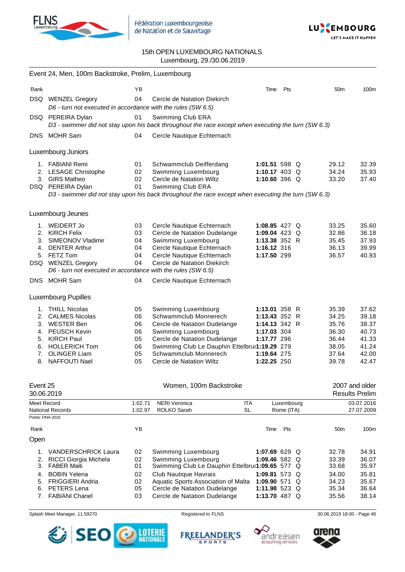

Fédération Luxembourgeoise de Natation et de Sauvetage



### 15th OPEN LUXEMBOURG NATIONALS Luxembourg, 29./30.06.2019

|                                  | Event 24, Men, 100m Backstroke, Prelim, Luxembourg                                                                                                                               |                                              |                                                                                                                                                                                                                                           |                                                                                                             |                          |                                                                      |                                                                      |
|----------------------------------|----------------------------------------------------------------------------------------------------------------------------------------------------------------------------------|----------------------------------------------|-------------------------------------------------------------------------------------------------------------------------------------------------------------------------------------------------------------------------------------------|-------------------------------------------------------------------------------------------------------------|--------------------------|----------------------------------------------------------------------|----------------------------------------------------------------------|
| Rank                             |                                                                                                                                                                                  | ΥB                                           |                                                                                                                                                                                                                                           | Time                                                                                                        | Pts                      | 50 <sub>m</sub>                                                      | 100m                                                                 |
|                                  | DSQ WENZEL Gregory<br>D6 - turn not executed in accordance with the rules (SW 6.5)                                                                                               | 04                                           | Cercle de Natation Diekirch                                                                                                                                                                                                               |                                                                                                             |                          |                                                                      |                                                                      |
|                                  | DSQ PEREIRA Dylan                                                                                                                                                                | 01                                           | Swimming Club ERA<br>D3 - swimmer did not stay upon his back throughout the race except when executing the turn (SW 6.3)                                                                                                                  |                                                                                                             |                          |                                                                      |                                                                      |
|                                  | DNS MOHR Sam                                                                                                                                                                     | 04                                           | Cercle Nautique Echternach                                                                                                                                                                                                                |                                                                                                             |                          |                                                                      |                                                                      |
|                                  | Luxembourg Juniors                                                                                                                                                               |                                              |                                                                                                                                                                                                                                           |                                                                                                             |                          |                                                                      |                                                                      |
|                                  | 1. FABIANI Remi<br>2. LESAGE Christophe<br>3. GIRS Matheo<br>DSQ PEREIRA Dylan                                                                                                   | 01<br>02<br>02<br>01                         | Schwammclub Deifferdang<br>Swimming Luxembourg<br>Cercle de Natation Wiltz<br>Swimming Club ERA<br>D3 - swimmer did not stay upon his back throughout the race except when executing the turn (SW 6.3)                                    | 1:01.51 598 Q<br>1:10.17 403 Q<br>1:10.60 396 Q                                                             |                          | 29.12<br>34.24<br>33.20                                              | 32.39<br>35.93<br>37.40                                              |
|                                  | Luxembourg Jeunes                                                                                                                                                                |                                              |                                                                                                                                                                                                                                           |                                                                                                             |                          |                                                                      |                                                                      |
|                                  | 1. WEIDERT Jo<br>2. KIRCH Felix<br>3. SIMEONOV Vladimir<br>4. DENTER Arthur<br>5. FETZ Tom<br>DSQ WENZEL Gregory<br>D6 - turn not executed in accordance with the rules (SW 6.5) | 03<br>03<br>04<br>04<br>04<br>04             | Cercle Nautique Echternach<br>Cercle de Natation Dudelange<br>Swimming Luxembourg<br>Cercle Nautique Echternach<br>Cercle Nautique Echternach<br>Cercle de Natation Diekirch                                                              | 1:08.85 427 $Q$<br>1:09.04 423 Q<br>1:13.38 352 R<br>1:16.12 316<br>1:17.50 299                             |                          | 33.25<br>32.86<br>35.45<br>36.13<br>36.57                            | 35.60<br>36.18<br>37.93<br>39.99<br>40.93                            |
|                                  | DNS MOHR Sam                                                                                                                                                                     | 04                                           | Cercle Nautique Echternach                                                                                                                                                                                                                |                                                                                                             |                          |                                                                      |                                                                      |
|                                  | <b>Luxembourg Pupilles</b>                                                                                                                                                       |                                              |                                                                                                                                                                                                                                           |                                                                                                             |                          |                                                                      |                                                                      |
| 8.                               | 1. THILL Nicolas<br>2. CALMES Nicolas<br>3. WESTER Ben<br>4. PEUSCH Kevin<br>5. KIRCH Paul<br>6. HOLLERICH Tom<br>7. OLINGER Liam<br><b>NAFFOUTI Nael</b>                        | 05<br>06<br>06<br>06<br>05<br>06<br>05<br>05 | Swimming Luxembourg<br>Schwammclub Monnerech<br>Cercle de Natation Dudelange<br>Swimming Luxembourg<br>Cercle de Natation Dudelange<br>Swimming Club Le Dauphin Ettelbru(1:19.29 279<br>Schwammclub Monnerech<br>Cercle de Natation Wiltz | 1:13.01 358 R<br>1:13.43 352 R<br>1:14.13 342 R<br>1:17.03 304<br>1:17.77 296<br>1:19.64 275<br>1:22.25 250 |                          | 35.39<br>34.25<br>35.76<br>36.30<br>36.44<br>38.05<br>37.64<br>39.78 | 37.62<br>39.18<br>38.37<br>40.73<br>41.33<br>41.24<br>42.00<br>42.47 |
| Event 25<br>30.06.2019           |                                                                                                                                                                                  |                                              | Women, 100m Backstroke                                                                                                                                                                                                                    |                                                                                                             |                          |                                                                      | 2007 and older<br><b>Results Prelim</b>                              |
| Meet Record                      | <b>National Records</b>                                                                                                                                                          | 1:02.71<br>1:02.97                           | <b>NERI Veronica</b><br><b>ITA</b><br>ROLKO Sarah<br><b>SL</b>                                                                                                                                                                            |                                                                                                             | Luxembourg<br>Rome (ITA) |                                                                      | 03.07.2016<br>27.07.2009                                             |
| Points: FINA 2019                |                                                                                                                                                                                  | YB                                           |                                                                                                                                                                                                                                           |                                                                                                             | Pts                      |                                                                      | 100m                                                                 |
| Rank<br>Open                     |                                                                                                                                                                                  |                                              |                                                                                                                                                                                                                                           | Time                                                                                                        |                          | 50 <sub>m</sub>                                                      |                                                                      |
| 1.<br>2.<br>3.<br>4.<br>5.<br>6. | <b>VANDERSCHRICK Laura</b><br>RICCI Giorgia Michela<br><b>FABER Maiti</b><br><b>BOBIN Yelena</b><br><b>FRIGGIERI Andria</b><br>PETERS Lena                                       | 02<br>02<br>01<br>02<br>02<br>05             | Swimming Luxembourg<br>Swimming Luxembourg<br>Swimming Club Le Dauphin Ettelbru(1:09.65 577 Q<br>Club Nautique Havrais<br>Aquatic Sports Association of Malta<br>Cercle de Natation Dudelange                                             | 1:07.69 629 Q<br>1:09.46 582 Q<br>1:09.81 573 Q<br>1:09.90 571 Q<br>1:11.98 523 Q                           |                          | 32.78<br>33.39<br>33.68<br>34.00<br>34.23<br>35.34                   | 34.91<br>36.07<br>35.97<br>35.81<br>35.67<br>36.64                   |
|                                  | 7. FABIANI Chanel                                                                                                                                                                | 03                                           | Cercle de Natation Dudelange                                                                                                                                                                                                              | 1:13.70 487 Q                                                                                               |                          | 35.56                                                                | 38.14                                                                |







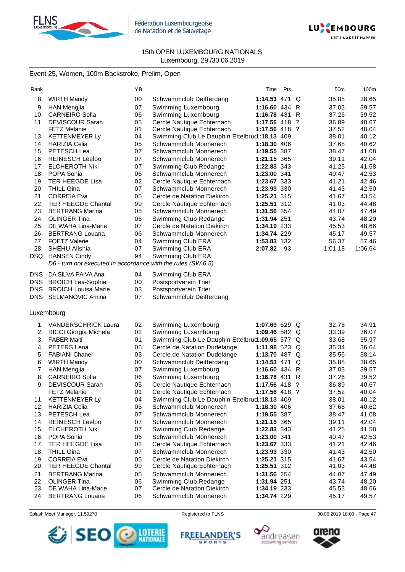



### Event 25, Women, 100m Backstroke, Prelim, Open

| Rank     |                                                              | ΥB |                                                 | Time               | Pts  |   | 50m     | 100m    |
|----------|--------------------------------------------------------------|----|-------------------------------------------------|--------------------|------|---|---------|---------|
| 8.       | <b>WIRTH Mandy</b>                                           | 00 | Schwammclub Deifferdang                         | 1:14.53 471 Q      |      |   | 35.88   | 38.65   |
| 9.       | <b>HAN Mengjia</b>                                           | 07 | Swimming Luxembourg                             | 1:16.60 434 R      |      |   | 37.03   | 39.57   |
| 10.      | <b>CARNEIRO Sofia</b>                                        | 06 | Swimming Luxembourg                             | 1:16.78 431 R      |      |   | 37.26   | 39.52   |
| 11.      | <b>DEVISCOUR Sarah</b>                                       | 05 | Cercle Nautique Echternach                      | 1:17.56 418        |      | ? | 36.89   | 40.67   |
|          | <b>FETZ Melanie</b>                                          | 01 | Cercle Nautique Echternach                      | 1:17.56 418 ?      |      |   | 37.52   | 40.04   |
| 13.      | <b>KETTENMEYER Ly</b>                                        | 04 | Swimming Club Le Dauphin Ettelbru(1:18.13 409   |                    |      |   | 38.01   | 40.12   |
| 14.      | <b>HARIZIA Celia</b>                                         | 05 | Schwammclub Monnerech                           | <b>1:18.30</b> 406 |      |   | 37.68   | 40.62   |
| 15.      | PETESCH Lea                                                  | 07 | Schwammclub Monnerech                           | 1:19.55 387        |      |   | 38.47   | 41.08   |
| 16.      | <b>REINESCH Leeloo</b>                                       | 07 | Schwammclub Monnerech                           | 1:21.15 365        |      |   | 39.11   | 42.04   |
| 17.      | <b>ELCHEROTH Niki</b>                                        | 07 | Swimming Club Redange                           | 1:22.83 343        |      |   | 41.25   | 41.58   |
| 18.      | POPA Sonia                                                   | 06 | Schwammclub Monnerech                           | 1:23.00 341        |      |   | 40.47   | 42.53   |
| 19.      | <b>TER HEEGDE Lisa</b>                                       | 02 | Cercle Nautique Echternach                      | 1:23.67 333        |      |   | 41.21   | 42.46   |
| 20.      | <b>THILL Gina</b>                                            | 07 | Schwammclub Monnerech                           | 1:23.93 330        |      |   | 41.43   | 42.50   |
| 21.      | <b>CORREIA Eva</b>                                           | 05 | Cercle de Natation Diekirch                     | 1:25.21 315        |      |   | 41.67   | 43.54   |
| 22.      | <b>TER HEEGDE Chantal</b>                                    | 99 | Cercle Nautique Echternach                      | 1:25.51 312        |      |   | 41.03   | 44.48   |
| 23.      | <b>BERTRANG Marina</b>                                       | 05 | Schwammclub Monnerech                           | 1:31.56 254        |      |   | 44.07   | 47.49   |
| 24.      | <b>OLINGER Tina</b>                                          | 06 | Swimming Club Redange                           | 1:31.94 251        |      |   | 43.74   | 48.20   |
| 25.      | DE WAHA Lina-Marie                                           | 07 | Cercle de Natation Diekirch                     | 1:34.19 233        |      |   | 45.53   | 48.66   |
| 26.      | <b>BERTRANG Louana</b>                                       | 06 | Schwammclub Monnerech                           | 1:34.74 229        |      |   | 45.17   | 49.57   |
| 27.      | <b>FOETZ Valerie</b>                                         | 04 | Swimming Club ERA                               | 1:53.83 132        |      |   | 56.37   | 57.46   |
| 28.      | SHEHU Alishia                                                | 07 | Swimming Club ERA                               | 2:07.82            | - 93 |   | 1:01.18 | 1:06.64 |
| DSQ.     | <b>HANSEN Cindy</b>                                          | 94 | Swimming Club ERA                               |                    |      |   |         |         |
|          | D6 - turn not executed in accordance with the rules (SW 6.5) |    |                                                 |                    |      |   |         |         |
| DNS      | DA SILVA PAIVA Ana                                           | 04 | Swimming Club ERA                               |                    |      |   |         |         |
| DNS      | <b>BROICH Lea-Sophie</b>                                     | 00 | Postsportverein Trier                           |                    |      |   |         |         |
| DNS      | <b>BROICH Louisa Marie</b>                                   | 03 | Postsportverein Trier                           |                    |      |   |         |         |
| DNS.     | <b>SELMANOVIC Amina</b>                                      | 07 | Schwammclub Deifferdang                         |                    |      |   |         |         |
|          | Luxembourg                                                   |    |                                                 |                    |      |   |         |         |
|          | <b>VANDERSCHRICK Laura</b>                                   | 02 |                                                 | 1:07.69 629 Q      |      |   | 32.78   | 34.91   |
| 1.<br>2. | RICCI Giorgia Michela                                        | 02 | Swimming Luxembourg<br>Swimming Luxembourg      | 1:09.46 582 $Q$    |      |   | 33.39   | 36.07   |
| 3.       | <b>FABER Maiti</b>                                           | 01 | Swimming Club Le Dauphin Ettelbru(1:09.65 577 Q |                    |      |   | 33.68   | 35.97   |
| 4.       | PETERS Lena                                                  | 05 | Cercle de Natation Dudelange                    | 1:11.98 523 Q      |      |   | 35.34   | 36.64   |
| 5.       | <b>FABIANI Chanel</b>                                        | 03 | Cercle de Natation Dudelange                    | 1:13.70 487 Q      |      |   | 35.56   | 38.14   |
| 6.       | <b>WIRTH Mandy</b>                                           | 00 | Schwammclub Deifferdang                         | 1:14.53 471        |      | Q | 35.88   | 38.65   |
| 7.       | <b>HAN Mengjia</b>                                           | 07 | Swimming Luxembourg                             | 1:16.60 $434$ R    |      |   | 37.03   | 39.57   |
| 8.       | <b>CARNEIRO Sofia</b>                                        | 06 | Swimming Luxembourg                             | 1:16.78 431 R      |      |   | 37.26   | 39.52   |
| 9.       | <b>DEVISCOUR Sarah</b>                                       | 05 | Cercle Nautique Echternach                      | 1:17.56 418 ?      |      |   | 36.89   | 40.67   |
|          | <b>FETZ Melanie</b>                                          | 01 | Cercle Nautique Echternach                      | 1:17.56 418 ?      |      |   | 37.52   | 40.04   |
| 11.      | <b>KETTENMEYER Ly</b>                                        | 04 | Swimming Club Le Dauphin Ettelbru(1:18.13 409   |                    |      |   | 38.01   | 40.12   |
| 12.      | <b>HARIZIA Celia</b>                                         | 05 | Schwammclub Monnerech                           | 1:18.30 406        |      |   | 37.68   | 40.62   |
| 13.      | PETESCH Lea                                                  | 07 | Schwammclub Monnerech                           | 1:19.55 387        |      |   | 38.47   | 41.08   |
| 14.      | <b>REINESCH Leeloo</b>                                       | 07 | Schwammclub Monnerech                           | 1:21.15 365        |      |   | 39.11   | 42.04   |
| 15.      | <b>ELCHEROTH Niki</b>                                        | 07 | Swimming Club Redange                           | 1:22.83 343        |      |   | 41.25   | 41.58   |
| 16.      | POPA Sonia                                                   | 06 | Schwammclub Monnerech                           | 1:23.00 341        |      |   | 40.47   | 42.53   |
| 17.      | TER HEEGDE Lisa                                              | 02 | Cercle Nautique Echternach                      | 1:23.67 333        |      |   | 41.21   | 42.46   |
| 18.      | <b>THILL Gina</b>                                            | 07 | Schwammclub Monnerech                           | 1:23.93 330        |      |   | 41.43   | 42.50   |
| 19.      | <b>CORREIA Eva</b>                                           | 05 | Cercle de Natation Diekirch                     | 1:25.21 315        |      |   | 41.67   | 43.54   |
| 20.      | <b>TER HEEGDE Chantal</b>                                    | 99 | Cercle Nautique Echternach                      | 1:25.51 312        |      |   | 41.03   | 44.48   |
| 21.      | <b>BERTRANG Marina</b>                                       | 05 | Schwammclub Monnerech                           | 1:31.56 254        |      |   | 44.07   | 47.49   |
| 22.      | <b>OLINGER Tina</b>                                          | 06 | Swimming Club Redange                           | 1:31.94 251        |      |   | 43.74   | 48.20   |
| 23.      | DE WAHA Lina-Marie                                           | 07 | Cercle de Natation Diekirch                     | 1:34.19 233        |      |   | 45.53   | 48.66   |
| 24.      | <b>BERTRANG Louana</b>                                       | 06 | Schwammclub Monnerech                           | 1:34.74 229        |      |   | 45.17   | 49.57   |

Splash Meet Manager, 11.59270 **Registered to FLNS** Registered to FLNS 30.06.2019 18:00 - Page 47

**SPORTS** 







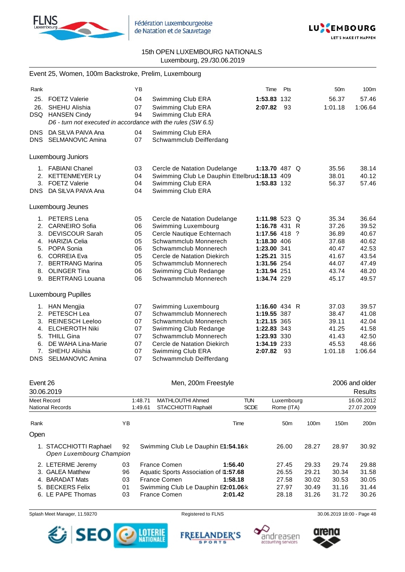



|            | Event 25, Women, 100m Backstroke, Prelim, Luxembourg         |    |                                               |                 |     |                 |         |
|------------|--------------------------------------------------------------|----|-----------------------------------------------|-----------------|-----|-----------------|---------|
| Rank       |                                                              | YB |                                               | Time            | Pts | 50 <sub>m</sub> | 100m    |
| 25.        | <b>FOETZ Valerie</b>                                         | 04 | Swimming Club ERA                             | 1:53.83 132     |     | 56.37           | 57.46   |
| 26.        | SHEHU Alishia                                                | 07 | Swimming Club ERA                             | 2:07.82         | 93  | 1:01.18         | 1:06.64 |
| DSQ.       | <b>HANSEN Cindy</b>                                          | 94 | Swimming Club ERA                             |                 |     |                 |         |
|            | D6 - turn not executed in accordance with the rules (SW 6.5) |    |                                               |                 |     |                 |         |
| <b>DNS</b> | DA SILVA PAIVA Ana                                           | 04 | Swimming Club ERA                             |                 |     |                 |         |
| <b>DNS</b> | SELMANOVIC Amina                                             | 07 | Schwammclub Deifferdang                       |                 |     |                 |         |
|            | Luxembourg Juniors                                           |    |                                               |                 |     |                 |         |
| 1.         | <b>FABIANI Chanel</b>                                        | 03 | Cercle de Natation Dudelange                  | 1:13.70 487 $Q$ |     | 35.56           | 38.14   |
| 2.         | <b>KETTENMEYER Ly</b>                                        | 04 | Swimming Club Le Dauphin Ettelbru(1:18.13 409 |                 |     | 38.01           | 40.12   |
| 3.         | <b>FOETZ Valerie</b>                                         | 04 | Swimming Club ERA                             | 1:53.83 132     |     | 56.37           | 57.46   |
| <b>DNS</b> | DA SILVA PAIVA Ana                                           | 04 | Swimming Club ERA                             |                 |     |                 |         |
|            | Luxembourg Jeunes                                            |    |                                               |                 |     |                 |         |
|            |                                                              |    |                                               |                 |     |                 |         |
|            | 1. PETERS Lena                                               | 05 | Cercle de Natation Dudelange                  | 1:11.98 523 Q   |     | 35.34           | 36.64   |
|            | 2. CARNEIRO Sofia                                            | 06 | Swimming Luxembourg                           | 1:16.78 431 R   |     | 37.26           | 39.52   |
| 3.         | <b>DEVISCOUR Sarah</b>                                       | 05 | Cercle Nautique Echternach                    | 1:17.56 418 ?   |     | 36.89           | 40.67   |
|            | 4. HARIZIA Celia                                             | 05 | Schwammclub Monnerech                         | 1:18.30 406     |     | 37.68           | 40.62   |
|            | 5. POPA Sonia                                                | 06 | Schwammclub Monnerech                         | 1:23.00 341     |     | 40.47           | 42.53   |
|            | 6. CORREIA Eva                                               | 05 | Cercle de Natation Diekirch                   | 1:25.21 315     |     | 41.67           | 43.54   |
| 7.         | <b>BERTRANG Marina</b>                                       | 05 | Schwammclub Monnerech                         | 1:31.56 254     |     | 44.07           | 47.49   |
| 8.         | <b>OLINGER Tina</b>                                          | 06 | Swimming Club Redange                         | 1:31.94 251     |     | 43.74           | 48.20   |
| 9.         | <b>BERTRANG Louana</b>                                       | 06 | Schwammclub Monnerech                         | 1:34.74 229     |     | 45.17           | 49.57   |
|            | <b>Luxembourg Pupilles</b>                                   |    |                                               |                 |     |                 |         |
| 1.         | <b>HAN Mengjia</b>                                           | 07 | Swimming Luxembourg                           | 1:16.60 434 R   |     | 37.03           | 39.57   |
| 2.         | PETESCH Lea                                                  | 07 | Schwammclub Monnerech                         | 1:19.55 387     |     | 38.47           | 41.08   |
| 3.         | <b>REINESCH Leeloo</b>                                       | 07 | Schwammclub Monnerech                         | 1:21.15 365     |     | 39.11           | 42.04   |
| 4.         | <b>ELCHEROTH Niki</b>                                        | 07 | Swimming Club Redange                         | 1:22.83 343     |     | 41.25           | 41.58   |
| 5.         | <b>THILL Gina</b>                                            | 07 | Schwammclub Monnerech                         | 1:23.93 330     |     | 41.43           | 42.50   |
| 6.         | DE WAHA Lina-Marie                                           | 07 | Cercle de Natation Diekirch                   | 1:34.19 233     |     | 45.53           | 48.66   |
| 7.         | SHEHU Alishia                                                | 07 | Swimming Club ERA                             | 2:07.82         | -93 | 1:01.18         | 1:06.64 |
| <b>DNS</b> | SELMANOVIC Amina                                             | 07 | Schwammclub Deifferdang                       |                 |     |                 |         |

| Event 26                |                                                    |    |         |                                       | Men, 200m Freestyle |             |                 |                  | 2006 and older   |         |
|-------------------------|----------------------------------------------------|----|---------|---------------------------------------|---------------------|-------------|-----------------|------------------|------------------|---------|
| 30.06.2019              |                                                    |    |         |                                       |                     |             |                 |                  |                  | Results |
| Meet Record             |                                                    |    | 1:48.71 | MATHLOUTHI Ahmed                      |                     | <b>TUN</b>  | Luxembourg      |                  | 16.06.2012       |         |
| <b>National Records</b> |                                                    |    | 1:49.61 | STACCHIOTTI Raphaël                   |                     | <b>SCDE</b> | Rome (ITA)      |                  | 27.07.2009       |         |
| Rank                    |                                                    | ΥB |         |                                       |                     | Time        | 50 <sub>m</sub> | 100 <sub>m</sub> | 150 <sub>m</sub> | 200m    |
| Open                    |                                                    |    |         |                                       |                     |             |                 |                  |                  |         |
|                         | 1. STACCHIOTTI Raphael<br>Open Luxembourg Champion | 92 |         | Swimming Club Le Dauphin E1:54.16 k   |                     |             | 26.00           | 28.27            | 28.97            | 30.92   |
| 2. LETERME Jeremy       |                                                    | 03 |         | France Comen                          | 1:56.40             |             | 27.45           | 29.33            | 29.74            | 29.88   |
| 3. GALEA Matthew        |                                                    | 96 |         | Aquatic Sports Association of 1:57.68 |                     |             | 26.55           | 29.21            | 30.34            | 31.58   |
| 4. BARADAT Mats         |                                                    | 03 |         | France Comen                          | 1:58.18             |             | 27.58           | 30.02            | 30.53            | 30.05   |
| 5. BECKERS Felix        |                                                    | 01 |         | Swimming Club Le Dauphin E2:01.06:k   |                     |             | 27.97           | 30.49            | 31.16            | 31.44   |
| 6. LE PAPE Thomas       |                                                    | 03 |         | France Comen                          | 2:01.42             |             | 28.18           | 31.26            | 31.72            | 30.26   |







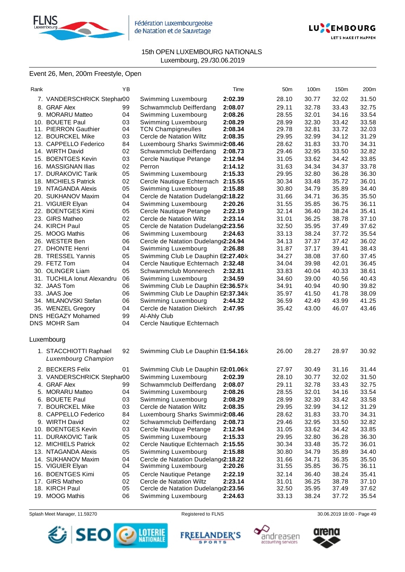

Fédération Luxembourgeoise de Natation et de Sauvetage



### 15th OPEN LUXEMBOURG NATIONALS Luxembourg, 29./30.06.2019

### Event 26, Men, 200m Freestyle, Open

| Rank |                                               | ΥB |                                      | Time    | 50 <sub>m</sub> | 100m  | 150m  | 200m  |
|------|-----------------------------------------------|----|--------------------------------------|---------|-----------------|-------|-------|-------|
|      | 7. VANDERSCHRICK Stephar00                    |    | Swimming Luxembourg                  | 2:02.39 | 28.10           | 30.77 | 32.02 | 31.50 |
|      | 8. GRAF Alex                                  | 99 | Schwammclub Deifferdang              | 2:08.07 | 29.11           | 32.78 | 33.43 | 32.75 |
|      | 9. MORARU Matteo                              | 04 | Swimming Luxembourg                  | 2:08.26 | 28.55           | 32.01 | 34.16 | 33.54 |
|      | 10. BOUETE Paul                               | 03 | Swimming Luxembourg                  | 2:08.29 | 28.99           | 32.30 | 33.42 | 33.58 |
|      | 11. PIERRON Gauthier                          | 04 | <b>TCN Champigneulles</b>            | 2:08.34 | 29.78           | 32.81 | 33.72 | 32.03 |
|      | 12. BOURCKEL Mike                             | 03 | Cercle de Natation Wiltz             | 2:08.35 | 29.95           | 32.99 | 34.12 | 31.29 |
|      | 13. CAPPELLO Federico                         | 84 | Luxembourg Sharks Swimmir2:08.46     |         | 28.62           | 31.83 | 33.70 | 34.31 |
|      | 14. WIRTH David                               | 02 | Schwammclub Deifferdang              | 2:08.73 | 29.46           | 32.95 | 33.50 | 32.82 |
|      | 15. BOENTGES Kevin                            | 03 | Cercle Nautique Petange              | 2:12.94 | 31.05           | 33.62 | 34.42 | 33.85 |
|      | 16. MASSIGNAN Ilias                           | 02 | Perron                               | 2:14.12 | 31.63           | 34.34 | 34.37 | 33.78 |
|      | 17. DURAKOVIC Tarik                           | 05 | Swimming Luxembourg                  | 2:15.33 | 29.95           | 32.80 | 36.28 | 36.30 |
|      | 18. MICHIELS Patrick                          | 02 | Cercle Nautique Echternach           | 2:15.55 | 30.34           | 33.48 | 35.72 | 36.01 |
|      | 19. NTAGANDA Alexis                           | 05 | Swimming Luxembourg                  | 2:15.88 | 30.80           | 34.79 | 35.89 | 34.40 |
|      | 20. SUKHANOV Maxim                            | 04 | Cercle de Natation Dudelang (2:18.22 |         | 31.66           | 34.71 | 36.35 | 35.50 |
|      | 21. VIGUIER Elyan                             | 04 | Swimming Luxembourg                  | 2:20.26 | 31.55           | 35.85 | 36.75 | 36.11 |
|      | 22. BOENTGES Kimi                             | 05 | Cercle Nautique Petange              | 2:22.19 | 32.14           | 36.40 | 38.24 | 35.41 |
|      | 23. GIRS Matheo                               | 02 | Cercle de Natation Wiltz             | 2:23.14 | 31.01           | 36.25 | 38.78 | 37.10 |
|      | 24. KIRCH Paul                                | 05 | Cercle de Natation Dudelang(2:23.56  |         | 32.50           | 35.95 | 37.49 | 37.62 |
|      | 25. MOOG Mathis                               | 06 | Swimming Luxembourg                  | 2:24.63 | 33.13           | 38.24 | 37.72 | 35.54 |
|      | 26. WESTER Ben                                | 06 | Cercle de Natation Dudelang (2:24.94 |         | 34.13           | 37.37 | 37.42 | 36.02 |
|      | 27. DHONTE Henri                              | 04 | Swimming Luxembourg                  | 2:26.88 | 31.87           | 37.17 | 39.41 | 38.43 |
|      | 28. TRESSEL Yannis                            | 05 | Swimming Club Le Dauphin E2:27.40:k  |         | 34.27           | 38.08 | 37.60 | 37.45 |
|      | 29. FETZ Tom                                  | 04 | Cercle Nautique Echternach 2:32.48   |         | 34.04           | 39.98 | 42.01 | 36.45 |
|      | 30. OLINGER Liam                              | 05 | Schwammclub Monnerech                | 2:32.81 | 33.83           | 40.04 | 40.33 | 38.61 |
|      | 31. TUCHILA Ionut Alexandru                   | 06 | Swimming Luxembourg                  | 2:34.59 | 34.60           | 39.00 | 40.56 | 40.43 |
|      | 32. JAAS Tom                                  | 06 | Swimming Club Le Dauphin E2:36.57:k  |         | 34.91           | 40.94 | 40.90 | 39.82 |
|      | 33. JAAS Joe                                  | 06 | Swimming Club Le Dauphin E2:37.34:k  |         | 35.97           | 41.50 | 41.78 | 38.09 |
|      | 34. MILANOVSKI Stefan                         | 06 | Swimming Luxembourg                  | 2:44.32 | 36.59           | 42.49 | 43.99 | 41.25 |
|      | 35. WENZEL Gregory                            | 04 | Cercle de Natation Diekirch          | 2:47.95 | 35.42           | 43.00 | 46.07 | 43.46 |
|      | DNS HEGAZY Mohamed                            | 99 | Al-Ahly Club                         |         |                 |       |       |       |
|      | DNS MOHR Sam                                  | 04 | Cercle Nautique Echternach           |         |                 |       |       |       |
|      | Luxembourg                                    |    |                                      |         |                 |       |       |       |
|      | 1. STACCHIOTTI Raphael<br>Luxembourg Champion | 92 | Swimming Club Le Dauphin E1:54.16:k  |         | 26.00           | 28.27 | 28.97 | 30.92 |
|      | 2. BECKERS Felix                              | 01 | Swimming Club Le Dauphin E2:01.06:k  |         | 27.97           | 30.49 | 31.16 | 31.44 |
|      | 3. VANDERSCHRICK Stephar00                    |    | Swimming Luxembourg                  | 2:02.39 | 28.10           | 30.77 | 32.02 | 31.50 |
|      | 4. GRAF Alex                                  | 99 | Schwammclub Deifferdang              | 2:08.07 | 29.11           | 32.78 | 33.43 | 32.75 |
|      | 5. MORARU Matteo                              | 04 | Swimming Luxembourg                  | 2:08.26 | 28.55           | 32.01 | 34.16 | 33.54 |
|      | 6. BOUETE Paul                                | 03 | Swimming Luxembourg                  | 2:08.29 | 28.99           | 32.30 | 33.42 | 33.58 |
|      | 7. BOURCKEL Mike                              | 03 | Cercle de Natation Wiltz             | 2:08.35 | 29.95           | 32.99 | 34.12 | 31.29 |
|      | 8. CAPPELLO Federico                          | 84 | Luxembourg Sharks Swimmir2:08.46     |         | 28.62           | 31.83 | 33.70 | 34.31 |
|      | 9. WIRTH David                                | 02 | Schwammclub Deifferdang              | 2:08.73 | 29.46           | 32.95 | 33.50 | 32.82 |
|      | 10. BOENTGES Kevin                            | 03 | Cercle Nautique Petange              | 2:12.94 | 31.05           | 33.62 | 34.42 | 33.85 |
|      | 11. DURAKOVIC Tarik                           | 05 | Swimming Luxembourg                  | 2:15.33 | 29.95           | 32.80 | 36.28 | 36.30 |
|      | 12. MICHIELS Patrick                          | 02 | Cercle Nautique Echternach           | 2:15.55 | 30.34           | 33.48 | 35.72 | 36.01 |
|      | 13. NTAGANDA Alexis                           | 05 | Swimming Luxembourg                  | 2:15.88 | 30.80           | 34.79 | 35.89 | 34.40 |
|      | 14. SUKHANOV Maxim                            | 04 | Cercle de Natation Dudelang (2:18.22 |         | 31.66           | 34.71 | 36.35 | 35.50 |
|      | 15. VIGUIER Elyan                             | 04 | Swimming Luxembourg                  | 2:20.26 | 31.55           | 35.85 | 36.75 | 36.11 |
|      | 16. BOENTGES Kimi                             | 05 | Cercle Nautique Petange              | 2:22.19 | 32.14           | 36.40 | 38.24 | 35.41 |
|      | 17. GIRS Matheo                               | 02 | Cercle de Natation Wiltz             | 2:23.14 | 31.01           | 36.25 | 38.78 | 37.10 |
|      | 18. KIRCH Paul                                | 05 | Cercle de Natation Dudelang (2:23.56 |         | 32.50           | 35.95 | 37.49 | 37.62 |
|      | 19. MOOG Mathis                               | 06 | Swimming Luxembourg                  | 2:24.63 | 33.13           | 38.24 | 37.72 | 35.54 |







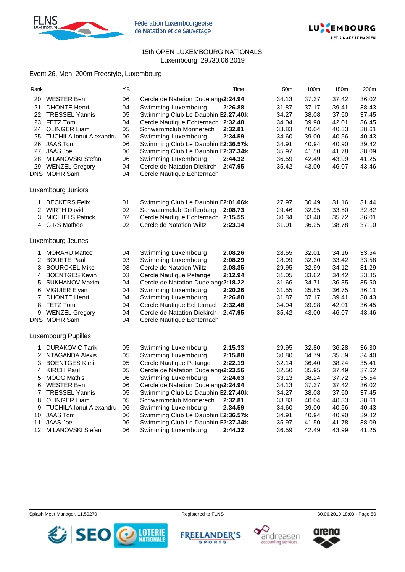



## Event 26, Men, 200m Freestyle, Luxembourg

| Rank |                             | ΥB | Time                                   | 50m   | 100m  | 150m  | 200m  |
|------|-----------------------------|----|----------------------------------------|-------|-------|-------|-------|
|      | 20. WESTER Ben              | 06 | Cercle de Natation Dudelang (2:24.94   | 34.13 | 37.37 | 37.42 | 36.02 |
|      | 21. DHONTE Henri            | 04 | Swimming Luxembourg<br>2:26.88         | 31.87 | 37.17 | 39.41 | 38.43 |
|      | 22. TRESSEL Yannis          | 05 | Swimming Club Le Dauphin E2:27.40:k    | 34.27 | 38.08 | 37.60 | 37.45 |
|      | 23. FETZ Tom                | 04 | Cercle Nautique Echternach 2:32.48     | 34.04 | 39.98 | 42.01 | 36.45 |
|      | 24. OLINGER Liam            | 05 | Schwammclub Monnerech<br>2:32.81       | 33.83 | 40.04 | 40.33 | 38.61 |
|      | 25. TUCHILA Ionut Alexandru | 06 | 2:34.59<br>Swimming Luxembourg         | 34.60 | 39.00 | 40.56 | 40.43 |
|      | 26. JAAS Tom                | 06 | Swimming Club Le Dauphin E2:36.57:k    | 34.91 | 40.94 | 40.90 | 39.82 |
|      | 27. JAAS Joe                | 06 | Swimming Club Le Dauphin E2:37.34:k    | 35.97 | 41.50 | 41.78 | 38.09 |
|      | 28. MILANOVSKI Stefan       | 06 | Swimming Luxembourg<br>2:44.32         | 36.59 | 42.49 | 43.99 | 41.25 |
|      | 29. WENZEL Gregory          | 04 | Cercle de Natation Diekirch<br>2:47.95 | 35.42 | 43.00 | 46.07 | 43.46 |
|      | DNS MOHR Sam                | 04 | Cercle Nautique Echternach             |       |       |       |       |
|      | Luxembourg Juniors          |    |                                        |       |       |       |       |
|      | 1. BECKERS Felix            | 01 | Swimming Club Le Dauphin E2:01.06:k    | 27.97 | 30.49 | 31.16 | 31.44 |
|      | 2. WIRTH David              | 02 | Schwammclub Deifferdang<br>2:08.73     | 29.46 | 32.95 | 33.50 | 32.82 |
|      | 3. MICHIELS Patrick         | 02 | Cercle Nautique Echternach 2:15.55     | 30.34 | 33.48 | 35.72 | 36.01 |
|      | 4. GIRS Matheo              | 02 | Cercle de Natation Wiltz<br>2:23.14    | 31.01 | 36.25 | 38.78 | 37.10 |
|      | Luxembourg Jeunes           |    |                                        |       |       |       |       |
|      | 1. MORARU Matteo            | 04 | Swimming Luxembourg<br>2:08.26         | 28.55 | 32.01 | 34.16 | 33.54 |
|      | 2. BOUETE Paul              | 03 | Swimming Luxembourg<br>2:08.29         | 28.99 | 32.30 | 33.42 | 33.58 |
|      | 3. BOURCKEL Mike            | 03 | Cercle de Natation Wiltz<br>2:08.35    | 29.95 | 32.99 | 34.12 | 31.29 |
|      | 4. BOENTGES Kevin           | 03 | 2:12.94<br>Cercle Nautique Petange     | 31.05 | 33.62 | 34.42 | 33.85 |
|      | 5. SUKHANOV Maxim           | 04 | Cercle de Natation Dudelang (2:18.22   | 31.66 | 34.71 | 36.35 | 35.50 |
|      | 6. VIGUIER Elyan            | 04 | Swimming Luxembourg<br>2:20.26         | 31.55 | 35.85 | 36.75 | 36.11 |
|      | 7. DHONTE Henri             | 04 | 2:26.88<br>Swimming Luxembourg         | 31.87 | 37.17 | 39.41 | 38.43 |
|      | 8. FETZ Tom                 | 04 | Cercle Nautique Echternach<br>2:32.48  | 34.04 | 39.98 | 42.01 | 36.45 |
|      | 9. WENZEL Gregory           | 04 | Cercle de Natation Diekirch<br>2:47.95 | 35.42 | 43.00 | 46.07 | 43.46 |
|      | DNS MOHR Sam                | 04 | Cercle Nautique Echternach             |       |       |       |       |
|      | <b>Luxembourg Pupilles</b>  |    |                                        |       |       |       |       |
|      | 1. DURAKOVIC Tarik          | 05 | Swimming Luxembourg<br>2:15.33         | 29.95 | 32.80 | 36.28 | 36.30 |
|      | 2. NTAGANDA Alexis          | 05 | 2:15.88<br>Swimming Luxembourg         | 30.80 | 34.79 | 35.89 | 34.40 |
|      | 3. BOENTGES Kimi            | 05 | Cercle Nautique Petange<br>2:22.19     | 32.14 | 36.40 | 38.24 | 35.41 |
|      | 4. KIRCH Paul               | 05 | Cercle de Natation Dudelang (2:23.56   | 32.50 | 35.95 | 37.49 | 37.62 |
|      | 5. MOOG Mathis              | 06 | Swimming Luxembourg<br>2:24.63         | 33.13 | 38.24 | 37.72 | 35.54 |
|      | 6. WESTER Ben               | 06 | Cercle de Natation Dudelang (2:24.94   | 34.13 | 37.37 | 37.42 | 36.02 |
|      | 7. TRESSEL Yannis           | 05 | Swimming Club Le Dauphin E2:27.40:k    | 34.27 | 38.08 | 37.60 | 37.45 |
|      | 8. OLINGER Liam             | 05 | 2:32.81<br>Schwammclub Monnerech       | 33.83 | 40.04 | 40.33 | 38.61 |
|      | 9. TUCHILA Ionut Alexandru  | 06 | Swimming Luxembourg<br>2:34.59         | 34.60 | 39.00 | 40.56 | 40.43 |
|      | 10. JAAS Tom                | 06 | Swimming Club Le Dauphin E2:36.57:k    | 34.91 | 40.94 | 40.90 | 39.82 |
|      | 11. JAAS Joe                | 06 | Swimming Club Le Dauphin E2:37.34:k    | 35.97 | 41.50 | 41.78 | 38.09 |
|      | 12. MILANOVSKI Stefan       | 06 | Swimming Luxembourg<br>2:44.32         | 36.59 | 42.49 | 43.99 | 41.25 |



**FREELANDER'S SPORTS** 





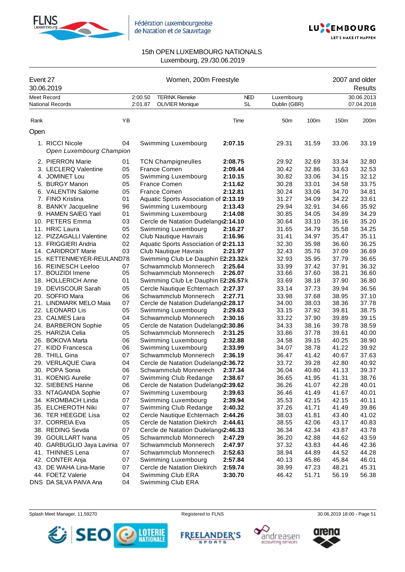



| Event 27 | 30.06.2019                                  | Women, 200m Freestyle |                    |                                                 |                         |                            |       | 2007 and older<br>Results |                          |  |
|----------|---------------------------------------------|-----------------------|--------------------|-------------------------------------------------|-------------------------|----------------------------|-------|---------------------------|--------------------------|--|
|          | <b>Meet Record</b><br>National Records      |                       | 2:00.50<br>2:01.87 | <b>TERINK Rieneke</b><br><b>OLIVIER Monique</b> | <b>NED</b><br><b>SL</b> | Luxembourg<br>Dublin (GBR) |       |                           | 30.06.2013<br>07.04.2018 |  |
| Rank     |                                             | YB                    |                    |                                                 | Time                    | 50m                        | 100m  | 150m                      | 200m                     |  |
| Open     |                                             |                       |                    |                                                 |                         |                            |       |                           |                          |  |
|          | 1. RICCI Nicole<br>Open Luxembourg Champion | 04                    |                    | Swimming Luxembourg                             | 2:07.15                 | 29.31                      | 31.59 | 33.06                     | 33.19                    |  |
|          | 2. PIERRON Marie                            | 01                    |                    | <b>TCN Champigneulles</b>                       | 2:08.75                 | 29.92                      | 32.69 | 33.34                     | 32.80                    |  |
|          | 3. LECLERQ Valentine                        | 05                    |                    | <b>France Comen</b>                             | 2:09.44                 | 30.42                      | 32.86 | 33.63                     | 32.53                    |  |
|          | 4. JOMINET Lou                              | 05                    |                    | Swimming Luxembourg                             | 2:10.15                 | 30.82                      | 33.06 | 34.15                     | 32.12                    |  |
|          | 5. BURGY Manon                              | 05                    |                    | <b>France Comen</b>                             | 2:11.62                 | 30.28                      | 33.01 | 34.58                     | 33.75                    |  |
|          | 6. VALENTIN Salome                          | 05                    |                    | France Comen                                    | 2:12.81                 | 30.24                      | 33.06 | 34.70                     | 34.81                    |  |
|          | 7. FINO Kristina                            | 01                    |                    | Aquatic Sports Association of 2:13.19           |                         | 31.27                      | 34.09 | 34.22                     | 33.61                    |  |
|          | 8. BANKY Jacqueline                         | 96                    |                    | Swimming Luxembourg                             | 2:13.43                 | 29.94                      | 32.91 | 34.66                     | 35.92                    |  |
|          | 9. HAMEN SAIEG Yael                         | 01                    |                    | Swimming Luxembourg                             | 2:14.08                 | 30.85                      | 34.05 | 34.89                     | 34.29                    |  |
|          | 10. PETERS Emma                             | 03                    |                    | Cercle de Natation Dudelang (2:14.10            |                         | 30.64                      | 33.10 | 35.16                     | 35.20                    |  |
|          | 11. HRIC Laura                              | 05                    |                    | Swimming Luxembourg                             | 2:16.27                 | 31.65                      | 34.79 | 35.58                     | 34.25                    |  |
|          | 12. PIZZAGALLI Valentine                    | 02                    |                    | Club Nautique Havrais                           | 2:16.96                 | 31.41                      | 34.97 | 35.47                     | 35.11                    |  |
|          | 13. FRIGGIERI Andria                        | 02                    |                    | Aquatic Sports Association of 2:21.13           |                         | 32.30                      | 35.98 | 36.60                     | 36.25                    |  |
|          | 14. CARIDROIT Marie                         | 03                    |                    | Club Nautique Havrais                           | 2:21.97                 | 32.43                      | 35.76 | 37.09                     | 36.69                    |  |
|          | 15. KETTENMEYER-REULAND78.                  |                       |                    | Swimming Club Le Dauphin E2:23.32:k             |                         | 32.93                      | 35.95 | 37.79                     | 36.65                    |  |
|          | 16. REINESCH Leeloo                         | 07                    |                    | Schwammclub Monnerech                           | 2:25.64                 | 33.99                      | 37.42 | 37.91                     | 36.32                    |  |
|          | 17. BOUZIDI Imene                           | 05                    |                    | Schwammclub Monnerech                           | 2:26.07                 | 33.66                      | 37.60 | 38.21                     | 36.60                    |  |
|          | 18. HOLLERICH Anne                          | 01                    |                    | Swimming Club Le Dauphin E2:26.57:k             |                         | 33.69                      | 38.18 | 37.90                     | 36.80                    |  |
|          | 19. DEVISCOUR Sarah                         | 05                    |                    | Cercle Nautique Echternach 2:27.37              |                         | 33.14                      | 37.73 | 39.94                     | 36.56                    |  |
|          | 20. SOFFIO Mara                             | 06                    |                    | Schwammclub Monnerech                           | 2:27.71                 | 33.98                      | 37.68 | 38.95                     | 37.10                    |  |
|          | 21. LINDMARK MELO Maia                      | 07                    |                    | Cercle de Natation Dudelang (2:28.17            |                         | 34.00                      | 38.03 | 38.36                     | 37.78                    |  |
|          | 22. LEONARD Lis                             | 05                    |                    | Swimming Luxembourg                             | 2:29.63                 | 33.15                      | 37.92 | 39.81                     | 38.75                    |  |
|          | 23. CALMES Lara                             | 04                    |                    | Schwammclub Monnerech                           | 2:30.16                 | 33.22                      | 37.90 | 39.89                     | 39.15                    |  |
|          | 24. BARBERON Sophie                         | 05                    |                    | Cercle de Natation Dudelang (2:30.86            |                         | 34.33                      | 38.16 | 39.78                     | 38.59                    |  |
|          | 25. HARIZIA Celia                           | 05                    |                    | Schwammclub Monnerech                           | 2:31.25                 | 33.86                      | 37.78 | 39.61                     | 40.00                    |  |
|          | 26. BOKOVA Marta                            | 06                    |                    | Swimming Luxembourg                             | 2:32.88                 | 34.58                      | 39.15 | 40.25                     | 38.90                    |  |
|          | 27. KIDD Francesca                          | 06                    |                    | Swimming Luxembourg                             | 2:33.99                 | 34.07                      | 38.78 | 41.22                     | 39.92                    |  |
|          | 28. THILL Gina                              | 07                    |                    | Schwammclub Monnerech                           | 2:36.19                 | 36.47                      | 41.42 | 40.67                     | 37.63                    |  |
|          | 29. VERLAQUE Ciara                          | 04                    |                    | Cercle de Natation Dudelang (2:36.72            |                         | 33.72                      | 39.28 | 42.80                     | 40.92                    |  |
|          | 30. POPA Sonia                              | 06                    |                    | Schwammclub Monnerech                           | 2:37.34                 | 36.04                      | 40.80 | 41.13                     | 39.37                    |  |
|          | 31. KOENIG Aurelie                          | 07                    |                    | Swimming Club Redange                           | 2:38.67                 | 36.65                      | 41.95 | 41.31                     | 38.76                    |  |
|          | 32. SIEBENS Hanne                           | 06                    |                    | Cercle de Natation Dudelang(2:39.62             |                         | 36.26                      | 41.07 | 42.28                     | 40.01                    |  |
|          | 33. NTAGANDA Sophie                         | 07                    |                    | Swimming Luxembourg                             | 2:39.63                 | 36.46                      | 41.49 | 41.67                     | 40.01                    |  |
|          | 34. KROMBACH Linda                          | 07                    |                    | Swimming Luxembourg                             | 2:39.94                 | 35.53                      | 42.15 | 42.15                     | 40.11                    |  |
|          | 35. ELCHEROTH Niki                          | 07                    |                    | Swimming Club Redange                           | 2:40.32                 | 37.26                      | 41.71 | 41.49                     | 39.86                    |  |
|          | 36. TER HEEGDE Lisa                         | 02                    |                    | Cercle Nautique Echternach                      | 2:44.26                 | 38.03                      | 41.81 | 43.40                     | 41.02                    |  |
|          | 37. CORREIA Eva                             | 05                    |                    | Cercle de Natation Diekirch                     | 2:44.61                 | 38.55                      | 42.06 | 43.17                     | 40.83                    |  |
|          | 38. REDING Sevda                            | 07                    |                    | Cercle de Natation Dudelang (2:46.33            |                         | 36.34                      | 42.34 | 43.87                     | 43.78                    |  |
|          | 39. GOUILLART Ivana                         | 05                    |                    | Schwammclub Monnerech                           | 2:47.29                 | 36.20                      | 42.88 | 44.62                     | 43.59                    |  |
|          | 40. GARBUGLIO Jaya Lavinia                  | 07                    |                    | Schwammclub Monnerech                           | 2:47.97                 | 37.32                      | 43.83 | 44.46                     | 42.36                    |  |
|          | 41. THINNES Lena                            | 07                    |                    | Schwammclub Monnerech                           | 2:52.63                 | 38.94                      | 44.89 | 44.52                     | 44.28                    |  |
|          | 42. CONTER Anja                             | 07                    |                    | Swimming Luxembourg                             | 2:57.84                 | 40.13                      | 45.86 | 45.84                     | 46.01                    |  |
|          | 43. DE WAHA Lina-Marie                      | 07                    |                    | Cercle de Natation Diekirch                     | 2:59.74                 | 38.99                      | 47.23 | 48.21                     | 45.31                    |  |
|          | 44. FOETZ Valerie                           | 04                    |                    | Swimming Club ERA                               | 3:30.70                 | 46.42                      | 51.71 | 56.19                     | 56.38                    |  |
|          | DNS DA SILVA PAIVA Ana                      | 04                    |                    | Swimming Club ERA                               |                         |                            |       |                           |                          |  |







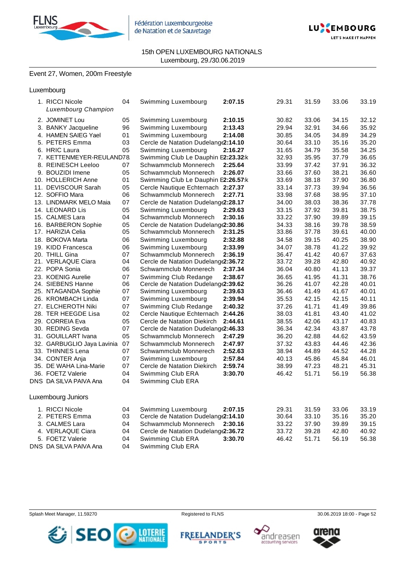



# Event 27, Women, 200m Freestyle

| Luxembourg |  |
|------------|--|
|            |  |

| 1. RICCI Nicole<br><b>Luxembourg Champion</b> | 04 | Swimming Luxembourg                  | 2:07.15 | 29.31 | 31.59 | 33.06 | 33.19 |
|-----------------------------------------------|----|--------------------------------------|---------|-------|-------|-------|-------|
| 2. JOMINET Lou                                | 05 | Swimming Luxembourg                  | 2:10.15 | 30.82 | 33.06 | 34.15 | 32.12 |
| 3. BANKY Jacqueline                           | 96 | Swimming Luxembourg                  | 2:13.43 | 29.94 | 32.91 | 34.66 | 35.92 |
| 4. HAMEN SAIEG Yael                           | 01 | Swimming Luxembourg                  | 2:14.08 | 30.85 | 34.05 | 34.89 | 34.29 |
| 5. PETERS Emma                                | 03 | Cercle de Natation Dudelang (2:14.10 |         | 30.64 | 33.10 | 35.16 | 35.20 |
| 6. HRIC Laura                                 | 05 | Swimming Luxembourg                  | 2:16.27 | 31.65 | 34.79 | 35.58 | 34.25 |
| 7. KETTENMEYER-REULAND78.                     |    | Swimming Club Le Dauphin E2:23.32:k  |         | 32.93 | 35.95 | 37.79 | 36.65 |
| 8. REINESCH Leeloo                            | 07 | Schwammclub Monnerech                | 2:25.64 | 33.99 | 37.42 | 37.91 | 36.32 |
| 9. BOUZIDI Imene                              | 05 | Schwammclub Monnerech                | 2:26.07 | 33.66 | 37.60 | 38.21 | 36.60 |
| 10. HOLLERICH Anne                            | 01 | Swimming Club Le Dauphin E2:26.57:k  |         | 33.69 | 38.18 | 37.90 | 36.80 |
| 11. DEVISCOUR Sarah                           | 05 | Cercle Nautique Echternach 2:27.37   |         | 33.14 | 37.73 | 39.94 | 36.56 |
| 12. SOFFIO Mara                               | 06 | Schwammclub Monnerech                | 2:27.71 | 33.98 | 37.68 | 38.95 | 37.10 |
| 13. LINDMARK MELO Maia                        | 07 | Cercle de Natation Dudelang (2:28.17 |         | 34.00 | 38.03 | 38.36 | 37.78 |
| 14. LEONARD Lis                               | 05 | Swimming Luxembourg                  | 2:29.63 | 33.15 | 37.92 | 39.81 | 38.75 |
| 15. CALMES Lara                               | 04 | Schwammclub Monnerech                | 2:30.16 | 33.22 | 37.90 | 39.89 | 39.15 |
| 16. BARBERON Sophie                           | 05 | Cercle de Natation Dudelang (2:30.86 |         | 34.33 | 38.16 | 39.78 | 38.59 |
| 17. HARIZIA Celia                             | 05 | Schwammclub Monnerech                | 2:31.25 | 33.86 | 37.78 | 39.61 | 40.00 |
| 18. BOKOVA Marta                              | 06 | Swimming Luxembourg                  | 2:32.88 | 34.58 | 39.15 | 40.25 | 38.90 |
| 19. KIDD Francesca                            | 06 | Swimming Luxembourg                  | 2:33.99 | 34.07 | 38.78 | 41.22 | 39.92 |
| 20. THILL Gina                                | 07 | Schwammclub Monnerech                | 2:36.19 | 36.47 | 41.42 | 40.67 | 37.63 |
| 21. VERLAQUE Ciara                            | 04 | Cercle de Natation Dudelang (2:36.72 |         | 33.72 | 39.28 | 42.80 | 40.92 |
| 22. POPA Sonia                                | 06 | Schwammclub Monnerech                | 2:37.34 | 36.04 | 40.80 | 41.13 | 39.37 |
| 23. KOENIG Aurelie                            | 07 | Swimming Club Redange                | 2:38.67 | 36.65 | 41.95 | 41.31 | 38.76 |
| 24. SIEBENS Hanne                             | 06 | Cercle de Natation Dudelang (2:39.62 |         | 36.26 | 41.07 | 42.28 | 40.01 |
| 25. NTAGANDA Sophie                           | 07 | Swimming Luxembourg                  | 2:39.63 | 36.46 | 41.49 | 41.67 | 40.01 |
| 26. KROMBACH Linda                            | 07 | Swimming Luxembourg                  | 2:39.94 | 35.53 | 42.15 | 42.15 | 40.11 |
| 27. ELCHEROTH Niki                            | 07 | Swimming Club Redange                | 2:40.32 | 37.26 | 41.71 | 41.49 | 39.86 |
| 28. TER HEEGDE Lisa                           | 02 | Cercle Nautique Echternach           | 2:44.26 | 38.03 | 41.81 | 43.40 | 41.02 |
| 29. CORREIA Eva                               | 05 | Cercle de Natation Diekirch          | 2:44.61 | 38.55 | 42.06 | 43.17 | 40.83 |
| 30. REDING Sevda                              | 07 | Cercle de Natation Dudelang (2:46.33 |         | 36.34 | 42.34 | 43.87 | 43.78 |
| 31. GOUILLART Ivana                           | 05 | Schwammclub Monnerech                | 2:47.29 | 36.20 | 42.88 | 44.62 | 43.59 |
| 32. GARBUGLIO Jaya Lavinia                    | 07 | Schwammclub Monnerech                | 2:47.97 | 37.32 | 43.83 | 44.46 | 42.36 |
| 33. THINNES Lena                              | 07 | Schwammclub Monnerech                | 2:52.63 | 38.94 | 44.89 | 44.52 | 44.28 |
| 34. CONTER Anja                               | 07 | Swimming Luxembourg                  | 2:57.84 | 40.13 | 45.86 | 45.84 | 46.01 |
| 35. DE WAHA Lina-Marie                        | 07 | Cercle de Natation Diekirch          | 2:59.74 | 38.99 | 47.23 | 48.21 | 45.31 |
| 36. FOETZ Valerie                             | 04 | Swimming Club ERA                    | 3:30.70 | 46.42 | 51.71 | 56.19 | 56.38 |
| DNS DA SILVA PAIVA Ana                        | 04 | Swimming Club ERA                    |         |       |       |       |       |
| Luxembourg Juniors                            |    |                                      |         |       |       |       |       |
| 1. RICCI Nicole                               | 04 | Swimming Luxembourg                  | 2:07.15 | 29.31 | 31.59 | 33.06 | 33.19 |
| 2. PETERS Emma                                | 03 | Cercle de Natation Dudelang (2:14.10 |         | 30.64 | 33.10 | 35.16 | 35.20 |
| 3. CALMES Lara                                | 04 | Schwammclub Monnerech                | 2:30.16 | 33.22 | 37.90 | 39.89 | 39.15 |
| 4. VERLAQUE Ciara                             | 04 | Cercle de Natation Dudelang (2:36.72 |         | 33.72 | 39.28 | 42.80 | 40.92 |
| 5. FOETZ Valerie                              | 04 | Swimming Club ERA                    | 3:30.70 | 46.42 | 51.71 | 56.19 | 56.38 |
| DNS DA SILVA PAIVA Ana                        | 04 | Swimming Club ERA                    |         |       |       |       |       |









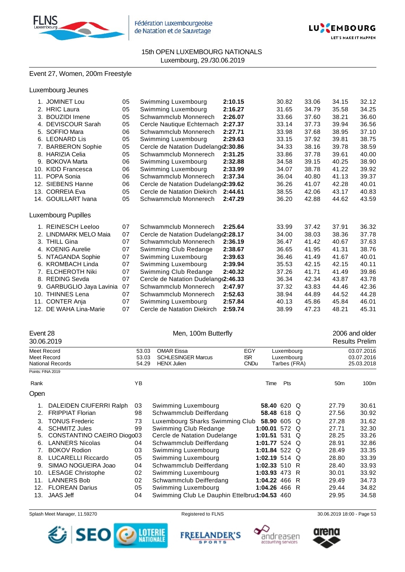



#### Event 27, Women, 200m Freestyle

#### Luxembourg Jeunes

|     | 1. JOMINET Lou         | 05 | Swimming Luxembourg                  | 2:10.15 | 30.82 | 33.06 | 34.15 | 32.12 |
|-----|------------------------|----|--------------------------------------|---------|-------|-------|-------|-------|
| 2.  | <b>HRIC Laura</b>      | 05 | Swimming Luxembourg                  | 2:16.27 | 31.65 | 34.79 | 35.58 | 34.25 |
| 3.  | <b>BOUZIDI</b> Imene   | 05 | Schwammclub Monnerech                | 2:26.07 | 33.66 | 37.60 | 38.21 | 36.60 |
| 4.  | <b>DEVISCOUR Sarah</b> | 05 | Cercle Nautique Echternach           | 2:27.37 | 33.14 | 37.73 | 39.94 | 36.56 |
|     | 5. SOFFIO Mara         | 06 | Schwammclub Monnerech                | 2:27.71 | 33.98 | 37.68 | 38.95 | 37.10 |
| 6.  | <b>LEONARD Lis</b>     | 05 | Swimming Luxembourg                  | 2:29.63 | 33.15 | 37.92 | 39.81 | 38.75 |
|     | 7. BARBERON Sophie     | 05 | Cercle de Natation Dudelang(2:30.86  |         | 34.33 | 38.16 | 39.78 | 38.59 |
|     | 8. HARIZIA Celia       | 05 | Schwammclub Monnerech                | 2:31.25 | 33.86 | 37.78 | 39.61 | 40.00 |
| 9.  | <b>BOKOVA Marta</b>    | 06 | Swimming Luxembourg                  | 2:32.88 | 34.58 | 39.15 | 40.25 | 38.90 |
| 10. | <b>KIDD Francesca</b>  | 06 | Swimming Luxembourg                  | 2:33.99 | 34.07 | 38.78 | 41.22 | 39.92 |
|     | 11. POPA Sonia         | 06 | Schwammclub Monnerech                | 2:37.34 | 36.04 | 40.80 | 41.13 | 39.37 |
|     | 12. SIEBENS Hanne      | 06 | Cercle de Natation Dudelang (2:39.62 |         | 36.26 | 41.07 | 42.28 | 40.01 |
|     | 13. CORREIA Eva        | 05 | Cercle de Natation Diekirch          | 2:44.61 | 38.55 | 42.06 | 43.17 | 40.83 |
|     | 14. GOUILLART Ivana    | 05 | Schwammclub Monnerech                | 2:47.29 | 36.20 | 42.88 | 44.62 | 43.59 |
|     |                        |    |                                      |         |       |       |       |       |
|     | Luxembourg Pupilles    |    |                                      |         |       |       |       |       |
|     | 1. REINESCH Leeloo     | 07 | Schwammclub Monnerech                | 2:25.64 | 33.99 | 37.42 | 37.91 | 36.32 |
|     | 2. LINDMARK MELO Maia  | 07 | Cercle de Natation Dudelang (2:28.17 |         | 34.00 | 38.03 | 38.36 | 37.78 |
|     | 3. THILL Gina          | 07 | Schwammclub Monnerech                | 2:36.19 | 36.47 | 41.42 | 40.67 | 37.63 |
|     | 4. KOENIG Aurelie      | 07 | Swimming Club Redange                | 2:38.67 | 36.65 | 41.95 | 41.31 | 38.76 |
| 5.  | NTAGANDA Sophie        | 07 | Swimming Luxembourg                  | 2:39.63 | 36.46 | 41.49 | 41.67 | 40.01 |
|     | 6. KROMBACH Linda      | 07 | Swimming Luxembourg                  | 2:39.94 | 35.53 | 42.15 | 42.15 | 40.11 |
|     | 7. ELCHEROTH Niki      | 07 | Swimming Club Redange                | 2:40.32 | 37.26 | 41.71 | 41.49 | 39.86 |
| 8.  | <b>REDING Sevda</b>    | 07 | Cercle de Natation Dudelang (2:46.33 |         | 36.34 | 42.34 | 43.87 | 43.78 |
| 9.  | GARBUGLIO Jaya Lavinia | 07 | Schwammclub Monnerech                | 2:47.97 | 37.32 | 43.83 | 44.46 | 42.36 |
|     | 10. THINNES Lena       | 07 | Schwammclub Monnerech                | 2:52.63 | 38.94 | 44.89 | 44.52 | 44.28 |
| 11. | <b>CONTER Anja</b>     | 07 | Swimming Luxembourg                  | 2:57.84 | 40.13 | 45.86 | 45.84 | 46.01 |
| 12. | DE WAHA Lina-Marie     | 07 | Cercle de Natation Diekirch          | 2:59.74 | 38.99 | 47.23 | 48.21 | 45.31 |

### Event 28 **Exercise 2006** and older the Men, 100m Butterfly **2006** and older

#### 30.06.2019 Results Prelim Meet Record 53.03 OMAR Eissa EGY Luxembourg 03.07.2016 Meet Record 53.03 SCHLESINGER Marcus ISR Luxembourg 03.07.2016 National Records Points: FINA 2019 Rank **Time Pts** 50m 100m Open 1. DALEIDEN CIUFERRI Ralph 03 Swimming Luxembourg **58.40** 620 Q 27.79 30.61 2. FRIPPIAT Florian 98 Schwammclub Deifferdang **58.48** 618 Q 27.56 30.92 3. TONUS Frederic 73 Luxembourg Sharks Swimming Club **58.90** 605 Q 27.28 31.62 4. SCHMITZ Jules 99 Swimming Club Redange **1:00.01** 572 Q 27.71 32.30 5. CONSTANTINO CAEIRO Diogo03 Cercle de Natation Dudelange **1:01.51** 531 Q 28.25 33.26 6. LANNERS Nicolas 04 Schwammclub Deifferdang **1:01.77** 524 Q 28.91 32.86 7. BOKOV Rodion 03 Swimming Luxembourg **1:01.84** 522 Q 28.49 33.35 8. LUCARELLI Riccardo 05 Swimming Luxembourg **1:02.19** 514 Q 28.80 33.39 9. SIMAO NOGUEIRA Joao 04 Schwammclub Deifferdang **1:02.33** 510 R 28.40 33.93 10. LESAGE Christophe 02 Swimming Luxembourg **1:03.93** 473 R 30.01 33.92 11. LANNERS Bob 02 Schwammclub Deifferdang **1:04.22** 466 R 29.49 34.73 12. FLOREAN Darius 05 Swimming Luxembourg **1:04.26** 466 R 29.44 34.82

13. JAAS Jeff 04 Swimming Club Le Dauphin Ettelbruck**1:04.53** 460 29.95 34.58



**FREELANDER**' **SPORTS** 



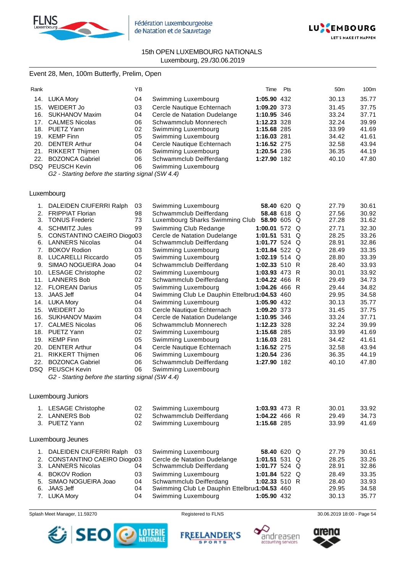



#### Event 28, Men, 100m Butterfly, Prelim, Open

| ΥB                                                                                                                                                                                             |                              | Pts | 50 <sub>m</sub>                                                                                                                             | 100m  |
|------------------------------------------------------------------------------------------------------------------------------------------------------------------------------------------------|------------------------------|-----|---------------------------------------------------------------------------------------------------------------------------------------------|-------|
| 04                                                                                                                                                                                             | Swimming Luxembourg          |     | 30.13                                                                                                                                       | 35.77 |
| 03                                                                                                                                                                                             | Cercle Nautique Echternach   |     | 31.45                                                                                                                                       | 37.75 |
| 04                                                                                                                                                                                             | Cercle de Natation Dudelange |     | 33.24                                                                                                                                       | 37.71 |
| 06                                                                                                                                                                                             | Schwammclub Monnerech        |     | 32.24                                                                                                                                       | 39.99 |
| 02                                                                                                                                                                                             | Swimming Luxembourg          |     | 33.99                                                                                                                                       | 41.69 |
| 05                                                                                                                                                                                             | Swimming Luxembourg          |     | 34.42                                                                                                                                       | 41.61 |
| 04                                                                                                                                                                                             | Cercle Nautique Echternach   |     | 32.58                                                                                                                                       | 43.94 |
| 06                                                                                                                                                                                             | Swimming Luxembourg          |     | 36.35                                                                                                                                       | 44.19 |
| 06                                                                                                                                                                                             | Schwammclub Deifferdang      |     | 40.10                                                                                                                                       | 47.80 |
| 06                                                                                                                                                                                             | Swimming Luxembourg          |     |                                                                                                                                             |       |
| 14. LUKA Mory<br>WEIDERT Jo<br>16. SUKHANOV Maxim<br><b>CALMES Nicolas</b><br>PUETZ Yann<br>KEMP Finn<br><b>DENTER Arthur</b><br>RIKKERT Thijmen<br><b>BOZONCA Gabriel</b><br>DSQ PEUSCH Kevin |                              |     | Time<br>1:05.90 432<br>1:09.20 373<br>1:10.95 346<br>1:12.23 328<br>1:15.68 285<br>1:16.03 281<br>1:16.52 275<br>1:20.54 236<br>1:27.90 182 |       |

*G2 - Starting before the starting signal (SW 4.4)*

#### Luxembourg

| 1.  | DALEIDEN CIUFERRI Ralph                           | 03 | Swimming Luxembourg                           | 58.40 620 Q     |          | 27.79 | 30.61 |
|-----|---------------------------------------------------|----|-----------------------------------------------|-----------------|----------|-------|-------|
| 2.  | <b>FRIPPIAT Florian</b>                           | 98 | Schwammclub Deifferdang                       | 58.48 618 Q     |          | 27.56 | 30.92 |
| 3.  | <b>TONUS Frederic</b>                             | 73 | Luxembourg Sharks Swimming Club               | 58.90 605 Q     |          | 27.28 | 31.62 |
| 4.  | <b>SCHMITZ Jules</b>                              | 99 | Swimming Club Redange                         | 1:00.01 572 Q   |          | 27.71 | 32.30 |
| 5.  | CONSTANTINO CAEIRO Diogo03                        |    | Cercle de Natation Dudelange                  | 1:01.51 531     | Q        | 28.25 | 33.26 |
| 6.  | <b>LANNERS Nicolas</b>                            | 04 | Schwammclub Deifferdang                       | 1:01.77 524 Q   |          | 28.91 | 32.86 |
| 7.  | <b>BOKOV Rodion</b>                               | 03 | Swimming Luxembourg                           | 1:01.84 522 Q   |          | 28.49 | 33.35 |
| 8.  | <b>LUCARELLI Riccardo</b>                         | 05 | Swimming Luxembourg                           | 1:02.19 $514$ Q |          | 28.80 | 33.39 |
| 9.  | SIMAO NOGUEIRA Joao                               | 04 | Schwammclub Deifferdang                       | 1:02.33 510 R   |          | 28.40 | 33.93 |
| 10. | <b>LESAGE Christophe</b>                          | 02 | Swimming Luxembourg                           | 1:03.93 473 R   |          | 30.01 | 33.92 |
| 11. | <b>LANNERS Bob</b>                                | 02 | Schwammclub Deifferdang                       | 1:04.22 466 R   |          | 29.49 | 34.73 |
| 12. | <b>FLOREAN Darius</b>                             | 05 | Swimming Luxembourg                           | 1:04.26 466 R   |          | 29.44 | 34.82 |
| 13. | <b>JAAS Jeff</b>                                  | 04 | Swimming Club Le Dauphin Ettelbru(1:04.53 460 |                 |          | 29.95 | 34.58 |
| 14. | <b>LUKA Mory</b>                                  | 04 | Swimming Luxembourg                           | 1:05.90 432     |          | 30.13 | 35.77 |
| 15. | WEIDERT Jo                                        | 03 | Cercle Nautique Echternach                    | 1:09.20 373     |          | 31.45 | 37.75 |
| 16. | <b>SUKHANOV Maxim</b>                             | 04 | Cercle de Natation Dudelange                  | 1:10.95 346     |          | 33.24 | 37.71 |
| 17. | <b>CALMES Nicolas</b>                             | 06 | Schwammclub Monnerech                         | 1:12.23 328     |          | 32.24 | 39.99 |
| 18. | PUETZ Yann                                        | 02 | Swimming Luxembourg                           | 1:15.68 285     |          | 33.99 | 41.69 |
| 19. | <b>KEMP Finn</b>                                  | 05 | Swimming Luxembourg                           | 1:16.03 281     |          | 34.42 | 41.61 |
| 20. | <b>DENTER Arthur</b>                              | 04 | Cercle Nautique Echternach                    | 1:16.52 275     |          | 32.58 | 43.94 |
| 21. | RIKKERT Thijmen                                   | 06 | Swimming Luxembourg                           | 1:20.54 236     |          | 36.35 | 44.19 |
| 22. | <b>BOZONCA Gabriel</b>                            | 06 | Schwammclub Deifferdang                       | 1:27.90 182     |          | 40.10 | 47.80 |
| DSQ | <b>PEUSCH Kevin</b>                               | 06 | Swimming Luxembourg                           |                 |          |       |       |
|     | G2 - Starting before the starting signal (SW 4.4) |    |                                               |                 |          |       |       |
|     |                                                   |    |                                               |                 |          |       |       |
|     |                                                   |    |                                               |                 |          |       |       |
|     | Luxembourg Juniors                                |    |                                               |                 |          |       |       |
| 1.  | <b>LESAGE Christophe</b>                          | 02 | Swimming Luxembourg                           | 1:03.93 473 R   |          | 30.01 | 33.92 |
| 2.  | <b>LANNERS Bob</b>                                | 02 | Schwammclub Deifferdang                       | 1:04.22 466 R   |          | 29.49 | 34.73 |
|     | 3. PUETZ Yann                                     | 02 | Swimming Luxembourg                           | 1:15.68 285     |          | 33.99 | 41.69 |
|     |                                                   |    |                                               |                 |          |       |       |
|     | Luxembourg Jeunes                                 |    |                                               |                 |          |       |       |
| 1.  | DALEIDEN CIUFERRI Ralph                           | 03 | Swimming Luxembourg                           | 58.40 620 Q     |          | 27.79 | 30.61 |
| 2.  | CONSTANTINO CAEIRO Diogo03                        |    | Cercle de Natation Dudelange                  | 1:01.51 531     | $\Omega$ | 28.25 | 33.26 |
| 3.  | <b>LANNERS Nicolas</b>                            | 04 | Schwammclub Deifferdang                       | 1:01.77 524 $Q$ |          | 28.91 | 32.86 |
| 4.  | <b>BOKOV Rodion</b>                               | 03 | Swimming Luxembourg                           | 1:01.84 522     | $\Omega$ | 28.49 | 33.35 |
|     |                                                   |    |                                               |                 |          |       |       |

- 5. SIMAO NOGUEIRA Joao 04 Schwammclub Deifferdang **1:02.33** 510 R 28.40 33.93 Swimming Club Le Dauphin Ettelbruc1:04.53 460
	- 7. LUKA Mory 04 Swimming Luxembourg **1:05.90** 432 30.13 35.77







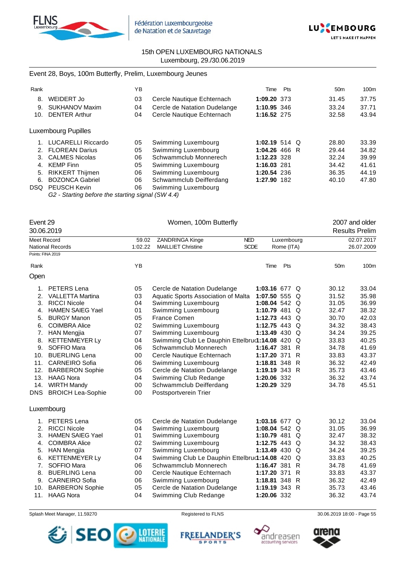



### Event 28, Boys, 100m Butterfly, Prelim, Luxembourg Jeunes

| Rank |                                                                                                                                                                                                                                                                                                                                                                   | YB |                              | Time            | Pts | 50 <sub>m</sub> | 100m  |
|------|-------------------------------------------------------------------------------------------------------------------------------------------------------------------------------------------------------------------------------------------------------------------------------------------------------------------------------------------------------------------|----|------------------------------|-----------------|-----|-----------------|-------|
| 8.   | WEIDERT Jo                                                                                                                                                                                                                                                                                                                                                        | 03 | Cercle Nautique Echternach   | 1:09.20 373     |     | 31.45           | 37.75 |
| 9.   | <b>SUKHANOV Maxim</b>                                                                                                                                                                                                                                                                                                                                             | 04 | Cercle de Natation Dudelange | 1:10.95 346     |     | 33.24           | 37.71 |
| 10.  | <b>DENTER Arthur</b>                                                                                                                                                                                                                                                                                                                                              | 04 | Cercle Nautique Echternach   | 1:16.52 275     |     | 32.58           | 43.94 |
|      | Luxembourg Pupilles                                                                                                                                                                                                                                                                                                                                               |    |                              |                 |     |                 |       |
|      | <b>LUCARELLI Riccardo</b>                                                                                                                                                                                                                                                                                                                                         | 05 | Swimming Luxembourg          | 1:02.19 514 $Q$ |     | 28.80           | 33.39 |
| 2.   | <b>FLOREAN Darius</b>                                                                                                                                                                                                                                                                                                                                             | 05 | Swimming Luxembourg          | 1:04.26 466 R   |     | 29.44           | 34.82 |
| 3.   | <b>CALMES Nicolas</b>                                                                                                                                                                                                                                                                                                                                             | 06 | Schwammclub Monnerech        | 1:12.23 328     |     | 32.24           | 39.99 |
| 4.   | KEMP Finn                                                                                                                                                                                                                                                                                                                                                         | 05 | Swimming Luxembourg          | 1:16.03 281     |     | 34.42           | 41.61 |
| 5.   | <b>RIKKERT Thijmen</b>                                                                                                                                                                                                                                                                                                                                            | 06 | Swimming Luxembourg          | 1:20.54 236     |     | 36.35           | 44.19 |
| 6.   | <b>BOZONCA Gabriel</b>                                                                                                                                                                                                                                                                                                                                            | 06 | Schwammclub Deifferdang      | 1:27.90 182     |     | 40.10           | 47.80 |
| DSQ. | <b>PEUSCH Kevin</b>                                                                                                                                                                                                                                                                                                                                               | 06 | Swimming Luxembourg          |                 |     |                 |       |
|      | $\bigcap_{i=1}^n \bigcap_{i=1}^n \bigcup_{i=1}^n \bigcup_{i=1}^n \bigcap_{i=1}^n \bigcup_{i=1}^n \bigcap_{i=1}^n \bigcap_{i=1}^n \bigcap_{i=1}^n \bigcap_{i=1}^n \bigcap_{i=1}^n \bigcap_{i=1}^n \bigcap_{i=1}^n \bigcap_{i=1}^n \bigcap_{i=1}^n \bigcap_{i=1}^n \bigcap_{i=1}^n \bigcap_{i=1}^n \bigcap_{i=1}^n \bigcap_{i=1}^n \bigcap_{i=1}^n \bigcap_{i=1}^n$ |    |                              |                 |     |                 |       |

*G2 - Starting before the starting signal (SW 4.4)*

| Event 29          | 30.06.2019               |         | Women, 100m Butterfly                         |             |                 |                 | 2007 and older<br><b>Results Prelim</b> |
|-------------------|--------------------------|---------|-----------------------------------------------|-------------|-----------------|-----------------|-----------------------------------------|
| Meet Record       |                          | 59.02   | ZANDRINGA Kinge                               | <b>NED</b>  | Luxembourg      |                 | 02.07.2017                              |
| Points: FINA 2019 | <b>National Records</b>  | 1:02.22 | <b>MAILLIET Christine</b>                     | <b>SCDE</b> | Rome (ITA)      |                 | 26.07.2009                              |
|                   |                          |         |                                               |             |                 |                 |                                         |
| Rank              |                          | YB      |                                               | Time        | Pts             | 50 <sub>m</sub> | 100m                                    |
| Open              |                          |         |                                               |             |                 |                 |                                         |
| 1.                | <b>PETERS</b> Lena       | 05      | Cercle de Natation Dudelange                  |             | 1:03.16 677 $Q$ | 30.12           | 33.04                                   |
| 2.                | <b>VALLETTA Martina</b>  | 03      | Aquatic Sports Association of Malta           | 1:07.50 555 | Q               | 31.52           | 35.98                                   |
| 3.                | <b>RICCI Nicole</b>      | 04      | Swimming Luxembourg                           | 1:08.04 542 | Q               | 31.05           | 36.99                                   |
| 4.                | <b>HAMEN SAIEG Yael</b>  | 01      | Swimming Luxembourg                           | 1:10.79 481 | Q               | 32.47           | 38.32                                   |
| 5.                | <b>BURGY Manon</b>       | 05      | France Comen                                  | 1:12.73 443 | Q               | 30.70           | 42.03                                   |
| 6.                | <b>COIMBRA Alice</b>     | 02      | Swimming Luxembourg                           | 1:12.75 443 | Q               | 34.32           | 38.43                                   |
| 7.                | <b>HAN Mengjia</b>       | 07      | Swimming Luxembourg                           |             | 1:13.49 430 Q   | 34.24           | 39.25                                   |
| 8.                | <b>KETTENMEYER Ly</b>    | 04      | Swimming Club Le Dauphin Ettelbru(1:14.08 420 |             | Q               | 33.83           | 40.25                                   |
| 9.                | SOFFIO Mara              | 06      | Schwammclub Monnerech                         | 1:16.47 381 | R               | 34.78           | 41.69                                   |
| 10.               | <b>BUERLING Lena</b>     | 00      | Cercle Nautique Echternach                    | 1:17.20 371 | R               | 33.83           | 43.37                                   |
| 11.               | <b>CARNEIRO</b> Sofia    | 06      | Swimming Luxembourg                           | 1:18.81 348 | R               | 36.32           | 42.49                                   |
| 12.               | <b>BARBERON Sophie</b>   | 05      | Cercle de Natation Dudelange                  |             | 1:19.19 343 R   | 35.73           | 43.46                                   |
| 13.               | <b>HAAG Nora</b>         | 04      | Swimming Club Redange                         | 1:20.06 332 |                 | 36.32           | 43.74                                   |
| 14.               | <b>WIRTH Mandy</b>       | 00      | Schwammclub Deifferdang                       | 1:20.29 329 |                 | 34.78           | 45.51                                   |
| DNS               | <b>BROICH Lea-Sophie</b> | 00      | Postsportverein Trier                         |             |                 |                 |                                         |
|                   | Luxembourg               |         |                                               |             |                 |                 |                                         |
|                   | 1. PETERS Lena           | 05      | Cercle de Natation Dudelange                  |             | 1:03.16 677 $Q$ | 30.12           | 33.04                                   |
| 2.                | <b>RICCI Nicole</b>      | 04      | Swimming Luxembourg                           |             | 1:08.04 542 Q   | 31.05           | 36.99                                   |
| 3.                | <b>HAMEN SAIEG Yael</b>  | 01      | Swimming Luxembourg                           | 1:10.79 481 | Q               | 32.47           | 38.32                                   |
| 4.                | <b>COIMBRA Alice</b>     | 02      | Swimming Luxembourg                           | 1:12.75 443 | Q               | 34.32           | 38.43                                   |
| 5.                | <b>HAN Mengjia</b>       | 07      | Swimming Luxembourg                           | 1:13.49 430 | Q               | 34.24           | 39.25                                   |
| 6.                | <b>KETTENMEYER Ly</b>    | 04      | Swimming Club Le Dauphin Ettelbru(1:14.08 420 |             | Q               | 33.83           | 40.25                                   |
| 7.                | SOFFIO Mara              | 06      | Schwammclub Monnerech                         | 1:16.47 381 | R               | 34.78           | 41.69                                   |
| 8.                | <b>BUERLING Lena</b>     | 00      | Cercle Nautique Echternach                    | 1:17.20 371 | R               | 33.83           | 43.37                                   |
| 9.                | <b>CARNEIRO Sofia</b>    | 06      | Swimming Luxembourg                           | 1:18.81 348 | -R              | 36.32           | 42.49                                   |
| 10.               | <b>BARBERON Sophie</b>   | 05      | Cercle de Natation Dudelange                  |             | 1:19.19 343 R   | 35.73           | 43.46                                   |

11. HAAG Nora 04 Swimming Club Redange **1:20.06** 332 36.32 43.74



**FREELANDER'S SPORTS** 

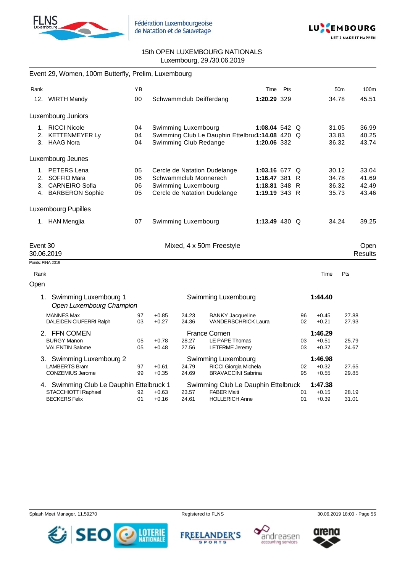



|          | Event 29, Women, 100m Butterfly, Prelim, Luxembourg  |    |         |                         |                                                 |                 |     |    |         |                 |                        |
|----------|------------------------------------------------------|----|---------|-------------------------|-------------------------------------------------|-----------------|-----|----|---------|-----------------|------------------------|
| Rank     |                                                      | YB |         |                         |                                                 | Time            | Pts |    |         | 50 <sub>m</sub> | 100m                   |
|          | 12. WIRTH Mandy                                      | 00 |         | Schwammclub Deifferdang |                                                 | 1:20.29 329     |     |    |         | 34.78           | 45.51                  |
|          | Luxembourg Juniors                                   |    |         |                         |                                                 |                 |     |    |         |                 |                        |
|          | 1. RICCI Nicole                                      | 04 |         | Swimming Luxembourg     |                                                 | 1:08.04 542 $Q$ |     |    |         | 31.05           | 36.99                  |
|          | 2. KETTENMEYER Ly                                    | 04 |         |                         | Swimming Club Le Dauphin Ettelbruৌ 114.08 420 Q |                 |     |    |         | 33.83           | 40.25                  |
|          | 3. HAAG Nora                                         | 04 |         | Swimming Club Redange   |                                                 | 1:20.06 332     |     |    |         | 36.32           | 43.74                  |
|          | Luxembourg Jeunes                                    |    |         |                         |                                                 |                 |     |    |         |                 |                        |
|          | 1. PETERS Lena                                       | 05 |         |                         | Cercle de Natation Dudelange                    | 1:03.16 677 $Q$ |     |    |         | 30.12           | 33.04                  |
|          | 2. SOFFIO Mara                                       | 06 |         | Schwammclub Monnerech   |                                                 | 1:16.47 381     |     | R  |         | 34.78           | 41.69                  |
|          | 3. CARNEIRO Sofia                                    | 06 |         | Swimming Luxembourg     |                                                 | 1:18.81 348 R   |     |    |         | 36.32           | 42.49                  |
|          | 4. BARBERON Sophie                                   | 05 |         |                         | Cercle de Natation Dudelange                    | 1:19.19 343 R   |     |    |         | 35.73           | 43.46                  |
|          | <b>Luxembourg Pupilles</b>                           |    |         |                         |                                                 |                 |     |    |         |                 |                        |
|          | 1. HAN Mengjia                                       | 07 |         | Swimming Luxembourg     |                                                 | 1:13.49 430 Q   |     |    |         | 34.24           | 39.25                  |
| Event 30 | 30.06.2019                                           |    |         |                         | Mixed, 4 x 50m Freestyle                        |                 |     |    |         |                 | Open<br><b>Results</b> |
|          | Points: FINA 2019                                    |    |         |                         |                                                 |                 |     |    |         |                 |                        |
| Rank     |                                                      |    |         |                         |                                                 |                 |     |    | Time    | Pts             |                        |
| Open     |                                                      |    |         |                         |                                                 |                 |     |    |         |                 |                        |
|          | 1. Swimming Luxembourg 1<br>Open Luxembourg Champion |    |         |                         | Swimming Luxembourg                             |                 |     |    | 1:44.40 |                 |                        |
|          | <b>MANNES Max</b>                                    | 97 | $+0.85$ | 24.23                   | <b>BANKY Jacqueline</b>                         |                 |     | 96 | $+0.45$ | 27.88           |                        |
|          | DALEIDEN CIUFERRI Ralph                              | 03 | $+0.27$ | 24.36                   | <b>VANDERSCHRICK Laura</b>                      |                 |     | 02 | $+0.21$ | 27.93           |                        |
|          | 2. FFN COMEN                                         |    |         |                         | France Comen                                    |                 |     |    | 1:46.29 |                 |                        |
|          | <b>BURGY Manon</b>                                   | 05 | $+0.78$ | 28.27                   | LE PAPE Thomas                                  |                 |     | 03 | $+0.51$ | 25.79           |                        |
|          | <b>VALENTIN Salome</b>                               | 05 | $+0.48$ | 27.56                   | <b>LETERME Jeremy</b>                           |                 |     | 03 | $+0.37$ | 24.67           |                        |
|          | 3. Swimming Luxembourg 2                             |    |         |                         | Swimming Luxembourg                             |                 |     |    | 1:46.98 |                 |                        |
|          | <b>LAMBERTS Bram</b>                                 | 97 | $+0.61$ | 24.79                   | RICCI Giorgia Michela                           |                 |     | 02 | $+0.32$ | 27.65           |                        |
|          | <b>CONZEMIUS Jerome</b>                              | 99 | $+0.35$ | 24.69                   | <b>BRAVACCINI Sabrina</b>                       |                 |     | 95 | $+0.55$ | 29.85           |                        |
|          | 4. Swimming Club Le Dauphin Ettelbruck 1             |    |         |                         | Swimming Club Le Dauphin Ettelbruck             |                 |     |    | 1:47.38 |                 |                        |
|          | STACCHIOTTI Raphael                                  | 92 | $+0.63$ | 23.57                   | <b>FABER Maiti</b>                              |                 |     | 01 | $+0.15$ | 28.19           |                        |
|          | <b>BECKERS Felix</b>                                 | 01 | $+0.16$ | 24.61                   | <b>HOLLERICH Anne</b>                           |                 |     | 01 | $+0.39$ | 31.01           |                        |

Splash Meet Manager, 11.59270 **Registered to FLNS** Registered to FLNS 30.06.2019 18:00 - Page 56



**FREELANDER'S SPORTS** 





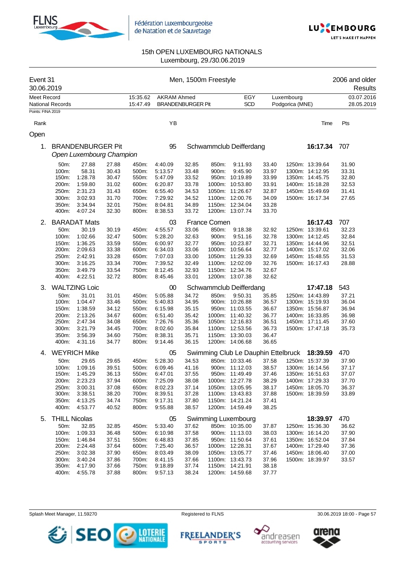



| Event 31<br>30.06.2019 |                      |                                                      |                |                      |                                                |                | Men, 1500m Freestyle |                                     |                |                               |                 | 2006 and older<br>Results |
|------------------------|----------------------|------------------------------------------------------|----------------|----------------------|------------------------------------------------|----------------|----------------------|-------------------------------------|----------------|-------------------------------|-----------------|---------------------------|
| <b>Meet Record</b>     | National Records     |                                                      |                | 15:35.62<br>15:47.49 | <b>AKRAM Ahmed</b><br><b>BRANDENBURGER Pit</b> |                |                      | EGY<br><b>SCD</b>                   |                | Luxembourg<br>Podgorica (MNE) |                 | 03.07.2016<br>28.05.2019  |
| Points: FINA 2019      |                      |                                                      |                |                      |                                                |                |                      |                                     |                |                               |                 |                           |
| Rank                   |                      |                                                      |                |                      | YB                                             |                |                      |                                     |                |                               | Time            | Pts                       |
| Open                   |                      |                                                      |                |                      |                                                |                |                      |                                     |                |                               |                 |                           |
| 1.                     |                      | <b>BRANDENBURGER Pit</b><br>Open Luxembourg Champion |                |                      | 95                                             |                |                      | Schwammclub Deifferdang             |                |                               | 16:17.34        | 707                       |
|                        | 50m:                 | 27.88                                                | 27.88          | 450m:                | 4:40.09                                        | 32.85          | 850m:                | 9:11.93                             | 33.40          |                               | 1250m: 13:39.64 | 31.90                     |
|                        | 100m:                | 58.31                                                | 30.43          | 500m:                | 5:13.57                                        | 33.48          | 900m:                | 9:45.90                             | 33.97          |                               | 1300m: 14:12.95 | 33.31                     |
|                        | 150m:                | 1:28.78                                              | 30.47          | 550m:                | 5:47.09                                        | 33.52          |                      | 950m: 10:19.89                      | 33.99          |                               | 1350m: 14:45.75 | 32.80                     |
|                        | 200m:                | 1:59.80                                              | 31.02          | 600m:                | 6:20.87                                        | 33.78          |                      | 1000m: 10:53.80                     | 33.91          |                               | 1400m: 15:18.28 | 32.53                     |
|                        | 250m:                | 2:31.23                                              | 31.43          | 650m:                | 6:55.40                                        | 34.53          |                      | 1050m: 11:26.67                     | 32.87          |                               | 1450m: 15:49.69 | 31.41                     |
|                        | 300m:                | 3:02.93                                              | 31.70          | 700m:                | 7:29.92                                        | 34.52          |                      | 1100m: 12:00.76                     | 34.09          |                               | 1500m: 16:17.34 | 27.65                     |
|                        | 350m:                | 3:34.94                                              | 32.01          | 750m:                | 8:04.81                                        | 34.89          |                      | 1150m: 12:34.04                     | 33.28          |                               |                 |                           |
|                        | 400m:                | 4:07.24                                              | 32.30          | 800m:                | 8:38.53                                        | 33.72          |                      | 1200m: 13:07.74                     | 33.70          |                               |                 |                           |
| 2.                     |                      | <b>BARADAT Mats</b>                                  |                |                      | 03                                             |                | France Comen         |                                     |                |                               | 16:17.43        | 707                       |
|                        | 50m:                 | 30.19                                                | 30.19          | 450m:                | 4:55.57                                        | 33.06          | 850m:                | 9:18.38                             | 32.92          |                               | 1250m: 13:39.61 | 32.23                     |
|                        | 100m:                | 1:02.66                                              | 32.47          | 500m:                | 5:28.20                                        | 32.63          | 900m:                | 9:51.16                             | 32.78          |                               | 1300m: 14:12.45 | 32.84                     |
|                        | 150m:                | 1:36.25                                              | 33.59          | 550m:                | 6:00.97                                        | 32.77          |                      | 950m: 10:23.87                      | 32.71          |                               | 1350m: 14:44.96 | 32.51                     |
|                        | 200m:                | 2:09.63                                              | 33.38          | 600m:                | 6:34.03                                        | 33.06          |                      | 1000m: 10:56.64                     | 32.77          |                               | 1400m: 15:17.02 | 32.06                     |
|                        | 250m:                | 2:42.91                                              | 33.28          | 650m:                | 7:07.03                                        | 33.00          |                      | 1050m: 11:29.33                     | 32.69          |                               | 1450m: 15:48.55 | 31.53                     |
|                        | 300m:                | 3:16.25                                              | 33.34          | 700m:                | 7:39.52                                        | 32.49          |                      | 1100m: 12:02.09                     | 32.76          |                               | 1500m: 16:17.43 | 28.88                     |
|                        | 350m:                | 3:49.79                                              | 33.54          | 750m:                | 8:12.45                                        | 32.93          |                      | 1150m: 12:34.76                     | 32.67          |                               |                 |                           |
|                        | 400m:                | 4:22.51                                              | 32.72          | 800m:                | 8:45.46                                        | 33.01          |                      | 1200m: 13:07.38                     | 32.62          |                               |                 |                           |
| 3.                     |                      | <b>WALTZING Loic</b>                                 |                |                      | 00                                             |                |                      | Schwammclub Deifferdang             |                |                               | 17:47.18        | 543                       |
|                        | 50m:                 | 31.01                                                | 31.01          | 450m:                | 5:05.88                                        | 34.72          | 850m:                | 9:50.31                             | 35.85          |                               | 1250m: 14:43.89 | 37.21                     |
|                        | 100m:                | 1:04.47                                              | 33.46          | 500m:                | 5:40.83                                        | 34.95          |                      | 900m: 10:26.88                      | 36.57          |                               | 1300m: 15:19.93 | 36.04                     |
|                        | 150m:                | 1:38.59                                              | 34.12          | 550m:                | 6:15.98                                        | 35.15          |                      | 950m: 11:03.55                      | 36.67          |                               | 1350m: 15:56.87 | 36.94                     |
|                        | 200m:                | 2:13.26                                              | 34.67          | 600m:                | 6:51.40                                        | 35.42          |                      | 1000m: 11:40.32                     | 36.77          |                               | 1400m: 16:33.85 | 36.98                     |
|                        | 250m:                | 2:47.34                                              | 34.08          | 650m:                | 7:26.76                                        | 35.36          |                      | 1050m: 12:16.83                     | 36.51          |                               | 1450m: 17:11.45 | 37.60                     |
|                        | 300m:                | 3:21.79                                              | 34.45          | 700m:                | 8:02.60                                        | 35.84          |                      | 1100m: 12:53.56                     | 36.73          |                               | 1500m: 17:47.18 | 35.73                     |
|                        | 350m:                | 3:56.39                                              | 34.60          | 750m:                | 8:38.31                                        | 35.71          |                      | 1150m: 13:30.03                     | 36.47          |                               |                 |                           |
|                        | 400m:                | 4:31.16                                              | 34.77          | 800m:                | 9:14.46                                        | 36.15          |                      | 1200m: 14:06.68                     | 36.65          |                               |                 |                           |
| 4.                     |                      | <b>WEYRICH Mike</b>                                  |                |                      | 05                                             |                |                      | Swimming Club Le Dauphin Ettelbruck |                |                               | 18:39.59        | 470                       |
|                        | 50m:                 | 29.65                                                | 29.65          | 450m:                | 5:28.30                                        | 34.53          |                      | 850m: 10:33.46                      | 37.58          |                               | 1250m: 15:37.39 | 37.90                     |
|                        | 100m:                | 1:09.16                                              | 39.51          | 500m:                | 6:09.46                                        | 41.16          |                      | 900m: 11:12.03                      | 38.57          |                               | 1300m: 16:14.56 | 37.17                     |
|                        | 150m:                | 1:45.29                                              | 36.13          | 550m:                | 6:47.01                                        | 37.55          |                      | 950m: 11:49.49                      | 37.46          |                               | 1350m: 16:51.63 | 37.07                     |
|                        | 200m:                | 2:23.23                                              | 37.94          | 600m:                | 7:25.09                                        | 38.08          |                      | 1000m: 12:27.78                     | 38.29          |                               | 1400m: 17:29.33 | 37.70                     |
|                        | 250m:                | 3:00.31                                              | 37.08          | 650m:                | 8:02.23                                        | 37.14          |                      | 1050m: 13:05.95                     | 38.17          |                               | 1450m: 18:05.70 | 36.37                     |
|                        | 300m:                | 3:38.51                                              | 38.20          | 700m:                | 8:39.51                                        | 37.28          |                      | 1100m: 13:43.83                     | 37.88          |                               | 1500m: 18:39.59 | 33.89                     |
|                        | 350m:                | 4:13.25                                              | 34.74          | 750m:                | 9:17.31                                        | 37.80          |                      | 1150m: 14:21.24                     | 37.41          |                               |                 |                           |
|                        | 400m:                | 4:53.77                                              | 40.52          | 800m:                | 9:55.88                                        | 38.57          |                      | 1200m: 14:59.49                     | 38.25          |                               |                 |                           |
| 5.                     | <b>THILL Nicolas</b> |                                                      |                |                      | 05                                             |                |                      | <b>Swimming Luxembourg</b>          |                |                               | 18:39.97        | 470                       |
|                        | 50m:                 | 32.85                                                | 32.85          | 450m:                | 5:33.40                                        | 37.62          |                      | 850m: 10:35.00                      | 37.87          |                               | 1250m: 15:36.30 | 36.62                     |
|                        | 100m:                | 1:09.33                                              | 36.48          | 500m:                | 6:10.98                                        | 37.58          |                      | 900m: 11:13.03                      | 38.03          |                               | 1300m: 16:14.20 | 37.90                     |
|                        | 150m:                | 1:46.84                                              | 37.51          | 550m:                | 6:48.83                                        | 37.85          |                      | 950m: 11:50.64                      | 37.61          |                               | 1350m: 16:52.04 | 37.84                     |
|                        | 200m:                | 2:24.48                                              | 37.64          | 600m:                | 7:25.40                                        | 36.57          |                      | 1000m: 12:28.31                     | 37.67          |                               | 1400m: 17:29.40 | 37.36                     |
|                        | 250m:                | 3:02.38                                              | 37.90          | 650m:                | 8:03.49                                        | 38.09          |                      | 1050m: 13:05.77                     | 37.46          |                               | 1450m: 18:06.40 | 37.00                     |
|                        | 300m:                | 3:40.24                                              | 37.86          | 700m:                | 8:41.15                                        | 37.66          |                      | 1100m: 13:43.73                     | 37.96<br>38.18 |                               | 1500m: 18:39.97 | 33.57                     |
|                        | 350m:<br>400m:       | 4:17.90<br>4:55.78                                   | 37.66<br>37.88 | 750m:<br>800m:       | 9:18.89<br>9:57.13                             | 37.74<br>38.24 |                      | 1150m: 14:21.91<br>1200m: 14:59.68  | 37.77          |                               |                 |                           |
|                        |                      |                                                      |                |                      |                                                |                |                      |                                     |                |                               |                 |                           |

Splash Meet Manager, 11.59270 **Registered to FLNS** Registered to FLNS 30.06.2019 18:00 - Page 57



FREELANDER'S



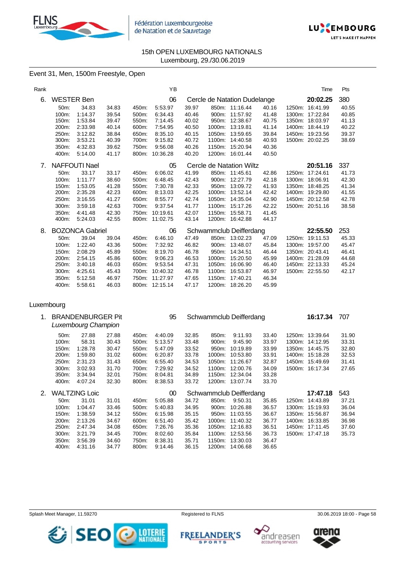



## Event 31, Men, 1500m Freestyle, Open

| Rank |                   |                        |       |       | YB             |       |        |                              |       | Time            | Pts   |
|------|-------------------|------------------------|-------|-------|----------------|-------|--------|------------------------------|-------|-----------------|-------|
| 6.   | <b>WESTER Ben</b> |                        |       |       | 06             |       |        | Cercle de Natation Dudelange |       | 20:02.25        | 380   |
|      | 50m:              | 34.83                  | 34.83 | 450m: | 5:53.97        | 39.97 |        | 850m: 11:16.44               | 40.16 | 1250m: 16:41.99 | 40.55 |
|      | 100m:             | 1:14.37                | 39.54 | 500m: | 6:34.43        | 40.46 |        | 900m: 11:57.92               | 41.48 | 1300m: 17:22.84 | 40.85 |
|      | 150m:             | 1:53.84                | 39.47 | 550m: | 7:14.45        | 40.02 |        | 950m: 12:38.67               | 40.75 | 1350m: 18:03.97 | 41.13 |
|      | 200m:             | 2:33.98                | 40.14 | 600m: | 7:54.95        | 40.50 |        | 1000m: 13:19.81              | 41.14 | 1400m: 18:44.19 | 40.22 |
|      | 250m:             | 3:12.82                | 38.84 | 650m: | 8:35.10        | 40.15 |        | 1050m: 13:59.65              | 39.84 | 1450m: 19:23.56 | 39.37 |
|      | 300m:             | 3:53.21                | 40.39 | 700m: | 9:15.82        | 40.72 | 1100m: | 14:40.58                     | 40.93 | 1500m: 20:02.25 | 38.69 |
|      | 350m:             | 4:32.83                | 39.62 | 750m: | 9:56.08        | 40.26 |        | 1150m: 15:20.94              | 40.36 |                 |       |
|      | 400m:             | 5:14.00                | 41.17 | 800m: | 10:36.28       | 40.20 |        | 1200m: 16:01.44              | 40.50 |                 |       |
| 7.   |                   | NAFFOUTI Nael          |       |       | 05             |       |        | Cercle de Natation Wiltz     |       | 20:51.16        | 337   |
|      | 50m:              | 33.17                  | 33.17 | 450m: | 6:06.02        | 41.99 |        | 850m: 11:45.61               | 42.86 | 1250m: 17:24.61 | 41.73 |
|      | 100m:             | 1:11.77                | 38.60 | 500m: | 6:48.45        | 42.43 |        | 900m: 12:27.79               | 42.18 | 1300m: 18:06.91 | 42.30 |
|      | 150m:             | 1:53.05                | 41.28 | 550m: | 7:30.78        | 42.33 |        | 950m: 13:09.72               | 41.93 | 1350m: 18:48.25 | 41.34 |
|      | 200m:             | 2:35.28                | 42.23 | 600m: | 8:13.03        | 42.25 |        | 1000m: 13:52.14              | 42.42 | 1400m: 19:29.80 | 41.55 |
|      | 250m:             | 3:16.55                | 41.27 | 650m: | 8:55.77        | 42.74 |        | 1050m: 14:35.04              | 42.90 | 1450m: 20:12.58 | 42.78 |
|      | 300m:             | 3:59.18                | 42.63 | 700m: | 9:37.54        | 41.77 |        | 1100m: 15:17.26              | 42.22 | 1500m: 20:51.16 | 38.58 |
|      | 350m:             | 4:41.48                | 42.30 | 750m: | 10:19.61       | 42.07 |        | 1150m: 15:58.71              | 41.45 |                 |       |
|      | 400m:             | 5:24.03                | 42.55 |       | 800m: 11:02.75 | 43.14 |        | 1200m: 16:42.88              | 44.17 |                 |       |
| 8.   |                   | <b>BOZONCA Gabriel</b> |       |       | 06             |       |        | Schwammclub Deifferdang      |       | 22:55.50        | 253   |
|      | 50m:              | 39.04                  | 39.04 | 450m: | 6:46.10        | 47.49 |        | 850m: 13:02.23               | 47.09 | 1250m: 19:11.53 | 45.33 |
|      | 100m:             | 1:22.40                | 43.36 | 500m: | 7:32.92        | 46.82 |        | 900m: 13:48.07               | 45.84 | 1300m: 19:57.00 | 45.47 |
|      | 150m:             | 2:08.29                | 45.89 | 550m: | 8:19.70        | 46.78 |        | 950m: 14:34.51               | 46.44 | 1350m: 20:43.41 | 46.41 |
|      | 200m:             | 2:54.15                | 45.86 | 600m: | 9:06.23        | 46.53 |        | 1000m: 15:20.50              | 45.99 | 1400m: 21:28.09 | 44.68 |
|      | 250m:             | 3:40.18                | 46.03 | 650m: | 9:53.54        | 47.31 | 1050m: | 16:06.90                     | 46.40 | 1450m: 22:13.33 | 45.24 |
|      | 300m:             | 4:25.61                | 45.43 | 700m: | 10:40.32       | 46.78 |        | 1100m: 16:53.87              | 46.97 | 1500m: 22:55.50 | 42.17 |
|      | 350m:             | 5:12.58                | 46.97 | 750m: | 11:27.97       | 47.65 | 1150m: | 17:40.21                     | 46.34 |                 |       |
|      | 400m:             | 5:58.61                | 46.03 |       | 800m: 12:15.14 | 47.17 |        | 1200m: 18:26.20              | 45.99 |                 |       |

#### Luxembourg

|    |          | <b>BRANDENBURGER Pit</b><br>Luxembourg Champion |       |       | 95      | Schwammclub Deifferdang |        |                         |       |        | 16:17.34        | 707   |  |
|----|----------|-------------------------------------------------|-------|-------|---------|-------------------------|--------|-------------------------|-------|--------|-----------------|-------|--|
|    | $50m$ :  | 27.88                                           | 27.88 | 450m: | 4:40.09 | 32.85                   | 850m:  | 9:11.93                 | 33.40 |        | 1250m: 13:39.64 | 31.90 |  |
|    | 100m:    | 58.31                                           | 30.43 | 500m: | 5:13.57 | 33.48                   | 900m:  | 9:45.90                 | 33.97 |        | 1300m: 14:12.95 | 33.31 |  |
|    | 150m:    | 1:28.78                                         | 30.47 | 550m: | 5:47.09 | 33.52                   | 950m:  | 10:19.89                | 33.99 |        | 1350m: 14:45.75 | 32.80 |  |
|    | 200m:    | 1:59.80                                         | 31.02 | 600m: | 6:20.87 | 33.78                   | 1000m: | 10:53.80                | 33.91 |        | 1400m: 15:18.28 | 32.53 |  |
|    | 250m:    | 2:31.23                                         | 31.43 | 650m: | 6.55.40 | 34.53                   | 1050m: | 11:26.67                | 32.87 |        | 1450m: 15:49.69 | 31.41 |  |
|    | $300m$ : | 3:02.93                                         | 31.70 | 700m: | 7:29.92 | 34.52                   | 1100m: | 12:00.76                | 34.09 |        | 1500m: 16:17.34 | 27.65 |  |
|    | 350m:    | 3.34.94                                         | 32.01 | 750m: | 8:04.81 | 34.89                   | 1150m: | 12:34.04                | 33.28 |        |                 |       |  |
|    | 400m:    | 4:07.24                                         | 32.30 | 800m: | 8.38.53 | 33.72                   |        | 1200m: 13:07.74         | 33.70 |        |                 |       |  |
| 2. |          | <b>WALTZING Loic</b>                            |       |       | $00\,$  |                         |        | Schwammclub Deifferdang |       |        | 17:47.18        | 543   |  |
|    | $50m$ :  | 31.01                                           | 31.01 | 450m: | 5:05.88 | 34.72                   | 850m:  | 9:50.31                 | 35.85 | 1250m: | 14:43.89        | 37.21 |  |
|    | 100m:    | 1:04.47                                         | 33.46 | 500m: | 5:40.83 | 34.95                   | 900m:  | 10:26.88                | 36.57 |        | 1300m: 15:19.93 | 36.04 |  |
|    | 150m:    | 1:38.59                                         | 34.12 | 550m: | 6:15.98 | 35.15                   | 950m:  | 11:03.55                | 36.67 |        | 1350m: 15:56.87 | 36.94 |  |
|    | 200m:    | 2:13.26                                         | 34.67 | 600m: | 6:51.40 | 35.42                   | 1000m: | 11:40.32                | 36.77 |        | 1400m: 16:33.85 | 36.98 |  |
|    | 250m:    | 2:47.34                                         | 34.08 | 650m: | 7:26.76 | 35.36                   | 1050m: | 12:16.83                | 36.51 | 1450m: | 17:11.45        | 37.60 |  |
|    | 300m:    | 3:21.79                                         | 34.45 | 700m: | 8:02.60 | 35.84                   | 1100m: | 12:53.56                | 36.73 |        | 1500m: 17:47.18 | 35.73 |  |
|    | 350m:    | 3:56.39                                         | 34.60 | 750m: | 8:38.31 | 35.71                   | 1150m: | 13:30.03                | 36.47 |        |                 |       |  |
|    | 400m:    | 4:31.16                                         | 34.77 | 800m: | 9:14.46 | 36.15                   | 1200m: | 14:06.68                | 36.65 |        |                 |       |  |



**FREELANDER'S SPORTS** 





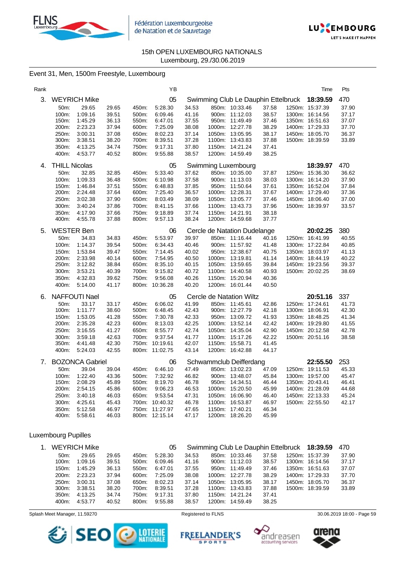



### Event 31, Men, 1500m Freestyle, Luxembourg

| Rank |                      |                        |       |       | ΥB             |       |                                     |       | Time            | Pts   |
|------|----------------------|------------------------|-------|-------|----------------|-------|-------------------------------------|-------|-----------------|-------|
| 3.   |                      | <b>WEYRICH Mike</b>    |       |       | 05             |       | Swimming Club Le Dauphin Ettelbruck |       | 18:39.59        | 470   |
|      | 50m:                 | 29.65                  | 29.65 | 450m: | 5:28.30        | 34.53 | 850m: 10:33.46                      | 37.58 | 1250m: 15:37.39 | 37.90 |
|      | 100m:                | 1:09.16                | 39.51 | 500m: | 6:09.46        | 41.16 | 900m: 11:12.03                      | 38.57 | 1300m: 16:14.56 | 37.17 |
|      | 150m:                | 1:45.29                | 36.13 | 550m: | 6:47.01        | 37.55 | 950m: 11:49.49                      | 37.46 | 1350m: 16:51.63 | 37.07 |
|      | 200m:                | 2:23.23                | 37.94 | 600m: | 7:25.09        | 38.08 | 1000m: 12:27.78                     | 38.29 | 1400m: 17:29.33 | 37.70 |
|      | 250m:                | 3:00.31                | 37.08 | 650m: | 8:02.23        | 37.14 | 1050m: 13:05.95                     | 38.17 | 1450m: 18:05.70 | 36.37 |
|      | 300m:                | 3:38.51                | 38.20 | 700m: | 8:39.51        | 37.28 | 1100m: 13:43.83                     | 37.88 | 1500m: 18:39.59 | 33.89 |
|      | 350m:                | 4:13.25                | 34.74 | 750m: | 9:17.31        | 37.80 | 1150m: 14:21.24                     | 37.41 |                 |       |
|      | 400m:                | 4:53.77                | 40.52 | 800m: | 9:55.88        | 38.57 | 1200m: 14:59.49                     | 38.25 |                 |       |
| 4.   | <b>THILL Nicolas</b> |                        |       |       | 05             |       | Swimming Luxembourg                 |       | 18:39.97        | 470   |
|      | 50m:                 | 32.85                  | 32.85 | 450m: | 5:33.40        | 37.62 | 850m: 10:35.00                      | 37.87 | 1250m: 15:36.30 | 36.62 |
|      | 100m:                | 1:09.33                | 36.48 | 500m: | 6:10.98        | 37.58 | 900m: 11:13.03                      | 38.03 | 1300m: 16:14.20 | 37.90 |
|      | 150m.                | 1:46.84                | 37.51 | 550m. | 6:48.83        | 37.85 | 950m: 11:50.64                      | 37.61 | 1350m: 16:52.04 | 37.84 |
|      | 200m:                | 2:24.48                | 37.64 | 600m: | 7:25.40        | 36.57 | 1000m: 12:28.31                     | 37.67 | 1400m: 17:29.40 | 37.36 |
|      | 250m:                | 3:02.38                | 37.90 | 650m: | 8:03.49        | 38.09 | 1050m: 13:05.77                     | 37.46 | 1450m: 18:06.40 | 37.00 |
|      | 300m:                | 3:40.24                | 37.86 | 700m: | 8:41.15        | 37.66 | 1100m: 13:43.73                     | 37.96 | 1500m: 18:39.97 | 33.57 |
|      | 350m:                | 4:17.90                | 37.66 | 750m: | 9:18.89        | 37.74 | 1150m: 14:21.91                     | 38.18 |                 |       |
|      | 400m:                | 4:55.78                | 37.88 | 800m: | 9:57.13        | 38.24 | 1200m: 14:59.68                     | 37.77 |                 |       |
| 5.   | <b>WESTER Ben</b>    |                        |       |       | 06             |       | Cercle de Natation Dudelange        |       | 20:02.25        | 380   |
|      | 50m:                 | 34.83                  | 34.83 | 450m: | 5:53.97        | 39.97 | 850m: 11:16.44                      | 40.16 | 1250m: 16:41.99 | 40.55 |
|      | 100m:                | 1:14.37                | 39.54 | 500m: | 6:34.43        | 40.46 | 900m: 11:57.92                      | 41.48 | 1300m: 17:22.84 | 40.85 |
|      | 150m:                | 1:53.84                | 39.47 | 550m: | 7:14.45        | 40.02 | 950m: 12:38.67                      | 40.75 | 1350m: 18:03.97 | 41.13 |
|      | 200m:                | 2:33.98                | 40.14 | 600m: | 7:54.95        | 40.50 | 1000m: 13:19.81                     | 41.14 | 1400m: 18:44.19 | 40.22 |
|      | 250m:                | 3:12.82                | 38.84 | 650m: | 8:35.10        | 40.15 | 1050m: 13:59.65                     | 39.84 | 1450m: 19:23.56 | 39.37 |
|      | 300m:                | 3:53.21                | 40.39 | 700m: | 9:15.82        | 40.72 | 1100m: 14:40.58                     | 40.93 | 1500m: 20:02.25 | 38.69 |
|      | 350m:                | 4:32.83                | 39.62 | 750m: | 9:56.08        | 40.26 | 1150m: 15:20.94                     | 40.36 |                 |       |
|      | 400m:                | 5:14.00                | 41.17 |       | 800m: 10:36.28 | 40.20 | 1200m: 16:01.44                     | 40.50 |                 |       |
| 6.   |                      | <b>NAFFOUTI Nael</b>   |       |       | 05             |       | Cercle de Natation Wiltz            |       | 20:51.16        | 337   |
|      | 50m:                 | 33.17                  | 33.17 | 450m: | 6:06.02        | 41.99 | 850m: 11:45.61                      | 42.86 | 1250m: 17:24.61 | 41.73 |
|      | 100m:                | 1:11.77                | 38.60 | 500m: | 6:48.45        | 42.43 | 900m: 12:27.79                      | 42.18 | 1300m: 18:06.91 | 42.30 |
|      | 150m:                | 1:53.05                | 41.28 | 550m: | 7:30.78        | 42.33 | 950m: 13:09.72                      | 41.93 | 1350m: 18:48.25 | 41.34 |
|      | 200m:                | 2:35.28                | 42.23 | 600m: | 8:13.03        | 42.25 | 1000m: 13:52.14                     | 42.42 | 1400m: 19:29.80 | 41.55 |
|      | 250m:                | 3:16.55                | 41.27 | 650m: | 8:55.77        | 42.74 | 1050m: 14:35.04                     | 42.90 | 1450m: 20:12.58 | 42.78 |
|      | 300m:                | 3:59.18                | 42.63 | 700m: | 9:37.54        | 41.77 | 1100m: 15:17.26                     | 42.22 | 1500m: 20:51.16 | 38.58 |
|      | 350m:                | 4:41.48                | 42.30 |       | 750m: 10:19.61 | 42.07 | 1150m: 15:58.71                     | 41.45 |                 |       |
|      | 400m:                | 5:24.03                | 42.55 |       | 800m: 11:02.75 | 43.14 | 1200m: 16:42.88                     | 44.17 |                 |       |
| 7.   |                      | <b>BOZONCA Gabriel</b> |       |       | 06             |       | Schwammclub Deifferdang             |       | 22:55.50        | 253   |
|      | 50m:                 | 39.04                  | 39.04 | 450m: | 6:46.10        | 47.49 | 850m: 13:02.23                      | 47.09 | 1250m: 19:11.53 | 45.33 |
|      | 100m:                | 1:22.40                | 43.36 | 500m: | 7:32.92        | 46.82 | 900m: 13:48.07                      | 45.84 | 1300m: 19:57.00 | 45.47 |
|      | 150m:                | 2:08.29                | 45.89 | 550m: | 8:19.70        | 46.78 | 950m: 14:34.51                      | 46.44 | 1350m: 20:43.41 | 46.41 |
|      | 200m:                | 2:54.15                | 45.86 | 600m: | 9:06.23        | 46.53 | 1000m: 15:20.50                     | 45.99 | 1400m: 21:28.09 | 44.68 |
|      | 250m:                | 3:40.18                | 46.03 | 650m: | 9:53.54        | 47.31 | 1050m: 16:06.90                     | 46.40 | 1450m: 22:13.33 | 45.24 |
|      | 300m:                | 4:25.61                | 45.43 | 700m: | 10:40.32       | 46.78 | 1100m: 16:53.87                     | 46.97 | 1500m: 22:55.50 | 42.17 |
|      | 350m:                | 5:12.58                | 46.97 | 750m: | 11:27.97       | 47.65 | 1150m: 17:40.21                     | 46.34 |                 |       |
|      | 400m:                | 5:58.61                | 46.03 |       | 800m: 12:15.14 | 47.17 | 1200m: 18:26.20                     | 45.99 |                 |       |

### Luxembourg Pupilles

| 1. |                    | <b>WEYRICH Mike</b> |       |          | 05      |       |        |                 |       | Swimming Club Le Dauphin Ettelbruck 18:39.59 | 470   |
|----|--------------------|---------------------|-------|----------|---------|-------|--------|-----------------|-------|----------------------------------------------|-------|
|    | $50m$ :            | 29.65               | 29.65 | 450m:    | 5.28.30 | 34.53 |        | 850m: 10:33.46  | 37.58 | 1250m: 15:37.39                              | 37.90 |
|    | $100m$ :           | 1:09.16             | 39.51 | $500m$ : | 6:09.46 | 41.16 |        | 900m: 11:12.03  | 38.57 | 1300m: 16:14.56                              | 37.17 |
|    | 150m:              | 1:45.29             | 36.13 | 550m:    | 6:47.01 | 37.55 |        | 950m: 11:49.49  | 37.46 | 1350m: 16:51.63                              | 37.07 |
|    | 200 <sub>m</sub> : | 2:23.23             | 37.94 | 600m:    | 7:25.09 | 38.08 |        | 1000m: 12:27.78 | 38.29 | 1400m: 17:29.33                              | 37.70 |
|    | 250m:              | 3:00.31             | 37.08 | 650m:    | 8:02.23 | 37.14 |        | 1050m: 13:05.95 | 38.17 | 1450m: 18:05.70                              | 36.37 |
|    | $300m$ :           | 3:38.51             | 38.20 | 700m:    | 8:39.51 | 37.28 |        | 1100m: 13:43.83 | 37.88 | 1500m: 18:39.59                              | 33.89 |
|    | $350m$ :           | 4:13.25             | 34.74 | 750m:    | 9:17.31 | 37.80 |        | 1150m: 14:21.24 | 37.41 |                                              |       |
|    | 400m:              | 4:53.77             | 40.52 | 800m:    | 9:55.88 | 38.57 | 1200m: | 14:59.49        | 38.25 |                                              |       |







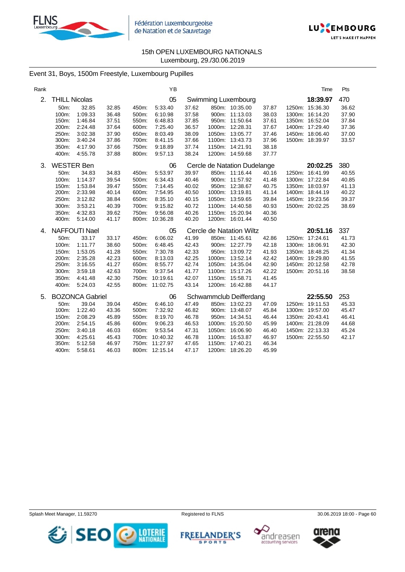



# Event 31, Boys, 1500m Freestyle, Luxembourg Pupilles

| Rank |                      |                        |       |       | YB             |       |                              |       | Time            | Pts   |
|------|----------------------|------------------------|-------|-------|----------------|-------|------------------------------|-------|-----------------|-------|
| 2.   | <b>THILL Nicolas</b> |                        |       |       | 05             |       | Swimming Luxembourg          |       | 18:39.97        | 470   |
|      | 50m:                 | 32.85                  | 32.85 | 450m: | 5:33.40        | 37.62 | 850m: 10:35.00               | 37.87 | 1250m: 15:36.30 | 36.62 |
|      | 100m:                | 1:09.33                | 36.48 | 500m: | 6:10.98        | 37.58 | 900m: 11:13.03               | 38.03 | 1300m: 16:14.20 | 37.90 |
|      | 150m:                | 1:46.84                | 37.51 | 550m: | 6:48.83        | 37.85 | 950m: 11:50.64               | 37.61 | 1350m: 16:52.04 | 37.84 |
|      | 200m:                | 2:24.48                | 37.64 | 600m: | 7:25.40        | 36.57 | 1000m: 12:28.31              | 37.67 | 1400m: 17:29.40 | 37.36 |
|      | 250m:                | 3:02.38                | 37.90 | 650m: | 8:03.49        | 38.09 | 1050m: 13:05.77              | 37.46 | 1450m: 18:06.40 | 37.00 |
|      | 300m:                | 3:40.24                | 37.86 | 700m: | 8:41.15        | 37.66 | 1100m: 13:43.73              | 37.96 | 1500m: 18:39.97 | 33.57 |
|      | 350m:                | 4:17.90                | 37.66 | 750m: | 9:18.89        | 37.74 | 1150m: 14:21.91              | 38.18 |                 |       |
|      | 400m:                | 4:55.78                | 37.88 | 800m: | 9:57.13        | 38.24 | 1200m: 14:59.68              | 37.77 |                 |       |
| 3.   | <b>WESTER Ben</b>    |                        |       |       | 06             |       | Cercle de Natation Dudelange |       | 20:02.25        | 380   |
|      | 50m:                 | 34.83                  | 34.83 | 450m: | 5:53.97        | 39.97 | 850m: 11:16.44               | 40.16 | 1250m: 16:41.99 | 40.55 |
|      | 100m:                | 1:14.37                | 39.54 | 500m: | 6:34.43        | 40.46 | 900m: 11:57.92               | 41.48 | 1300m: 17:22.84 | 40.85 |
|      | 150m:                | 1:53.84                | 39.47 | 550m: | 7:14.45        | 40.02 | 950m: 12:38.67               | 40.75 | 1350m: 18:03.97 | 41.13 |
|      | 200m:                | 2:33.98                | 40.14 | 600m: | 7:54.95        | 40.50 | 1000m: 13:19.81              | 41.14 | 1400m: 18:44.19 | 40.22 |
|      | 250m:                | 3:12.82                | 38.84 | 650m: | 8:35.10        | 40.15 | 1050m: 13:59.65              | 39.84 | 1450m: 19:23.56 | 39.37 |
|      | 300m:                | 3:53.21                | 40.39 | 700m: | 9:15.82        | 40.72 | 1100m: 14:40.58              | 40.93 | 1500m: 20:02.25 | 38.69 |
|      | 350m:                | 4:32.83                | 39.62 | 750m: | 9:56.08        | 40.26 | 1150m: 15:20.94              | 40.36 |                 |       |
|      | 400m:                | 5:14.00                | 41.17 |       | 800m: 10:36.28 | 40.20 | 1200m: 16:01.44              | 40.50 |                 |       |
| 4.   |                      | <b>NAFFOUTI Nael</b>   |       |       | 05             |       | Cercle de Natation Wiltz     |       | 20:51.16        | 337   |
|      | 50m:                 | 33.17                  | 33.17 | 450m: | 6:06.02        | 41.99 | 850m: 11:45.61               | 42.86 | 1250m: 17:24.61 | 41.73 |
|      | 100m:                | 1:11.77                | 38.60 | 500m: | 6:48.45        | 42.43 | 900m: 12:27.79               | 42.18 | 1300m: 18:06.91 | 42.30 |
|      | 150m:                | 1:53.05                | 41.28 | 550m: | 7:30.78        | 42.33 | 950m: 13:09.72               | 41.93 | 1350m: 18:48.25 | 41.34 |
|      | 200m:                | 2:35.28                | 42.23 | 600m: | 8:13.03        | 42.25 | 1000m: 13:52.14              | 42.42 | 1400m: 19:29.80 | 41.55 |
|      | 250m:                | 3:16.55                | 41.27 | 650m: | 8:55.77        | 42.74 | 1050m: 14:35.04              | 42.90 | 1450m: 20:12.58 | 42.78 |
|      | 300m:                | 3:59.18                | 42.63 | 700m: | 9:37.54        | 41.77 | 1100m: 15:17.26              | 42.22 | 1500m: 20:51.16 | 38.58 |
|      | 350m:                | 4:41.48                | 42.30 |       | 750m: 10:19.61 | 42.07 | 1150m: 15:58.71              | 41.45 |                 |       |
|      | 400m:                | 5:24.03                | 42.55 |       | 800m: 11:02.75 | 43.14 | 1200m: 16:42.88              | 44.17 |                 |       |
| 5.   |                      | <b>BOZONCA Gabriel</b> |       |       | 06             |       | Schwammclub Deifferdang      |       | 22:55.50        | 253   |
|      | 50m:                 | 39.04                  | 39.04 | 450m: | 6:46.10        | 47.49 | 850m: 13:02.23               | 47.09 | 1250m: 19:11.53 | 45.33 |
|      | 100m:                | 1:22.40                | 43.36 | 500m: | 7:32.92        | 46.82 | 900m: 13:48.07               | 45.84 | 1300m: 19:57.00 | 45.47 |
|      | 150m:                | 2:08.29                | 45.89 | 550m: | 8:19.70        | 46.78 | 950m: 14:34.51               | 46.44 | 1350m: 20:43.41 | 46.41 |
|      | 200m:                | 2:54.15                | 45.86 | 600m: | 9:06.23        | 46.53 | 1000m: 15:20.50              | 45.99 | 1400m: 21:28.09 | 44.68 |
|      | 250m:                | 3:40.18                | 46.03 | 650m: | 9:53.54        | 47.31 | 1050m: 16:06.90              | 46.40 | 1450m: 22:13.33 | 45.24 |
|      | 300m:                | 4:25.61                | 45.43 |       | 700m: 10:40.32 | 46.78 | 1100m: 16:53.87              | 46.97 | 1500m: 22:55.50 | 42.17 |
|      | 350m:                | 5:12.58                | 46.97 | 750m: | 11:27.97       | 47.65 | 1150m: 17:40.21              | 46.34 |                 |       |
|      | 400m:                | 5:58.61                | 46.03 |       | 800m: 12:15.14 | 47.17 | 1200m: 18:26.20              | 45.99 |                 |       |

Splash Meet Manager, 11.59270 **Registered to FLNS Registered to FLNS** 30.06.2019 18:00 - Page 60



**SPORTS** 



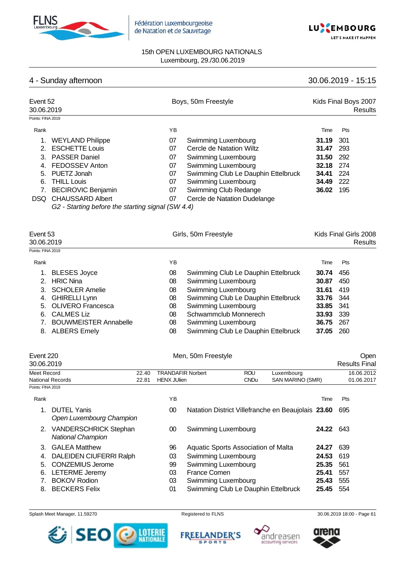

Fédération Luxembourgeoise de Natation et de Sauvetage



## 15th OPEN LUXEMBOURG NATIONALS Luxembourg, 29./30.06.2019

# 4 - Sunday afternoon 30.06.2019 - 15:15

| Event 52<br>30.06.2019 |                                                   |    | Boys, 50m Freestyle                 |       | Kids Final Boys 2007<br>Results  |
|------------------------|---------------------------------------------------|----|-------------------------------------|-------|----------------------------------|
| Points: FINA 2019      |                                                   |    |                                     |       |                                  |
| Rank                   |                                                   | ΥB |                                     | Time  | <b>Pts</b>                       |
|                        | <b>WEYLAND Philippe</b>                           | 07 | Swimming Luxembourg                 | 31.19 | 301                              |
| 2.                     | <b>ESCHETTE Louis</b>                             | 07 | Cercle de Natation Wiltz            | 31.47 | 293                              |
| 3.                     | <b>PASSER Daniel</b>                              | 07 | Swimming Luxembourg                 | 31.50 | 292                              |
| 4.                     | FEDOSSEV Anton                                    | 07 | Swimming Luxembourg                 | 32.18 | 274                              |
| 5.                     | PUETZ Jonah                                       | 07 | Swimming Club Le Dauphin Ettelbruck | 34.41 | 224                              |
| 6.                     | <b>THILL Louis</b>                                | 07 | Swimming Luxembourg                 | 34.49 | 222                              |
|                        | <b>BECIROVIC Benjamin</b>                         | 07 | Swimming Club Redange               | 36.02 | 195                              |
| DSQ.                   | <b>CHAUSSARD Albert</b>                           | 07 | Cercle de Natation Dudelange        |       |                                  |
|                        | G2 - Starting before the starting signal (SW 4.4) |    |                                     |       |                                  |
| Event 53<br>30.06.2019 |                                                   |    | Girls, 50m Freestyle                |       | Kids Final Girls 2008<br>Results |

| Points: FINA 2019 |                              |    |                                     |       |       |  |
|-------------------|------------------------------|----|-------------------------------------|-------|-------|--|
| Rank              |                              | YB |                                     | Time  | Pts   |  |
| 1.                | <b>BLESES Joyce</b>          | 08 | Swimming Club Le Dauphin Ettelbruck | 30.74 | 456   |  |
| 2                 | <b>HRIC Nina</b>             | 08 | <b>Swimming Luxembourg</b>          | 30.87 | 450   |  |
|                   | 3. SCHOLER Amelie            | 08 | <b>Swimming Luxembourg</b>          | 31.61 | 419   |  |
|                   | 4. GHIRELLI Lynn             | 08 | Swimming Club Le Dauphin Ettelbruck | 33.76 | - 344 |  |
|                   | 5. OLIVERO Francesca         | 08 | Swimming Luxembourg                 | 33.85 | - 341 |  |
| 6.                | <b>CALMES Liz</b>            | 08 | Schwammclub Monnerech               | 33.93 | 339   |  |
|                   | <b>BOUWMEISTER Annabelle</b> | 08 | Swimming Luxembourg                 | 36.75 | 267   |  |
|                   | 8. ALBERS Emely              | 08 | Swimming Club Le Dauphin Ettelbruck | 37.05 | 260   |  |
|                   |                              |    |                                     |       |       |  |

| Event 220<br>30.06.2019 |                                                          |       |                          | Men, 50m Freestyle                                 |             |                  |       | Open<br><b>Results Final</b> |
|-------------------------|----------------------------------------------------------|-------|--------------------------|----------------------------------------------------|-------------|------------------|-------|------------------------------|
| Meet Record             |                                                          | 22.40 | <b>TRANDAFIR Norbert</b> |                                                    | <b>ROU</b>  | Luxembourg       |       | 16.06.2012                   |
|                         | <b>National Records</b>                                  | 22.81 | <b>HENX JUlien</b>       |                                                    | <b>CNDu</b> | SAN MARINO (SMR) |       | 01.06.2017                   |
| Points: FINA 2019       |                                                          |       |                          |                                                    |             |                  |       |                              |
| Rank                    |                                                          |       | ΥB                       |                                                    |             |                  | Time  | Pts                          |
|                         | <b>DUTEL Yanis</b><br>Open Luxembourg Champion           |       | 00                       | Natation District Villefranche en Beaujolais 23.60 |             |                  |       | 695                          |
| 2.                      | <b>VANDERSCHRICK Stephan</b><br><b>National Champion</b> |       | 00                       | Swimming Luxembourg                                |             |                  | 24.22 | 643                          |
| 3.                      | <b>GALEA Matthew</b>                                     |       | 96                       | Aquatic Sports Association of Malta                |             |                  | 24.27 | 639                          |
| 4.                      | DALEIDEN CIUFERRI Ralph                                  |       | 03                       | Swimming Luxembourg                                |             |                  | 24.53 | 619                          |
| 5.                      | <b>CONZEMIUS Jerome</b>                                  |       | 99                       | Swimming Luxembourg                                |             |                  | 25.35 | 561                          |

- 6. LETERME Jeremy 03 France Comen **25.41** 557
- 7. BOKOV Rodion 03 Swimming Luxembourg **25.43** 555
- 





**Swimming Club Le Dauphin Ettelbruck** 



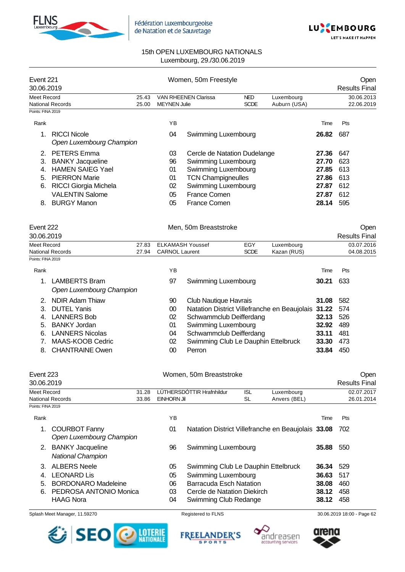



| Event 221<br>30.06.2019                       |                                                                                                                                                                                  |                | Women, 50m Freestyle                   |                             |                                                                                                                                                                | Open<br><b>Results Final</b> |       |                          |
|-----------------------------------------------|----------------------------------------------------------------------------------------------------------------------------------------------------------------------------------|----------------|----------------------------------------|-----------------------------|----------------------------------------------------------------------------------------------------------------------------------------------------------------|------------------------------|-------|--------------------------|
| <b>Meet Record</b><br><b>National Records</b> |                                                                                                                                                                                  | 25.43<br>25.00 | <b>MEYNEN Julie</b>                    | <b>VAN RHEENEN Clarissa</b> | <b>NED</b><br><b>SCDE</b>                                                                                                                                      | Luxembourg<br>Auburn (USA)   |       | 30.06.2013<br>22.06.2019 |
| Points: FINA 2019                             |                                                                                                                                                                                  |                |                                        |                             |                                                                                                                                                                |                              |       |                          |
| Rank                                          |                                                                                                                                                                                  |                | YB                                     |                             |                                                                                                                                                                |                              | Time  | Pts                      |
|                                               | <b>RICCI Nicole</b><br>Open Luxembourg Champion                                                                                                                                  |                | 04                                     | Swimming Luxembourg         |                                                                                                                                                                |                              | 26.82 | 687                      |
| 2.<br>3.<br>4.<br>5.<br>6.<br>8.              | <b>PETERS</b> Emma<br><b>BANKY Jacqueline</b><br><b>HAMEN SAIEG Yael</b><br><b>PIERRON Marie</b><br><b>RICCI Giorgia Michela</b><br><b>VALENTIN Salome</b><br><b>BURGY Manon</b> |                | 03<br>96<br>01<br>01<br>02<br>05<br>05 |                             | Cercle de Natation Dudelange<br>Swimming Luxembourg<br>Swimming Luxembourg<br><b>TCN Champigneulles</b><br>Swimming Luxembourg<br>France Comen<br>France Comen |                              |       |                          |
| Event 222                                     |                                                                                                                                                                                  |                |                                        | Men, 50m Breaststroke       |                                                                                                                                                                |                              |       | Open                     |
| 30.06.2019                                    |                                                                                                                                                                                  |                |                                        |                             |                                                                                                                                                                |                              |       | <b>Results Final</b>     |
| <b>Meet Record</b>                            |                                                                                                                                                                                  | 27.83          |                                        | <b>ELKAMASH Youssef</b>     | EGY                                                                                                                                                            | Luxembourg                   |       | 03.07.2016               |
| <b>National Records</b>                       |                                                                                                                                                                                  | 27.94          | <b>CARNOL Laurent</b>                  |                             | <b>SCDE</b>                                                                                                                                                    | Kazan (RUS)                  |       | 04.08.2015               |
| Points: FINA 2019                             |                                                                                                                                                                                  |                |                                        |                             |                                                                                                                                                                |                              |       |                          |
| Rank                                          |                                                                                                                                                                                  |                | YB                                     |                             |                                                                                                                                                                |                              | Time  | Pts                      |
| 1.                                            | <b>LAMBERTS Bram</b>                                                                                                                                                             |                | 97                                     | Swimming Luxembourg         |                                                                                                                                                                |                              | 30.21 | 633                      |

|  | Open Luxembourg Champion |    |                                                        |                  |       |  |
|--|--------------------------|----|--------------------------------------------------------|------------------|-------|--|
|  | 2. NDIR Adam Thiaw       | 90 | Club Nautique Havrais                                  | <b>31.08</b> 582 |       |  |
|  | 3. DUTEL Yanis           | 00 | Natation District Villefranche en Beaujolais 31.22 574 |                  |       |  |
|  | 4. LANNERS Bob           | 02 | Schwammclub Deifferdang                                | <b>32.13</b> 526 |       |  |
|  | 5. BANKY Jordan          | 01 | Swimming Luxembourg                                    | <b>32.92</b> 489 |       |  |
|  | 6. LANNERS Nicolas       | 04 | Schwammclub Deifferdang                                | 33.11            | - 481 |  |
|  | 7. MAAS-KOOB Cedric      | 02 | Swimming Club Le Dauphin Ettelbruck                    | 33.30            | 473   |  |
|  | 8. CHANTRAINE Owen       | 00 | Perron                                                 | 33.84            | 450   |  |
|  |                          |    |                                                        |                  |       |  |

|                   | Event 223<br>30.06.2019                             |       |             | Women, 50m Breaststroke             |            |                                                    |       | Open<br><b>Results Final</b> |
|-------------------|-----------------------------------------------------|-------|-------------|-------------------------------------|------------|----------------------------------------------------|-------|------------------------------|
| Meet Record       |                                                     | 31.28 |             | LÚTHERSDÓTTIR Hrafnhildur           | <b>ISL</b> | Luxembourg                                         |       | 02.07.2017                   |
|                   | <b>National Records</b>                             | 33.86 | EINHORN Jil |                                     | SL         | Anvers (BEL)                                       |       | 26.01.2014                   |
| Points: FINA 2019 |                                                     |       |             |                                     |            |                                                    |       |                              |
| Rank              |                                                     |       | YB          |                                     |            |                                                    | Time  | Pts                          |
| 1.                | <b>COURBOT Fanny</b><br>Open Luxembourg Champion    |       | 01          |                                     |            | Natation District Villefranche en Beaujolais 33.08 |       | 702                          |
| 2.                | <b>BANKY Jacqueline</b><br><b>National Champion</b> |       | 96          | Swimming Luxembourg                 |            |                                                    | 35.88 | 550                          |
|                   | <b>ALBERS Neele</b>                                 |       | 05          | Swimming Club Le Dauphin Ettelbruck |            |                                                    | 36.34 | 529                          |
| 4.                | <b>LEONARD Lis</b>                                  |       | 05          | Swimming Luxembourg                 |            |                                                    | 36.63 | 517                          |
| 5.                | <b>BORDONARO Madeleine</b>                          |       | 06          | Barracuda Esch Natation             |            |                                                    | 38.08 | 460                          |
| 6.                | PEDROSA ANTONIO Monica                              |       | 03          | Cercle de Natation Diekirch         |            |                                                    | 38.12 | 458                          |
|                   | <b>HAAG Nora</b>                                    |       | 04          | Swimming Club Redange               |            |                                                    | 38.12 | 458                          |







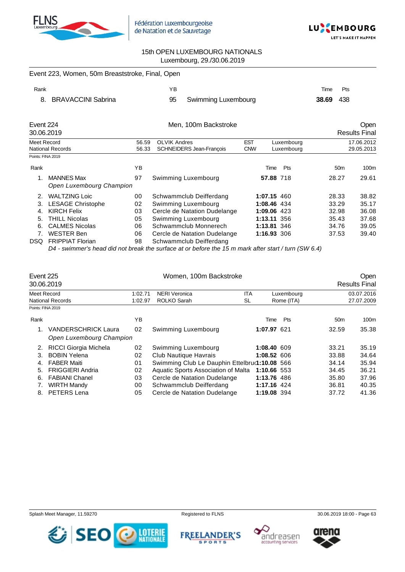



|                                               | Event 223, Women, 50m Breaststroke, Final, Open |                |                                                 |                                                      |     |                          |                      |
|-----------------------------------------------|-------------------------------------------------|----------------|-------------------------------------------------|------------------------------------------------------|-----|--------------------------|----------------------|
| Rank                                          |                                                 |                | YB                                              |                                                      |     | Time                     | Pts                  |
| 8.                                            | <b>BRAVACCINI Sabrina</b>                       |                | 95<br>Swimming Luxembourg                       |                                                      |     | 38.69                    | 438                  |
| Event 224                                     |                                                 |                | Men, 100m Backstroke                            |                                                      |     |                          | <b>Open</b>          |
|                                               | 30.06.2019                                      |                |                                                 |                                                      |     |                          | <b>Results Final</b> |
| <b>Meet Record</b><br><b>National Records</b> |                                                 | 56.59<br>56.33 | <b>OLVIK Andres</b><br>SCHNEIDERS Jean-François | <b>EST</b><br>Luxembourg<br><b>CNW</b><br>Luxembourg |     | 17.06.2012<br>29.05.2013 |                      |
| Points: FINA 2019                             |                                                 |                |                                                 |                                                      |     |                          |                      |
| Rank                                          |                                                 | YB             |                                                 | Time                                                 | Pts | 50 <sub>m</sub>          | 100m                 |
| $\mathbf{1}$ .                                | <b>MANNES Max</b><br>Open Luxembourg Champion   | 97             | Swimming Luxembourg                             | 57.88 718                                            |     | 28.27                    | 29.61                |
| 2.                                            | <b>WALTZING Loic</b>                            | 00             | Schwammclub Deifferdang                         | 1:07.15 460                                          |     | 28.33                    | 38.82                |
| 3.                                            | <b>LESAGE Christophe</b>                        | 02             | Swimming Luxembourg                             | 1:08.46 434                                          |     | 33.29                    | 35.17                |
| 4.                                            | <b>KIRCH Felix</b>                              | 03             | Cercle de Natation Dudelange                    | 1:09.06                                              | 423 | 32.98                    | 36.08                |
| 5.                                            | THILL Nicolas                                   | 05             | Swimming Luxembourg                             | 1:13.11 356                                          |     | 35.43                    | 37.68                |
| 6.                                            | <b>CALMES Nicolas</b>                           | 06             | Schwammclub Monnerech                           | 1:13.81 346                                          |     | 34.76                    | 39.05                |
| 7.                                            | <b>WESTER Ben</b>                               | 06             | Cercle de Natation Dudelange                    | 1:16.93 306                                          |     | 37.53                    | 39.40                |
| DSQ.                                          | <b>FRIPPIAT Florian</b>                         | 98             | Schwammclub Deifferdang                         |                                                      |     |                          |                      |

*D4 - swimmer's head did not break the surface at or before the 15 m mark after start / turn (SW 6.4)*

| Event 225         | 30.06.2019                   | Women, 100m Backstroke |                                               |  |             |                 | <b>Open</b><br><b>Results Final</b> |
|-------------------|------------------------------|------------------------|-----------------------------------------------|--|-------------|-----------------|-------------------------------------|
|                   | Meet Record                  |                        | <b>NERI Veronica</b><br><b>ITA</b><br>1:02.71 |  | Luxembourg  |                 | 03.07.2016                          |
|                   | National Records             |                        | ROLKO Sarah<br>SL                             |  | Rome (ITA)  |                 | 27.07.2009                          |
| Points: FINA 2019 |                              |                        |                                               |  |             |                 |                                     |
| Rank              |                              | YB                     |                                               |  | Pts<br>Time | 50 <sub>m</sub> | 100 <sub>m</sub>                    |
| 1.                | <b>VANDERSCHRICK Laura</b>   | 02                     | Swimming Luxembourg                           |  | 1:07.97 621 | 32.59           | 35.38                               |
|                   | Open Luxembourg Champion     |                        |                                               |  |             |                 |                                     |
| 2.                | <b>RICCI Giorgia Michela</b> | 02                     | Swimming Luxembourg                           |  | 1:08.40 609 | 33.21           | 35.19                               |
| 3.                | <b>BOBIN Yelena</b>          | 02                     | Club Nautique Havrais                         |  | 1:08.52 606 | 33.88           | 34.64                               |
| 4.                | <b>FABER Maiti</b>           | 01                     | Swimming Club Le Dauphin Ettelbru(1:10.08 566 |  |             | 34.14           | 35.94                               |
| .5.               | <b>FRIGGIERI Andria</b>      | 02                     | Aquatic Sports Association of Malta           |  | 1:10.66 553 | 34.45           | 36.21                               |
| 6.                | <b>FABIANI Chanel</b>        | 03                     | Cercle de Natation Dudelange                  |  | 1:13.76 486 | 35.80           | 37.96                               |
| 7.                | <b>WIRTH Mandy</b>           | 00                     | Schwammclub Deifferdang                       |  | 1:17.16 424 | 36.81           | 40.35                               |
| 8.                | PETERS Lena                  | 05                     | Cercle de Natation Dudelange                  |  | 1:19.08 394 | 37.72           | 41.36                               |











Splash Meet Manager, 11.59270 **Registered to FLNS** Registered to FLNS 30.06.2019 18:00 - Page 63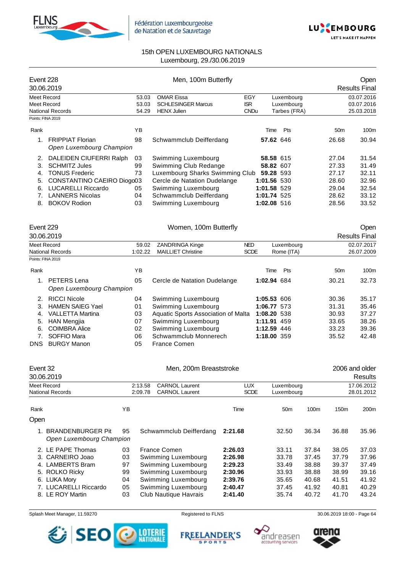



| Event 228          | 30.06.2019                                          |                | Men, 100m Butterfly                             |                           |             |                            |                 | Open<br><b>Results Final</b> |
|--------------------|-----------------------------------------------------|----------------|-------------------------------------------------|---------------------------|-------------|----------------------------|-----------------|------------------------------|
|                    |                                                     |                |                                                 |                           |             |                            |                 |                              |
| <b>Meet Record</b> |                                                     | 53.03          | <b>OMAR Eissa</b>                               | EGY                       |             | Luxembourg                 |                 | 03.07.2016                   |
| <b>Meet Record</b> | <b>National Records</b>                             | 53.03<br>54.29 | <b>SCHLESINGER Marcus</b><br><b>HENX Julien</b> | <b>ISR</b><br><b>CNDu</b> |             | Luxembourg<br>Tarbes (FRA) |                 | 03.07.2016<br>25.03.2018     |
|                    | Points: FINA 2019                                   |                |                                                 |                           |             |                            |                 |                              |
|                    |                                                     |                |                                                 |                           |             |                            |                 |                              |
| Rank               |                                                     | YB             |                                                 |                           | Time        | Pts                        | 50 <sub>m</sub> | 100m                         |
| 1 <sub>1</sub>     | <b>FRIPPIAT Florian</b><br>Open Luxembourg Champion | 98             | Schwammclub Deifferdang                         |                           | 57.62 646   |                            | 26.68           | 30.94                        |
| 2.                 | DALEIDEN CIUFERRI Ralph                             | 03             | Swimming Luxembourg                             |                           | 58.58 615   |                            | 27.04           | 31.54                        |
| 3.                 | <b>SCHMITZ Jules</b>                                | 99             | Swimming Club Redange                           |                           | 58.82 607   |                            | 27.33           | 31.49                        |
| 4.                 | <b>TONUS Frederic</b>                               | 73             | Luxembourg Sharks Swimming Club                 |                           | 59.28 593   |                            | 27.17           | 32.11                        |
| 5.                 | CONSTANTINO CAEIRO Diogo03                          |                | Cercle de Natation Dudelange                    |                           | 1:01.56 530 |                            | 28.60           | 32.96                        |
| 6.                 | <b>LUCARELLI Riccardo</b>                           | 05             | Swimming Luxembourg                             |                           | 1:01.58 529 |                            | 29.04           | 32.54                        |
| 7.                 | <b>LANNERS Nicolas</b>                              | 04             | Schwammclub Deifferdang                         |                           | 1:01.74 525 |                            | 28.62           | 33.12                        |
| 8.                 | <b>BOKOV Rodion</b>                                 | 03             | Swimming Luxembourg                             |                           | 1:02.08 516 |                            | 28.56           | 33.52                        |
| Event 229          | 30.06.2019                                          |                | Women, 100m Butterfly                           |                           |             |                            |                 | Open<br><b>Results Final</b> |
| <b>Meet Record</b> |                                                     | 59.02          | ZANDRINGA Kinge                                 | <b>NED</b>                |             | Luxembourg                 |                 | 02.07.2017                   |
|                    | <b>National Records</b>                             | 1:02.22        | <b>MAILLIET Christine</b>                       | <b>SCDE</b>               |             | Rome (ITA)                 |                 | 26.07.2009                   |
|                    | Points: FINA 2019                                   |                |                                                 |                           |             |                            |                 |                              |
| Rank               |                                                     | <b>YB</b>      |                                                 |                           | Time        | Pts                        | 50 <sub>m</sub> | 100m                         |
| 1 <sup>1</sup>     | PETERS Lena                                         | 05             | Cercle de Natation Dudelange                    |                           | 1:02.94 684 |                            | 30.21           | 32.73                        |
|                    | Open Luxembourg Champion                            |                |                                                 |                           |             |                            |                 |                              |
| 2.                 | <b>RICCI Nicole</b>                                 | 04             | Swimming Luxembourg                             |                           | 1:05.53 606 |                            | 30.36           | 35.17                        |
| 3.                 | <b>HAMEN SAIEG Yael</b>                             | 01             | Swimming Luxembourg                             |                           | 1:06.77 573 |                            | 31.31           | 35.46                        |
| 4.                 | <b>VALLETTA Martina</b>                             | 03             | Aquatic Sports Association of Malta             |                           | 1:08.20 538 |                            | 30.93           | 37.27                        |
| 5.                 | <b>HAN Mengjia</b>                                  | 07             | Swimming Luxembourg                             |                           | 1:11.91 459 |                            | 33.65           | 38.26                        |
| 6.                 | <b>COIMBRA Alice</b>                                | 02             | Swimming Luxembourg                             |                           | 1:12.59 446 |                            | 33.23           | 39.36                        |
| 7.                 | SOFFIO Mara                                         | 06             | Schwammclub Monnerech                           |                           | 1:18.00 359 |                            | 35.52           | 42.48                        |
|                    |                                                     |                |                                                 |                           |             |                            |                 |                              |

DNS BURGY Manon 05 France Comen

| Event 32                               | 30.06.2019                                           |    | Men, 200m Breaststroke                                               |                           |                          |                  | 2006 and older<br><b>Results</b> |                  |  |
|----------------------------------------|------------------------------------------------------|----|----------------------------------------------------------------------|---------------------------|--------------------------|------------------|----------------------------------|------------------|--|
| Meet Record<br><b>National Records</b> |                                                      |    | <b>CARNOL Laurent</b><br>2:13.58<br><b>CARNOL Laurent</b><br>2:09.78 | <b>LUX</b><br><b>SCDE</b> | Luxembourg<br>Luxembourg |                  | 17.06.2012<br>28.01.2012         |                  |  |
| Rank                                   |                                                      | YB |                                                                      | Time                      | 50 <sub>m</sub>          | 100 <sub>m</sub> | 150 <sub>m</sub>                 | 200 <sub>m</sub> |  |
| Open                                   |                                                      |    |                                                                      |                           |                          |                  |                                  |                  |  |
| 1.                                     | <b>BRANDENBURGER Pit</b><br>Open Luxembourg Champion | 95 | Schwammclub Deifferdang                                              | 2:21.68                   | 32.50                    | 36.34            | 36.88                            | 35.96            |  |
|                                        | 2. LE PAPE Thomas                                    | 03 | France Comen                                                         | 2:26.03                   | 33.11                    | 37.84            | 38.05                            | 37.03            |  |
|                                        | 3. CARNEIRO Joao                                     | 03 | Swimming Luxembourg                                                  | 2:26.98                   | 33.78                    | 37.45            | 37.79                            | 37.96            |  |
|                                        | 4. LAMBERTS Bram                                     | 97 | Swimming Luxembourg                                                  | 2:29.23                   | 33.49                    | 38.88            | 39.37                            | 37.49            |  |
|                                        | 5. ROLKO Ricky                                       | 99 | Swimming Luxembourg                                                  | 2:30.96                   | 33.93                    | 38.88            | 38.99                            | 39.16            |  |
|                                        | 6. LUKA Mory                                         | 04 | Swimming Luxembourg                                                  | 2:39.76                   | 35.65                    | 40.68            | 41.51                            | 41.92            |  |
|                                        | 7. LUCARELLI Riccardo                                | 05 | Swimming Luxembourg                                                  | 2:40.47                   | 37.45                    | 41.92            | 40.81                            | 40.29            |  |
|                                        | 8. LE ROY Martin                                     | 03 | Club Nautique Havrais                                                | 2:41.40                   | 35.74                    | 40.72            | 41.70                            | 43.24            |  |

Splash Meet Manager, 11.59270 **Registered to FLNS** Registered to FLNS 30.06.2019 18:00 - Page 64



**FREELANDER'S SPORTS** 



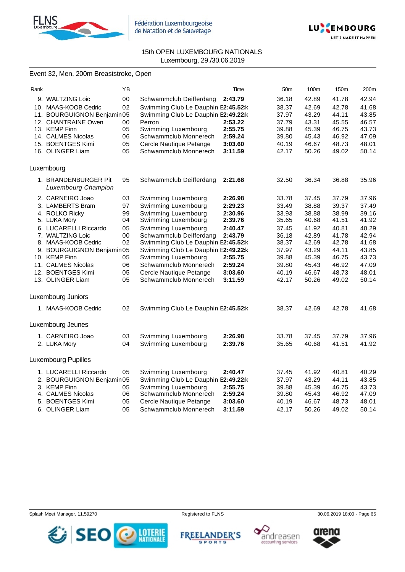



"C MAKE IT HADDEN

### 15th OPEN LUXEMBOURG NATIONALS Luxembourg, 29./30.06.2019

### Event 32, Men, 200m Breaststroke, Open

| Rank |                                                    | YB     |                                     | Time    | 50 <sub>m</sub> | 100m  | 150 <sub>m</sub> | 200 <sub>m</sub> |
|------|----------------------------------------------------|--------|-------------------------------------|---------|-----------------|-------|------------------|------------------|
|      | 9. WALTZING Loic                                   | $00\,$ | Schwammclub Deifferdang             | 2:43.79 | 36.18           | 42.89 | 41.78            | 42.94            |
|      | 10. MAAS-KOOB Cedric                               | 02     | Swimming Club Le Dauphin E2:45.52:k |         | 38.37           | 42.69 | 42.78            | 41.68            |
|      | 11. BOURGUIGNON Benjamin05                         |        | Swimming Club Le Dauphin E2:49.22:k |         | 37.97           | 43.29 | 44.11            | 43.85            |
|      | 12. CHANTRAINE Owen                                | 00     | Perron                              | 2:53.22 | 37.79           | 43.31 | 45.55            | 46.57            |
|      | 13. KEMP Finn                                      | 05     | Swimming Luxembourg                 | 2:55.75 | 39.88           | 45.39 | 46.75            | 43.73            |
|      | 14. CALMES Nicolas                                 | 06     | Schwammclub Monnerech               | 2:59.24 | 39.80           | 45.43 | 46.92            | 47.09            |
|      | 15. BOENTGES Kimi                                  | 05     | Cercle Nautique Petange             | 3:03.60 | 40.19           | 46.67 | 48.73            | 48.01            |
|      | 16. OLINGER Liam                                   | 05     | Schwammclub Monnerech               | 3:11.59 | 42.17           | 50.26 | 49.02            | 50.14            |
|      | Luxembourg                                         |        |                                     |         |                 |       |                  |                  |
|      | 1. BRANDENBURGER Pit<br><b>Luxembourg Champion</b> | 95     | Schwammclub Deifferdang             | 2:21.68 | 32.50           | 36.34 | 36.88            | 35.96            |
|      | 2. CARNEIRO Joao                                   | 03     | Swimming Luxembourg                 | 2:26.98 | 33.78           | 37.45 | 37.79            | 37.96            |
|      | 3. LAMBERTS Bram                                   | 97     | Swimming Luxembourg                 | 2:29.23 | 33.49           | 38.88 | 39.37            | 37.49            |
|      | 4. ROLKO Ricky                                     | 99     | Swimming Luxembourg                 | 2:30.96 | 33.93           | 38.88 | 38.99            | 39.16            |
|      | 5. LUKA Mory                                       | 04     | Swimming Luxembourg                 | 2:39.76 | 35.65           | 40.68 | 41.51            | 41.92            |
|      | 6. LUCARELLI Riccardo                              | 05     | Swimming Luxembourg                 | 2:40.47 | 37.45           | 41.92 | 40.81            | 40.29            |
|      | 7. WALTZING Loic                                   | 00     | Schwammclub Deifferdang             | 2:43.79 | 36.18           | 42.89 | 41.78            | 42.94            |
|      | 8. MAAS-KOOB Cedric                                | 02     | Swimming Club Le Dauphin E2:45.52:k |         | 38.37           | 42.69 | 42.78            | 41.68            |
|      | 9. BOURGUIGNON Benjamin05                          |        | Swimming Club Le Dauphin E2:49.22:k |         | 37.97           | 43.29 | 44.11            | 43.85            |
|      | 10. KEMP Finn                                      | 05     | Swimming Luxembourg                 | 2:55.75 | 39.88           | 45.39 | 46.75            | 43.73            |
|      | 11. CALMES Nicolas                                 | 06     | Schwammclub Monnerech               | 2:59.24 | 39.80           | 45.43 | 46.92            | 47.09            |
|      | 12. BOENTGES Kimi                                  | 05     | Cercle Nautique Petange             | 3:03.60 | 40.19           | 46.67 | 48.73            | 48.01            |
|      | 13. OLINGER Liam                                   | 05     | Schwammclub Monnerech               | 3:11.59 | 42.17           | 50.26 | 49.02            | 50.14            |
|      | Luxembourg Juniors                                 |        |                                     |         |                 |       |                  |                  |
|      | 1. MAAS-KOOB Cedric                                | 02     | Swimming Club Le Dauphin E2:45.52:k |         | 38.37           | 42.69 | 42.78            | 41.68            |
|      | Luxembourg Jeunes                                  |        |                                     |         |                 |       |                  |                  |
|      | 1. CARNEIRO Joao                                   | 03     | Swimming Luxembourg                 | 2:26.98 | 33.78           | 37.45 | 37.79            | 37.96            |
|      | 2. LUKA Mory                                       | 04     | Swimming Luxembourg                 | 2:39.76 | 35.65           | 40.68 | 41.51            | 41.92            |
|      | Luxembourg Pupilles                                |        |                                     |         |                 |       |                  |                  |
|      | 1. LUCARELLI Riccardo                              | 05     | Swimming Luxembourg                 | 2:40.47 | 37.45           | 41.92 | 40.81            | 40.29            |
|      | 2. BOURGUIGNON Benjamin05                          |        | Swimming Club Le Dauphin E2:49.22:k |         | 37.97           | 43.29 | 44.11            | 43.85            |
|      | 3. KEMP Finn                                       | 05     | Swimming Luxembourg                 | 2:55.75 | 39.88           | 45.39 | 46.75            | 43.73            |
|      | 4. CALMES Nicolas                                  | 06     | Schwammclub Monnerech               | 2:59.24 | 39.80           | 45.43 | 46.92            | 47.09            |
|      | 5. BOENTGES Kimi                                   | 05     | Cercle Nautique Petange             | 3:03.60 | 40.19           | 46.67 | 48.73            | 48.01            |
|      | 6. OLINGER Liam                                    | 05     | Schwammclub Monnerech               | 3:11.59 | 42.17           | 50.26 | 49.02            | 50.14            |
|      |                                                    |        |                                     |         |                 |       |                  |                  |









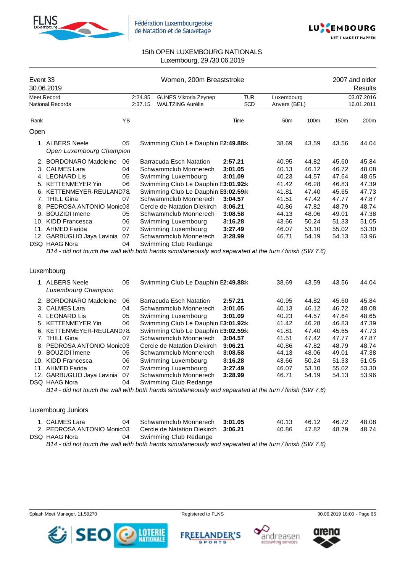



| Event 33<br>30.06.2019 |                                             |    | Women, 200m Breaststroke                |                                     |            |                 |       | 2007 and older<br>Results |       |  |
|------------------------|---------------------------------------------|----|-----------------------------------------|-------------------------------------|------------|-----------------|-------|---------------------------|-------|--|
| Meet Record            |                                             |    | <b>GUNES Viktoria Zeynep</b><br>2:24.85 |                                     | TUR.       | Luxembourg      |       | 03.07.2016                |       |  |
|                        | <b>National Records</b>                     |    | 2:37.15                                 | <b>WALTZING Aurélie</b>             | <b>SCD</b> | Anvers (BEL)    |       | 16.01.2011                |       |  |
| Rank                   |                                             | YB |                                         |                                     | Time       | 50 <sub>m</sub> | 100m  | 150 <sub>m</sub>          | 200m  |  |
| Open                   |                                             |    |                                         |                                     |            |                 |       |                           |       |  |
|                        | 1. ALBERS Neele<br>Open Luxembourg Champion | 05 |                                         | Swimming Club Le Dauphin E2:49.88:k |            | 38.69           | 43.59 | 43.56                     | 44.04 |  |
|                        | 2. BORDONARO Madeleine                      | 06 |                                         | Barracuda Esch Natation             | 2:57.21    | 40.95           | 44.82 | 45.60                     | 45.84 |  |
|                        | 3. CALMES Lara                              | 04 |                                         | Schwammclub Monnerech               | 3:01.05    | 40.13           | 46.12 | 46.72                     | 48.08 |  |
|                        | 4. LEONARD Lis                              | 05 |                                         | Swimming Luxembourg                 | 3:01.09    | 40.23           | 44.57 | 47.64                     | 48.65 |  |
|                        | 5. KETTENMEYER Yin                          | 06 |                                         | Swimming Club Le Dauphin E3:01.92:k |            | 41.42           | 46.28 | 46.83                     | 47.39 |  |
|                        | 6. KETTENMEYER-REULAND78.                   |    |                                         | Swimming Club Le Dauphin E3:02.59:k |            | 41.81           | 47.40 | 45.65                     | 47.73 |  |
|                        | 7. THILL Gina                               | 07 |                                         | Schwammclub Monnerech               | 3:04.57    | 41.51           | 47.42 | 47.77                     | 47.87 |  |
|                        | 8. PEDROSA ANTONIO Monic03                  |    |                                         | Cercle de Natation Diekirch         | 3:06.21    | 40.86           | 47.82 | 48.79                     | 48.74 |  |
| 9.                     | <b>BOUZIDI</b> Imene                        | 05 |                                         | Schwammclub Monnerech               | 3:08.58    | 44.13           | 48.06 | 49.01                     | 47.38 |  |
|                        | 10. KIDD Francesca                          | 06 |                                         | Swimming Luxembourg                 | 3:16.28    | 43.66           | 50.24 | 51.33                     | 51.05 |  |
| 11.                    | <b>AHMED Farida</b>                         | 07 |                                         | Swimming Luxembourg                 | 3:27.49    | 46.07           | 53.10 | 55.02                     | 53.30 |  |
|                        | 12. GARBUGLIO Jaya Lavinia                  | 07 |                                         | Schwammclub Monnerech               | 3:28.99    | 46.71           | 54.19 | 54.13                     | 53.96 |  |
|                        | <b>DSQ HAAG Nora</b>                        | 04 |                                         | Swimming Club Redange               |            |                 |       |                           |       |  |

*B14 - did not touch the wall with both hands simultaneously and separated at the turn / finish (SW 7.6)*

#### Luxembourg

|     | 1. ALBERS Neele<br>Luxembourg Champion | 05 | Swimming Club Le Dauphin E2:49.88 k                                                                     |         | 38.69 | 43.59 | 43.56 | 44.04 |
|-----|----------------------------------------|----|---------------------------------------------------------------------------------------------------------|---------|-------|-------|-------|-------|
|     | 2. BORDONARO Madeleine                 | 06 | Barracuda Esch Natation                                                                                 | 2:57.21 | 40.95 | 44.82 | 45.60 | 45.84 |
|     | 3. CALMES Lara                         | 04 | Schwammclub Monnerech                                                                                   | 3:01.05 | 40.13 | 46.12 | 46.72 | 48.08 |
|     | 4. LEONARD Lis                         | 05 | Swimming Luxembourg                                                                                     | 3:01.09 | 40.23 | 44.57 | 47.64 | 48.65 |
|     | 5. KETTENMEYER Yin                     | 06 | Swimming Club Le Dauphin E3:01.92 k                                                                     |         | 41.42 | 46.28 | 46.83 | 47.39 |
|     | 6. KETTENMEYER-REULAND78               |    | Swimming Club Le Dauphin E3:02.59:k                                                                     |         | 41.81 | 47.40 | 45.65 | 47.73 |
|     | 7. THILL Gina                          | 07 | Schwammclub Monnerech                                                                                   | 3:04.57 | 41.51 | 47.42 | 47.77 | 47.87 |
|     | 8. PEDROSA ANTONIO Monic03             |    | Cercle de Natation Diekirch                                                                             | 3:06.21 | 40.86 | 47.82 | 48.79 | 48.74 |
|     | 9. BOUZIDI Imene                       | 05 | Schwammclub Monnerech                                                                                   | 3:08.58 | 44.13 | 48.06 | 49.01 | 47.38 |
| 10. | KIDD Francesca                         | 06 | Swimming Luxembourg                                                                                     | 3:16.28 | 43.66 | 50.24 | 51.33 | 51.05 |
|     | 11. AHMED Farida                       | 07 | Swimming Luxembourg                                                                                     | 3:27.49 | 46.07 | 53.10 | 55.02 | 53.30 |
|     | 12. GARBUGLIO Jaya Lavinia             | 07 | Schwammclub Monnerech                                                                                   | 3:28.99 | 46.71 | 54.19 | 54.13 | 53.96 |
|     | DSQ HAAG Nora                          | 04 | Swimming Club Redange                                                                                   |         |       |       |       |       |
|     |                                        |    | B14 - did not touch the wall with both hands simultaneously and separated at the turn / finish (SW 7.6) |         |       |       |       |       |
|     |                                        |    |                                                                                                         |         |       |       |       |       |

### Luxembourg Juniors

| 1. CALMES Lara             | Schwammclub Monnerech 3:01.05       | 40.13 | 46.12 | 46.72 | 48.08 |
|----------------------------|-------------------------------------|-------|-------|-------|-------|
| 2. PEDROSA ANTONIO Monic03 | Cercle de Natation Diekirch 3:06.21 | 40.86 | 47.82 | 48.79 | 48.74 |
| DSQ HAAG Nora              | Swimming Club Redange               |       |       |       |       |

*B14 - did not touch the wall with both hands simultaneously and separated at the turn / finish (SW 7.6)*











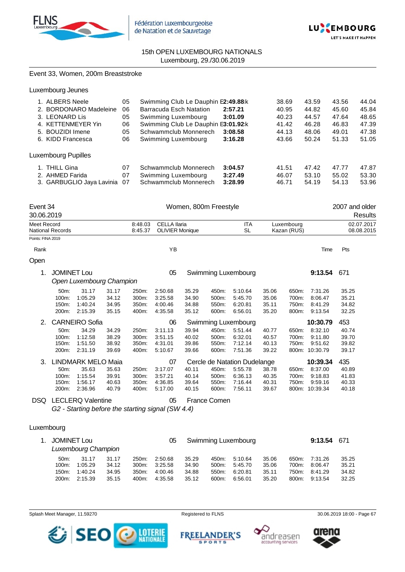



#### Event 33, Women, 200m Breaststroke

| 1. ALBERS Neele           | 05 | Swimming Club Le Dauphin E2:49.88 k |         | 38.69 | 43.59 | 43.56 | 44.04 |
|---------------------------|----|-------------------------------------|---------|-------|-------|-------|-------|
| 2. BORDONARO Madeleine    | 06 | Barracuda Esch Natation             | 2:57.21 | 40.95 | 44.82 | 45.60 | 45.84 |
| 3. LEONARD Lis            | 05 | Swimming Luxembourg                 | 3:01.09 | 40.23 | 44.57 | 47.64 | 48.65 |
| 4. KETTENMEYER Yin        | 06 | Swimming Club Le Dauphin E3:01.92:k |         | 41.42 | 46.28 | 46.83 | 47.39 |
| 5. BOUZIDI Imene          | 05 | Schwammclub Monnerech               | 3:08.58 | 44.13 | 48.06 | 49.01 | 47.38 |
| 6. KIDD Francesca         | 06 | Swimming Luxembourg                 | 3:16.28 | 43.66 | 50.24 | 51.33 | 51.05 |
| Luxembourg Pupilles       |    |                                     |         |       |       |       |       |
| 1. THILL Gina             | 07 | Schwammclub Monnerech               | 3:04.57 | 41.51 | 47.42 | 47.77 | 47.87 |
| 2. AHMED Farida           | 07 | Swimming Luxembourg                 | 3:27.49 | 46.07 | 53.10 | 55.02 | 53.30 |
| 3. GARBUGLIO Jaya Lavinia | 07 | Schwammclub Monnerech               | 3:28.99 | 46.71 | 54.19 | 54.13 | 53.96 |

| Event 34<br>30.06.2019 |                                 |                                        |                                  |                                  |                                               |                                  | Women, 800m Freestyle            |                                          |                                  |                                  |                                                 | 2007 and older<br>Results        |
|------------------------|---------------------------------|----------------------------------------|----------------------------------|----------------------------------|-----------------------------------------------|----------------------------------|----------------------------------|------------------------------------------|----------------------------------|----------------------------------|-------------------------------------------------|----------------------------------|
| Meet Record            | <b>National Records</b>         |                                        |                                  | 8:48.03<br>8:45.37               | <b>CELLA Ilaria</b><br><b>OLIVIER Monique</b> |                                  |                                  | <b>ITA</b><br><b>SL</b>                  |                                  | Luxembourg<br>Kazan (RUS)        |                                                 | 02.07.2017<br>08.08.2015         |
| Points: FINA 2019      |                                 |                                        |                                  |                                  |                                               |                                  |                                  |                                          |                                  |                                  |                                                 |                                  |
| Rank                   |                                 |                                        |                                  |                                  | ΥB                                            |                                  |                                  |                                          |                                  |                                  | Time                                            | Pts                              |
| Open                   |                                 |                                        |                                  |                                  |                                               |                                  |                                  |                                          |                                  |                                  |                                                 |                                  |
| 1.                     | <b>JOMINET Lou</b>              | Open Luxembourg Champion               |                                  |                                  | 05                                            |                                  |                                  | Swimming Luxembourg                      |                                  |                                  | 9:13.54                                         | 671                              |
|                        | 50m:<br>100m:<br>150m:<br>200m: | 31.17<br>1:05.29<br>1:40.24<br>2:15.39 | 31.17<br>34.12<br>34.95<br>35.15 | 250m:<br>300m:<br>350m:<br>400m: | 2:50.68<br>3:25.58<br>4:00.46<br>4:35.58      | 35.29<br>34.90<br>34.88<br>35.12 | 450m:<br>500m:<br>550m:<br>600m: | 5:10.64<br>5:45.70<br>6:20.81<br>6:56.01 | 35.06<br>35.06<br>35.11<br>35.20 | 650m:<br>700m:<br>750m:<br>800m: | 7:31.26<br>8:06.47<br>8:41.29<br>9:13.54        | 35.25<br>35.21<br>34.82<br>32.25 |
| 2.                     |                                 | <b>CARNEIRO Sofia</b>                  |                                  |                                  | 06                                            |                                  |                                  | Swimming Luxembourg                      |                                  |                                  | 10:30.79                                        | 453                              |
|                        | 50m:<br>100m:<br>150m:<br>200m: | 34.29<br>1:12.58<br>1:51.50<br>2:31.19 | 34.29<br>38.29<br>38.92<br>39.69 | 250m:<br>300m:<br>350m:<br>400m: | 3:11.13<br>3:51.15<br>4:31.01<br>5:10.67      | 39.94<br>40.02<br>39.86<br>39.66 | 450m:<br>500m:<br>550m:<br>600m: | 5:51.44<br>6:32.01<br>7:12.14<br>7:51.36 | 40.77<br>40.57<br>40.13<br>39.22 | 650m:<br>700m:<br>750m:<br>800m: | 8:32.10<br>9:11.80<br>9:51.62<br>10:30.79       | 40.74<br>39.70<br>39.82<br>39.17 |
| 3.                     |                                 | <b>LINDMARK MELO Maia</b>              |                                  |                                  | 07                                            |                                  |                                  | Cercle de Natation Dudelange             |                                  |                                  | 10:39.34                                        | 435                              |
|                        | 50m:<br>100m:<br>150m:<br>200m: | 35.63<br>1:15.54<br>1:56.17<br>2:36.96 | 35.63<br>39.91<br>40.63<br>40.79 | 250m:<br>300m:<br>350m:<br>400m: | 3:17.07<br>3:57.21<br>4:36.85<br>5:17.00      | 40.11<br>40.14<br>39.64<br>40.15 | 450m:<br>500m:<br>550m:<br>600m: | 5:55.78<br>6:36.13<br>7:16.44<br>7:56.11 | 38.78<br>40.35<br>40.31<br>39.67 | 650m:<br>700m:<br>750m:          | 8:37.00<br>9:18.83<br>9:59.16<br>800m: 10:39.34 | 40.89<br>41.83<br>40.33<br>40.18 |
| DSQ                    |                                 | <b>LECLERQ Valentine</b>               |                                  |                                  | 05                                            |                                  | France Comen                     |                                          |                                  |                                  |                                                 |                                  |

*G2 - Starting before the starting signal (SW 4.4)*

### Luxembourg

| 1. JOMINET Lou<br>Luxembourg Champion |         |       |       |         |       |          | Swimming Luxembourg |       |       | 9:13.54 | 671   |
|---------------------------------------|---------|-------|-------|---------|-------|----------|---------------------|-------|-------|---------|-------|
| $50m$ :                               | 31.17   | 31.17 | 250m: | 2:50.68 | 35.29 | 450m:    | 5:10.64             | 35.06 | 650m: | 7:31.26 | 35.25 |
| $100m$ :                              | 1:05.29 | 34.12 | 300m: | 3:25.58 | 34.90 | $500m$ : | 5:45.70             | 35.06 | 700m: | 8:06.47 | 35.21 |
| $150m$ :                              | 1:40.24 | 34.95 | 350m: | 4:00.46 | 34.88 | 550m:    | 6.20.81             | 35.11 | 750m: | 8:41.29 | 34.82 |
| $200m$ :                              | 2:15.39 | 35.15 | 400m: | 4:35.58 | 35.12 | 600m:    | 6:56.01             | 35.20 | 800m: | 9.13.54 | 32.25 |

Splash Meet Manager, 11.59270 **Registered to FLNS** Registered to FLNS 30.06.2019 18:00 - Page 67

**FREELANDER'S** 

**SPORTS** 





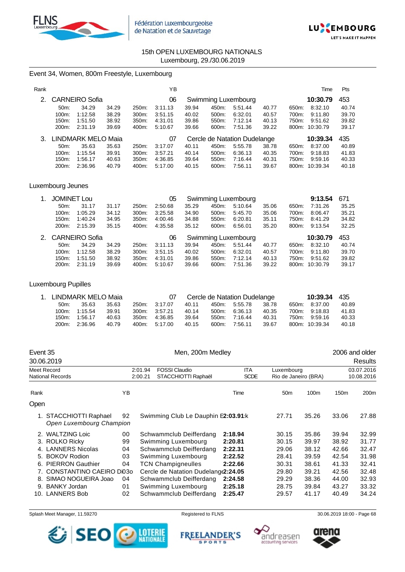



# Event 34, Women, 800m Freestyle, Luxembourg

| Rank |                   |                       |       |       | YΒ      |       |       |                              |       |       | Time     | Pts   |
|------|-------------------|-----------------------|-------|-------|---------|-------|-------|------------------------------|-------|-------|----------|-------|
|      |                   | <b>CARNEIRO Sofia</b> |       |       | 06      |       |       | Swimming Luxembourg          |       |       | 10:30.79 | 453   |
|      | 50 <sub>m</sub> : | 34.29                 | 34.29 | 250m: | 3:11.13 | 39.94 | 450m: | 5:51.44                      | 40.77 | 650m: | 8:32.10  | 40.74 |
|      | 100m:             | 1:12.58               | 38.29 | 300m: | 3:51.15 | 40.02 | 500m: | 6:32.01                      | 40.57 | 700m: | 9:11.80  | 39.70 |
|      | 150m:             | 1:51.50               | 38.92 | 350m. | 4:31.01 | 39.86 | 550m: | 7:12.14                      | 40.13 | 750m: | 9:51.62  | 39.82 |
|      | 200m:             | 2:31.19               | 39.69 | 400m: | 5:10.67 | 39.66 | 600m: | 7:51.36                      | 39.22 | 800m: | 10:30.79 | 39.17 |
|      |                   | LINDMARK MELO Maia    |       |       | 07      |       |       | Cercle de Natation Dudelange |       |       | 10:39.34 | 435   |
|      | $50m$ :           | 35.63                 | 35.63 | 250m: | 3:17.07 | 40.11 | 450m: | 5:55.78                      | 38.78 | 650m: | 8:37.00  | 40.89 |
|      | $100m$ :          | 1:15.54               | 39.91 | 300m. | 3:57.21 | 40.14 | 500m: | 6:36.13                      | 40.35 | 700m: | 9:18.83  | 41.83 |
|      | 150m.             | 1:56.17               | 40.63 | 350m: | 4:36.85 | 39.64 | 550m: | 7:16.44                      | 40.31 | 750m: | 9:59.16  | 40.33 |
|      | 200m:             | 2:36.96               | 40.79 | 400m: | 5:17.00 | 40.15 | 600m: | 7:56.11                      | 39.67 | 800m: | 10:39.34 | 40.18 |

### Luxembourg Jeunes

| 1. | <b>JOMINET Lou</b> |                   |       |       | 05      |       |       | Swimming Luxembourg |       |       | 9:13.54  | 671   |
|----|--------------------|-------------------|-------|-------|---------|-------|-------|---------------------|-------|-------|----------|-------|
|    | $50m$ :            | 31.17             | 31.17 | 250m: | 2:50.68 | 35.29 | 450m: | 5:10.64             | 35.06 | 650m: | 7:31.26  | 35.25 |
|    | $100m$ :           | 1:05.29           | 34.12 | 300m. | 3:25.58 | 34.90 | 500m: | 5:45.70             | 35.06 | 700m: | 8:06.47  | 35.21 |
|    | 150m:              | 1:40.24           | 34.95 | 350m: | 4:00.46 | 34.88 | 550m: | 6.20.81             | 35.11 | 750m: | 8:41.29  | 34.82 |
|    | 200m:              | 2:15.39           | 35.15 | 400m: | 4:35.58 | 35.12 | 600m: | 6.56.01             | 35.20 | 800m: | 9:13.54  | 32.25 |
|    |                    |                   |       |       |         |       |       |                     |       |       |          |       |
|    |                    | 2. CARNEIRO Sofia |       |       | 06      |       |       | Swimming Luxembourg |       |       | 10:30.79 | 453   |
|    | $50m$ :            | 34.29             | 34.29 | 250m: | 3:11.13 | 39.94 | 450m: | 5:51.44             | 40.77 | 650m: | 8:32.10  | 40.74 |
|    | $100m$ :           | 1:12.58           | 38.29 | 300m: | 3:51.15 | 40.02 | 500m: | 6:32.01             | 40.57 | 700m: | 9:11.80  | 39.70 |
|    | 150m:              | 1:51.50           | 38.92 | 350m: | 4:31.01 | 39.86 | 550m: | 7:12.14             | 40.13 | 750m: | 9:51.62  | 39.82 |

### Luxembourg Pupilles

| 1. LINDMARK MELO Maia |               |       |       |               |       |       | Cercle de Natation Dudelange |       | 10:39.34 435   |       |
|-----------------------|---------------|-------|-------|---------------|-------|-------|------------------------------|-------|----------------|-------|
| $50m$ :               | 35.63         | 35.63 |       | 250m: 3:17.07 | 40.11 |       | 450m. 5:55.78                | 38.78 | 650m: 8:37.00  | 40.89 |
|                       | 100m: 1:15.54 | 39.91 |       | 300m: 3:57.21 | 40.14 | 500m: | 6:36.13                      | 40.35 | 700m: 9:18.83  | 41.83 |
|                       | 150m: 1:56.17 | 40.63 | 350m: | 4:36.85       | 39.64 | 550m: | 7:16.44                      | 40.31 | 750m: 9:59.16  | 40.33 |
|                       | 200m: 2:36.96 | 40.79 |       | 400m: 5:17.00 | 40.15 |       | 600m: 7:56.11                | 39.67 | 800m: 10:39.34 | 40.18 |

|      | Event 35<br>30.06.2019                             |    |         | Men, 200m Medley                    |             |                      |       |                  | 2006 and older<br>Results |  |  |
|------|----------------------------------------------------|----|---------|-------------------------------------|-------------|----------------------|-------|------------------|---------------------------|--|--|
|      | Meet Record                                        |    | 2:01.94 | <b>FOSSI Claudio</b>                | <b>ITA</b>  | Luxembourg           |       |                  | 03.07.2016                |  |  |
|      | <b>National Records</b>                            |    | 2:00.21 | STACCHIOTTI Raphaël                 | <b>SCDE</b> | Rio de Janeiro (BRA) |       |                  | 10.08.2016                |  |  |
| Rank |                                                    | YB |         |                                     | Time        | 50 <sub>m</sub>      | 100m  | 150 <sub>m</sub> | 200 <sub>m</sub>          |  |  |
| Open |                                                    |    |         |                                     |             |                      |       |                  |                           |  |  |
|      | 1. STACCHIOTTI Raphael<br>Open Luxembourg Champion | 92 |         | Swimming Club Le Dauphin E2:03.91:k |             | 27.71                | 35.26 | 33.06            | 27.88                     |  |  |
|      | 2. WALTZING Loic                                   | 00 |         | Schwammclub Deifferdang             | 2:18.94     | 30.15                | 35.86 | 39.94            | 32.99                     |  |  |
|      | 3. ROLKO Ricky                                     | 99 |         | Swimming Luxembourg                 | 2:20.81     | 30.15                | 39.97 | 38.92            | 31.77                     |  |  |
|      | 4. LANNERS Nicolas                                 | 04 |         | Schwammclub Deifferdang             | 2:22.31     | 29.06                | 38.12 | 42.66            | 32.47                     |  |  |
| 5.   | <b>BOKOV Rodion</b>                                | 03 |         | Swimming Luxembourg                 | 2:22.52     | 28.41                | 39.59 | 42.54            | 31.98                     |  |  |
| 6.   | <b>PIERRON Gauthier</b>                            | 04 |         | <b>TCN Champigneulles</b>           | 2:22.66     | 30.31                | 38.61 | 41.33            | 32.41                     |  |  |
| 7.   | CONSTANTINO CAEIRO DI030                           |    |         | Cercle de Natation Dudelang(2:24.05 |             | 29.80                | 39.21 | 42.56            | 32.48                     |  |  |
| 8.   | SIMAO NOGUEIRA Joao                                | 04 |         | Schwammclub Deifferdang             | 2:24.58     | 29.29                | 38.36 | 44.00            | 32.93                     |  |  |
| 9.   | <b>BANKY Jordan</b>                                | 01 |         | Swimming Luxembourg                 | 2:25.18     | 28.75                | 39.84 | 43.27            | 33.32                     |  |  |
|      | 10. LANNERS Bob                                    | 02 |         | Schwammclub Deifferdang             | 2:25.47     | 29.57                | 41.17 | 40.49            | 34.24                     |  |  |

Splash Meet Manager, 11.59270 **Registered to FLNS** Registered to FLNS 30.06.2019 18:00 - Page 68



**FREELANDER'S** andreasen **SPORTS** accountino services

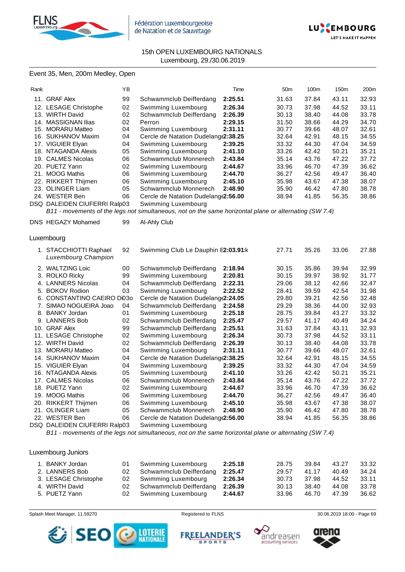



### Event 35, Men, 200m Medley, Open

| Rank |                              | ΥB |                                                                                                             | Time    | 50 <sub>m</sub> | 100m  | 150m  | 200m  |
|------|------------------------------|----|-------------------------------------------------------------------------------------------------------------|---------|-----------------|-------|-------|-------|
|      | 11. GRAF Alex                | 99 | Schwammclub Deifferdang                                                                                     | 2:25.51 | 31.63           | 37.84 | 43.11 | 32.93 |
|      | 12. LESAGE Christophe        | 02 | Swimming Luxembourg                                                                                         | 2:26.34 | 30.73           | 37.98 | 44.52 | 33.11 |
|      | 13. WIRTH David              | 02 | Schwammclub Deifferdang                                                                                     | 2:26.39 | 30.13           | 38.40 | 44.08 | 33.78 |
|      | 14. MASSIGNAN Ilias          | 02 | Perron                                                                                                      | 2:29.15 | 31.50           | 38.66 | 44.29 | 34.70 |
|      | 15. MORARU Matteo            | 04 | Swimming Luxembourg                                                                                         | 2:31.11 | 30.77           | 39.66 | 48.07 | 32.61 |
|      | 16. SUKHANOV Maxim           | 04 | Cercle de Natation Dudelang (2:38.25                                                                        |         | 32.64           | 42.91 | 48.15 | 34.55 |
|      | 17. VIGUIER Elyan            | 04 | Swimming Luxembourg                                                                                         | 2:39.25 | 33.32           | 44.30 | 47.04 | 34.59 |
|      | 18. NTAGANDA Alexis          | 05 | Swimming Luxembourg                                                                                         | 2:41.10 | 33.26           | 42.42 | 50.21 | 35.21 |
|      | 19. CALMES Nicolas           | 06 | Schwammclub Monnerech                                                                                       | 2:43.84 | 35.14           | 43.76 | 47.22 | 37.72 |
|      | 20. PUETZ Yann               | 02 | Swimming Luxembourg                                                                                         | 2:44.67 | 33.96           | 46.70 | 47.39 | 36.62 |
|      | 21. MOOG Mathis              | 06 | Swimming Luxembourg                                                                                         | 2:44.70 | 36.27           | 42.56 | 49.47 | 36.40 |
|      | 22. RIKKERT Thijmen          | 06 | Swimming Luxembourg                                                                                         | 2:45.10 | 35.98           | 43.67 | 47.38 | 38.07 |
|      | 23. OLINGER Liam             | 05 | Schwammclub Monnerech                                                                                       | 2:48.90 | 35.90           | 46.42 | 47.80 | 38.78 |
|      | 24. WESTER Ben               | 06 | Cercle de Natation Dudelang (2:56.00                                                                        |         | 38.94           | 41.85 | 56.35 | 38.86 |
|      | DSQ DALEIDEN CIUFERRI Ralp03 |    | Swimming Luxembourg                                                                                         |         |                 |       |       |       |
|      |                              |    | B11 - movements of the legs not simultaneous, not on the same horizontal plane or alternating (SW 7.4)      |         |                 |       |       |       |
|      | DNS HEGAZY Mohamed           | 99 | Al-Ahly Club                                                                                                |         |                 |       |       |       |
|      |                              |    |                                                                                                             |         |                 |       |       |       |
|      | Luxembourg                   |    |                                                                                                             |         |                 |       |       |       |
|      | 1. STACCHIOTTI Raphael       | 92 | Swimming Club Le Dauphin E2:03.91:k                                                                         |         | 27.71           | 35.26 | 33.06 | 27.88 |
|      | Luxembourg Champion          |    |                                                                                                             |         |                 |       |       |       |
|      | 2. WALTZING Loic             | 00 | Schwammclub Deifferdang                                                                                     | 2:18.94 | 30.15           | 35.86 | 39.94 | 32.99 |
|      | 3. ROLKO Ricky               | 99 | Swimming Luxembourg                                                                                         | 2:20.81 | 30.15           | 39.97 | 38.92 | 31.77 |
|      | 4. LANNERS Nicolas           | 04 | Schwammclub Deifferdang                                                                                     | 2:22.31 | 29.06           | 38.12 | 42.66 | 32.47 |
|      | 5. BOKOV Rodion              | 03 | Swimming Luxembourg                                                                                         | 2:22.52 | 28.41           | 39.59 | 42.54 | 31.98 |
|      | 6. CONSTANTINO CAEIRO Di030  |    | Cercle de Natation Dudelang (2:24.05                                                                        |         | 29.80           | 39.21 | 42.56 | 32.48 |
|      | 7. SIMAO NOGUEIRA Joao       | 04 | Schwammclub Deifferdang                                                                                     | 2:24.58 | 29.29           | 38.36 | 44.00 | 32.93 |
|      | 8. BANKY Jordan              | 01 | Swimming Luxembourg                                                                                         | 2:25.18 | 28.75           | 39.84 | 43.27 | 33.32 |
|      | 9. LANNERS Bob               | 02 | Schwammclub Deifferdang                                                                                     | 2:25.47 | 29.57           | 41.17 | 40.49 | 34.24 |
|      | 10. GRAF Alex                | 99 | Schwammclub Deifferdang                                                                                     | 2:25.51 | 31.63           | 37.84 | 43.11 | 32.93 |
|      | 11. LESAGE Christophe        | 02 | Swimming Luxembourg                                                                                         | 2:26.34 | 30.73           | 37.98 | 44.52 | 33.11 |
|      | 12. WIRTH David              | 02 | Schwammclub Deifferdang                                                                                     | 2:26.39 | 30.13           | 38.40 | 44.08 | 33.78 |
|      | 13. MORARU Matteo            | 04 | Swimming Luxembourg                                                                                         | 2:31.11 | 30.77           | 39.66 | 48.07 | 32.61 |
|      | 14. SUKHANOV Maxim           | 04 | Cercle de Natation Dudelang (2:38.25                                                                        |         | 32.64           | 42.91 | 48.15 | 34.55 |
|      | 15. VIGUIER Elyan            | 04 | Swimming Luxembourg                                                                                         | 2:39.25 | 33.32           | 44.30 | 47.04 | 34.59 |
|      | 16. NTAGANDA Alexis          | 05 | Swimming Luxembourg                                                                                         | 2:41.10 | 33.26           | 42.42 | 50.21 | 35.21 |
|      | 17. CALMES Nicolas           | 06 | Schwammclub Monnerech                                                                                       | 2:43.84 | 35.14           | 43.76 | 47.22 | 37.72 |
|      | 18. PUETZ Yann               | 02 | Swimming Luxembourg                                                                                         | 2:44.67 | 33.96           | 46.70 | 47.39 | 36.62 |
|      | 19. MOOG Mathis              | 06 | Swimming Luxembourg                                                                                         | 2:44.70 | 36.27           | 42.56 | 49.47 | 36.40 |
|      | 20. RIKKERT Thijmen          | 06 | Swimming Luxembourg                                                                                         | 2:45.10 | 35.98           | 43.67 | 47.38 | 38.07 |
|      | 21. OLINGER Liam             | 05 | Schwammclub Monnerech                                                                                       | 2:48.90 | 35.90           | 46.42 | 47.80 | 38.78 |
|      | 22. WESTER Ben               | 06 | Cercle de Natation Dudelang (2:56.00                                                                        |         | 38.94           | 41.85 | 56.35 | 38.86 |
|      | DSQ DALEIDEN CIUFERRI Ralp03 |    | Swimming Luxembourg                                                                                         |         |                 |       |       |       |
|      |                              |    | $P_{11}$ movements of the legs not simultaneous, not on the same berizontal plane or alternating (SW $7A$ ) |         |                 |       |       |       |

*B11 - movements of the legs not simultaneous, not on the same horizontal plane or alternating (SW 7.4)*

Luxembourg Juniors

| 1. BANKY Jordan      |     | 01 Swimming Luxembourg     | 2:25.18 | 28.75 | 39.84 | 43.27 | 33.32 |
|----------------------|-----|----------------------------|---------|-------|-------|-------|-------|
| 2. LANNERS Bob       |     | 02 Schwammclub Deifferdang | 2:25.47 | 29.57 | 41.17 | 40.49 | 34.24 |
| 3. LESAGE Christophe |     | 02 Swimming Luxembourg     | 2:26.34 | 30.73 | 37.98 | 44.52 | 33.11 |
| 4. WIRTH David       | 02. | Schwammclub Deifferdang    | 2:26.39 | 30.13 | 38.40 | 44.08 | 33.78 |
| 5. PUETZ Yann        |     | 02 Swimming Luxembourg     | 2:44.67 | 33.96 | 46.70 | 47.39 | 36.62 |

Splash Meet Manager, 11.59270 **Registered to FLNS Registered to FLNS** 30.06.2019 18:00 - Page 69

**SPORTS** 





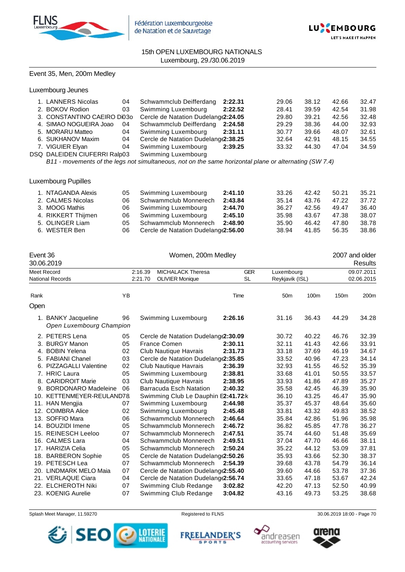



### Event 35, Men, 200m Medley

Luxembourg Jeunes

| 1. LANNERS Nicolas           | 04 | Schwammclub Deifferdang                                          | 2:22.31 | 29.06 | 38.12 | 42.66 | 32.47 |
|------------------------------|----|------------------------------------------------------------------|---------|-------|-------|-------|-------|
| 2. BOKOV Rodion              | 03 | Swimming Luxembourg                                              | 2:22.52 | 28.41 | 39.59 | 42.54 | 31.98 |
|                              |    | 3. CONSTANTINO CAEIRO Di03o Cercle de Natation Dudelang (2:24.05 |         | 29.80 | 39.21 | 42.56 | 32.48 |
| 4. SIMAO NOGUEIRA Joao       | 04 | Schwammclub Deifferdang 2:24.58                                  |         | 29.29 | 38.36 | 44.00 | 32.93 |
| 5. MORARU Matteo             | 04 | Swimming Luxembourg                                              | 2:31.11 | 30.77 | 39.66 | 48.07 | 32.61 |
| 6. SUKHANOV Maxim            | 04 | Cercle de Natation Dudelang (2:38.25                             |         | 32.64 | 42.91 | 48.15 | 34.55 |
| 7. VIGUIER Elyan             | 04 | Swimming Luxembourg                                              | 2:39.25 | 33.32 | 44.30 | 47.04 | 34.59 |
| DSQ DALEIDEN CIUFERRI Ralp03 |    | Swimming Luxembourg                                              |         |       |       |       |       |
|                              |    |                                                                  |         |       |       |       |       |

*B11 - movements of the legs not simultaneous, not on the same horizontal plane or alternating (SW 7.4)*

#### Luxembourg Pupilles

| 1. NTAGANDA Alexis | 05 | Swimming Luxembourg                  | 2:41.10 | 33.26 | 42.42 | 50.21 | 35.21 |
|--------------------|----|--------------------------------------|---------|-------|-------|-------|-------|
| 2. CALMES Nicolas  | 06 | Schwammclub Monnerech                | 2:43.84 | 35.14 | 43.76 | 47.22 | 37.72 |
| 3. MOOG Mathis     | 06 | Swimming Luxembourg                  | 2:44.70 | 36.27 | 42.56 | 49.47 | 36.40 |
| 4. RIKKERT Thijmen | 06 | Swimming Luxembourg                  | 2:45.10 | 35.98 | 43.67 | 47.38 | 38.07 |
| 5. OLINGER Liam    | 05 | Schwammclub Monnerech                | 2:48.90 | 35.90 | 46.42 | 47.80 | 38.78 |
| 6. WESTER Ben      | 06 | Cercle de Natation Dudelang (2:56.00 |         | 38.94 | 41.85 | 56.35 | 38.86 |

| Event 36 | 30.06.2019                                      |    |                    | Women, 200m Medley                                 |                         |                               |       |       | 2007 and older<br><b>Results</b> |
|----------|-------------------------------------------------|----|--------------------|----------------------------------------------------|-------------------------|-------------------------------|-------|-------|----------------------------------|
|          | <b>Meet Record</b><br>National Records          |    | 2:16.39<br>2:21.70 | <b>MICHALACK Theresa</b><br><b>OLIVIER Monique</b> | <b>GER</b><br><b>SL</b> | Luxembourg<br>Reykjavik (ISL) |       |       | 09.07.2011<br>02.06.2015         |
| Rank     |                                                 | ΥB |                    |                                                    | Time                    | 50 <sub>m</sub>               | 100m  | 150m  | 200m                             |
| Open     |                                                 |    |                    |                                                    |                         |                               |       |       |                                  |
|          | 1. BANKY Jacqueline<br>Open Luxembourg Champion | 96 |                    | Swimming Luxembourg                                | 2:26.16                 | 31.16                         | 36.43 | 44.29 | 34.28                            |
|          | 2. PETERS Lena                                  | 05 |                    | Cercle de Natation Dudelang (2:30.09               |                         | 30.72                         | 40.22 | 46.76 | 32.39                            |
|          | 3. BURGY Manon                                  | 05 |                    | France Comen                                       | 2:30.11                 | 32.11                         | 41.43 | 42.66 | 33.91                            |
|          | 4. BOBIN Yelena                                 | 02 |                    | Club Nautique Havrais                              | 2:31.73                 | 33.18                         | 37.69 | 46.19 | 34.67                            |
|          | 5. FABIANI Chanel                               | 03 |                    | Cercle de Natation Dudelang (2:35.85               |                         | 33.52                         | 40.96 | 47.23 | 34.14                            |
|          | 6. PIZZAGALLI Valentine                         | 02 |                    | Club Nautique Havrais                              | 2:36.39                 | 32.93                         | 41.55 | 46.52 | 35.39                            |
|          | 7. HRIC Laura                                   | 05 |                    | Swimming Luxembourg                                | 2:38.81                 | 33.68                         | 41.01 | 50.55 | 33.57                            |
|          | 8. CARIDROIT Marie                              | 03 |                    | Club Nautique Havrais                              | 2:38.95                 | 33.93                         | 41.86 | 47.89 | 35.27                            |
|          | 9. BORDONARO Madeleine                          | 06 |                    | <b>Barracuda Esch Natation</b>                     | 2:40.32                 | 35.58                         | 42.45 | 46.39 | 35.90                            |
|          | 10. KETTENMEYER-REULAND78.                      |    |                    | Swimming Club Le Dauphin E2:41.72:k                |                         | 36.10                         | 43.25 | 46.47 | 35.90                            |
|          | 11. HAN Mengjia                                 | 07 |                    | Swimming Luxembourg                                | 2:44.98                 | 35.37                         | 45.37 | 48.64 | 35.60                            |
|          | 12. COIMBRA Alice                               | 02 |                    | Swimming Luxembourg                                | 2:45.48                 | 33.81                         | 43.32 | 49.83 | 38.52                            |
|          | 13. SOFFIO Mara                                 | 06 |                    | Schwammclub Monnerech                              | 2:46.64                 | 35.84                         | 42.86 | 51.96 | 35.98                            |
|          | 14. BOUZIDI Imene                               | 05 |                    | Schwammclub Monnerech                              | 2:46.72                 | 36.82                         | 45.85 | 47.78 | 36.27                            |
|          | 15. REINESCH Leeloo                             | 07 |                    | Schwammclub Monnerech                              | 2:47.51                 | 35.74                         | 44.60 | 51.48 | 35.69                            |
|          | 16. CALMES Lara                                 | 04 |                    | Schwammclub Monnerech                              | 2:49.51                 | 37.04                         | 47.70 | 46.66 | 38.11                            |
|          | 17. HARIZIA Celia                               | 05 |                    | Schwammclub Monnerech                              | 2:50.24                 | 35.22                         | 44.12 | 53.09 | 37.81                            |
|          | 18. BARBERON Sophie                             | 05 |                    | Cercle de Natation Dudelang (2:50.26               |                         | 35.93                         | 43.66 | 52.30 | 38.37                            |
|          | 19. PETESCH Lea                                 | 07 |                    | Schwammclub Monnerech                              | 2:54.39                 | 39.68                         | 43.78 | 54.79 | 36.14                            |
|          | 20. LINDMARK MELO Maia                          | 07 |                    | Cercle de Natation Dudelang(2:55.40                |                         | 39.60                         | 44.66 | 53.78 | 37.36                            |
|          | 21. VERLAQUE Ciara                              | 04 |                    | Cercle de Natation Dudelang (2:56.74               |                         | 33.65                         | 47.18 | 53.67 | 42.24                            |
|          | 22. ELCHEROTH Niki                              | 07 |                    | Swimming Club Redange                              | 3:02.82                 | 42.20                         | 47.13 | 52.50 | 40.99                            |
|          | 23. KOENIG Aurelie                              | 07 |                    | Swimming Club Redange                              | 3:04.82                 | 43.16                         | 49.73 | 53.25 | 38.68                            |

Splash Meet Manager, 11.59270 **Registered to FLNS** 30.06.2019 18:00 - Page 70







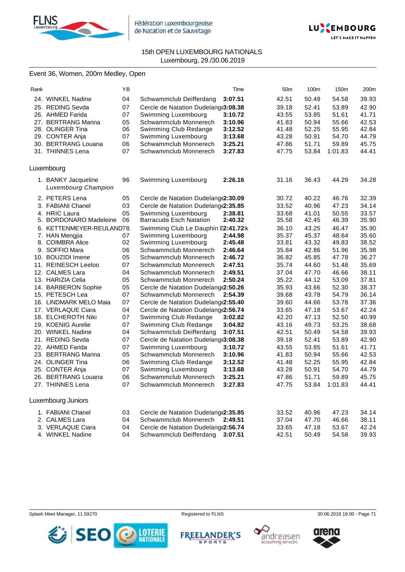



### Event 36, Women, 200m Medley, Open

| Rank |                                                   | ΥB |                                      | Time    | 50 <sub>m</sub> | 100m  | 150m    | 200m  |
|------|---------------------------------------------------|----|--------------------------------------|---------|-----------------|-------|---------|-------|
|      | 24. WINKEL Nadine                                 | 04 | Schwammclub Deifferdang              | 3:07.51 | 42.51           | 50.49 | 54.58   | 39.93 |
|      | 25. REDING Sevda                                  | 07 | Cercle de Natation Dudelang(3:08.38  |         | 39.18           | 52.41 | 53.89   | 42.90 |
|      | 26. AHMED Farida                                  | 07 | Swimming Luxembourg                  | 3:10.72 | 43.55           | 53.85 | 51.61   | 41.71 |
|      | 27. BERTRANG Marina                               | 05 | Schwammclub Monnerech                | 3:10.96 | 41.83           | 50.94 | 55.66   | 42.53 |
|      | 28. OLINGER Tina                                  | 06 | Swimming Club Redange                | 3:12.52 | 41.48           | 52.25 | 55.95   | 42.84 |
|      | 29. CONTER Anja                                   | 07 | Swimming Luxembourg                  | 3:13.68 | 43.28           | 50.91 | 54.70   | 44.79 |
|      | 30. BERTRANG Louana                               | 06 | Schwammclub Monnerech                | 3:25.21 | 47.86           | 51.71 | 59.89   | 45.75 |
|      | 31. THINNES Lena                                  | 07 | Schwammclub Monnerech                | 3:27.83 | 47.75           | 53.84 | 1:01.83 | 44.41 |
|      | Luxembourg                                        |    |                                      |         |                 |       |         |       |
|      | 1. BANKY Jacqueline<br><b>Luxembourg Champion</b> | 96 | Swimming Luxembourg                  | 2:26.16 | 31.16           | 36.43 | 44.29   | 34.28 |
|      | 2. PETERS Lena                                    | 05 | Cercle de Natation Dudelang (2:30.09 |         | 30.72           | 40.22 | 46.76   | 32.39 |
|      | 3. FABIANI Chanel                                 | 03 | Cercle de Natation Dudelang(2:35.85  |         | 33.52           | 40.96 | 47.23   | 34.14 |
|      | 4. HRIC Laura                                     | 05 | Swimming Luxembourg                  | 2:38.81 | 33.68           | 41.01 | 50.55   | 33.57 |
|      | 5. BORDONARO Madeleine                            | 06 | <b>Barracuda Esch Natation</b>       | 2:40.32 | 35.58           | 42.45 | 46.39   | 35.90 |
|      | 6. KETTENMEYER-REULAND78.                         |    | Swimming Club Le Dauphin E2:41.72:k  |         | 36.10           | 43.25 | 46.47   | 35.90 |
|      | 7. HAN Mengjia                                    | 07 | Swimming Luxembourg                  | 2:44.98 | 35.37           | 45.37 | 48.64   | 35.60 |
|      | 8. COIMBRA Alice                                  | 02 | Swimming Luxembourg                  | 2:45.48 | 33.81           | 43.32 | 49.83   | 38.52 |
|      | 9. SOFFIO Mara                                    | 06 | Schwammclub Monnerech                | 2:46.64 | 35.84           | 42.86 | 51.96   | 35.98 |
|      | 10. BOUZIDI Imene                                 | 05 | Schwammclub Monnerech                | 2:46.72 | 36.82           | 45.85 | 47.78   | 36.27 |
|      | 11. REINESCH Leeloo                               | 07 | Schwammclub Monnerech                | 2:47.51 | 35.74           | 44.60 | 51.48   | 35.69 |
|      | 12. CALMES Lara                                   | 04 | Schwammclub Monnerech                | 2:49.51 | 37.04           | 47.70 | 46.66   | 38.11 |
|      | 13. HARIZIA Celia                                 | 05 | Schwammclub Monnerech                | 2:50.24 | 35.22           | 44.12 | 53.09   | 37.81 |
|      | 14. BARBERON Sophie                               | 05 | Cercle de Natation Dudelang (2:50.26 |         | 35.93           | 43.66 | 52.30   | 38.37 |
|      | 15. PETESCH Lea                                   | 07 | Schwammclub Monnerech                | 2:54.39 | 39.68           | 43.78 | 54.79   | 36.14 |
|      | 16. LINDMARK MELO Maia                            | 07 | Cercle de Natation Dudelang (2:55.40 |         | 39.60           | 44.66 | 53.78   | 37.36 |
|      | 17. VERLAQUE Ciara                                | 04 | Cercle de Natation Dudelang (2:56.74 |         | 33.65           | 47.18 | 53.67   | 42.24 |
|      | 18. ELCHEROTH Niki                                | 07 | Swimming Club Redange                | 3:02.82 | 42.20           | 47.13 | 52.50   | 40.99 |
|      | 19. KOENIG Aurelie                                | 07 | Swimming Club Redange                | 3:04.82 | 43.16           | 49.73 | 53.25   | 38.68 |
|      | 20. WINKEL Nadine                                 | 04 | Schwammclub Deifferdang              | 3:07.51 | 42.51           | 50.49 | 54.58   | 39.93 |
|      | 21. REDING Sevda                                  | 07 | Cercle de Natation Dudelang(3:08.38  |         | 39.18           | 52.41 | 53.89   | 42.90 |
|      | 22. AHMED Farida                                  | 07 | Swimming Luxembourg                  | 3:10.72 | 43.55           | 53.85 | 51.61   | 41.71 |
|      | 23. BERTRANG Marina                               | 05 | Schwammclub Monnerech                | 3:10.96 | 41.83           | 50.94 | 55.66   | 42.53 |
|      | 24. OLINGER Tina                                  | 06 | Swimming Club Redange                | 3:12.52 | 41.48           | 52.25 | 55.95   | 42.84 |
|      | 25. CONTER Anja                                   | 07 | Swimming Luxembourg                  | 3:13.68 | 43.28           | 50.91 | 54.70   | 44.79 |
|      | 26. BERTRANG Louana                               | 06 | Schwammclub Monnerech                | 3:25.21 | 47.86           | 51.71 | 59.89   | 45.75 |
|      | 27. THINNES Lena                                  | 07 | Schwammclub Monnerech                | 3:27.83 | 47.75           | 53.84 | 1:01.83 | 44.41 |
|      | Luxembourg Juniors                                |    |                                      |         |                 |       |         |       |
|      | 1. FABIANI Chanel                                 | 03 | Cercle de Natation Dudelang(2:35.85  |         | 33.52           | 40.96 | 47.23   | 34.14 |
|      | 2. CALMES Lara                                    | 04 | Schwammclub Monnerech                | 2:49.51 | 37.04           | 47.70 | 46.66   | 38.11 |
|      | 3. VERLAQUE Ciara                                 | 04 | Cercle de Natation Dudelang(2:56.74  |         | 33.65           | 47.18 | 53.67   | 42.24 |
|      | 4. WINKEL Nadine                                  | 04 | Schwammclub Deifferdang              | 3:07.51 | 42.51           | 50.49 | 54.58   | 39.93 |

Splash Meet Manager, 11.59270 **Registered to FLNS Registered to FLNS** 30.06.2019 18:00 - Page 71



**FREELANDER'S SPORTS** 



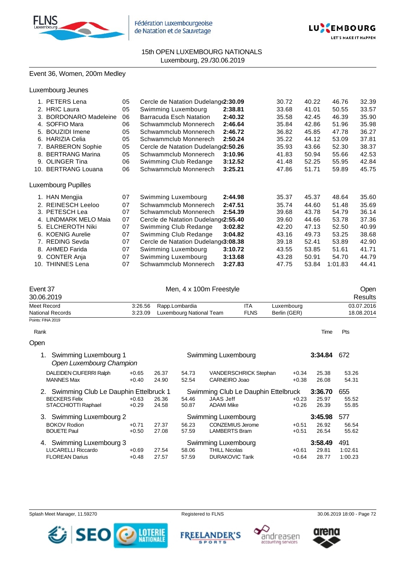



## Event 36, Women, 200m Medley

|    | 1. PETERS Lena         | 05 | Cercle de Natation Dudelang (2:30.09 |         | 30.72 | 40.22 | 46.76   | 32.39 |
|----|------------------------|----|--------------------------------------|---------|-------|-------|---------|-------|
|    | 2. HRIC Laura          | 05 | Swimming Luxembourg                  | 2:38.81 | 33.68 | 41.01 | 50.55   | 33.57 |
|    | 3. BORDONARO Madeleine | 06 | Barracuda Esch Natation              | 2:40.32 | 35.58 | 42.45 | 46.39   | 35.90 |
|    | 4. SOFFIO Mara         | 06 | Schwammclub Monnerech                | 2:46.64 | 35.84 | 42.86 | 51.96   | 35.98 |
|    | 5. BOUZIDI Imene       | 05 | Schwammclub Monnerech                | 2:46.72 | 36.82 | 45.85 | 47.78   | 36.27 |
| 6. | <b>HARIZIA Celia</b>   | 05 | Schwammclub Monnerech                | 2:50.24 | 35.22 | 44.12 | 53.09   | 37.81 |
|    | 7. BARBERON Sophie     | 05 | Cercle de Natation Dudelang (2:50.26 |         | 35.93 | 43.66 | 52.30   | 38.37 |
|    | 8. BERTRANG Marina     | 05 | Schwammclub Monnerech                | 3:10.96 | 41.83 | 50.94 | 55.66   | 42.53 |
| 9. | <b>OLINGER Tina</b>    | 06 | Swimming Club Redange                | 3:12.52 | 41.48 | 52.25 | 55.95   | 42.84 |
|    | 10. BERTRANG Louana    | 06 | Schwammclub Monnerech                | 3:25.21 | 47.86 | 51.71 | 59.89   | 45.75 |
|    | Luxembourg Pupilles    |    |                                      |         |       |       |         |       |
|    | 1. HAN Mengjia         | 07 | Swimming Luxembourg                  | 2:44.98 | 35.37 | 45.37 | 48.64   | 35.60 |
|    | 2. REINESCH Leeloo     | 07 | Schwammclub Monnerech                | 2:47.51 | 35.74 | 44.60 | 51.48   | 35.69 |
|    | 3. PETESCH Lea         | 07 | Schwammclub Monnerech                | 2:54.39 | 39.68 | 43.78 | 54.79   | 36.14 |
|    | 4. LINDMARK MELO Maia  | 07 | Cercle de Natation Dudelang (2:55.40 |         | 39.60 | 44.66 | 53.78   | 37.36 |
|    | 5. ELCHEROTH Niki      | 07 | Swimming Club Redange                | 3:02.82 | 42.20 | 47.13 | 52.50   | 40.99 |
|    | 6. KOENIG Aurelie      | 07 | Swimming Club Redange                | 3:04.82 | 43.16 | 49.73 | 53.25   | 38.68 |
|    | 7. REDING Sevda        | 07 | Cercle de Natation Dudelang(3:08.38  |         | 39.18 | 52.41 | 53.89   | 42.90 |
|    | 8. AHMED Farida        | 07 | Swimming Luxembourg                  | 3:10.72 | 43.55 | 53.85 | 51.61   | 41.71 |
| 9. | <b>CONTER Anja</b>     | 07 | Swimming Luxembourg                  | 3:13.68 | 43.28 | 50.91 | 54.70   | 44.79 |
|    | 10. THINNES Lena       | 07 | Schwammclub Monnerech                | 3:27.83 | 47.75 | 53.84 | 1:01.83 | 44.41 |

| Event 37          |         | Men, 4 x 100m Freestyle  |             |              |            |  |
|-------------------|---------|--------------------------|-------------|--------------|------------|--|
| 30.06.2019        |         |                          | Results     |              |            |  |
| Meet Record       | 3:26.56 | Rapp.Lombardia           | <b>ITA</b>  | Luxembourg   | 03.07.2016 |  |
| National Records  | 3:23.09 | Luxembourg National Team | <b>FLNS</b> | Berlin (GER) | 18.08.2014 |  |
| Points: FINA 2019 |         |                          |             |              |            |  |

| Rank | Time | Pts<br>__ |
|------|------|-----------|
|      |      |           |

| Open |                                                      |         |       |                                     |                              |         |         |         |
|------|------------------------------------------------------|---------|-------|-------------------------------------|------------------------------|---------|---------|---------|
|      | 1. Swimming Luxembourg 1<br>Open Luxembourg Champion |         |       | Swimming Luxembourg                 |                              |         | 3:34.84 | 672     |
|      | DALEIDEN CIUFERRI Ralph                              | $+0.65$ | 26.37 | 54.73                               | <b>VANDERSCHRICK Stephan</b> | $+0.34$ | 25.38   | 53.26   |
|      | <b>MANNES Max</b>                                    | $+0.40$ | 24.90 | 52.54                               | CARNEIRO Joao                | $+0.38$ | 26.08   | 54.31   |
|      | 2. Swimming Club Le Dauphin Ettelbruck 1             |         |       | Swimming Club Le Dauphin Ettelbruck |                              |         | 3:36.70 | 655     |
|      | <b>BECKERS Felix</b>                                 | $+0.63$ | 26.36 | 54.46                               | JAAS Jeff                    | $+0.23$ | 25.97   | 55.52   |
|      | STACCHIOTTI Raphael                                  | $+0.29$ | 24.58 | 50.87                               | <b>ADAMI Mike</b>            | $+0.26$ | 26.39   | 55.85   |
|      | 3. Swimming Luxembourg 2                             |         |       | Swimming Luxembourg                 |                              |         | 3:45.98 | 577     |
|      | <b>BOKOV Rodion</b>                                  | $+0.71$ | 27.37 | 56.23                               | <b>CONZEMIUS Jerome</b>      | $+0.51$ | 26.92   | 56.54   |
|      | <b>BOUETE Paul</b>                                   | $+0.50$ | 27.08 | 57.59                               | <b>LAMBERTS Bram</b>         | $+0.51$ | 26.54   | 55.62   |
|      | 4. Swimming Luxembourg 3                             |         |       | Swimming Luxembourg                 |                              |         | 3:58.49 | 491     |
|      | <b>LUCARELLI Riccardo</b>                            | $+0.69$ | 27.54 | 58.06                               | <b>THILL Nicolas</b>         | $+0.61$ | 29.81   | 1:02.61 |
|      | <b>FLOREAN Darius</b>                                | $+0.48$ | 27.57 | 57.59                               | <b>DURAKOVIC Tarik</b>       | $+0.64$ | 28.77   | 1:00.23 |